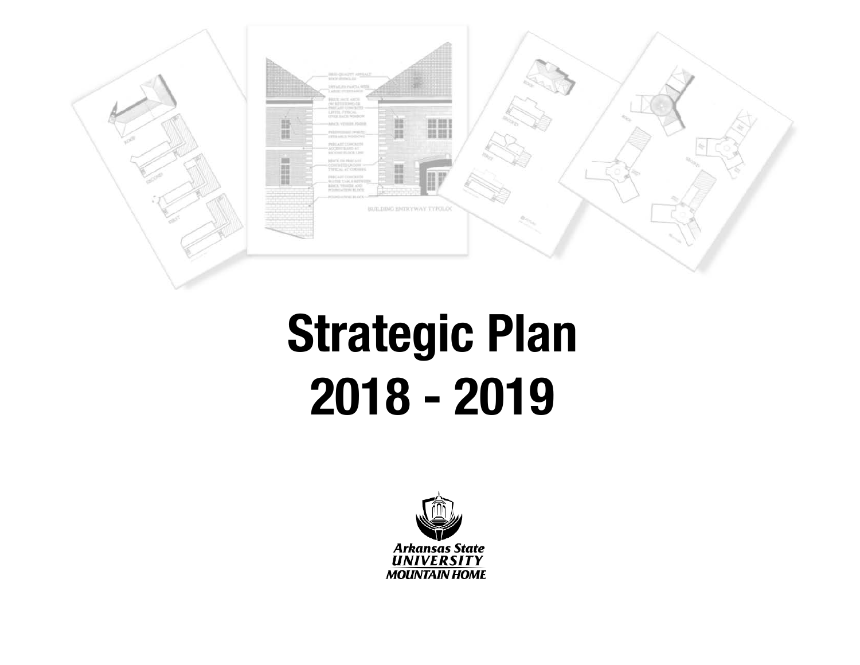

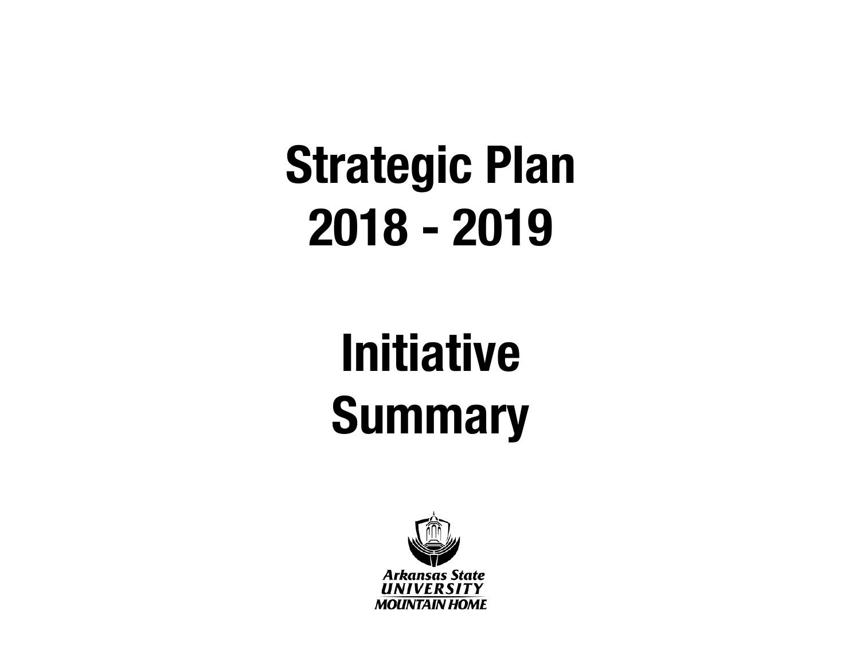### **Initiative Summary**

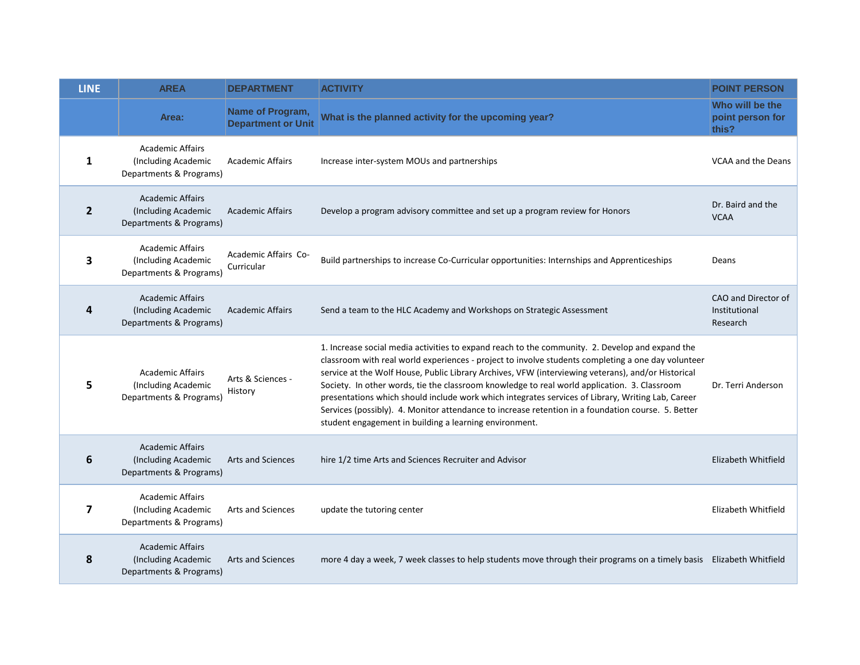| <b>LINE</b>    | <b>AREA</b>                                                               | <b>DEPARTMENT</b>                             | <b>ACTIVITY</b>                                                                                                                                                                                                                                                                                                                                                                                                                                                                                                                                                                                                                                                                  | <b>POINT PERSON</b>                              |
|----------------|---------------------------------------------------------------------------|-----------------------------------------------|----------------------------------------------------------------------------------------------------------------------------------------------------------------------------------------------------------------------------------------------------------------------------------------------------------------------------------------------------------------------------------------------------------------------------------------------------------------------------------------------------------------------------------------------------------------------------------------------------------------------------------------------------------------------------------|--------------------------------------------------|
|                | Area:                                                                     | Name of Program,<br><b>Department or Unit</b> | What is the planned activity for the upcoming year?                                                                                                                                                                                                                                                                                                                                                                                                                                                                                                                                                                                                                              | Who will be the<br>point person for<br>this?     |
| 1              | <b>Academic Affairs</b><br>(Including Academic<br>Departments & Programs) | <b>Academic Affairs</b>                       | Increase inter-system MOUs and partnerships                                                                                                                                                                                                                                                                                                                                                                                                                                                                                                                                                                                                                                      | <b>VCAA and the Deans</b>                        |
| $\overline{2}$ | <b>Academic Affairs</b><br>(Including Academic<br>Departments & Programs) | <b>Academic Affairs</b>                       | Develop a program advisory committee and set up a program review for Honors                                                                                                                                                                                                                                                                                                                                                                                                                                                                                                                                                                                                      | Dr. Baird and the<br><b>VCAA</b>                 |
| 3              | <b>Academic Affairs</b><br>(Including Academic<br>Departments & Programs) | Academic Affairs Co-<br>Curricular            | Build partnerships to increase Co-Curricular opportunities: Internships and Apprenticeships<br>Deans                                                                                                                                                                                                                                                                                                                                                                                                                                                                                                                                                                             |                                                  |
| 4              | <b>Academic Affairs</b><br>(Including Academic<br>Departments & Programs) | <b>Academic Affairs</b>                       | Send a team to the HLC Academy and Workshops on Strategic Assessment                                                                                                                                                                                                                                                                                                                                                                                                                                                                                                                                                                                                             | CAO and Director of<br>Institutional<br>Research |
| 5              | <b>Academic Affairs</b><br>(Including Academic<br>Departments & Programs) | Arts & Sciences -<br>History                  | 1. Increase social media activities to expand reach to the community. 2. Develop and expand the<br>classroom with real world experiences - project to involve students completing a one day volunteer<br>service at the Wolf House, Public Library Archives, VFW (interviewing veterans), and/or Historical<br>Society. In other words, tie the classroom knowledge to real world application. 3. Classroom<br>presentations which should include work which integrates services of Library, Writing Lab, Career<br>Services (possibly). 4. Monitor attendance to increase retention in a foundation course. 5. Better<br>student engagement in building a learning environment. | Dr. Terri Anderson                               |
| 6              | <b>Academic Affairs</b><br>(Including Academic<br>Departments & Programs) | Arts and Sciences                             | hire 1/2 time Arts and Sciences Recruiter and Advisor                                                                                                                                                                                                                                                                                                                                                                                                                                                                                                                                                                                                                            | Elizabeth Whitfield                              |
| 7              | <b>Academic Affairs</b><br>(Including Academic<br>Departments & Programs) | Arts and Sciences                             | update the tutoring center                                                                                                                                                                                                                                                                                                                                                                                                                                                                                                                                                                                                                                                       | Elizabeth Whitfield                              |
| 8              | <b>Academic Affairs</b><br>(Including Academic<br>Departments & Programs) | <b>Arts and Sciences</b>                      | more 4 day a week, 7 week classes to help students move through their programs on a timely basis Elizabeth Whitfield                                                                                                                                                                                                                                                                                                                                                                                                                                                                                                                                                             |                                                  |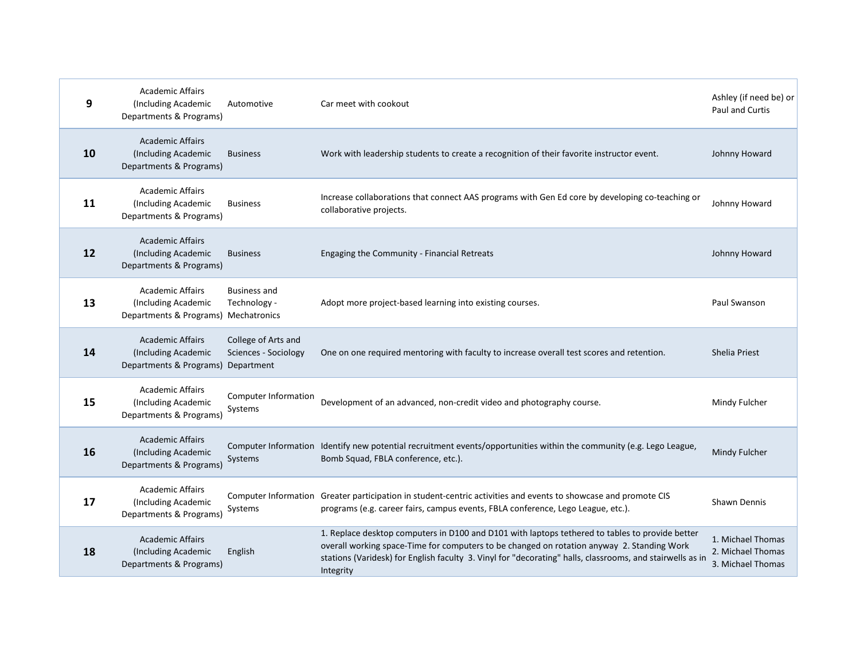| 9  | <b>Academic Affairs</b><br>(Including Academic<br>Departments & Programs)              | Automotive                                  | Car meet with cookout                                                                                                                                                                                                                                                                                                   | Ashley (if need be) or<br><b>Paul and Curtis</b>            |
|----|----------------------------------------------------------------------------------------|---------------------------------------------|-------------------------------------------------------------------------------------------------------------------------------------------------------------------------------------------------------------------------------------------------------------------------------------------------------------------------|-------------------------------------------------------------|
| 10 | <b>Academic Affairs</b><br>(Including Academic<br>Departments & Programs)              | <b>Business</b>                             | Work with leadership students to create a recognition of their favorite instructor event.                                                                                                                                                                                                                               | Johnny Howard                                               |
| 11 | <b>Academic Affairs</b><br>(Including Academic<br>Departments & Programs)              | <b>Business</b>                             | Increase collaborations that connect AAS programs with Gen Ed core by developing co-teaching or<br>collaborative projects.                                                                                                                                                                                              | Johnny Howard                                               |
| 12 | <b>Academic Affairs</b><br>(Including Academic<br>Departments & Programs)              | <b>Business</b>                             | Engaging the Community - Financial Retreats                                                                                                                                                                                                                                                                             | Johnny Howard                                               |
| 13 | <b>Academic Affairs</b><br>(Including Academic<br>Departments & Programs) Mechatronics | <b>Business and</b><br>Technology -         | Adopt more project-based learning into existing courses.                                                                                                                                                                                                                                                                | Paul Swanson                                                |
| 14 | <b>Academic Affairs</b><br>(Including Academic<br>Departments & Programs) Department   | College of Arts and<br>Sciences - Sociology | One on one required mentoring with faculty to increase overall test scores and retention.                                                                                                                                                                                                                               | Shelia Priest                                               |
| 15 | <b>Academic Affairs</b><br>(Including Academic<br>Departments & Programs)              | <b>Computer Information</b><br>Systems      | Development of an advanced, non-credit video and photography course.                                                                                                                                                                                                                                                    | Mindy Fulcher                                               |
| 16 | <b>Academic Affairs</b><br>(Including Academic<br>Departments & Programs)              | Systems                                     | Computer Information Identify new potential recruitment events/opportunities within the community (e.g. Lego League,<br>Bomb Squad, FBLA conference, etc.).                                                                                                                                                             | Mindy Fulcher                                               |
| 17 | <b>Academic Affairs</b><br>(Including Academic<br>Departments & Programs)              | Systems                                     | Computer Information Greater participation in student-centric activities and events to showcase and promote CIS<br>programs (e.g. career fairs, campus events, FBLA conference, Lego League, etc.).                                                                                                                     | <b>Shawn Dennis</b>                                         |
| 18 | <b>Academic Affairs</b><br>(Including Academic<br>Departments & Programs)              | English                                     | 1. Replace desktop computers in D100 and D101 with laptops tethered to tables to provide better<br>overall working space-Time for computers to be changed on rotation anyway 2. Standing Work<br>stations (Varidesk) for English faculty 3. Vinyl for "decorating" halls, classrooms, and stairwells as in<br>Integrity | 1. Michael Thomas<br>2. Michael Thomas<br>3. Michael Thomas |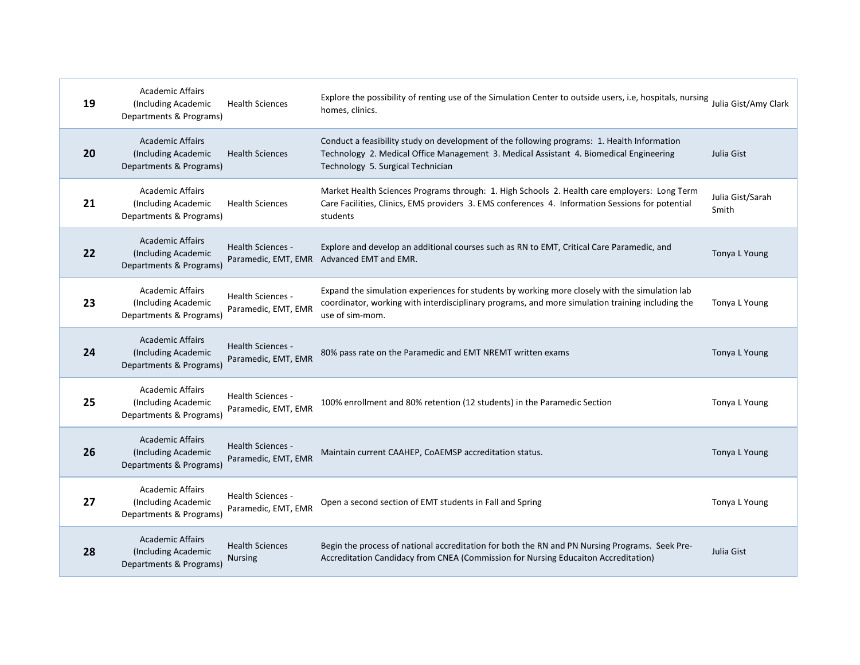| 19 | <b>Academic Affairs</b><br>(Including Academic<br>Departments & Programs) | <b>Health Sciences</b>                          | Explore the possibility of renting use of the Simulation Center to outside users, i.e, hospitals, nursing<br>homes, clinics.                                                                                               | Julia Gist/Amy Clark      |
|----|---------------------------------------------------------------------------|-------------------------------------------------|----------------------------------------------------------------------------------------------------------------------------------------------------------------------------------------------------------------------------|---------------------------|
| 20 | <b>Academic Affairs</b><br>(Including Academic<br>Departments & Programs) | <b>Health Sciences</b>                          | Conduct a feasibility study on development of the following programs: 1. Health Information<br>Technology 2. Medical Office Management 3. Medical Assistant 4. Biomedical Engineering<br>Technology 5. Surgical Technician | Julia Gist                |
| 21 | <b>Academic Affairs</b><br>(Including Academic<br>Departments & Programs) | <b>Health Sciences</b>                          | Market Health Sciences Programs through: 1. High Schools 2. Health care employers: Long Term<br>Care Facilities, Clinics, EMS providers 3. EMS conferences 4. Information Sessions for potential<br>students               | Julia Gist/Sarah<br>Smith |
| 22 | <b>Academic Affairs</b><br>(Including Academic<br>Departments & Programs) | Health Sciences -<br>Paramedic, EMT, EMR        | Explore and develop an additional courses such as RN to EMT, Critical Care Paramedic, and<br>Advanced EMT and EMR.                                                                                                         | Tonya L Young             |
| 23 | <b>Academic Affairs</b><br>(Including Academic<br>Departments & Programs) | <b>Health Sciences -</b><br>Paramedic, EMT, EMR | Expand the simulation experiences for students by working more closely with the simulation lab<br>coordinator, working with interdisciplinary programs, and more simulation training including the<br>use of sim-mom.      | Tonya L Young             |
| 24 | <b>Academic Affairs</b><br>(Including Academic<br>Departments & Programs) | Health Sciences -<br>Paramedic, EMT, EMR        | 80% pass rate on the Paramedic and EMT NREMT written exams                                                                                                                                                                 | Tonya L Young             |
| 25 | <b>Academic Affairs</b><br>(Including Academic<br>Departments & Programs) | Health Sciences -<br>Paramedic, EMT, EMR        | 100% enrollment and 80% retention (12 students) in the Paramedic Section                                                                                                                                                   | Tonya L Young             |
| 26 | <b>Academic Affairs</b><br>(Including Academic<br>Departments & Programs) | <b>Health Sciences -</b><br>Paramedic, EMT, EMR | Maintain current CAAHEP, CoAEMSP accreditation status.                                                                                                                                                                     | Tonya L Young             |
| 27 | <b>Academic Affairs</b><br>(Including Academic<br>Departments & Programs) | Health Sciences -<br>Paramedic, EMT, EMR        | Open a second section of EMT students in Fall and Spring                                                                                                                                                                   | Tonya L Young             |
| 28 | <b>Academic Affairs</b><br>(Including Academic<br>Departments & Programs) | <b>Health Sciences</b><br><b>Nursing</b>        | Begin the process of national accreditation for both the RN and PN Nursing Programs. Seek Pre-<br>Accreditation Candidacy from CNEA (Commission for Nursing Educaiton Accreditation)                                       | Julia Gist                |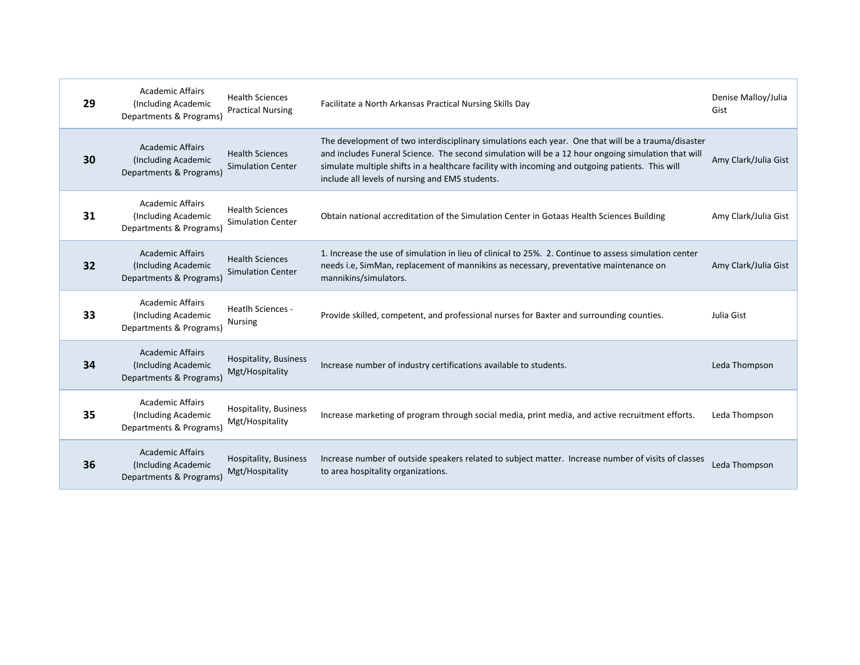| 29 | <b>Academic Affairs</b><br>(Including Academic<br>Departments & Programs) | <b>Health Sciences</b><br><b>Practical Nursing</b> | Facilitate a North Arkansas Practical Nursing Skills Day                                                                                                                                                                                                                                                                                                        | Denise Malloy/Julia<br>Gist |
|----|---------------------------------------------------------------------------|----------------------------------------------------|-----------------------------------------------------------------------------------------------------------------------------------------------------------------------------------------------------------------------------------------------------------------------------------------------------------------------------------------------------------------|-----------------------------|
| 30 | <b>Academic Affairs</b><br>(Including Academic<br>Departments & Programs) | <b>Health Sciences</b><br><b>Simulation Center</b> | The development of two interdisciplinary simulations each year. One that will be a trauma/disaster<br>and includes Funeral Science. The second simulation will be a 12 hour ongoing simulation that will<br>simulate multiple shifts in a healthcare facility with incoming and outgoing patients. This will<br>include all levels of nursing and EMS students. | Amy Clark/Julia Gist        |
| 31 | <b>Academic Affairs</b><br>(Including Academic<br>Departments & Programs) | <b>Health Sciences</b><br><b>Simulation Center</b> | Obtain national accreditation of the Simulation Center in Gotaas Health Sciences Building                                                                                                                                                                                                                                                                       | Amy Clark/Julia Gist        |
| 32 | <b>Academic Affairs</b><br>(Including Academic<br>Departments & Programs) | <b>Health Sciences</b><br><b>Simulation Center</b> | 1. Increase the use of simulation in lieu of clinical to 25%. 2. Continue to assess simulation center<br>needs i.e, SimMan, replacement of mannikins as necessary, preventative maintenance on<br>mannikins/simulators.                                                                                                                                         | Amy Clark/Julia Gist        |
| 33 | <b>Academic Affairs</b><br>(Including Academic<br>Departments & Programs) | Heatlh Sciences -<br><b>Nursing</b>                | Provide skilled, competent, and professional nurses for Baxter and surrounding counties.                                                                                                                                                                                                                                                                        | Julia Gist                  |
| 34 | <b>Academic Affairs</b><br>(Including Academic<br>Departments & Programs) | Hospitality, Business<br>Mgt/Hospitality           | Increase number of industry certifications available to students.                                                                                                                                                                                                                                                                                               | Leda Thompson               |
| 35 | <b>Academic Affairs</b><br>(Including Academic<br>Departments & Programs) | Hospitality, Business<br>Mgt/Hospitality           | Increase marketing of program through social media, print media, and active recruitment efforts.                                                                                                                                                                                                                                                                | Leda Thompson               |
| 36 | <b>Academic Affairs</b><br>(Including Academic<br>Departments & Programs) | Hospitality, Business<br>Mgt/Hospitality           | Increase number of outside speakers related to subject matter. Increase number of visits of classes<br>to area hospitality organizations.                                                                                                                                                                                                                       | Leda Thompson               |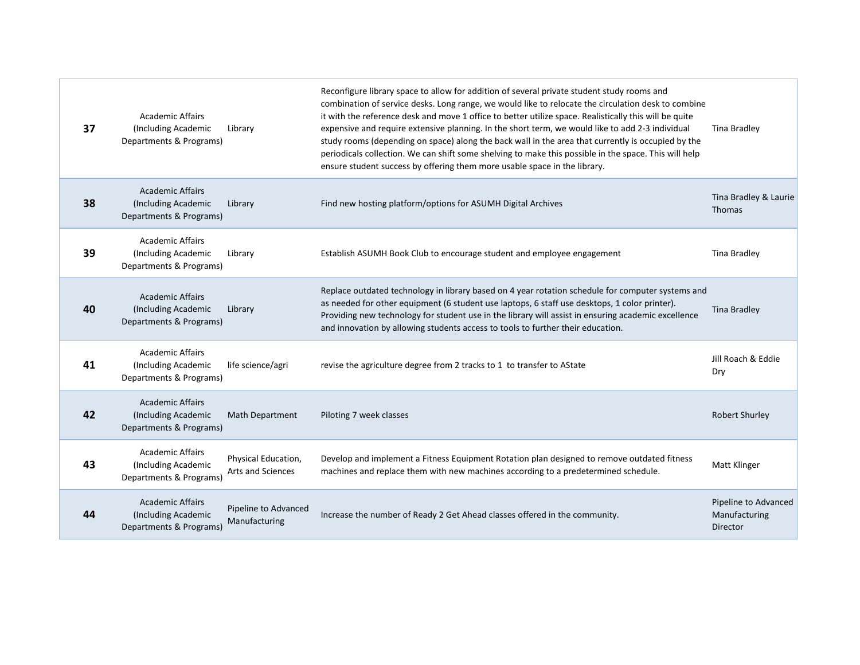| 37 | <b>Academic Affairs</b><br>(Including Academic<br>Departments & Programs) | Library                                         | Reconfigure library space to allow for addition of several private student study rooms and<br>combination of service desks. Long range, we would like to relocate the circulation desk to combine<br>it with the reference desk and move 1 office to better utilize space. Realistically this will be quite<br>expensive and require extensive planning. In the short term, we would like to add 2-3 individual<br>study rooms (depending on space) along the back wall in the area that currently is occupied by the<br>periodicals collection. We can shift some shelving to make this possible in the space. This will help<br>ensure student success by offering them more usable space in the library. | Tina Bradley                                             |
|----|---------------------------------------------------------------------------|-------------------------------------------------|-------------------------------------------------------------------------------------------------------------------------------------------------------------------------------------------------------------------------------------------------------------------------------------------------------------------------------------------------------------------------------------------------------------------------------------------------------------------------------------------------------------------------------------------------------------------------------------------------------------------------------------------------------------------------------------------------------------|----------------------------------------------------------|
| 38 | <b>Academic Affairs</b><br>(Including Academic<br>Departments & Programs) | Library                                         | Find new hosting platform/options for ASUMH Digital Archives                                                                                                                                                                                                                                                                                                                                                                                                                                                                                                                                                                                                                                                | Tina Bradley & Laurie<br><b>Thomas</b>                   |
| 39 | <b>Academic Affairs</b><br>(Including Academic<br>Departments & Programs) | Library                                         | Establish ASUMH Book Club to encourage student and employee engagement                                                                                                                                                                                                                                                                                                                                                                                                                                                                                                                                                                                                                                      | <b>Tina Bradley</b>                                      |
| 40 | <b>Academic Affairs</b><br>(Including Academic<br>Departments & Programs) | Library                                         | Replace outdated technology in library based on 4 year rotation schedule for computer systems and<br>as needed for other equipment (6 student use laptops, 6 staff use desktops, 1 color printer).<br>Providing new technology for student use in the library will assist in ensuring academic excellence<br>and innovation by allowing students access to tools to further their education.                                                                                                                                                                                                                                                                                                                | <b>Tina Bradley</b>                                      |
| 41 | <b>Academic Affairs</b><br>(Including Academic<br>Departments & Programs) | life science/agri                               | revise the agriculture degree from 2 tracks to 1 to transfer to AState                                                                                                                                                                                                                                                                                                                                                                                                                                                                                                                                                                                                                                      | Jill Roach & Eddie<br>Dry                                |
| 42 | <b>Academic Affairs</b><br>(Including Academic<br>Departments & Programs) | <b>Math Department</b>                          | Piloting 7 week classes                                                                                                                                                                                                                                                                                                                                                                                                                                                                                                                                                                                                                                                                                     | <b>Robert Shurley</b>                                    |
| 43 | <b>Academic Affairs</b><br>(Including Academic<br>Departments & Programs) | Physical Education,<br><b>Arts and Sciences</b> | Develop and implement a Fitness Equipment Rotation plan designed to remove outdated fitness<br>machines and replace them with new machines according to a predetermined schedule.                                                                                                                                                                                                                                                                                                                                                                                                                                                                                                                           | Matt Klinger                                             |
| 44 | <b>Academic Affairs</b><br>(Including Academic<br>Departments & Programs) | Pipeline to Advanced<br>Manufacturing           | Increase the number of Ready 2 Get Ahead classes offered in the community.                                                                                                                                                                                                                                                                                                                                                                                                                                                                                                                                                                                                                                  | Pipeline to Advanced<br>Manufacturing<br><b>Director</b> |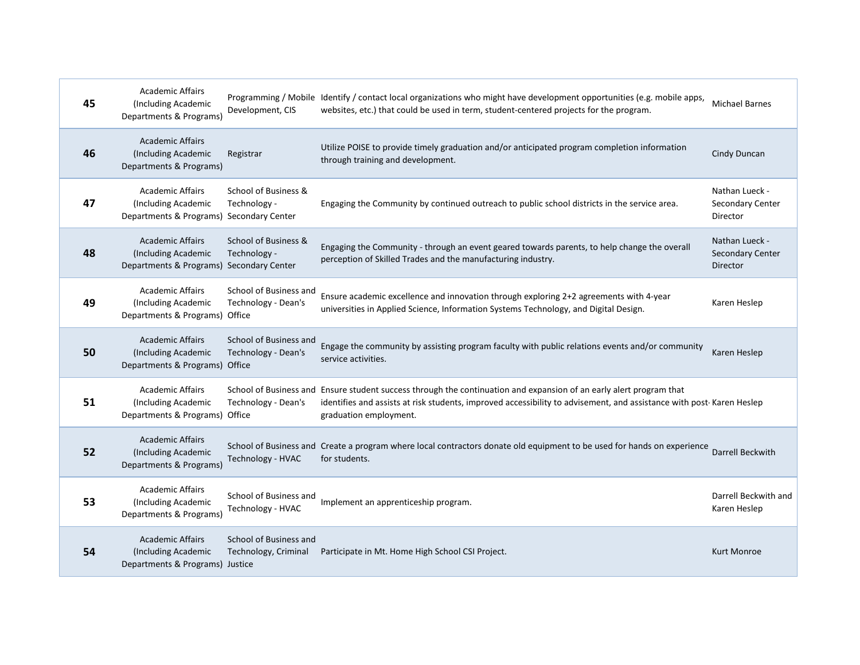| 45 | <b>Academic Affairs</b><br>(Including Academic<br>Departments & Programs)                  | Development, CIS                               | Programming / Mobile Identify / contact local organizations who might have development opportunities (e.g. mobile apps,<br>websites, etc.) that could be used in term, student-centered projects for the program.                                                     | <b>Michael Barnes</b>                                 |
|----|--------------------------------------------------------------------------------------------|------------------------------------------------|-----------------------------------------------------------------------------------------------------------------------------------------------------------------------------------------------------------------------------------------------------------------------|-------------------------------------------------------|
| 46 | <b>Academic Affairs</b><br>(Including Academic<br>Departments & Programs)                  | Registrar                                      | Utilize POISE to provide timely graduation and/or anticipated program completion information<br>through training and development.                                                                                                                                     | Cindy Duncan                                          |
| 47 | <b>Academic Affairs</b><br>(Including Academic<br>Departments & Programs) Secondary Center | School of Business &<br>Technology -           | Engaging the Community by continued outreach to public school districts in the service area.                                                                                                                                                                          | Nathan Lueck -<br>Secondary Center<br>Director        |
| 48 | <b>Academic Affairs</b><br>(Including Academic<br>Departments & Programs) Secondary Center | School of Business &<br>Technology -           | Engaging the Community - through an event geared towards parents, to help change the overall<br>perception of Skilled Trades and the manufacturing industry.                                                                                                          | Nathan Lueck -<br><b>Secondary Center</b><br>Director |
| 49 | <b>Academic Affairs</b><br>(Including Academic<br>Departments & Programs) Office           | School of Business and<br>Technology - Dean's  | Ensure academic excellence and innovation through exploring 2+2 agreements with 4-year<br>universities in Applied Science, Information Systems Technology, and Digital Design.                                                                                        | Karen Heslep                                          |
| 50 | <b>Academic Affairs</b><br>(Including Academic<br>Departments & Programs) Office           | School of Business and<br>Technology - Dean's  | Engage the community by assisting program faculty with public relations events and/or community<br>service activities.                                                                                                                                                | Karen Heslep                                          |
| 51 | <b>Academic Affairs</b><br>(Including Academic<br>Departments & Programs) Office           | Technology - Dean's                            | School of Business and Ensure student success through the continuation and expansion of an early alert program that<br>identifies and assists at risk students, improved accessibility to advisement, and assistance with post-Karen Heslep<br>graduation employment. |                                                       |
| 52 | <b>Academic Affairs</b><br>(Including Academic<br>Departments & Programs)                  | Technology - HVAC                              | School of Business and Create a program where local contractors donate old equipment to be used for hands on experience<br>for students.                                                                                                                              | Darrell Beckwith                                      |
| 53 | <b>Academic Affairs</b><br>(Including Academic<br>Departments & Programs)                  | School of Business and<br>Technology - HVAC    | Implement an apprenticeship program.                                                                                                                                                                                                                                  | Darrell Beckwith and<br>Karen Heslep                  |
| 54 | <b>Academic Affairs</b><br>(Including Academic<br>Departments & Programs) Justice          | School of Business and<br>Technology, Criminal | Participate in Mt. Home High School CSI Project.                                                                                                                                                                                                                      | <b>Kurt Monroe</b>                                    |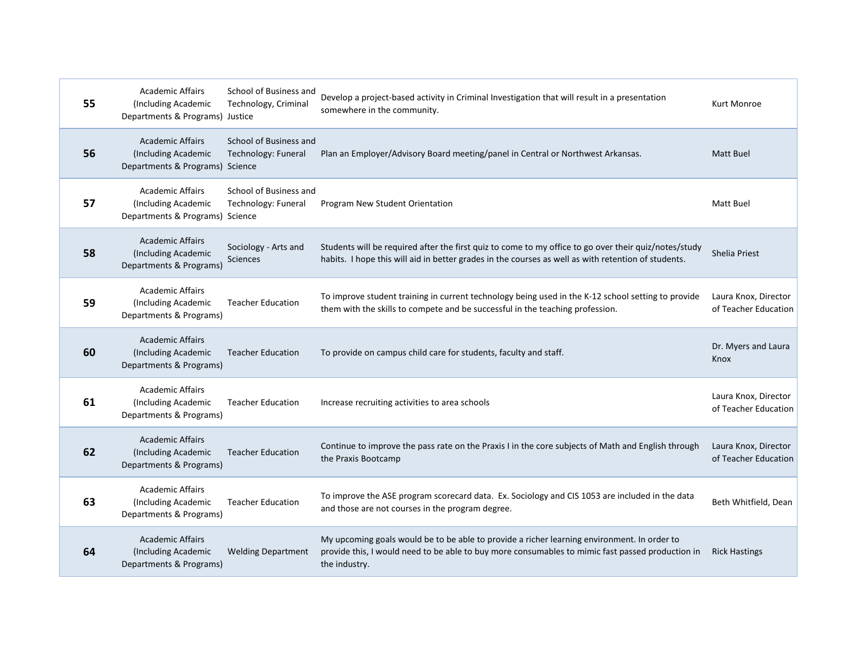| 55 | <b>Academic Affairs</b><br>(Including Academic<br>Departments & Programs) Justice | School of Business and<br>Technology, Criminal | Develop a project-based activity in Criminal Investigation that will result in a presentation<br>somewhere in the community.                                                                                 | Kurt Monroe                                  |
|----|-----------------------------------------------------------------------------------|------------------------------------------------|--------------------------------------------------------------------------------------------------------------------------------------------------------------------------------------------------------------|----------------------------------------------|
| 56 | <b>Academic Affairs</b><br>(Including Academic<br>Departments & Programs) Science | School of Business and<br>Technology: Funeral  | Plan an Employer/Advisory Board meeting/panel in Central or Northwest Arkansas.                                                                                                                              | Matt Buel                                    |
| 57 | <b>Academic Affairs</b><br>(Including Academic<br>Departments & Programs) Science | School of Business and<br>Technology: Funeral  | Program New Student Orientation                                                                                                                                                                              | Matt Buel                                    |
| 58 | <b>Academic Affairs</b><br>(Including Academic<br>Departments & Programs)         | Sociology - Arts and<br>Sciences               | Students will be required after the first quiz to come to my office to go over their quiz/notes/study<br>habits. I hope this will aid in better grades in the courses as well as with retention of students. | <b>Shelia Priest</b>                         |
| 59 | <b>Academic Affairs</b><br>(Including Academic<br>Departments & Programs)         | <b>Teacher Education</b>                       | To improve student training in current technology being used in the K-12 school setting to provide<br>them with the skills to compete and be successful in the teaching profession.                          | Laura Knox, Director<br>of Teacher Education |
|    | <b>Academic Affairs</b>                                                           |                                                |                                                                                                                                                                                                              |                                              |
| 60 | (Including Academic<br>Departments & Programs)                                    | <b>Teacher Education</b>                       | To provide on campus child care for students, faculty and staff.                                                                                                                                             | Dr. Myers and Laura<br>Knox                  |
| 61 | <b>Academic Affairs</b><br>(Including Academic<br>Departments & Programs)         | <b>Teacher Education</b>                       | Increase recruiting activities to area schools                                                                                                                                                               | Laura Knox, Director<br>of Teacher Education |
| 62 | <b>Academic Affairs</b><br>(Including Academic<br>Departments & Programs)         | <b>Teacher Education</b>                       | Continue to improve the pass rate on the Praxis I in the core subjects of Math and English through<br>the Praxis Bootcamp                                                                                    | Laura Knox, Director<br>of Teacher Education |
| 63 | <b>Academic Affairs</b><br>(Including Academic<br>Departments & Programs)         | <b>Teacher Education</b>                       | To improve the ASE program scorecard data. Ex. Sociology and CIS 1053 are included in the data<br>and those are not courses in the program degree.                                                           | Beth Whitfield, Dean                         |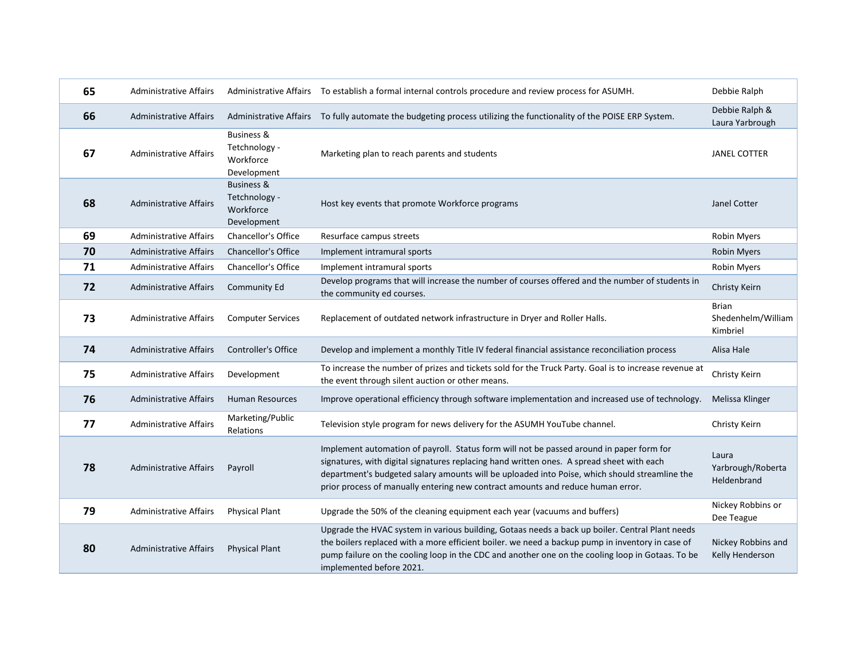| 65 | <b>Administrative Affairs</b> |                                                                    | Administrative Affairs To establish a formal internal controls procedure and review process for ASUMH.                                                                                                                                                                                                                                                                    | Debbie Ralph                                   |
|----|-------------------------------|--------------------------------------------------------------------|---------------------------------------------------------------------------------------------------------------------------------------------------------------------------------------------------------------------------------------------------------------------------------------------------------------------------------------------------------------------------|------------------------------------------------|
| 66 | <b>Administrative Affairs</b> |                                                                    | Administrative Affairs To fully automate the budgeting process utilizing the functionality of the POISE ERP System.                                                                                                                                                                                                                                                       | Debbie Ralph &<br>Laura Yarbrough              |
| 67 | <b>Administrative Affairs</b> | <b>Business &amp;</b><br>Tetchnology -<br>Workforce<br>Development | Marketing plan to reach parents and students                                                                                                                                                                                                                                                                                                                              | <b>JANEL COTTER</b>                            |
| 68 | <b>Administrative Affairs</b> | <b>Business &amp;</b><br>Tetchnology -<br>Workforce<br>Development | Host key events that promote Workforce programs                                                                                                                                                                                                                                                                                                                           | Janel Cotter                                   |
| 69 | <b>Administrative Affairs</b> | <b>Chancellor's Office</b>                                         | Resurface campus streets                                                                                                                                                                                                                                                                                                                                                  | <b>Robin Myers</b>                             |
| 70 | <b>Administrative Affairs</b> | <b>Chancellor's Office</b>                                         | Implement intramural sports                                                                                                                                                                                                                                                                                                                                               | <b>Robin Myers</b>                             |
| 71 | Administrative Affairs        | Chancellor's Office                                                | Implement intramural sports                                                                                                                                                                                                                                                                                                                                               | Robin Myers                                    |
| 72 | <b>Administrative Affairs</b> | <b>Community Ed</b>                                                | Develop programs that will increase the number of courses offered and the number of students in<br>the community ed courses.                                                                                                                                                                                                                                              | Christy Keirn                                  |
| 73 | <b>Administrative Affairs</b> | <b>Computer Services</b>                                           | Replacement of outdated network infrastructure in Dryer and Roller Halls.                                                                                                                                                                                                                                                                                                 | <b>Brian</b><br>Shedenhelm/William<br>Kimbriel |
| 74 | <b>Administrative Affairs</b> | Controller's Office                                                | Develop and implement a monthly Title IV federal financial assistance reconciliation process                                                                                                                                                                                                                                                                              | Alisa Hale                                     |
| 75 | <b>Administrative Affairs</b> | Development                                                        | To increase the number of prizes and tickets sold for the Truck Party. Goal is to increase revenue at<br>the event through silent auction or other means.                                                                                                                                                                                                                 | Christy Keirn                                  |
| 76 | <b>Administrative Affairs</b> | <b>Human Resources</b>                                             | Improve operational efficiency through software implementation and increased use of technology.                                                                                                                                                                                                                                                                           | Melissa Klinger                                |
| 77 | <b>Administrative Affairs</b> | Marketing/Public<br>Relations                                      | Television style program for news delivery for the ASUMH YouTube channel.                                                                                                                                                                                                                                                                                                 | Christy Keirn                                  |
| 78 | <b>Administrative Affairs</b> | Payroll                                                            | Implement automation of payroll. Status form will not be passed around in paper form for<br>signatures, with digital signatures replacing hand written ones. A spread sheet with each<br>department's budgeted salary amounts will be uploaded into Poise, which should streamline the<br>prior process of manually entering new contract amounts and reduce human error. | Laura<br>Yarbrough/Roberta<br>Heldenbrand      |
| 79 | <b>Administrative Affairs</b> | <b>Physical Plant</b>                                              | Upgrade the 50% of the cleaning equipment each year (vacuums and buffers)                                                                                                                                                                                                                                                                                                 | Nickey Robbins or<br>Dee Teague                |
| 80 | <b>Administrative Affairs</b> | <b>Physical Plant</b>                                              | Upgrade the HVAC system in various building, Gotaas needs a back up boiler. Central Plant needs<br>the boilers replaced with a more efficient boiler. we need a backup pump in inventory in case of<br>pump failure on the cooling loop in the CDC and another one on the cooling loop in Gotaas. To be<br>implemented before 2021.                                       | Nickey Robbins and<br>Kelly Henderson          |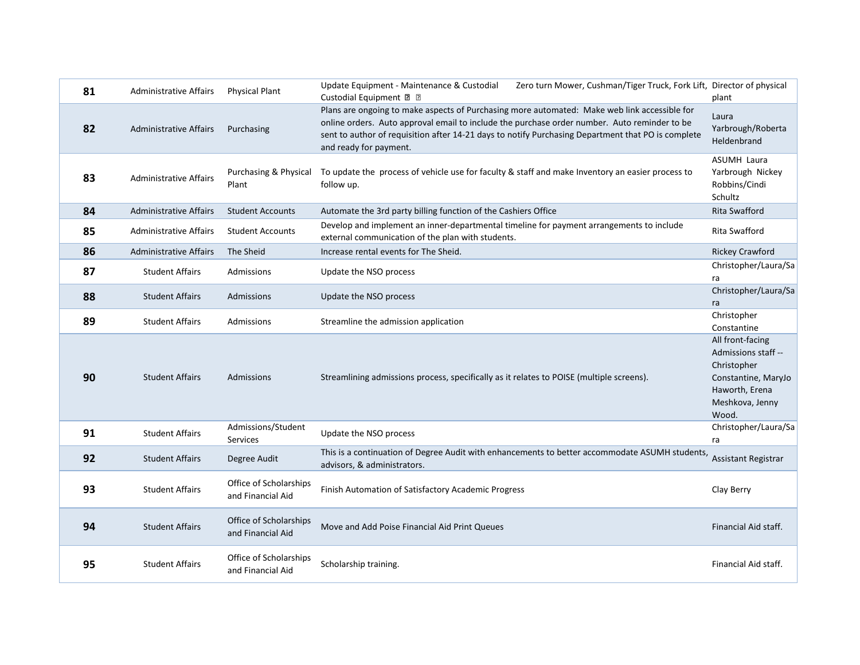| 81 | <b>Administrative Affairs</b> | <b>Physical Plant</b>                       | Update Equipment - Maintenance & Custodial<br>Zero turn Mower, Cushman/Tiger Truck, Fork Lift, Director of physical<br>Custodial Equipment 2 2                                                                                                                                                                               | plant                                                                                                                       |
|----|-------------------------------|---------------------------------------------|------------------------------------------------------------------------------------------------------------------------------------------------------------------------------------------------------------------------------------------------------------------------------------------------------------------------------|-----------------------------------------------------------------------------------------------------------------------------|
| 82 | <b>Administrative Affairs</b> | Purchasing                                  | Plans are ongoing to make aspects of Purchasing more automated: Make web link accessible for<br>online orders. Auto approval email to include the purchase order number. Auto reminder to be<br>sent to author of requisition after 14-21 days to notify Purchasing Department that PO is complete<br>and ready for payment. | Laura<br>Yarbrough/Roberta<br>Heldenbrand                                                                                   |
| 83 | <b>Administrative Affairs</b> | Purchasing & Physical<br>Plant              | To update the process of vehicle use for faculty & staff and make Inventory an easier process to<br>follow up.                                                                                                                                                                                                               | <b>ASUMH Laura</b><br>Yarbrough Nickey<br>Robbins/Cindi<br>Schultz                                                          |
| 84 | <b>Administrative Affairs</b> | <b>Student Accounts</b>                     | Automate the 3rd party billing function of the Cashiers Office                                                                                                                                                                                                                                                               | Rita Swafford                                                                                                               |
| 85 | <b>Administrative Affairs</b> | <b>Student Accounts</b>                     | Develop and implement an inner-departmental timeline for payment arrangements to include<br>external communication of the plan with students.                                                                                                                                                                                | Rita Swafford                                                                                                               |
| 86 | <b>Administrative Affairs</b> | The Sheid                                   | Increase rental events for The Sheid.                                                                                                                                                                                                                                                                                        | <b>Rickey Crawford</b>                                                                                                      |
| 87 | <b>Student Affairs</b>        | Admissions                                  | Update the NSO process                                                                                                                                                                                                                                                                                                       | Christopher/Laura/Sa<br>ra                                                                                                  |
| 88 | <b>Student Affairs</b>        | <b>Admissions</b>                           | Update the NSO process                                                                                                                                                                                                                                                                                                       | Christopher/Laura/Sa<br>ra                                                                                                  |
| 89 | <b>Student Affairs</b>        | Admissions                                  | Streamline the admission application                                                                                                                                                                                                                                                                                         | Christopher<br>Constantine                                                                                                  |
| 90 | <b>Student Affairs</b>        | Admissions                                  | Streamlining admissions process, specifically as it relates to POISE (multiple screens).                                                                                                                                                                                                                                     | All front-facing<br>Admissions staff --<br>Christopher<br>Constantine, MaryJo<br>Haworth, Erena<br>Meshkova, Jenny<br>Wood. |
| 91 | <b>Student Affairs</b>        | Admissions/Student<br>Services              | Update the NSO process                                                                                                                                                                                                                                                                                                       | Christopher/Laura/Sa<br>ra                                                                                                  |
| 92 | <b>Student Affairs</b>        | Degree Audit                                | This is a continuation of Degree Audit with enhancements to better accommodate ASUMH students,<br>advisors, & administrators.                                                                                                                                                                                                | <b>Assistant Registrar</b>                                                                                                  |
| 93 | <b>Student Affairs</b>        | Office of Scholarships<br>and Financial Aid | Finish Automation of Satisfactory Academic Progress                                                                                                                                                                                                                                                                          | Clay Berry                                                                                                                  |
| 94 | <b>Student Affairs</b>        | Office of Scholarships<br>and Financial Aid | Move and Add Poise Financial Aid Print Queues                                                                                                                                                                                                                                                                                | Financial Aid staff.                                                                                                        |
| 95 | <b>Student Affairs</b>        | Office of Scholarships<br>and Financial Aid | Scholarship training.                                                                                                                                                                                                                                                                                                        | Financial Aid staff.                                                                                                        |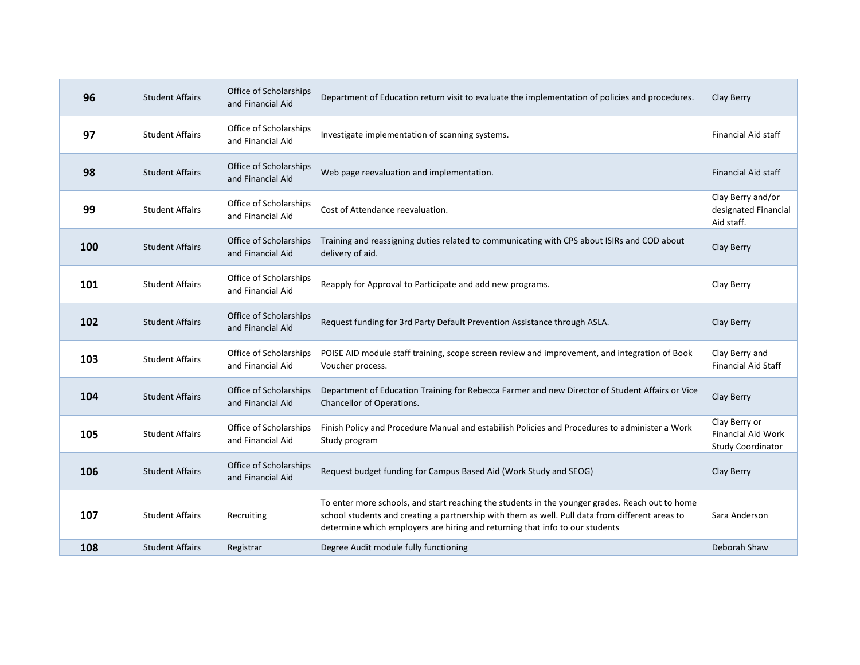| 96  | <b>Student Affairs</b> | Office of Scholarships<br>and Financial Aid | Department of Education return visit to evaluate the implementation of policies and procedures.                                                                                                                                                                                    | Clay Berry                                                             |
|-----|------------------------|---------------------------------------------|------------------------------------------------------------------------------------------------------------------------------------------------------------------------------------------------------------------------------------------------------------------------------------|------------------------------------------------------------------------|
| 97  | <b>Student Affairs</b> | Office of Scholarships<br>and Financial Aid | Investigate implementation of scanning systems.                                                                                                                                                                                                                                    | <b>Financial Aid staff</b>                                             |
| 98  | <b>Student Affairs</b> | Office of Scholarships<br>and Financial Aid | Web page reevaluation and implementation.                                                                                                                                                                                                                                          | <b>Financial Aid staff</b>                                             |
| 99  | <b>Student Affairs</b> | Office of Scholarships<br>and Financial Aid | Cost of Attendance reevaluation.                                                                                                                                                                                                                                                   | Clay Berry and/or<br>designated Financial<br>Aid staff.                |
| 100 | <b>Student Affairs</b> | Office of Scholarships<br>and Financial Aid | Training and reassigning duties related to communicating with CPS about ISIRs and COD about<br>delivery of aid.                                                                                                                                                                    | Clay Berry                                                             |
| 101 | <b>Student Affairs</b> | Office of Scholarships<br>and Financial Aid | Reapply for Approval to Participate and add new programs.                                                                                                                                                                                                                          | Clay Berry                                                             |
| 102 | <b>Student Affairs</b> | Office of Scholarships<br>and Financial Aid | Request funding for 3rd Party Default Prevention Assistance through ASLA.                                                                                                                                                                                                          | Clay Berry                                                             |
| 103 | <b>Student Affairs</b> | Office of Scholarships<br>and Financial Aid | POISE AID module staff training, scope screen review and improvement, and integration of Book<br>Voucher process.                                                                                                                                                                  | Clay Berry and<br><b>Financial Aid Staff</b>                           |
| 104 | <b>Student Affairs</b> | Office of Scholarships<br>and Financial Aid | Department of Education Training for Rebecca Farmer and new Director of Student Affairs or Vice<br>Chancellor of Operations.                                                                                                                                                       | Clay Berry                                                             |
| 105 | <b>Student Affairs</b> | Office of Scholarships<br>and Financial Aid | Finish Policy and Procedure Manual and estabilish Policies and Procedures to administer a Work<br>Study program                                                                                                                                                                    | Clay Berry or<br><b>Financial Aid Work</b><br><b>Study Coordinator</b> |
| 106 | <b>Student Affairs</b> | Office of Scholarships<br>and Financial Aid | Request budget funding for Campus Based Aid (Work Study and SEOG)                                                                                                                                                                                                                  | Clay Berry                                                             |
| 107 | <b>Student Affairs</b> | Recruiting                                  | To enter more schools, and start reaching the students in the younger grades. Reach out to home<br>school students and creating a partnership with them as well. Pull data from different areas to<br>determine which employers are hiring and returning that info to our students | Sara Anderson                                                          |
| 108 | <b>Student Affairs</b> | Registrar                                   | Degree Audit module fully functioning                                                                                                                                                                                                                                              | Deborah Shaw                                                           |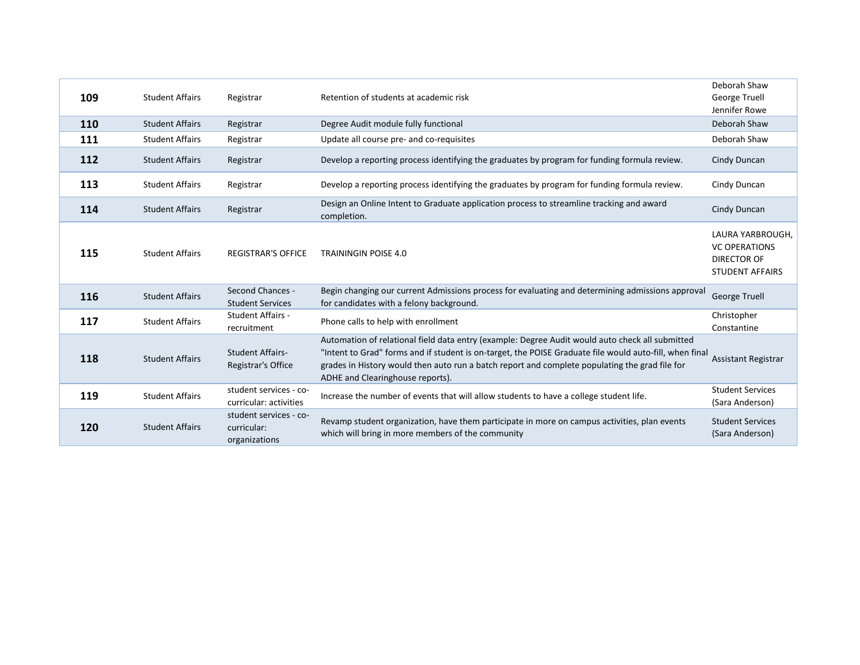| 109 | <b>Student Affairs</b> | Registrar                                              | Retention of students at academic risk                                                                                                                                                                                                                                                                                                           | Deborah Shaw<br>George Truell<br>Jennifer Rowe                                    |
|-----|------------------------|--------------------------------------------------------|--------------------------------------------------------------------------------------------------------------------------------------------------------------------------------------------------------------------------------------------------------------------------------------------------------------------------------------------------|-----------------------------------------------------------------------------------|
| 110 | <b>Student Affairs</b> | Registrar                                              | Degree Audit module fully functional                                                                                                                                                                                                                                                                                                             | Deborah Shaw                                                                      |
| 111 | <b>Student Affairs</b> | Registrar                                              | Update all course pre- and co-requisites                                                                                                                                                                                                                                                                                                         | Deborah Shaw                                                                      |
| 112 | <b>Student Affairs</b> | Registrar                                              | Develop a reporting process identifying the graduates by program for funding formula review.                                                                                                                                                                                                                                                     | Cindy Duncan                                                                      |
| 113 | <b>Student Affairs</b> | Registrar                                              | Develop a reporting process identifying the graduates by program for funding formula review.                                                                                                                                                                                                                                                     | Cindy Duncan                                                                      |
| 114 | <b>Student Affairs</b> | Registrar                                              | Design an Online Intent to Graduate application process to streamline tracking and award<br>completion.                                                                                                                                                                                                                                          | Cindy Duncan                                                                      |
| 115 | <b>Student Affairs</b> | <b>REGISTRAR'S OFFICE</b>                              | <b>TRAININGIN POISE 4.0</b>                                                                                                                                                                                                                                                                                                                      | LAURA YARBROUGH,<br><b>VC OPERATIONS</b><br>DIRECTOR OF<br><b>STUDENT AFFAIRS</b> |
| 116 | <b>Student Affairs</b> | <b>Second Chances -</b><br><b>Student Services</b>     | Begin changing our current Admissions process for evaluating and determining admissions approval<br>for candidates with a felony background.                                                                                                                                                                                                     | <b>George Truell</b>                                                              |
| 117 | <b>Student Affairs</b> | Student Affairs -<br>recruitment                       | Phone calls to help with enrollment                                                                                                                                                                                                                                                                                                              | Christopher<br>Constantine                                                        |
| 118 | <b>Student Affairs</b> | <b>Student Affairs-</b><br>Registrar's Office          | Automation of relational field data entry (example: Degree Audit would auto check all submitted<br>"Intent to Grad" forms and if student is on-target, the POISE Graduate file would auto-fill, when final<br>grades in History would then auto run a batch report and complete populating the grad file for<br>ADHE and Clearinghouse reports). | Assistant Registrar                                                               |
| 119 | <b>Student Affairs</b> | student services - co-<br>curricular: activities       | Increase the number of events that will allow students to have a college student life.                                                                                                                                                                                                                                                           | <b>Student Services</b><br>(Sara Anderson)                                        |
| 120 | <b>Student Affairs</b> | student services - co-<br>curricular:<br>organizations | Revamp student organization, have them participate in more on campus activities, plan events<br>which will bring in more members of the community                                                                                                                                                                                                | <b>Student Services</b><br>(Sara Anderson)                                        |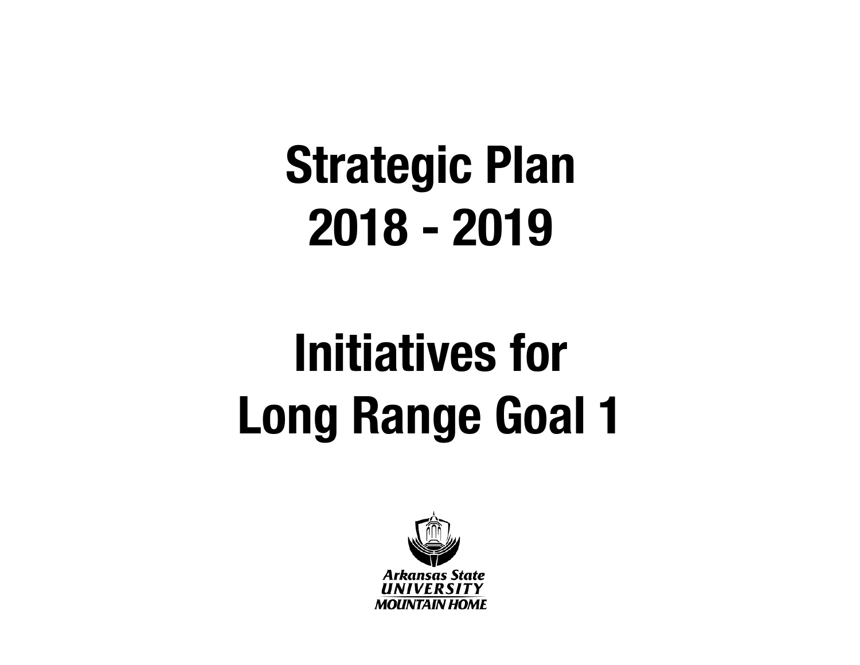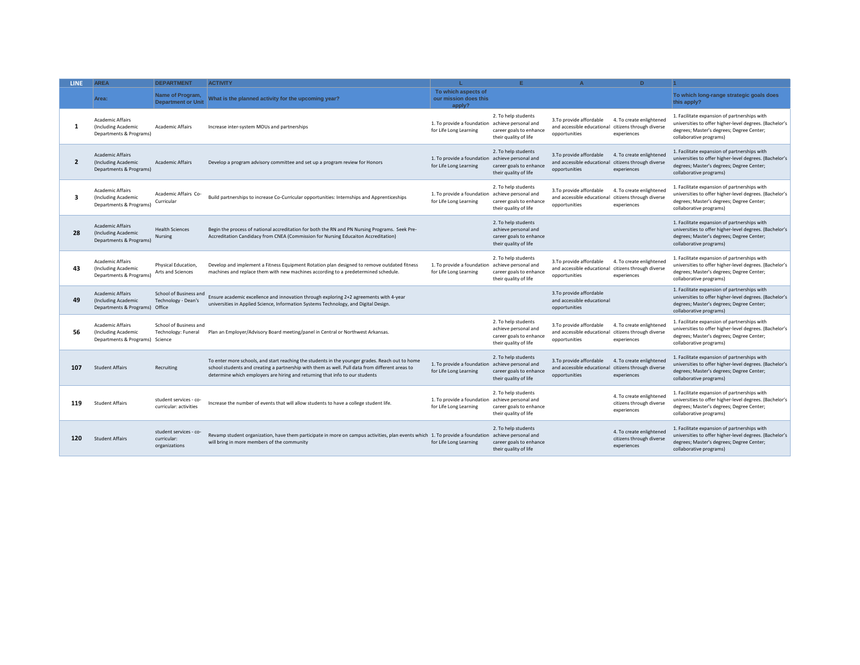| <b>LINE</b>    | <b>AREA</b>                                                                       | <b>DEPARTMENT</b>                                      | <b>ACTIVITY</b>                                                                                                                                                                                                                                                                    |                                                                           | F.                                                                                              | $\Delta$                                                                                        | D.                                                                  |                                                                                                                                                                                 |
|----------------|-----------------------------------------------------------------------------------|--------------------------------------------------------|------------------------------------------------------------------------------------------------------------------------------------------------------------------------------------------------------------------------------------------------------------------------------------|---------------------------------------------------------------------------|-------------------------------------------------------------------------------------------------|-------------------------------------------------------------------------------------------------|---------------------------------------------------------------------|---------------------------------------------------------------------------------------------------------------------------------------------------------------------------------|
|                | Area:                                                                             | Name of Program,<br><b>Department or Unit</b>          | What is the planned activity for the upcoming year?                                                                                                                                                                                                                                | To which aspects of<br>our mission does this<br>apply?                    |                                                                                                 |                                                                                                 |                                                                     | To which long-range strategic goals does<br>this apply?                                                                                                                         |
| 1              | <b>Academic Affairs</b><br>(Including Academic<br>Departments & Programs)         | <b>Academic Affairs</b>                                | Increase inter-system MOUs and partnerships                                                                                                                                                                                                                                        | 1. To provide a foundation<br>for Life Long Learning                      | 2. To help students<br>achieve personal and<br>career goals to enhance<br>their quality of life | 3.To provide affordable<br>and accessible educational citizens through diverse<br>opportunities | 4. To create enlightened<br>experiences                             | 1. Facilitate expansion of partnerships with<br>universities to offer higher-level degrees. (Bachelor's<br>degrees; Master's degrees; Degree Center;<br>collaborative programs) |
| $\overline{2}$ | <b>Academic Affairs</b><br>(Including Academic<br>Departments & Programs)         | <b>Academic Affairs</b>                                | Develop a program advisory committee and set up a program review for Honors                                                                                                                                                                                                        | 1. To provide a foundation achieve personal and<br>for Life Long Learning | 2. To help students<br>career goals to enhance<br>their quality of life                         | 3.To provide affordable<br>and accessible educational citizens through diverse<br>opportunities | 4. To create enlightened<br>experiences                             | 1. Facilitate expansion of partnerships with<br>universities to offer higher-level degrees. (Bachelor's<br>degrees; Master's degrees; Degree Center;<br>collaborative programs) |
| 3              | <b>Academic Affairs</b><br>(Including Academic<br>Departments & Programs)         | Academic Affairs Co-<br>Curricular                     | Build partnerships to increase Co-Curricular opportunities: Internships and Apprenticeships                                                                                                                                                                                        | 1. To provide a foundation<br>for Life Long Learning                      | 2. To help students<br>achieve personal and<br>career goals to enhance<br>their quality of life | 3.To provide affordable<br>and accessible educational citizens through diverse<br>opportunities | 4. To create enlightened<br>experiences                             | 1. Facilitate expansion of partnerships with<br>universities to offer higher-level degrees. (Bachelor's<br>degrees; Master's degrees; Degree Center;<br>collaborative programs) |
| 28             | <b>Academic Affairs</b><br>(Including Academic<br>Departments & Programs)         | <b>Health Sciences</b><br><b>Nursing</b>               | Begin the process of national accreditation for both the RN and PN Nursing Programs. Seek Pre-<br>Accreditation Candidacy from CNEA (Commission for Nursing Educaiton Accreditation)                                                                                               |                                                                           | 2. To help students<br>achieve personal and<br>career goals to enhance<br>their quality of life |                                                                                                 |                                                                     | 1. Facilitate expansion of partnerships with<br>universities to offer higher-level degrees. (Bachelor's<br>degrees; Master's degrees; Degree Center;<br>collaborative programs) |
| 43             | <b>Academic Affairs</b><br>(Including Academic<br>Departments & Programs)         | Physical Education,<br>Arts and Sciences               | Develop and implement a Fitness Equipment Rotation plan designed to remove outdated fitness<br>machines and replace them with new machines according to a predetermined schedule.                                                                                                  | 1. To provide a foundation<br>for Life Long Learning                      | 2. To help students<br>achieve personal and<br>career goals to enhance<br>their quality of life | 3.To provide affordable<br>and accessible educational citizens through diverse<br>opportunities | 4. To create enlightened<br>experiences                             | 1. Facilitate expansion of partnerships with<br>universities to offer higher-level degrees. (Bachelor's<br>degrees; Master's degrees; Degree Center;<br>collaborative programs) |
| 49             | <b>Academic Affairs</b><br>(Including Academic<br>Departments & Programs) Office  | School of Business and<br>Technology - Dean's          | Ensure academic excellence and innovation through exploring 2+2 agreements with 4-year<br>universities in Applied Science, Information Systems Technology, and Digital Design.                                                                                                     |                                                                           |                                                                                                 | 3.To provide affordable<br>and accessible educational<br>opportunities                          |                                                                     | 1. Facilitate expansion of partnerships with<br>universities to offer higher-level degrees. (Bachelor's<br>degrees; Master's degrees; Degree Center;<br>collaborative programs) |
| 56             | <b>Academic Affairs</b><br>(Including Academic<br>Departments & Programs) Science | School of Business and<br>Technology: Funeral          | Plan an Employer/Advisory Board meeting/panel in Central or Northwest Arkansas.                                                                                                                                                                                                    |                                                                           | 2. To help students<br>achieve personal and<br>career goals to enhance<br>their quality of life | 3.To provide affordable<br>and accessible educational citizens through diverse<br>opportunities | 4. To create enlightened<br>experiences                             | 1. Facilitate expansion of partnerships with<br>universities to offer higher-level degrees. (Bachelor's<br>degrees; Master's degrees; Degree Center;<br>collaborative programs) |
| 107            | <b>Student Affairs</b>                                                            | Recruiting                                             | To enter more schools, and start reaching the students in the younger grades. Reach out to home<br>school students and creating a partnership with them as well. Pull data from different areas to<br>determine which employers are hiring and returning that info to our students | 1. To provide a foundation<br>for Life Long Learning                      | 2. To help students<br>achieve personal and<br>career goals to enhance<br>their quality of life | 3.To provide affordable<br>and accessible educational citizens through diverse<br>opportunities | 4. To create enlightened<br>experiences                             | 1. Facilitate expansion of partnerships with<br>universities to offer higher-level degrees. (Bachelor's<br>degrees; Master's degrees; Degree Center;<br>collaborative programs) |
| 119            | <b>Student Affairs</b>                                                            | student services - co-<br>curricular: activities       | Increase the number of events that will allow students to have a college student life.                                                                                                                                                                                             | 1. To provide a foundation<br>for Life Long Learning                      | 2. To help students<br>achieve personal and<br>career goals to enhance<br>their quality of life |                                                                                                 | 4. To create enlightened<br>citizens through diverse<br>experiences | 1. Facilitate expansion of partnerships with<br>universities to offer higher-level degrees. (Bachelor's<br>degrees; Master's degrees; Degree Center;<br>collaborative programs) |
| 120            | <b>Student Affairs</b>                                                            | student services - co-<br>curricular:<br>organizations | Revamp student organization, have them participate in more on campus activities, plan events which 1. To provide a foundation<br>will bring in more members of the community                                                                                                       | for Life Long Learning                                                    | 2. To help students<br>achieve personal and<br>career goals to enhance<br>their quality of life |                                                                                                 | 4. To create enlightened<br>citizens through diverse<br>experiences | 1. Facilitate expansion of partnerships with<br>universities to offer higher-level degrees. (Bachelor's<br>degrees; Master's degrees; Degree Center;<br>collaborative programs) |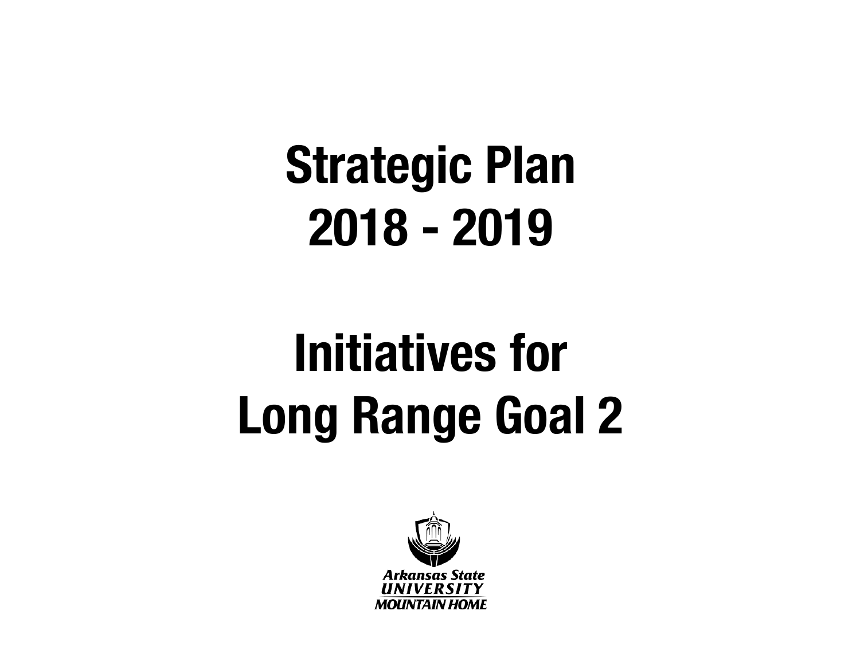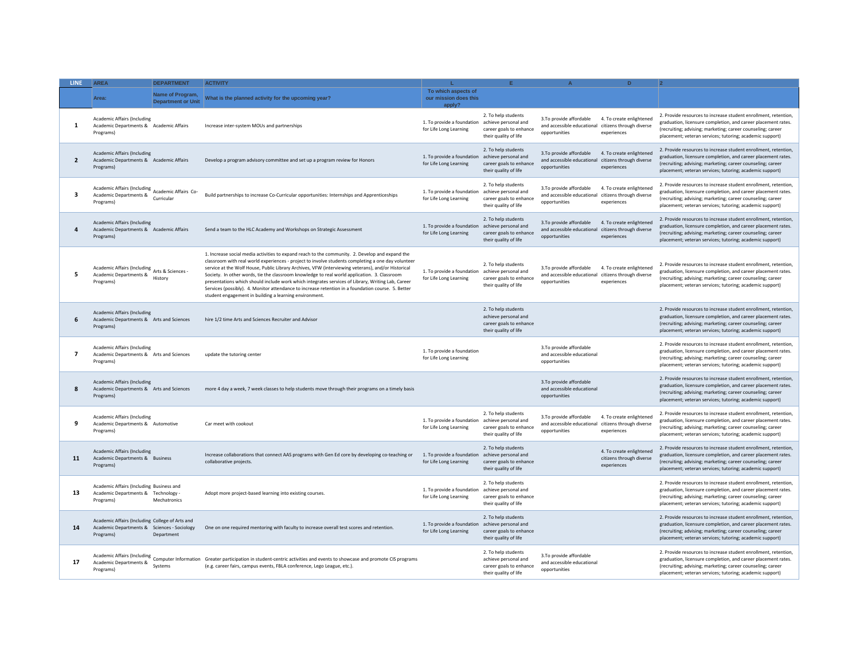| LINE.          | <b>AREA</b>                                                                                                 | <b>DEPARTMENT</b>                             | <b>ACTIVITY</b>                                                                                                                                                                                                                                                                                                                                                                                                                                                                                                                                                                                                                                                                  |                                                                           |                                                                                                 |                                                                                                 |                                                                     |                                                                                                                                                                                                                                                             |
|----------------|-------------------------------------------------------------------------------------------------------------|-----------------------------------------------|----------------------------------------------------------------------------------------------------------------------------------------------------------------------------------------------------------------------------------------------------------------------------------------------------------------------------------------------------------------------------------------------------------------------------------------------------------------------------------------------------------------------------------------------------------------------------------------------------------------------------------------------------------------------------------|---------------------------------------------------------------------------|-------------------------------------------------------------------------------------------------|-------------------------------------------------------------------------------------------------|---------------------------------------------------------------------|-------------------------------------------------------------------------------------------------------------------------------------------------------------------------------------------------------------------------------------------------------------|
|                | Area:                                                                                                       | Name of Program,<br><b>Department or Unit</b> | What is the planned activity for the upcoming year?                                                                                                                                                                                                                                                                                                                                                                                                                                                                                                                                                                                                                              | To which aspects of<br>our mission does this<br>apply?                    |                                                                                                 |                                                                                                 |                                                                     |                                                                                                                                                                                                                                                             |
| 1              | <b>Academic Affairs (Including</b><br>Academic Departments & Academic Affairs<br>Programs)                  |                                               | Increase inter-system MOUs and partnerships                                                                                                                                                                                                                                                                                                                                                                                                                                                                                                                                                                                                                                      | 1. To provide a foundation<br>for Life Long Learning                      | 2. To help students<br>achieve personal and<br>career goals to enhance<br>their quality of life | 3.To provide affordable<br>and accessible educational<br>opportunities                          | 4. To create enlightened<br>citizens through diverse<br>experiences | 2. Provide resources to increase student enrollment, retention,<br>graduation, licensure completion, and career placement rates.<br>(recruiting; advising; marketing; career counseling; career<br>placement; veteran services; tutoring; academic support) |
| $\overline{2}$ | <b>Academic Affairs (Including</b><br>Academic Departments & Academic Affairs<br>Programs)                  |                                               | Develop a program advisory committee and set up a program review for Honors                                                                                                                                                                                                                                                                                                                                                                                                                                                                                                                                                                                                      | 1. To provide a foundation achieve personal and<br>for Life Long Learning | 2. To help students<br>career goals to enhance<br>their quality of life                         | 3.To provide affordable<br>and accessible educational<br>opportunities                          | 4. To create enlightened<br>citizens through diverse<br>experiences | 2. Provide resources to increase student enrollment, retention,<br>graduation, licensure completion, and career placement rates.<br>(recruiting; advising; marketing; career counseling; career<br>placement; veteran services; tutoring; academic support) |
| 3              | Academic Affairs (Including<br>Academic Affairs Co-<br>Academic Departments &<br>Programs)                  | Curricular                                    | Build partnerships to increase Co-Curricular opportunities: Internships and Apprenticeships                                                                                                                                                                                                                                                                                                                                                                                                                                                                                                                                                                                      | 1. To provide a foundation achieve personal and<br>for Life Long Learning | 2. To help students<br>career goals to enhance<br>their quality of life                         | 3.To provide affordable<br>and accessible educational<br>opportunities                          | 4. To create enlightened<br>citizens through diverse<br>experiences | 2. Provide resources to increase student enrollment, retention,<br>graduation, licensure completion, and career placement rates.<br>(recruiting; advising; marketing; career counseling; career<br>placement; veteran services; tutoring; academic support) |
| $\mathbf{a}$   | <b>Academic Affairs (Including</b><br>Academic Departments & Academic Affairs<br>Programs)                  |                                               | Send a team to the HLC Academy and Workshops on Strategic Assessment                                                                                                                                                                                                                                                                                                                                                                                                                                                                                                                                                                                                             | 1. To provide a foundation<br>for Life Long Learning                      | 2. To help students<br>achieve personal and<br>career goals to enhance<br>their quality of life | 3.To provide affordable<br>and accessible educational<br>opportunities                          | 4. To create enlightened<br>citizens through diverse<br>experiences | 2. Provide resources to increase student enrollment, retention,<br>graduation, licensure completion, and career placement rates.<br>(recruiting; advising; marketing; career counseling; career<br>placement; veteran services; tutoring; academic support) |
| 5              | Academic Affairs (Including<br>Arts & Sciences -<br>Academic Departments &<br>Programs)                     | History                                       | 1. Increase social media activities to expand reach to the community. 2. Develop and expand the<br>classroom with real world experiences - project to involve students completing a one day volunteer<br>service at the Wolf House, Public Library Archives, VFW (interviewing veterans), and/or Historical<br>Society. In other words, tie the classroom knowledge to real world application. 3. Classroom<br>presentations which should include work which integrates services of Library, Writing Lab, Career<br>Services (possibly). 4. Monitor attendance to increase retention in a foundation course. 5. Better<br>student engagement in building a learning environment. | 1. To provide a foundation achieve personal and<br>for Life Long Learning | 2. To help students<br>career goals to enhance<br>their quality of life                         | 3.To provide affordable<br>and accessible educational citizens through diverse<br>opportunities | 4. To create enlightened<br>experiences                             | 2. Provide resources to increase student enrollment, retention,<br>graduation, licensure completion, and career placement rates.<br>(recruiting; advising; marketing; career counseling; career<br>placement; veteran services; tutoring; academic support) |
| 6              | <b>Academic Affairs (Including</b><br>Academic Departments & Arts and Sciences<br>Programs)                 |                                               | hire 1/2 time Arts and Sciences Recruiter and Advisor                                                                                                                                                                                                                                                                                                                                                                                                                                                                                                                                                                                                                            |                                                                           | 2. To help students<br>achieve personal and<br>career goals to enhance<br>their quality of life |                                                                                                 |                                                                     | 2. Provide resources to increase student enrollment, retention,<br>graduation, licensure completion, and career placement rates.<br>(recruiting; advising; marketing; career counseling; career<br>placement; veteran services; tutoring; academic support) |
| $\overline{7}$ | <b>Academic Affairs (Including</b><br>Academic Departments & Arts and Sciences<br>Programs)                 |                                               | update the tutoring center                                                                                                                                                                                                                                                                                                                                                                                                                                                                                                                                                                                                                                                       | 1. To provide a foundation<br>for Life Long Learning                      |                                                                                                 | 3.To provide affordable<br>and accessible educational<br>opportunities                          |                                                                     | 2. Provide resources to increase student enrollment, retention<br>graduation, licensure completion, and career placement rates.<br>(recruiting; advising; marketing; career counseling; career<br>placement; veteran services; tutoring; academic support)  |
| 8              | <b>Academic Affairs (Including</b><br>Academic Departments & Arts and Sciences<br>Programs)                 |                                               | more 4 day a week, 7 week classes to help students move through their programs on a timely basis                                                                                                                                                                                                                                                                                                                                                                                                                                                                                                                                                                                 |                                                                           |                                                                                                 | 3.To provide affordable<br>and accessible educational<br>opportunities                          |                                                                     | 2. Provide resources to increase student enrollment, retention,<br>graduation, licensure completion, and career placement rates.<br>(recruiting; advising; marketing; career counseling; career<br>placement; veteran services; tutoring; academic support) |
| 9              | <b>Academic Affairs (Including</b><br>Academic Departments & Automotive<br>Programs)                        |                                               | Car meet with cookout                                                                                                                                                                                                                                                                                                                                                                                                                                                                                                                                                                                                                                                            | 1. To provide a foundation<br>for Life Long Learning                      | 2. To help students<br>achieve personal and<br>career goals to enhance<br>their quality of life | 3.To provide affordable<br>and accessible educational citizens through diverse<br>opportunities | 4. To create enlightened<br>experiences                             | 2. Provide resources to increase student enrollment, retention,<br>graduation, licensure completion, and career placement rates.<br>(recruiting; advising; marketing; career counseling; career<br>placement; veteran services; tutoring; academic support) |
| 11             | <b>Academic Affairs (Including</b><br>Academic Departments & Business<br>Programs)                          |                                               | Increase collaborations that connect AAS programs with Gen Ed core by developing co-teaching or<br>collaborative projects.                                                                                                                                                                                                                                                                                                                                                                                                                                                                                                                                                       | 1. To provide a foundation achieve personal and<br>for Life Long Learning | 2. To help students<br>career goals to enhance<br>their quality of life                         |                                                                                                 | 4. To create enlightened<br>citizens through diverse<br>experiences | 2. Provide resources to increase student enrollment, retention,<br>graduation, licensure completion, and career placement rates.<br>(recruiting; advising; marketing; career counseling; career<br>placement; veteran services; tutoring; academic support) |
| 13             | Academic Affairs (Including Business and<br>Academic Departments & Technology -<br>Programs)                | Mechatronics                                  | Adopt more project-based learning into existing courses.                                                                                                                                                                                                                                                                                                                                                                                                                                                                                                                                                                                                                         | 1. To provide a foundation<br>for Life Long Learning                      | 2. To help students<br>achieve personal and<br>career goals to enhance<br>their quality of life |                                                                                                 |                                                                     | 2. Provide resources to increase student enrollment, retention,<br>graduation, licensure completion, and career placement rates.<br>(recruiting; advising; marketing; career counseling; career<br>placement; veteran services; tutoring; academic support) |
| 14             | Academic Affairs (Including College of Arts and<br>Academic Departments & Sciences - Sociology<br>Programs) | Department                                    | One on one required mentoring with faculty to increase overall test scores and retention.                                                                                                                                                                                                                                                                                                                                                                                                                                                                                                                                                                                        | 1. To provide a foundation achieve personal and<br>for Life Long Learning | 2. To help students<br>career goals to enhance<br>their quality of life                         |                                                                                                 |                                                                     | 2. Provide resources to increase student enrollment, retention,<br>graduation, licensure completion, and career placement rates.<br>(recruiting; advising; marketing; career counseling; career<br>placement; veteran services; tutoring; academic support) |
| 17             | Academic Departments &<br>Programs)                                                                         | Systems                                       | Academic Affairs (Including<br>Computer Information Greater participation in student-centric activities and events to showcase and promote CIS programs<br>(e.g. career fairs, campus events, FBLA conference, Lego League, etc.).                                                                                                                                                                                                                                                                                                                                                                                                                                               |                                                                           | 2. To help students<br>achieve personal and<br>career goals to enhance<br>their quality of life | 3.To provide affordable<br>and accessible educational<br>opportunities                          |                                                                     | 2. Provide resources to increase student enrollment, retention,<br>graduation, licensure completion, and career placement rates.<br>(recruiting; advising; marketing; career counseling; career<br>placement; veteran services; tutoring; academic support) |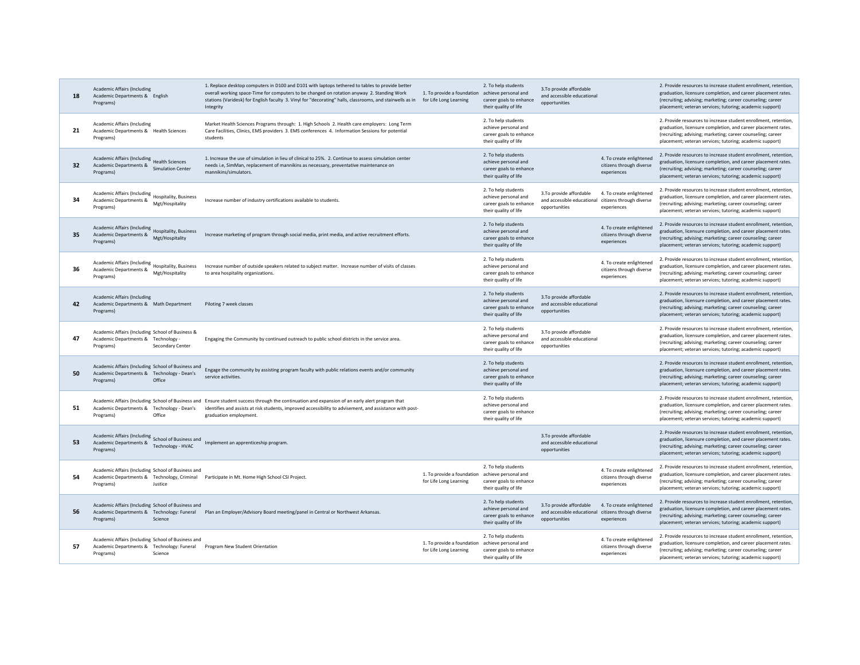| 18 | <b>Academic Affairs (Including</b><br>Academic Departments & English<br>Programs)                                         | 1. Replace desktop computers in D100 and D101 with laptops tethered to tables to provide better<br>overall working space-Time for computers to be changed on rotation anyway 2. Standing Work<br>stations (Varidesk) for English faculty 3. Vinyl for "decorating" halls, classrooms, and stairwells as in<br>Integrity | 1. To provide a foundation achieve personal and<br>for Life Long Learning | 2. To help students<br>career goals to enhance<br>their quality of life                         | 3.To provide affordable<br>and accessible educational<br>opportunities                          |                                                                     | 2. Provide resources to increase student enrollment, retention<br>graduation, licensure completion, and career placement rates.<br>(recruiting; advising; marketing; career counseling; career<br>placement; veteran services; tutoring; academic support)  |
|----|---------------------------------------------------------------------------------------------------------------------------|-------------------------------------------------------------------------------------------------------------------------------------------------------------------------------------------------------------------------------------------------------------------------------------------------------------------------|---------------------------------------------------------------------------|-------------------------------------------------------------------------------------------------|-------------------------------------------------------------------------------------------------|---------------------------------------------------------------------|-------------------------------------------------------------------------------------------------------------------------------------------------------------------------------------------------------------------------------------------------------------|
| 21 | Academic Affairs (Including<br>Academic Departments & Health Sciences<br>Programs)                                        | Market Health Sciences Programs through: 1. High Schools 2. Health care employers: Long Term<br>Care Facilities, Clinics, EMS providers 3. EMS conferences 4. Information Sessions for potential<br>students                                                                                                            |                                                                           | 2. To help students<br>achieve personal and<br>career goals to enhance<br>their quality of life |                                                                                                 |                                                                     | 2. Provide resources to increase student enrollment, retention,<br>graduation, licensure completion, and career placement rates.<br>(recruiting; advising; marketing; career counseling; career<br>placement; veteran services; tutoring; academic support) |
| 32 | Academic Affairs (Including<br>Health Sciences<br>Academic Departments &<br><b>Simulation Center</b><br>Programs)         | 1. Increase the use of simulation in lieu of clinical to 25%. 2. Continue to assess simulation center<br>needs i.e, SimMan, replacement of mannikins as necessary, preventative maintenance on<br>mannikins/simulators.                                                                                                 |                                                                           | 2. To help students<br>achieve personal and<br>career goals to enhance<br>their quality of life |                                                                                                 | 4. To create enlightened<br>citizens through diverse<br>experiences | 2. Provide resources to increase student enrollment, retention,<br>graduation, licensure completion, and career placement rates.<br>(recruiting; advising; marketing; career counseling; career<br>placement; veteran services; tutoring; academic support) |
| 34 | Academic Affairs (Including Hospitality, Business<br>Academic Departments &<br>Mgt/Hospitality<br>Programs)               | Increase number of industry certifications available to students.                                                                                                                                                                                                                                                       |                                                                           | 2. To help students<br>achieve personal and<br>career goals to enhance<br>their quality of life | 3.To provide affordable<br>and accessible educational<br>opportunities                          | 4. To create enlightened<br>citizens through diverse<br>experiences | 2. Provide resources to increase student enrollment, retention,<br>graduation, licensure completion, and career placement rates.<br>(recruiting; advising; marketing; career counseling; career<br>placement; veteran services; tutoring; academic support) |
| 35 | Academic Affairs (Including Hospitality, Business<br>Academic Departments &<br>Mgt/Hospitality<br>Programs)               | Increase marketing of program through social media, print media, and active recruitment efforts.                                                                                                                                                                                                                        |                                                                           | 2. To help students<br>achieve personal and<br>career goals to enhance<br>their quality of life |                                                                                                 | 4. To create enlightened<br>citizens through diverse<br>experiences | 2. Provide resources to increase student enrollment, retention,<br>graduation, licensure completion, and career placement rates.<br>(recruiting; advising; marketing; career counseling; career<br>placement; veteran services; tutoring; academic support) |
| 36 | Academic Affairs (Including Hospitality, Business<br>Academic Departments &<br>Mgt/Hospitality<br>Programs)               | Increase number of outside speakers related to subject matter. Increase number of visits of classes<br>to area hospitality organizations.                                                                                                                                                                               |                                                                           | 2. To help students<br>achieve personal and<br>career goals to enhance<br>their quality of life |                                                                                                 | 4. To create enlightened<br>citizens through diverse<br>experiences | 2. Provide resources to increase student enrollment, retention,<br>graduation, licensure completion, and career placement rates.<br>(recruiting; advising; marketing; career counseling; career<br>placement; veteran services; tutoring; academic support) |
| 42 | <b>Academic Affairs (Including</b><br>Academic Departments & Math Department<br>Programs)                                 | Piloting 7 week classes                                                                                                                                                                                                                                                                                                 |                                                                           | 2. To help students<br>achieve personal and<br>career goals to enhance<br>their quality of life | 3.To provide affordable<br>and accessible educational<br>opportunities                          |                                                                     | 2. Provide resources to increase student enrollment, retention.<br>graduation, licensure completion, and career placement rates.<br>(recruiting; advising; marketing; career counseling; career<br>placement; veteran services; tutoring; academic support) |
| 47 | Academic Affairs (Including School of Business &<br>Academic Departments & Technology<br>Programs)<br>Secondary Center    | Engaging the Community by continued outreach to public school districts in the service area.                                                                                                                                                                                                                            |                                                                           | 2. To help students<br>achieve personal and<br>career goals to enhance<br>their quality of life | 3.To provide affordable<br>and accessible educational<br>opportunities                          |                                                                     | 2. Provide resources to increase student enrollment, retention,<br>graduation, licensure completion, and career placement rates.<br>(recruiting; advising; marketing; career counseling; career<br>placement; veteran services; tutoring; academic support) |
| 50 | Academic Affairs (Including School of Business and<br>Academic Departments & Technology - Dean's<br>Programs)<br>Office   | Engage the community by assisting program faculty with public relations events and/or community<br>service activities.                                                                                                                                                                                                  |                                                                           | 2. To help students<br>achieve personal and<br>career goals to enhance<br>their quality of life |                                                                                                 |                                                                     | 2. Provide resources to increase student enrollment, retention,<br>graduation, licensure completion, and career placement rates.<br>(recruiting; advising; marketing; career counseling; career<br>placement; veteran services; tutoring; academic support) |
| 51 | Academic Departments & Technology - Dean's<br>Programs)<br>Office                                                         | Academic Affairs (Including School of Business and Ensure student success through the continuation and expansion of an early alert program that<br>identifies and assists at risk students, improved accessibility to advisement, and assistance with post-<br>graduation employment.                                   |                                                                           | 2. To help students<br>achieve personal and<br>career goals to enhance<br>their quality of life |                                                                                                 |                                                                     | 2. Provide resources to increase student enrollment, retention<br>graduation, licensure completion, and career placement rates.<br>(recruiting; advising; marketing; career counseling; career<br>placement; veteran services; tutoring; academic support)  |
| 53 | Academic Affairs (Including School of Business and<br>Academic Departments &<br>Technology - HVAC<br>Programs)            | Implement an apprenticeship program.                                                                                                                                                                                                                                                                                    |                                                                           |                                                                                                 | 3.To provide affordable<br>and accessible educational<br>opportunities                          |                                                                     | 2. Provide resources to increase student enrollment, retention,<br>graduation, licensure completion, and career placement rates.<br>(recruiting; advising; marketing; career counseling; career<br>placement; veteran services; tutoring; academic support) |
| 54 | Academic Affairs (Including School of Business and<br>Academic Departments & Technology, Criminal<br>Programs)<br>Justice | Participate in Mt. Home High School CSI Project.                                                                                                                                                                                                                                                                        | 1. To provide a foundation achieve personal and<br>for Life Long Learning | 2. To help students<br>career goals to enhance<br>their quality of life                         |                                                                                                 | 4. To create enlightened<br>citizens through diverse<br>experiences | 2. Provide resources to increase student enrollment, retention,<br>graduation, licensure completion, and career placement rates.<br>(recruiting; advising; marketing; career counseling; career<br>placement; veteran services; tutoring; academic support) |
| 56 | Academic Affairs (Including School of Business and<br>Academic Departments & Technology: Funeral<br>Programs)<br>Science  | Plan an Employer/Advisory Board meeting/panel in Central or Northwest Arkansas.                                                                                                                                                                                                                                         |                                                                           | 2. To help students<br>achieve personal and<br>career goals to enhance<br>their quality of life | 3.To provide affordable<br>and accessible educational citizens through diverse<br>opportunities | 4. To create enlightened<br>experiences                             | 2. Provide resources to increase student enrollment, retention<br>graduation, licensure completion, and career placement rates.<br>(recruiting; advising; marketing; career counseling; career<br>placement; veteran services; tutoring; academic support)  |
| 57 | Academic Affairs (Including School of Business and<br>Academic Departments & Technology: Funeral<br>Programs)<br>Science  | Program New Student Orientation                                                                                                                                                                                                                                                                                         | 1. To provide a foundation achieve personal and<br>for Life Long Learning | 2. To help students<br>career goals to enhance<br>their quality of life                         |                                                                                                 | 4. To create enlightened<br>citizens through diverse<br>experiences | 2. Provide resources to increase student enrollment, retention<br>graduation, licensure completion, and career placement rates.<br>(recruiting; advising; marketing; career counseling; career<br>placement; veteran services; tutoring; academic support)  |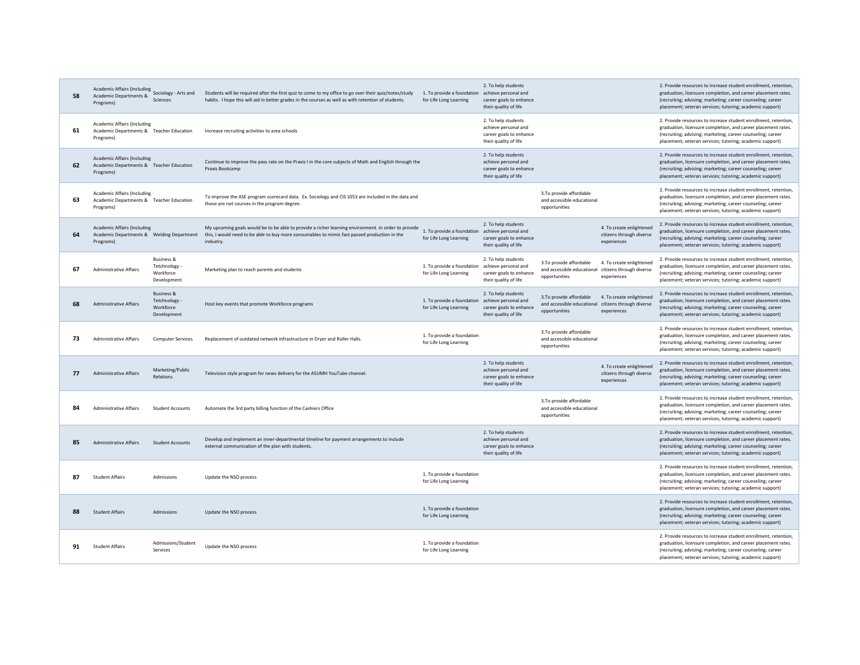| 58 | Academic Affairs (Including Sociology - Arts and<br>Academic Departments &<br>Programs)      | Sciences                                                         | Students will be required after the first quiz to come to my office to go over their quiz/notes/study<br>habits. I hope this will aid in better grades in the courses as well as with retention of students.     | 1. To provide a foundation achieve personal and<br>for Life Long Learning | 2. To help students<br>career goals to enhance<br>their quality of life                         |                                                                                                 |                                                                     | 2. Provide resources to increase student enrollment, retention<br>graduation, licensure completion, and career placement rates.<br>(recruiting; advising; marketing; career counseling; career<br>placement; veteran services; tutoring; academic support)  |
|----|----------------------------------------------------------------------------------------------|------------------------------------------------------------------|------------------------------------------------------------------------------------------------------------------------------------------------------------------------------------------------------------------|---------------------------------------------------------------------------|-------------------------------------------------------------------------------------------------|-------------------------------------------------------------------------------------------------|---------------------------------------------------------------------|-------------------------------------------------------------------------------------------------------------------------------------------------------------------------------------------------------------------------------------------------------------|
| 61 | <b>Academic Affairs (Including</b><br>Academic Departments & Teacher Education<br>Programs)  |                                                                  | Increase recruiting activities to area schools                                                                                                                                                                   |                                                                           | 2. To help students<br>achieve personal and<br>career goals to enhance<br>their quality of life |                                                                                                 |                                                                     | 2. Provide resources to increase student enrollment, retention,<br>graduation, licensure completion, and career placement rates.<br>(recruiting; advising; marketing; career counseling; career<br>placement; veteran services; tutoring; academic support) |
| 62 | <b>Academic Affairs (Including</b><br>Academic Departments & Teacher Education<br>Programs)  |                                                                  | Continue to improve the pass rate on the Praxis I in the core subjects of Math and English through the<br>Praxis Bootcamp                                                                                        |                                                                           | 2. To help students<br>achieve personal and<br>career goals to enhance<br>their quality of life |                                                                                                 |                                                                     | 2. Provide resources to increase student enrollment, retention,<br>graduation, licensure completion, and career placement rates.<br>(recruiting; advising; marketing; career counseling; career<br>placement; veteran services; tutoring; academic support) |
| 63 | <b>Academic Affairs (Including</b><br>Academic Departments & Teacher Education<br>Programs)  |                                                                  | To improve the ASE program scorecard data. Ex. Sociology and CIS 1053 are included in the data and<br>those are not courses in the program degree.                                                               |                                                                           |                                                                                                 | 3.To provide affordable<br>and accessible educational<br>opportunities                          |                                                                     | 2. Provide resources to increase student enrollment, retention,<br>graduation, licensure completion, and career placement rates.<br>(recruiting; advising; marketing; career counseling; career<br>placement; veteran services; tutoring; academic support) |
| 64 | <b>Academic Affairs (Including</b><br>Academic Departments & Welding Department<br>Programs) |                                                                  | My upcoming goals would be to be able to provide a richer learning environment. In order to provide<br>this, I would need to be able to buy more consumables to mimic fast passed production in the<br>industry. | 1. To provide a foundation achieve personal and<br>for Life Long Learning | 2. To help students<br>career goals to enhance<br>their quality of life                         |                                                                                                 | 4. To create enlightened<br>citizens through diverse<br>experiences | 2. Provide resources to increase student enrollment, retention,<br>graduation, licensure completion, and career placement rates.<br>(recruiting; advising; marketing; career counseling; career<br>placement; veteran services; tutoring; academic support) |
| 67 | <b>Administrative Affairs</b>                                                                | <b>Business &amp;</b><br>Tetchnology<br>Workforce<br>Development | Marketing plan to reach parents and students                                                                                                                                                                     | 1. To provide a foundation<br>for Life Long Learning                      | 2. To help students<br>achieve personal and<br>career goals to enhance<br>their quality of life | 3.To provide affordable<br>and accessible educational citizens through diverse<br>opportunities | 4. To create enlightened<br>experiences                             | 2. Provide resources to increase student enrollment, retention,<br>graduation, licensure completion, and career placement rates.<br>(recruiting; advising; marketing; career counseling; career<br>placement; veteran services; tutoring; academic support) |
| 68 | <b>Administrative Affairs</b>                                                                | <b>Business &amp;</b><br>Tetchnology<br>Workforce<br>Development | Host key events that promote Workforce programs                                                                                                                                                                  | 1. To provide a foundation<br>for Life Long Learning                      | 2. To help students<br>achieve personal and<br>career goals to enhance<br>their quality of life | 3.To provide affordable<br>and accessible educational citizens through diverse<br>opportunities | 4. To create enlightened<br>experiences                             | 2. Provide resources to increase student enrollment, retention,<br>graduation, licensure completion, and career placement rates.<br>(recruiting; advising; marketing; career counseling; career<br>placement; veteran services; tutoring; academic support) |
| 73 | <b>Administrative Affairs</b>                                                                | <b>Computer Services</b>                                         | Replacement of outdated network infrastructure in Drver and Roller Halls.                                                                                                                                        | 1. To provide a foundation<br>for Life Long Learning                      |                                                                                                 | 3.To provide affordable<br>and accessible educational                                           |                                                                     | 2. Provide resources to increase student enrollment, retention,<br>graduation, licensure completion, and career placement rates.<br>(recruiting; advising; marketing; career counseling; career                                                             |
|    |                                                                                              |                                                                  |                                                                                                                                                                                                                  |                                                                           |                                                                                                 | opportunities                                                                                   |                                                                     | placement; veteran services; tutoring; academic support)                                                                                                                                                                                                    |
| 77 | <b>Administrative Affairs</b>                                                                | Marketing/Public<br>Relations                                    | Television style program for news delivery for the ASUMH YouTube channel.                                                                                                                                        |                                                                           | 2. To help students<br>achieve personal and<br>career goals to enhance<br>their quality of life |                                                                                                 | 4. To create enlightened<br>citizens through diverse<br>experiences | 2. Provide resources to increase student enrollment, retention,<br>graduation, licensure completion, and career placement rates.<br>(recruiting; advising; marketing; career counseling; career<br>placement; veteran services; tutoring; academic support) |
| 84 | Administrative Affairs                                                                       | <b>Student Accounts</b>                                          | Automate the 3rd party billing function of the Cashiers Office                                                                                                                                                   |                                                                           |                                                                                                 | 3.To provide affordable<br>and accessible educational<br>opportunities                          |                                                                     | 2. Provide resources to increase student enrollment, retention,<br>graduation, licensure completion, and career placement rates.<br>(recruiting; advising; marketing; career counseling; career<br>placement; veteran services; tutoring; academic support) |
| 85 | <b>Administrative Affairs</b>                                                                | <b>Student Accounts</b>                                          | Develop and implement an inner-departmental timeline for payment arrangements to include<br>external communication of the plan with students.                                                                    |                                                                           | 2. To help students<br>achieve personal and<br>career goals to enhance<br>their quality of life |                                                                                                 |                                                                     | 2. Provide resources to increase student enrollment, retention,<br>graduation, licensure completion, and career placement rates.<br>(recruiting; advising; marketing; career counseling; career<br>placement; veteran services; tutoring; academic support) |
| 87 | <b>Student Affairs</b>                                                                       | Admissions                                                       | Update the NSO process                                                                                                                                                                                           | 1. To provide a foundation<br>for Life Long Learning                      |                                                                                                 |                                                                                                 |                                                                     | 2. Provide resources to increase student enrollment, retention,<br>graduation, licensure completion, and career placement rates.<br>(recruiting; advising; marketing; career counseling; career<br>placement; veteran services; tutoring; academic support) |
| 88 | <b>Student Affairs</b>                                                                       | Admissions                                                       | Update the NSO process                                                                                                                                                                                           | 1. To provide a foundation<br>for Life Long Learning                      |                                                                                                 |                                                                                                 |                                                                     | 2. Provide resources to increase student enrollment, retention,<br>graduation, licensure completion, and career placement rates.<br>(recruiting; advising; marketing; career counseling; career<br>placement; veteran services; tutoring; academic support) |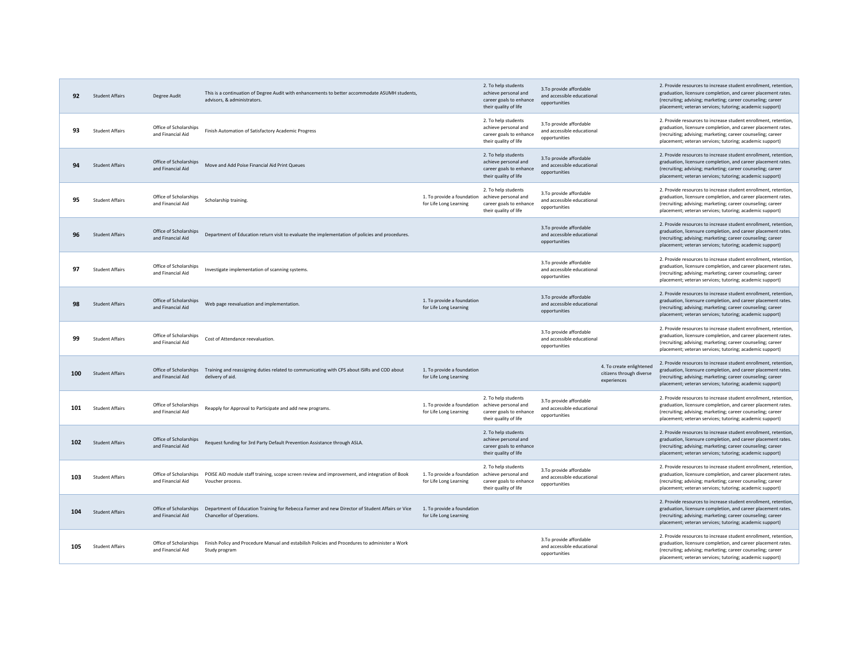| 92  | <b>Student Affairs</b> | Degree Audit                                | This is a continuation of Degree Audit with enhancements to better accommodate ASUMH students,<br>advisors. & administrators.          |                                                      | 2. To help students<br>achieve personal and<br>career goals to enhance<br>their quality of life | 3.To provide affordable<br>and accessible educational<br>opportunities |                                                                     | 2. Provide resources to increase student enrollment, retention,<br>graduation, licensure completion, and career placement rates.<br>(recruiting; advising; marketing; career counseling; career<br>placement; veteran services; tutoring; academic support) |
|-----|------------------------|---------------------------------------------|----------------------------------------------------------------------------------------------------------------------------------------|------------------------------------------------------|-------------------------------------------------------------------------------------------------|------------------------------------------------------------------------|---------------------------------------------------------------------|-------------------------------------------------------------------------------------------------------------------------------------------------------------------------------------------------------------------------------------------------------------|
| 93  | <b>Student Affairs</b> | Office of Scholarships<br>and Financial Aid | Finish Automation of Satisfactory Academic Progress                                                                                    |                                                      | 2. To help students<br>achieve personal and<br>career goals to enhance<br>their quality of life | 3.To provide affordable<br>and accessible educational<br>onnortunities |                                                                     | 2. Provide resources to increase student enrollment, retention,<br>graduation, licensure completion, and career placement rates.<br>(recruiting; advising; marketing; career counseling; career<br>placement; veteran services; tutoring; academic support) |
| 94  | <b>Student Affairs</b> | Office of Scholarships<br>and Financial Aid | Move and Add Poise Financial Aid Print Queues                                                                                          |                                                      | 2. To help students<br>achieve personal and<br>career goals to enhance<br>their quality of life | 3.To provide affordable<br>and accessible educational<br>opportunities |                                                                     | 2. Provide resources to increase student enrollment, retention,<br>graduation, licensure completion, and career placement rates.<br>(recruiting; advising; marketing; career counseling; career<br>placement; veteran services; tutoring; academic support) |
| 95  | <b>Student Affairs</b> | Office of Scholarships<br>and Financial Aid | Scholarship training.                                                                                                                  | 1. To provide a foundation<br>for Life Long Learning | 2. To help students<br>achieve personal and<br>career goals to enhance<br>their quality of life | 3.To provide affordable<br>and accessible educational<br>opportunities |                                                                     | 2. Provide resources to increase student enrollment, retention.<br>graduation, licensure completion, and career placement rates.<br>(recruiting; advising; marketing; career counseling; career<br>placement; veteran services; tutoring; academic support) |
| 96  | <b>Student Affairs</b> | Office of Scholarships<br>and Financial Aid | Department of Education return visit to evaluate the implementation of policies and procedures.                                        |                                                      |                                                                                                 | 3.To provide affordable<br>and accessible educational<br>opportunities |                                                                     | 2. Provide resources to increase student enrollment, retention<br>graduation, licensure completion, and career placement rates.<br>(recruiting; advising; marketing; career counseling; career<br>placement; veteran services; tutoring; academic support)  |
| 97  | <b>Student Affairs</b> | Office of Scholarships<br>and Financial Aid | Investigate implementation of scanning systems.                                                                                        |                                                      |                                                                                                 | 3.To provide affordable<br>and accessible educational<br>opportunities |                                                                     | 2. Provide resources to increase student enrollment, retention,<br>graduation, licensure completion, and career placement rates.<br>(recruiting; advising; marketing; career counseling; career<br>placement; veteran services; tutoring; academic support) |
| 98  | <b>Student Affairs</b> | Office of Scholarships<br>and Financial Aid | Web page reevaluation and implementation.                                                                                              | 1. To provide a foundation<br>for Life Long Learning |                                                                                                 | 3.To provide affordable<br>and accessible educational<br>opportunities |                                                                     | 2. Provide resources to increase student enrollment, retention,<br>graduation, licensure completion, and career placement rates.<br>(recruiting; advising; marketing; career counseling; career<br>placement; veteran services; tutoring; academic support) |
| 99  | <b>Student Affairs</b> | Office of Scholarships<br>and Financial Aid | Cost of Attendance reevaluation                                                                                                        |                                                      |                                                                                                 | 3.To provide affordable<br>and accessible educational<br>opportunities |                                                                     | 2. Provide resources to increase student enrollment, retention,<br>graduation, licensure completion, and career placement rates.<br>(recruiting; advising; marketing; career counseling; career<br>placement; veteran services; tutoring; academic support) |
| 100 | <b>Student Affairs</b> | and Financial Aid                           | Office of Scholarships Training and reassigning duties related to communicating with CPS about ISIRs and COD about<br>delivery of aid. | 1. To provide a foundation<br>for Life Long Learning |                                                                                                 |                                                                        | 4. To create enlightened<br>citizens through diverse<br>experiences | 2. Provide resources to increase student enrollment, retention,<br>graduation, licensure completion, and career placement rates.<br>(recruiting; advising; marketing; career counseling; career<br>placement; veteran services; tutoring; academic support) |
| 101 | <b>Student Affairs</b> | Office of Scholarships<br>and Financial Aid | Reapply for Approval to Participate and add new programs.                                                                              | 1. To provide a foundation<br>for Life Long Learning | 2. To help students<br>achieve personal and<br>career goals to enhance<br>their quality of life | 3.To provide affordable<br>and accessible educational<br>opportunities |                                                                     | 2. Provide resources to increase student enrollment, retention,<br>graduation, licensure completion, and career placement rates.<br>(recruiting; advising; marketing; career counseling; career<br>placement; veteran services; tutoring; academic support) |
| 102 | <b>Student Affairs</b> | Office of Scholarships<br>and Financial Aid | Request funding for 3rd Party Default Prevention Assistance through ASLA.                                                              |                                                      | 2. To help students<br>achieve personal and<br>career goals to enhance<br>their quality of life |                                                                        |                                                                     | 2. Provide resources to increase student enrollment, retention,<br>graduation, licensure completion, and career placement rates.<br>(recruiting; advising; marketing; career counseling; career<br>placement; veteran services; tutoring; academic support) |
| 103 | <b>Student Affairs</b> | Office of Scholarships<br>and Financial Aid | POISE AID module staff training, scope screen review and improvement, and integration of Book<br>Voucher process.                      | 1. To provide a foundation<br>for Life Long Learning | 2. To help students<br>achieve personal and<br>career goals to enhance<br>their quality of life | 3.To provide affordable<br>and accessible educational<br>opportunities |                                                                     | 2. Provide resources to increase student enrollment, retention,<br>graduation, licensure completion, and career placement rates.<br>(recruiting; advising; marketing; career counseling; career<br>placement; veteran services; tutoring; academic support) |
| 104 | <b>Student Affairs</b> | Office of Scholarships<br>and Financial Aid | Department of Education Training for Rebecca Farmer and new Director of Student Affairs or Vice<br>Chancellor of Operations.           | 1. To provide a foundation<br>for Life Long Learning |                                                                                                 |                                                                        |                                                                     | 2. Provide resources to increase student enrollment, retention,<br>graduation, licensure completion, and career placement rates.<br>(recruiting; advising; marketing; career counseling; career<br>placement; veteran services; tutoring; academic support) |
| 105 | <b>Student Affairs</b> | Office of Scholarships<br>and Financial Aid | Finish Policy and Procedure Manual and estabilish Policies and Procedures to administer a Work<br>Study program                        |                                                      |                                                                                                 | 3.To provide affordable<br>and accessible educational<br>opportunities |                                                                     | 2. Provide resources to increase student enrollment, retention,<br>graduation, licensure completion, and career placement rates.<br>(recruiting; advising; marketing; career counseling; career<br>placement; veteran services; tutoring; academic support) |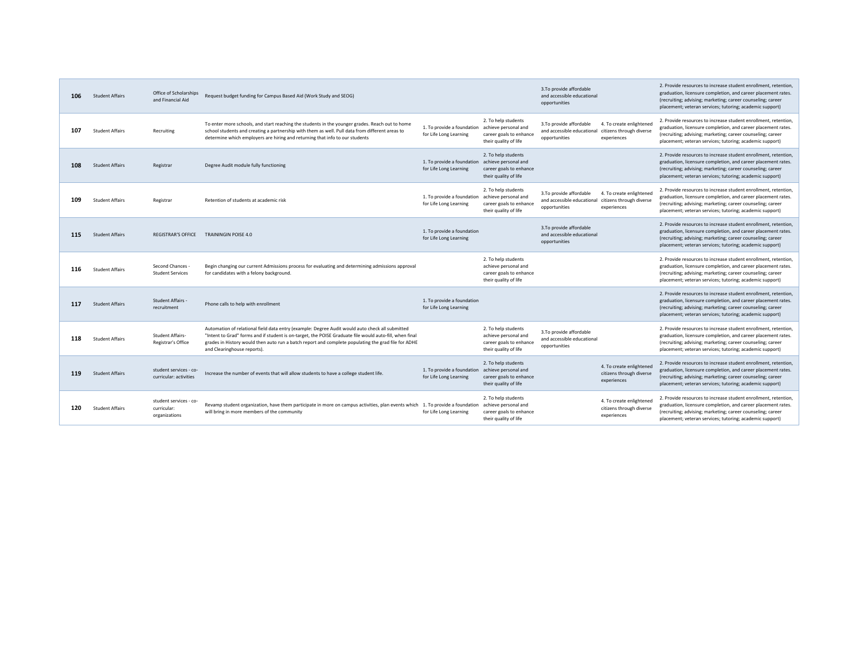| 106 | <b>Student Affairs</b> | Office of Scholarships<br>and Financial Aid            | Request budget funding for Campus Based Aid (Work Study and SEOG)                                                                                                                                                                                                                                                                                |                                                                           |                                                                                                 | 3.To provide affordable<br>and accessible educational<br>opportunities                          |                                                                     | 2. Provide resources to increase student enrollment, retention<br>graduation, licensure completion, and career placement rates.<br>(recruiting; advising; marketing; career counseling; career<br>placement; veteran services; tutoring; academic support) |
|-----|------------------------|--------------------------------------------------------|--------------------------------------------------------------------------------------------------------------------------------------------------------------------------------------------------------------------------------------------------------------------------------------------------------------------------------------------------|---------------------------------------------------------------------------|-------------------------------------------------------------------------------------------------|-------------------------------------------------------------------------------------------------|---------------------------------------------------------------------|------------------------------------------------------------------------------------------------------------------------------------------------------------------------------------------------------------------------------------------------------------|
| 107 | <b>Student Affairs</b> | Recruiting                                             | To enter more schools, and start reaching the students in the younger grades. Reach out to home<br>school students and creating a partnership with them as well. Pull data from different areas to<br>determine which employers are hiring and returning that info to our students                                                               | 1. To provide a foundation<br>for Life Long Learning                      | 2. To help students<br>achieve personal and<br>career goals to enhance<br>their quality of life | 3.To provide affordable<br>and accessible educational citizens through diverse<br>opportunities | 4. To create enlightened<br>experiences                             | 2. Provide resources to increase student enrollment, retention<br>graduation, licensure completion, and career placement rates.<br>(recruiting; advising; marketing; career counseling; career<br>placement; veteran services; tutoring; academic support) |
| 108 | <b>Student Affairs</b> | Registrar                                              | Degree Audit module fully functioning                                                                                                                                                                                                                                                                                                            | 1. To provide a foundation achieve personal and<br>for Life Long Learning | 2. To help students<br>career goals to enhance<br>their quality of life                         |                                                                                                 |                                                                     | 2. Provide resources to increase student enrollment, retention<br>graduation, licensure completion, and career placement rates.<br>(recruiting; advising; marketing; career counseling; career<br>placement; veteran services; tutoring; academic support) |
| 109 | <b>Student Affairs</b> | Registrar                                              | Retention of students at academic risk                                                                                                                                                                                                                                                                                                           | 1. To provide a foundation achieve personal and<br>for Life Long Learning | 2. To help students<br>career goals to enhance<br>their quality of life                         | 3.To provide affordable<br>and accessible educational citizens through diverse<br>opportunities | 4. To create enlightened<br>experiences                             | 2. Provide resources to increase student enrollment, retention<br>graduation, licensure completion, and career placement rates.<br>(recruiting; advising; marketing; career counseling; career<br>placement; veteran services; tutoring; academic support) |
| 115 | <b>Student Affairs</b> | <b>REGISTRAR'S OFFICE</b>                              | <b>TRAININGIN POISE 4.0</b>                                                                                                                                                                                                                                                                                                                      | 1. To provide a foundation<br>for Life Long Learning                      |                                                                                                 | 3.To provide affordable<br>and accessible educational<br>opportunities                          |                                                                     | 2. Provide resources to increase student enrollment, retention<br>graduation, licensure completion, and career placement rates.<br>(recruiting; advising; marketing; career counseling; career<br>placement; veteran services; tutoring; academic support) |
| 116 | <b>Student Affairs</b> | Second Chances<br><b>Student Services</b>              | Begin changing our current Admissions process for evaluating and determining admissions approval<br>for candidates with a felony background.                                                                                                                                                                                                     |                                                                           | 2. To help students<br>achieve personal and<br>career goals to enhance<br>their quality of life |                                                                                                 |                                                                     | 2. Provide resources to increase student enrollment, retention<br>graduation, licensure completion, and career placement rates.<br>(recruiting; advising; marketing; career counseling; career<br>placement; veteran services; tutoring; academic support) |
| 117 | <b>Student Affairs</b> | Student Affairs -<br>recruitment                       | Phone calls to help with enrollment                                                                                                                                                                                                                                                                                                              | 1. To provide a foundation<br>for Life Long Learning                      |                                                                                                 |                                                                                                 |                                                                     | 2. Provide resources to increase student enrollment, retention<br>graduation, licensure completion, and career placement rates.<br>(recruiting; advising; marketing; career counseling; career<br>placement; veteran services; tutoring; academic support) |
| 118 | <b>Student Affairs</b> | <b>Student Affairs-</b><br>Registrar's Office          | Automation of relational field data entry (example: Degree Audit would auto check all submitted<br>"Intent to Grad" forms and if student is on-target, the POISE Graduate file would auto-fill, when final<br>grades in History would then auto run a batch report and complete populating the grad file for ADHE<br>and Clearinghouse reports). |                                                                           | 2. To help students<br>achieve personal and<br>career goals to enhance<br>their quality of life | 3.To provide affordable<br>and accessible educational<br>opportunities                          |                                                                     | 2. Provide resources to increase student enrollment, retention<br>graduation, licensure completion, and career placement rates.<br>(recruiting; advising; marketing; career counseling; career<br>placement; veteran services; tutoring; academic support) |
| 119 | <b>Student Affairs</b> | student services - co-<br>curricular: activities       | Increase the number of events that will allow students to have a college student life.                                                                                                                                                                                                                                                           | 1. To provide a foundation<br>for Life Long Learning                      | 2. To help students<br>achieve personal and<br>career goals to enhance<br>their quality of life |                                                                                                 | 4. To create enlightened<br>citizens through diverse<br>experiences | 2. Provide resources to increase student enrollment, retention<br>graduation, licensure completion, and career placement rates.<br>(recruiting; advising; marketing; career counseling; career<br>placement; veteran services; tutoring; academic support) |
| 120 | <b>Student Affairs</b> | student services - co-<br>curricular:<br>organizations | Revamp student organization, have them participate in more on campus activities, plan events which 1. To provide a foundation achieve personal and<br>will bring in more members of the community                                                                                                                                                | for Life Long Learning                                                    | 2. To help students<br>career goals to enhance<br>their quality of life                         |                                                                                                 | 4. To create enlightened<br>citizens through diverse<br>experiences | 2. Provide resources to increase student enrollment, retention<br>graduation, licensure completion, and career placement rates.<br>(recruiting; advising; marketing; career counseling; career<br>placement; veteran services; tutoring; academic support) |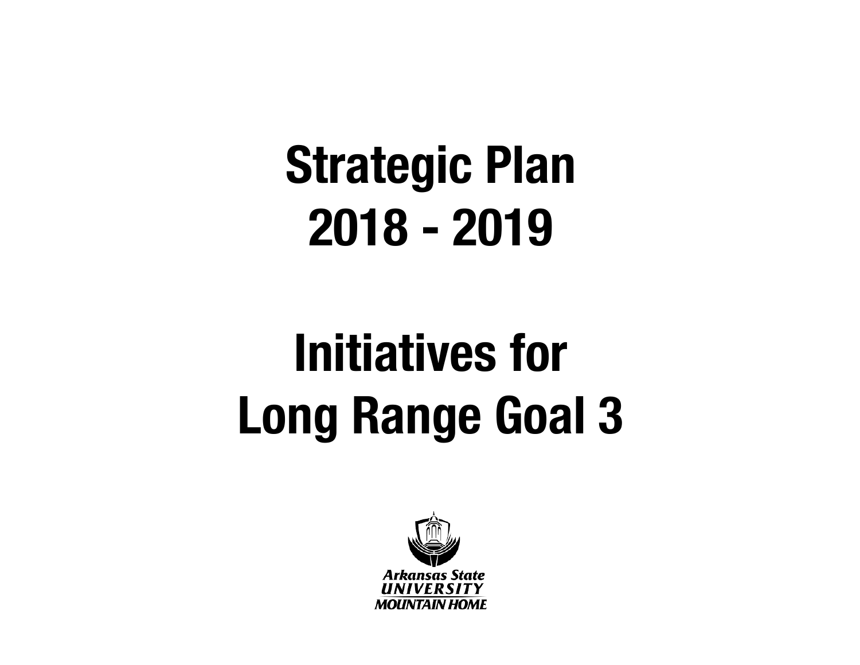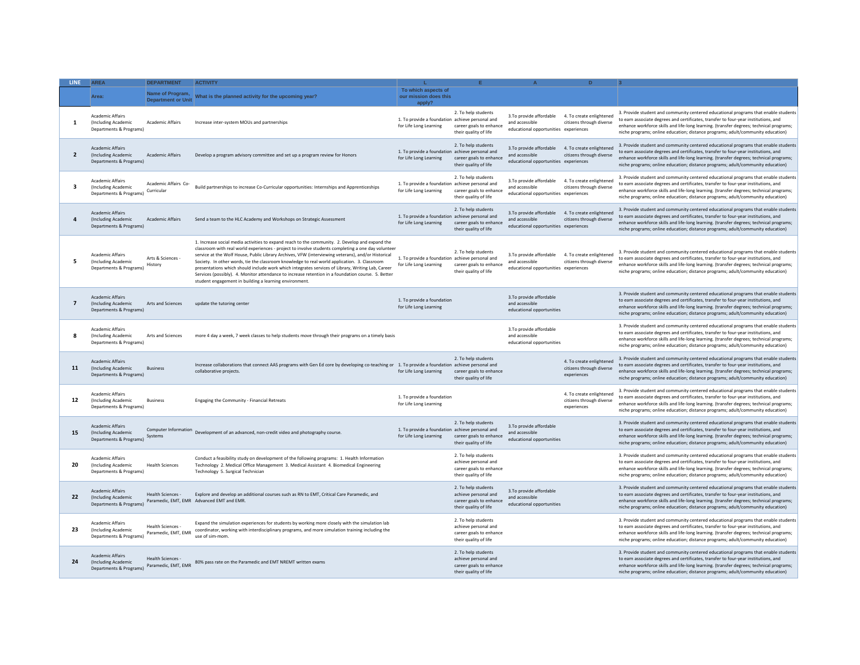| <b>LINE</b>             | <b>AREA</b>                                                                       | <b>DEPARTMENT</b>                             | <b>ACTIVITY</b>                                                                                                                                                                                                                                                                                                                                                                                                                                                                                                                                                                                                                                                                  |                                                                           |                                                                                                 |                                                                                    |                                                                     |                                                                                                                                                                                                                                                                                                                                                          |
|-------------------------|-----------------------------------------------------------------------------------|-----------------------------------------------|----------------------------------------------------------------------------------------------------------------------------------------------------------------------------------------------------------------------------------------------------------------------------------------------------------------------------------------------------------------------------------------------------------------------------------------------------------------------------------------------------------------------------------------------------------------------------------------------------------------------------------------------------------------------------------|---------------------------------------------------------------------------|-------------------------------------------------------------------------------------------------|------------------------------------------------------------------------------------|---------------------------------------------------------------------|----------------------------------------------------------------------------------------------------------------------------------------------------------------------------------------------------------------------------------------------------------------------------------------------------------------------------------------------------------|
|                         | Area:                                                                             | Name of Program,<br><b>Department or Unit</b> | What is the planned activity for the upcoming year?                                                                                                                                                                                                                                                                                                                                                                                                                                                                                                                                                                                                                              | To which aspects of<br>our mission does this<br>apply?                    |                                                                                                 |                                                                                    |                                                                     |                                                                                                                                                                                                                                                                                                                                                          |
| 1                       | <b>Academic Affairs</b><br>(Including Academic<br>Departments & Programs)         | Academic Affairs                              | Increase inter-system MOUs and partnerships                                                                                                                                                                                                                                                                                                                                                                                                                                                                                                                                                                                                                                      | 1. To provide a foundation achieve personal and<br>for Life Long Learning | 2. To help students<br>career goals to enhance<br>their quality of life                         | 3.To provide affordable<br>and accessible<br>educational opportunities experiences | 4. To create enlightened<br>citizens through diverse                | 3. Provide student and community centered educational programs that enable students<br>to earn associate degrees and certificates, transfer to four-year institutions, and<br>enhance workforce skills and life-long learning. (transfer degrees; technical programs;<br>niche programs; online education; distance programs; adult/community education) |
| $\overline{2}$          | <b>Academic Affairs</b><br>(Including Academic<br>Departments & Programs)         | <b>Academic Affairs</b>                       | Develop a program advisory committee and set up a program review for Honors                                                                                                                                                                                                                                                                                                                                                                                                                                                                                                                                                                                                      | 1. To provide a foundation achieve personal and<br>for Life Long Learning | 2. To help students<br>career goals to enhance<br>their quality of life                         | 3.To provide affordable<br>and accessible<br>educational opportunities experiences | 4. To create enlightened<br>citizens through diverse                | 3. Provide student and community centered educational programs that enable students<br>to earn associate degrees and certificates, transfer to four-year institutions, and<br>enhance workforce skills and life-long learning. (transfer degrees; technical programs;<br>niche programs; online education; distance programs; adult/community education) |
| $\overline{\mathbf{a}}$ | Academic Affairs<br>(Including Academic<br>Departments & Programs)                | Academic Affairs Co-<br>Curricular            | Build partnerships to increase Co-Curricular opportunities: Internships and Apprenticeships                                                                                                                                                                                                                                                                                                                                                                                                                                                                                                                                                                                      | 1. To provide a foundation achieve personal and<br>for Life Long Learning | 2. To help students<br>career goals to enhance<br>their quality of life                         | 3.To provide affordable<br>and accessible<br>educational opportunities experiences | 4. To create enlightened<br>citizens through diverse                | 3. Provide student and community centered educational programs that enable students<br>to earn associate degrees and certificates, transfer to four-year institutions, and<br>enhance workforce skills and life-long learning. (transfer degrees; technical programs;<br>niche programs; online education; distance programs; adult/community education) |
| 4                       | <b>Academic Affairs</b><br>(Including Academic<br>Departments & Programs)         | Academic Affairs                              | Send a team to the HLC Academy and Workshops on Strategic Assessment                                                                                                                                                                                                                                                                                                                                                                                                                                                                                                                                                                                                             | 1. To provide a foundation achieve personal and<br>for Life Long Learning | 2. To help students<br>career goals to enhance<br>their quality of life                         | 3.To provide affordable<br>and accessible<br>educational opportunities experiences | 4. To create enlightened<br>citizens through diverse                | 3. Provide student and community centered educational programs that enable students<br>to earn associate degrees and certificates, transfer to four-year institutions, and<br>enhance workforce skills and life-long learning. (transfer degrees; technical programs;<br>niche programs; online education; distance programs; adult/community education) |
| 5                       | Academic Affairs<br>(Including Academic<br>Departments & Programs)                | Arts & Sciences -<br>History                  | 1. Increase social media activities to expand reach to the community. 2. Develop and expand the<br>classroom with real world experiences - project to involve students completing a one day volunteer<br>service at the Wolf House, Public Library Archives, VFW (interviewing veterans), and/or Historical<br>Society. In other words, tie the classroom knowledge to real world application. 3. Classroom<br>presentations which should include work which integrates services of Library, Writing Lab, Career<br>Services (possibly). 4. Monitor attendance to increase retention in a foundation course. 5. Better<br>student engagement in building a learning environment. | 1. To provide a foundation achieve personal and<br>for Life Long Learning | 2. To help students<br>career goals to enhance<br>their quality of life                         | 3.To provide affordable<br>and accessible<br>educational opportunities experiences | 4. To create enlightened<br>citizens through diverse                | 3. Provide student and community centered educational programs that enable students<br>to earn associate degrees and certificates, transfer to four-year institutions, and<br>enhance workforce skills and life-long learning. (transfer degrees; technical programs;<br>niche programs; online education; distance programs; adult/community education) |
| $\overline{7}$          | <b>Academic Affairs</b><br>(Including Academic<br>Departments & Programs)         | Arts and Sciences                             | update the tutoring center                                                                                                                                                                                                                                                                                                                                                                                                                                                                                                                                                                                                                                                       | 1. To provide a foundation<br>for Life Long Learning                      |                                                                                                 | 3.To provide affordable<br>and accessible<br>educational opportunities             |                                                                     | 3. Provide student and community centered educational programs that enable students<br>to earn associate degrees and certificates, transfer to four-year institutions, and<br>enhance workforce skills and life-long learning. (transfer degrees; technical programs;<br>niche programs; online education; distance programs; adult/community education) |
| 8                       | Academic Affairs<br>(Including Academic<br>Departments & Programs)                | Arts and Sciences                             | more 4 day a week, 7 week classes to help students move through their programs on a timely basis                                                                                                                                                                                                                                                                                                                                                                                                                                                                                                                                                                                 |                                                                           |                                                                                                 | 3.To provide affordable<br>and accessible<br>educational opportunities             |                                                                     | 3. Provide student and community centered educational programs that enable students<br>to earn associate degrees and certificates, transfer to four-year institutions, and<br>enhance workforce skills and life-long learning. (transfer degrees; technical programs;<br>niche programs; online education; distance programs; adult/community education) |
| 11                      | <b>Academic Affairs</b><br>(Including Academic<br>Departments & Programs)         | <b>Business</b>                               | Increase collaborations that connect AAS programs with Gen Ed core by developing co-teaching or 1. To provide a foundation achieve personal and<br>collaborative projects.                                                                                                                                                                                                                                                                                                                                                                                                                                                                                                       | for Life Long Learning                                                    | 2. To help students<br>career goals to enhance<br>their quality of life                         |                                                                                    | 4. To create enlightened<br>citizens through diverse<br>experiences | 3. Provide student and community centered educational programs that enable students<br>to earn associate degrees and certificates, transfer to four-year institutions, and<br>enhance workforce skills and life-long learning. (transfer degrees; technical programs;<br>niche programs; online education; distance programs; adult/community education) |
| 12                      | Academic Affairs<br>(Including Academic<br>Departments & Programs)                | <b>Business</b>                               | Engaging the Community - Financial Retreats                                                                                                                                                                                                                                                                                                                                                                                                                                                                                                                                                                                                                                      | 1. To provide a foundation<br>for Life Long Learning                      |                                                                                                 |                                                                                    | 4. To create enlightened<br>citizens through diverse<br>experiences | 3. Provide student and community centered educational programs that enable students<br>to earn associate degrees and certificates, transfer to four-year institutions, and<br>enhance workforce skills and life-long learning. (transfer degrees; technical programs;<br>niche programs; online education; distance programs; adult/community education) |
| 15                      | <b>Academic Affairs</b><br>(Including Academic<br>Departments & Programs) Systems | Computer Information                          | Development of an advanced, non-credit video and photography course.                                                                                                                                                                                                                                                                                                                                                                                                                                                                                                                                                                                                             | 1. To provide a foundation achieve personal and<br>for Life Long Learning | 2. To help students<br>career goals to enhance<br>their quality of life                         | 3.To provide affordable<br>and accessible<br>educational opportunities             |                                                                     | 3. Provide student and community centered educational programs that enable students<br>to earn associate degrees and certificates, transfer to four-year institutions, and<br>enhance workforce skills and life-long learning. (transfer degrees; technical programs;<br>niche programs; online education; distance programs; adult/community education) |
| -20                     | Academic Affairs<br>(Including Academic<br>Departments & Programs)                | <b>Health Sciences</b>                        | Conduct a feasibility study on development of the following programs: 1. Health Information<br>Technology 2. Medical Office Management 3. Medical Assistant 4. Biomedical Engineering<br>Technology 5. Surgical Technician                                                                                                                                                                                                                                                                                                                                                                                                                                                       |                                                                           | 2. To help students<br>achieve personal and<br>career goals to enhance<br>their quality of life |                                                                                    |                                                                     | 3. Provide student and community centered educational programs that enable students<br>to earn associate degrees and certificates, transfer to four-year institutions, and<br>enhance workforce skills and life-long learning. (transfer degrees; technical programs;<br>niche programs; online education; distance programs; adult/community education) |
| 22                      | <b>Academic Affairs</b><br>(Including Academic<br>Departments & Programs)         | Health Sciences -                             | Explore and develop an additional courses such as RN to EMT, Critical Care Paramedic, and<br>Paramedic, EMT, EMR Advanced EMT and EMR.                                                                                                                                                                                                                                                                                                                                                                                                                                                                                                                                           |                                                                           | 2. To help students<br>achieve personal and<br>career goals to enhance<br>their quality of life | 3.To provide affordable<br>and accessible<br>educational opportunities             |                                                                     | 3. Provide student and community centered educational programs that enable students<br>to earn associate degrees and certificates, transfer to four-year institutions, and<br>enhance workforce skills and life-long learning. (transfer degrees; technical programs;<br>niche programs; online education; distance programs; adult/community education) |
| 23                      | <b>Academic Affairs</b><br>(Including Academic<br>Departments & Programs)         | Health Sciences<br>Paramedic, EMT, EMR        | Expand the simulation experiences for students by working more closely with the simulation lab<br>coordinator, working with interdisciplinary programs, and more simulation training including the<br>use of sim-mom                                                                                                                                                                                                                                                                                                                                                                                                                                                             |                                                                           | 2. To help students<br>achieve personal and<br>career goals to enhance<br>their quality of life |                                                                                    |                                                                     | 3. Provide student and community centered educational programs that enable students<br>to earn associate degrees and certificates, transfer to four-year institutions, and<br>enhance workforce skills and life-long learning. (transfer degrees; technical programs;<br>niche programs; online education; distance programs; adult/community education) |
| 24                      | <b>Academic Affairs</b><br>(Including Academic<br>Departments & Programs)         | <b>Health Sciences</b><br>Paramedic, EMT, EMR | 80% pass rate on the Paramedic and EMT NREMT written exams                                                                                                                                                                                                                                                                                                                                                                                                                                                                                                                                                                                                                       |                                                                           | 2. To help students<br>achieve personal and<br>career goals to enhance<br>their quality of life |                                                                                    |                                                                     | 3. Provide student and community centered educational programs that enable students<br>to earn associate degrees and certificates, transfer to four-year institutions, and<br>enhance workforce skills and life-long learning. (transfer degrees; technical programs;<br>niche programs; online education; distance programs; adult/community education) |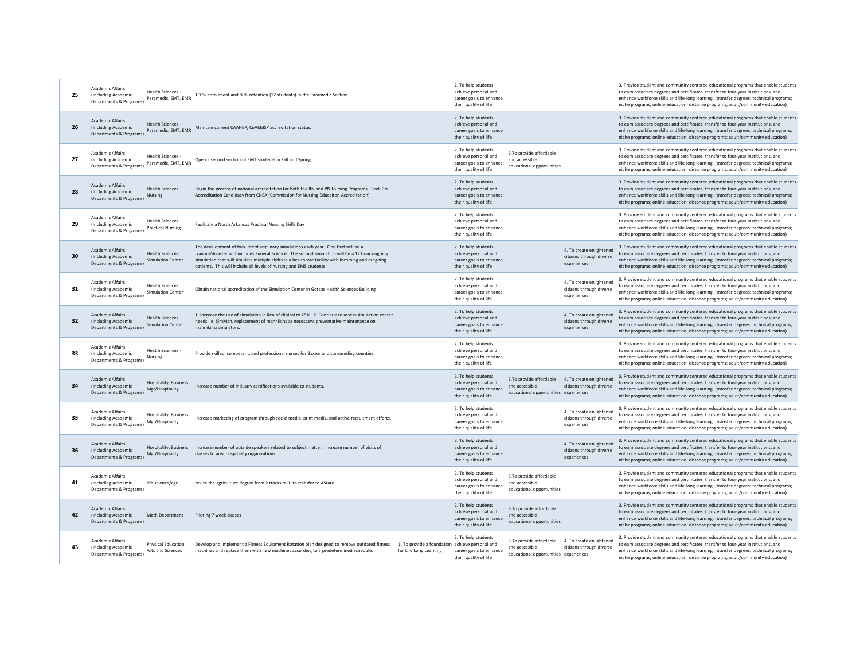| 25 | <b>Academic Affairs</b><br><b>Health Sciences</b><br>(Including Academic<br>Paramedic, EMT, EMR<br>Departments & Programs)      | 100% enrollment and 80% retention (12 students) in the Paramedic Section                                                                                                                                                                                                                                                                                        |                                                                           | 2. To help students<br>achieve personal and<br>career goals to enhance<br>their quality of life |                                                                                    |                                                                     | 3. Provide student and community centered educational programs that enable students<br>to earn associate degrees and certificates, transfer to four-year institutions, and<br>enhance workforce skills and life-long learning. (transfer degrees; technical programs;<br>niche programs; online education; distance programs; adult/community education) |
|----|---------------------------------------------------------------------------------------------------------------------------------|-----------------------------------------------------------------------------------------------------------------------------------------------------------------------------------------------------------------------------------------------------------------------------------------------------------------------------------------------------------------|---------------------------------------------------------------------------|-------------------------------------------------------------------------------------------------|------------------------------------------------------------------------------------|---------------------------------------------------------------------|----------------------------------------------------------------------------------------------------------------------------------------------------------------------------------------------------------------------------------------------------------------------------------------------------------------------------------------------------------|
| 26 | <b>Academic Affairs</b><br><b>Health Sciences</b><br>(Including Academic<br>Paramedic, EMT, EMR<br>Departments & Programs)      | Maintain current CAAHEP, CoAEMSP accreditation status.                                                                                                                                                                                                                                                                                                          |                                                                           | 2. To help students<br>achieve personal and<br>career goals to enhance<br>their quality of life |                                                                                    |                                                                     | 3. Provide student and community centered educational programs that enable students<br>to earn associate degrees and certificates, transfer to four-year institutions, and<br>enhance workforce skills and life-long learning. (transfer degrees; technical programs;<br>niche programs; online education; distance programs; adult/community education) |
| 27 | Academic Affairs<br>Health Sciences<br>(Including Academic<br>Paramedic, EMT, EMR<br>Departments & Programs)                    | Open a second section of EMT students in Fall and Spring                                                                                                                                                                                                                                                                                                        |                                                                           | 2. To help students<br>achieve personal and<br>career goals to enhance<br>their quality of life | 3.To provide affordable<br>and accessible<br>educational opportunities             |                                                                     | 3. Provide student and community centered educational programs that enable students<br>to earn associate degrees and certificates, transfer to four-year institutions, and<br>enhance workforce skills and life-long learning. (transfer degrees; technical programs;<br>niche programs; online education; distance programs; adult/community education) |
| 28 | <b>Academic Affairs</b><br><b>Health Sciences</b><br>(Including Academic<br><b>Nursing</b><br>Departments & Programs)           | Begin the process of national accreditation for both the RN and PN Nursing Programs. Seek Pre-<br>Accreditation Candidacy from CNEA (Commission for Nursing Educaiton Accreditation)                                                                                                                                                                            |                                                                           | 2. To help students<br>achieve personal and<br>career goals to enhance<br>their quality of life |                                                                                    |                                                                     | 3. Provide student and community centered educational programs that enable students<br>to earn associate degrees and certificates, transfer to four-year institutions, and<br>enhance workforce skills and life-long learning. (transfer degrees; technical programs;<br>niche programs; online education; distance programs; adult/community education) |
| 29 | <b>Academic Affairs</b><br><b>Health Sciences</b><br>(Including Academic<br><b>Practical Nursing</b><br>Departments & Programs) | Facilitate a North Arkansas Practical Nursing Skills Day                                                                                                                                                                                                                                                                                                        |                                                                           | 2. To help students<br>achieve personal and<br>career goals to enhance<br>their quality of life |                                                                                    |                                                                     | 3. Provide student and community centered educational programs that enable students<br>to earn associate degrees and certificates, transfer to four-year institutions, and<br>enhance workforce skills and life-long learning. (transfer degrees; technical programs;<br>niche programs; online education; distance programs; adult/community education) |
| 30 | Academic Affairs<br><b>Health Sciences</b><br>(Including Academic<br><b>Simulation Center</b><br>Departments & Programs)        | The development of two interdisciplinary simulations each year. One that will be a<br>trauma/disaster and includes Funeral Science. The second simulation will be a 12 hour ongoing<br>simulation that will simulate multiple shifts in a healthcare facility with incoming and outgoing<br>patients. This will include all levels of nursing and EMS students. |                                                                           | 2. To help students<br>achieve personal and<br>career goals to enhance<br>their quality of life |                                                                                    | 4. To create enlightened<br>citizens through diverse<br>experiences | 3. Provide student and community centered educational programs that enable students<br>to earn associate degrees and certificates, transfer to four-year institutions, and<br>enhance workforce skills and life-long learning. (transfer degrees; technical programs;<br>niche programs; online education; distance programs; adult/community education) |
| 31 | <b>Academic Affairs</b><br><b>Health Sciences</b><br>(Including Academic<br><b>Simulation Center</b><br>Departments & Programs) | Obtain national accreditation of the Simulation Center in Gotaas Health Sciences Building                                                                                                                                                                                                                                                                       |                                                                           | 2. To help students<br>achieve personal and<br>career goals to enhance<br>their quality of life |                                                                                    | 4. To create enlightened<br>citizens through diverse<br>experiences | 3. Provide student and community centered educational programs that enable students<br>to earn associate degrees and certificates, transfer to four-year institutions, and<br>enhance workforce skills and life-long learning. (transfer degrees; technical programs;<br>niche programs; online education; distance programs; adult/community education) |
| 32 | Academic Affairs<br><b>Health Sciences</b><br>(Including Academic<br><b>Simulation Center</b><br>Departments & Programs)        | 1. Increase the use of simulation in lieu of clinical to 25%. 2. Continue to assess simulation center<br>needs i.e, SimMan, replacement of mannikins as necessary, preventative maintenance on<br>mannikins/simulators.                                                                                                                                         |                                                                           | 2. To help students<br>achieve personal and<br>career goals to enhance<br>their quality of life |                                                                                    | 4. To create enlightened<br>citizens through diverse<br>experiences | 3. Provide student and community centered educational programs that enable students<br>to earn associate degrees and certificates, transfer to four-year institutions, and<br>enhance workforce skills and life-long learning. (transfer degrees; technical programs;<br>niche programs; online education; distance programs; adult/community education) |
| 33 | Academic Affairs<br>Heatlh Sciences -<br>(Including Academic<br><b>Nursing</b><br>Departments & Programs)                       | Provide skilled, competent, and professional nurses for Baxter and surrounding counties.                                                                                                                                                                                                                                                                        |                                                                           | 2. To help students<br>achieve personal and<br>career goals to enhance<br>their quality of life |                                                                                    |                                                                     | 3. Provide student and community centered educational programs that enable students<br>to earn associate degrees and certificates, transfer to four-year institutions, and<br>enhance workforce skills and life-long learning. (transfer degrees; technical programs;<br>niche programs; online education; distance programs; adult/community education) |
| 34 | Academic Affairs<br><b>Hospitality, Business</b><br>(Including Academic<br>Mgt/Hospitality<br>Departments & Programs)           | Increase number of industry certifications available to students.                                                                                                                                                                                                                                                                                               |                                                                           | 2. To help students<br>achieve personal and<br>career goals to enhance<br>their quality of life | 3.To provide affordable<br>and accessible<br>educational opportunities experiences | 4. To create enlightened<br>citizens through diverse                | 3. Provide student and community centered educational programs that enable students<br>to earn associate degrees and certificates, transfer to four-year institutions, and<br>enhance workforce skills and life-long learning. (transfer degrees; technical programs;<br>niche programs; online education; distance programs; adult/community education) |
| 35 | Academic Affairs<br>Hospitality, Business<br>(Including Academic<br>Mgt/Hospitality<br>Departments & Programs)                  | Increase marketing of program through social media, print media, and active recruitment efforts.                                                                                                                                                                                                                                                                |                                                                           | 2. To help students<br>achieve personal and<br>career goals to enhance<br>their quality of life |                                                                                    | 4. To create enlightened<br>citizens through diverse<br>experiences | 3. Provide student and community centered educational programs that enable students<br>to earn associate degrees and certificates, transfer to four-year institutions, and<br>enhance workforce skills and life-long learning. (transfer degrees; technical programs;<br>niche programs; online education; distance programs; adult/community education) |
| 36 | <b>Academic Affairs</b><br>(Including Academic<br>Mgt/Hospitality<br>Departments & Programs)                                    | Hospitality, Business Increase number of outside speakers related to subject matter. Increase number of visits of<br>classes to area hospitality organizations.                                                                                                                                                                                                 |                                                                           | 2. To help students<br>achieve personal and<br>career goals to enhance<br>their quality of life |                                                                                    | 4. To create enlightened<br>citizens through diverse<br>experiences | 3. Provide student and community centered educational programs that enable students<br>to earn associate degrees and certificates, transfer to four-year institutions, and<br>enhance workforce skills and life-long learning. (transfer degrees; technical programs;<br>niche programs; online education; distance programs; adult/community education) |
| 41 | Academic Affairs<br>(Including Academic<br>life science/agri<br>Departments & Programs)                                         | revise the agriculture degree from 2 tracks to 1 to transfer to AState                                                                                                                                                                                                                                                                                          |                                                                           | 2. To help students<br>achieve personal and<br>career goals to enhance<br>their quality of life | 3.To provide affordable<br>and accessible<br>educational opportunities             |                                                                     | 3. Provide student and community centered educational programs that enable students<br>to earn associate degrees and certificates, transfer to four-year institutions, and<br>enhance workforce skills and life-long learning. (transfer degrees; technical programs;<br>niche programs; online education; distance programs; adult/community education) |
| 42 | Academic Affairs<br>(Including Academic<br><b>Math Department</b><br>Departments & Programs)                                    | Piloting 7 week classes                                                                                                                                                                                                                                                                                                                                         |                                                                           | 2. To help students<br>achieve personal and<br>career goals to enhance<br>their quality of life | 3.To provide affordable<br>and accessible<br>educational opportunities             |                                                                     | 3. Provide student and community centered educational programs that enable students<br>to earn associate degrees and certificates, transfer to four-year institutions, and<br>enhance workforce skills and life-long learning. (transfer degrees; technical programs;<br>niche programs; online education; distance programs; adult/community education) |
| 43 | <b>Academic Affairs</b><br>Physical Education.<br>(Including Academic<br>Arts and Sciences<br>Departments & Programs)           | Develop and implement a Fitness Equipment Rotation plan designed to remove outdated fitness<br>machines and replace them with new machines according to a predetermined schedule.                                                                                                                                                                               | 1. To provide a foundation achieve personal and<br>for Life Long Learning | 2. To help students<br>career goals to enhance<br>their quality of life                         | 3.To provide affordable<br>and accessible<br>educational opportunities experiences | 4. To create enlightened<br>citizens through diverse                | 3. Provide student and community centered educational programs that enable students<br>to earn associate degrees and certificates, transfer to four-year institutions, and<br>enhance workforce skills and life-long learning. (transfer degrees; technical programs;<br>niche programs; online education; distance programs; adult/community education) |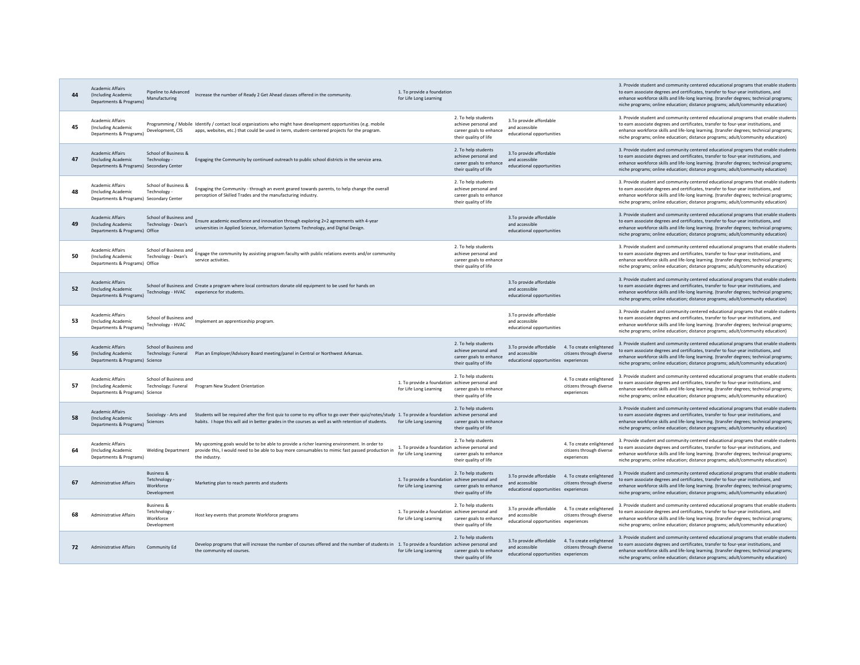| 44 | <b>Academic Affairs</b><br>(Including Academic<br>Departments & Programs)                  | Pipeline to Advanced<br>Manufacturing                            | Increase the number of Ready 2 Get Ahead classes offered in the community.                                                                                                                                                                                   | 1. To provide a foundation<br>for Life Long Learning                      |                                                                                                 |                                                                                    |                                                                     | 3. Provide student and community centered educational programs that enable students<br>to earn associate degrees and certificates, transfer to four-year institutions, and<br>enhance workforce skills and life-long learning. (transfer degrees; technical programs;<br>niche programs; online education; distance programs; adult/community education) |
|----|--------------------------------------------------------------------------------------------|------------------------------------------------------------------|--------------------------------------------------------------------------------------------------------------------------------------------------------------------------------------------------------------------------------------------------------------|---------------------------------------------------------------------------|-------------------------------------------------------------------------------------------------|------------------------------------------------------------------------------------|---------------------------------------------------------------------|----------------------------------------------------------------------------------------------------------------------------------------------------------------------------------------------------------------------------------------------------------------------------------------------------------------------------------------------------------|
| 45 | Academic Affairs<br>(Including Academic<br>Departments & Programs)                         | Development, CIS                                                 | Programming / Mobile Identify / contact local organizations who might have development opportunities (e.g. mobile<br>apps, websites, etc.) that could be used in term, student-centered projects for the program.                                            |                                                                           | 2. To help students<br>achieve personal and<br>career goals to enhance<br>their quality of life | 3.To provide affordable<br>and accessible<br>educational opportunities             |                                                                     | 3. Provide student and community centered educational programs that enable students<br>to earn associate degrees and certificates, transfer to four-year institutions, and<br>enhance workforce skills and life-long learning. (transfer degrees; technical programs;<br>niche programs; online education; distance programs; adult/community education) |
| 47 | <b>Academic Affairs</b><br>(Including Academic<br>Departments & Programs) Secondary Center | School of Business &<br>Technology -                             | Engaging the Community by continued outreach to public school districts in the service area.                                                                                                                                                                 |                                                                           | 2. To help students<br>achieve personal and<br>career goals to enhance<br>their quality of life | 3.To provide affordable<br>and accessible<br>educational opportunities             |                                                                     | 3. Provide student and community centered educational programs that enable students<br>to earn associate degrees and certificates, transfer to four-year institutions, and<br>enhance workforce skills and life-long learning. (transfer degrees; technical programs;<br>niche programs; online education; distance programs; adult/community education) |
| 48 | <b>Academic Affairs</b><br>(Including Academic<br>Departments & Programs) Secondary Center | School of Business &<br>Technology -                             | Engaging the Community - through an event geared towards parents, to help change the overall<br>perception of Skilled Trades and the manufacturing industry.                                                                                                 |                                                                           | 2. To help students<br>achieve personal and<br>career goals to enhance<br>their quality of life |                                                                                    |                                                                     | 3. Provide student and community centered educational programs that enable students<br>to earn associate degrees and certificates, transfer to four-year institutions, and<br>enhance workforce skills and life-long learning. (transfer degrees; technical programs;<br>niche programs; online education; distance programs; adult/community education) |
| 49 | <b>Academic Affairs</b><br>(Including Academic<br>Departments & Programs) Office           | School of Business and<br>Technology - Dean's                    | Ensure academic excellence and innovation through exploring 2+2 agreements with 4-year<br>universities in Applied Science, Information Systems Technology, and Digital Design.                                                                               |                                                                           |                                                                                                 | 3.To provide affordable<br>and accessible<br>educational opportunities             |                                                                     | 3. Provide student and community centered educational programs that enable students<br>to earn associate degrees and certificates, transfer to four-year institutions, and<br>enhance workforce skills and life-long learning. (transfer degrees; technical programs;<br>niche programs; online education; distance programs; adult/community education) |
| 50 | Academic Affairs<br>(Including Academic<br>Departments & Programs) Office                  | Technology - Dean's                                              | School of Business and<br>Figure the community by assisting program faculty with public relations events and/or community<br>service activities                                                                                                              |                                                                           | 2. To help students<br>achieve personal and<br>career goals to enhance<br>their quality of life |                                                                                    |                                                                     | 3. Provide student and community centered educational programs that enable students<br>to earn associate degrees and certificates, transfer to four-year institutions, and<br>enhance workforce skills and life-long learning. (transfer degrees; technical programs;<br>niche programs; online education; distance programs; adult/community education) |
| 52 | <b>Academic Affairs</b><br>(Including Academic<br>Departments & Programs)                  |                                                                  | School of Business and Create a program where local contractors donate old equipment to be used for hands on<br>Technology - HVAC experience for students.                                                                                                   |                                                                           |                                                                                                 | 3.To provide affordable<br>and accessible<br>educational opportunities             |                                                                     | 3. Provide student and community centered educational programs that enable students<br>to earn associate degrees and certificates, transfer to four-year institutions, and<br>enhance workforce skills and life-long learning. (transfer degrees; technical programs;<br>niche programs; online education; distance programs; adult/community education) |
| 53 | <b>Academic Affairs</b><br>(Including Academic<br>Departments & Programs)                  | Technology - HVAC                                                | School of Business and<br>Implement an apprenticeship program.                                                                                                                                                                                               |                                                                           |                                                                                                 | 3.To provide affordable<br>and accessible<br>educational opportunities             |                                                                     | 3. Provide student and community centered educational programs that enable students<br>to earn associate degrees and certificates, transfer to four-year institutions, and<br>enhance workforce skills and life-long learning. (transfer degrees; technical programs;<br>niche programs; online education; distance programs; adult/community education) |
| 56 | <b>Academic Affairs</b><br>(Including Academic<br>Departments & Programs) Science          | School of Business and                                           | Technology: Funeral Plan an Employer/Advisory Board meeting/panel in Central or Northwest Arkansas.                                                                                                                                                          |                                                                           | 2. To help students<br>achieve personal and<br>career goals to enhance<br>their quality of life | 3.To provide affordable<br>and accessible<br>educational opportunities experiences | 4. To create enlightened<br>citizens through diverse                | 3. Provide student and community centered educational programs that enable students<br>to earn associate degrees and certificates, transfer to four-year institutions, and<br>enhance workforce skills and life-long learning. (transfer degrees; technical programs;<br>niche programs; online education; distance programs; adult/community education) |
| 57 | <b>Academic Affairs</b><br>(Including Academic<br>Departments & Programs) Science          | School of Business and                                           | Technology: Funeral Program New Student Orientation                                                                                                                                                                                                          | 1. To provide a foundation achieve personal and<br>for Life Long Learning | 2. To help students<br>career goals to enhance<br>their quality of life                         |                                                                                    | 4. To create enlightened<br>citizens through diverse<br>experiences | 3. Provide student and community centered educational programs that enable students<br>to earn associate degrees and certificates, transfer to four-year institutions, and<br>enhance workforce skills and life-long learning. (transfer degrees; technical programs;<br>niche programs; online education; distance programs; adult/community education) |
| 58 | <b>Academic Affairs</b><br>(Including Academic<br>Departments & Programs)                  | Sociology - Arts and<br>Sciences                                 | Students will be required after the first quiz to come to my office to go over their quiz/notes/study 1. To provide a foundation achieve personal and<br>habits. I hope this will aid in better grades in the courses as well as with retention of students. | for Life Long Learning                                                    | 2. To help students<br>career goals to enhance<br>their quality of life                         |                                                                                    |                                                                     | 3. Provide student and community centered educational programs that enable students<br>to earn associate degrees and certificates, transfer to four-year institutions, and<br>enhance workforce skills and life-long learning. (transfer degrees; technical programs;<br>niche programs; online education; distance programs; adult/community education) |
| 64 | <b>Academic Affairs</b><br>(Including Academic<br>Departments & Programs)                  | <b>Welding Department</b>                                        | My upcoming goals would be to be able to provide a richer learning environment. In order to<br>provide this, I would need to be able to buy more consumables to mimic fast passed production in<br>the industry.                                             | 1. To provide a foundation achieve personal and<br>for Life Long Learning | 2. To help students<br>career goals to enhance<br>their quality of life                         |                                                                                    | 4. To create enlightened<br>citizens through diverse<br>experiences | 3. Provide student and community centered educational programs that enable students<br>to earn associate degrees and certificates, transfer to four-year institutions, and<br>enhance workforce skills and life-long learning. (transfer degrees; technical programs;<br>niche programs; online education; distance programs; adult/community education) |
| 67 | <b>Administrative Affairs</b>                                                              | <b>Business &amp;</b><br>Tetchnology<br>Workforce<br>Development | Marketing plan to reach parents and students                                                                                                                                                                                                                 | 1. To provide a foundation achieve personal and<br>for Life Long Learning | 2. To help students<br>career goals to enhance<br>their quality of life                         | 3.To provide affordable<br>and accessible<br>educational opportunities experiences | 4. To create enlightened<br>citizens through diverse                | 3. Provide student and community centered educational programs that enable students<br>to earn associate degrees and certificates, transfer to four-year institutions, and<br>enhance workforce skills and life-long learning. (transfer degrees; technical programs;<br>niche programs; online education; distance programs; adult/community education) |
| 68 | <b>Administrative Affairs</b>                                                              | <b>Business &amp;</b><br>Tetchnology<br>Workforce<br>Development | Host key events that promote Workforce programs                                                                                                                                                                                                              | 1. To provide a foundation achieve personal and<br>for Life Long Learning | 2. To help students<br>career goals to enhance<br>their quality of life                         | 3.To provide affordable<br>and accessible<br>educational opportunities experiences | 4. To create enlightened<br>citizens through diverse                | 3. Provide student and community centered educational programs that enable students<br>to earn associate degrees and certificates, transfer to four-year institutions, and<br>enhance workforce skills and life-long learning. (transfer degrees; technical programs;<br>niche programs; online education; distance programs; adult/community education) |
| 72 | Administrative Affairs                                                                     | <b>Community Ed</b>                                              | Develop programs that will increase the number of courses offered and the number of students in 1. To provide a foundation achieve personal and<br>the community ed courses.                                                                                 | for Life Long Learning                                                    | 2. To help students<br>career goals to enhance<br>their quality of life                         | 3.To provide affordable<br>and accessible<br>educational opportunities experiences | 4. To create enlightened<br>citizens through diverse                | 3. Provide student and community centered educational programs that enable students<br>to earn associate degrees and certificates, transfer to four-year institutions, and<br>enhance workforce skills and life-long learning. (transfer degrees; technical programs;<br>niche programs; online education; distance programs; adult/community education) |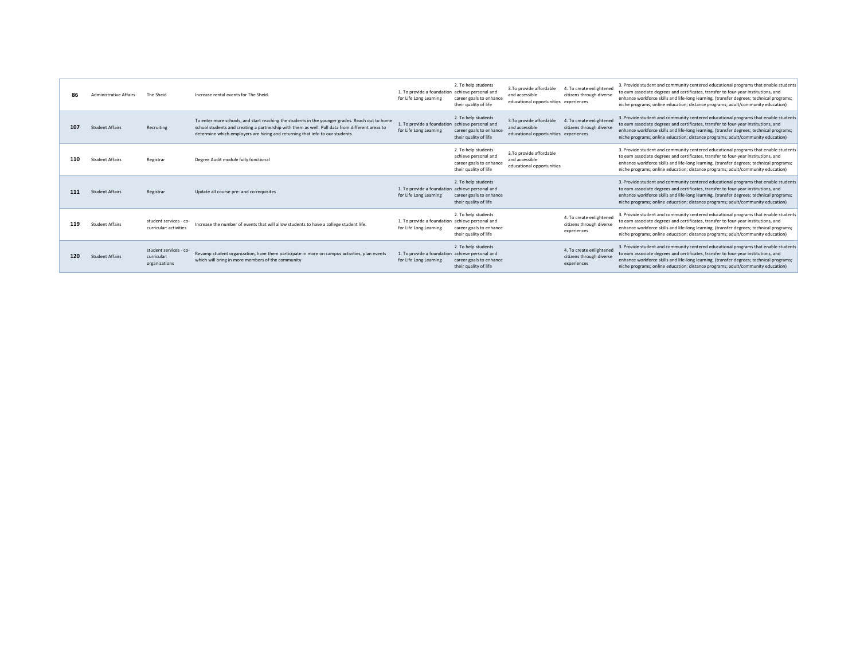| 86  | <b>Administrative Affairs</b> | The Sheid                                              | Increase rental events for The Sheid.                                                                                                                                                                                                                                              | 1. To provide a foundation achieve personal and<br>for Life Long Learning | 2. To help students<br>career goals to enhance<br>their quality of life                         | 3.To provide affordable<br>and accessible<br>educational opportunities experiences | 4. To create enlightened<br>citizens through diverse                | 3. Provide student and community centered educational programs that enable students<br>to earn associate degrees and certificates, transfer to four-year institutions, and<br>enhance workforce skills and life-long learning. (transfer degrees; technical programs;<br>niche programs: online education: distance programs: adult/community education) |
|-----|-------------------------------|--------------------------------------------------------|------------------------------------------------------------------------------------------------------------------------------------------------------------------------------------------------------------------------------------------------------------------------------------|---------------------------------------------------------------------------|-------------------------------------------------------------------------------------------------|------------------------------------------------------------------------------------|---------------------------------------------------------------------|----------------------------------------------------------------------------------------------------------------------------------------------------------------------------------------------------------------------------------------------------------------------------------------------------------------------------------------------------------|
| 107 | <b>Student Affairs</b>        | Recruiting                                             | To enter more schools, and start reaching the students in the younger grades. Reach out to home<br>school students and creating a partnership with them as well. Pull data from different areas to<br>determine which employers are hiring and returning that info to our students | 1. To provide a foundation achieve personal and<br>for Life Long Learning | 2. To help students<br>career goals to enhance<br>their quality of life                         | 3.To provide affordable<br>and accessible<br>educational opportunities experiences | 4. To create enlightened<br>citizens through diverse                | 3. Provide student and community centered educational programs that enable students<br>to earn associate degrees and certificates, transfer to four-year institutions, and<br>enhance workforce skills and life-long learning. (transfer degrees; technical programs;<br>niche programs; online education; distance programs; adult/community education) |
| 110 | <b>Student Affairs</b>        | Registrar                                              | Degree Audit module fully functional                                                                                                                                                                                                                                               |                                                                           | 2. To help students<br>achieve personal and<br>career goals to enhance<br>their quality of life | 3.To provide affordable<br>and accessible<br>educational opportunities             |                                                                     | 3. Provide student and community centered educational programs that enable students<br>to earn associate degrees and certificates, transfer to four-year institutions, and<br>enhance workforce skills and life-long learning. (transfer degrees: technical programs:<br>niche programs; online education; distance programs; adult/community education) |
| 111 | <b>Student Affairs</b>        | Registrar                                              | Update all course pre- and co-requisites                                                                                                                                                                                                                                           | 1. To provide a foundation achieve personal and<br>for Life Long Learning | 2. To help students<br>career goals to enhance<br>their quality of life                         |                                                                                    |                                                                     | 3. Provide student and community centered educational programs that enable students<br>to earn associate degrees and certificates, transfer to four-year institutions, and<br>enhance workforce skills and life-long learning. (transfer degrees; technical programs;<br>niche programs; online education; distance programs; adult/community education) |
| 119 | <b>Student Affairs</b>        | student services - co-<br>curricular: activities       | Increase the number of events that will allow students to have a college student life.                                                                                                                                                                                             | 1. To provide a foundation achieve personal and<br>for Life Long Learning | 2. To help students<br>career goals to enhance<br>their quality of life                         |                                                                                    | 4. To create enlightened<br>citizens through diverse<br>experiences | 3. Provide student and community centered educational programs that enable students<br>to earn associate degrees and certificates, transfer to four-year institutions, and<br>enhance workforce skills and life-long learning. (transfer degrees; technical programs;<br>niche programs; online education; distance programs; adult/community education) |
| 120 | <b>Student Affairs</b>        | student services - co-<br>curricular:<br>organizations | Revamp student organization, have them participate in more on campus activities, plan events<br>which will bring in more members of the community                                                                                                                                  | 1. To provide a foundation achieve personal and<br>for Life Long Learning | 2. To help students<br>career goals to enhance<br>their quality of life                         |                                                                                    | 4. To create enlightened<br>citizens through diverse<br>experiences | 3. Provide student and community centered educational programs that enable students<br>to earn associate degrees and certificates, transfer to four-year institutions, and<br>enhance workforce skills and life-long learning. (transfer degrees; technical programs;<br>niche programs; online education; distance programs; adult/community education) |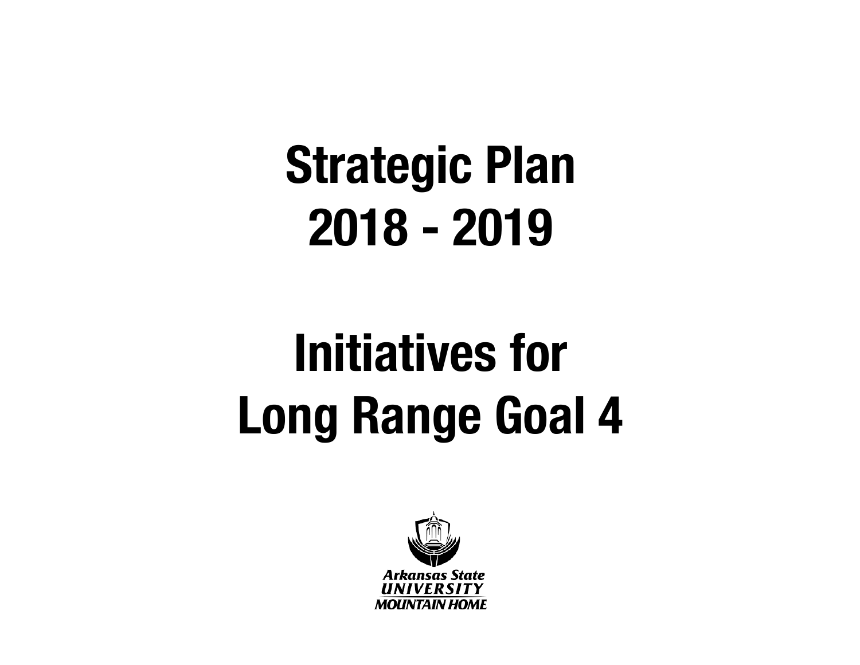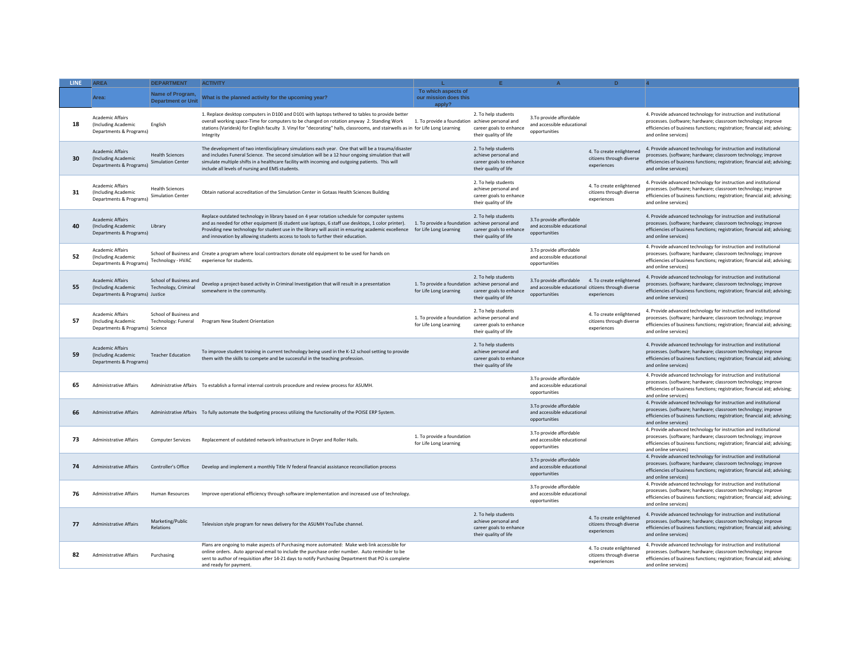| <b>LINE</b> | <b>AREA</b>                                                                       | <b>DEPARTMENT</b>                                  | <b>ACTIVITY</b>                                                                                                                                                                                                                                                                                                                                                                                                                                                     |                                                                           |                                                                                                 |                                                                         | $\mathbf{D}$                                                                                   |                                                                                                                                                                                                                                         |
|-------------|-----------------------------------------------------------------------------------|----------------------------------------------------|---------------------------------------------------------------------------------------------------------------------------------------------------------------------------------------------------------------------------------------------------------------------------------------------------------------------------------------------------------------------------------------------------------------------------------------------------------------------|---------------------------------------------------------------------------|-------------------------------------------------------------------------------------------------|-------------------------------------------------------------------------|------------------------------------------------------------------------------------------------|-----------------------------------------------------------------------------------------------------------------------------------------------------------------------------------------------------------------------------------------|
|             | Area:                                                                             | Name of Program,<br><b>Department or Unit</b>      | What is the planned activity for the upcoming year?                                                                                                                                                                                                                                                                                                                                                                                                                 | To which aspects of<br>our mission does this<br>apply?                    |                                                                                                 |                                                                         |                                                                                                |                                                                                                                                                                                                                                         |
| 18          | <b>Academic Affairs</b><br>(Including Academic<br>Departments & Programs)         | English                                            | 1. Replace desktop computers in D100 and D101 with laptops tethered to tables to provide better<br>overall working space-Time for computers to be changed on rotation anyway 2. Standing Work 1. To provide a foundation achieve personal and<br>stations (Varidesk) for English faculty 3. Vinyl for "decorating" halls, classrooms, and stairwells as in for Life Long Learning<br>Integrity                                                                      |                                                                           | 2. To help students<br>career goals to enhance<br>their quality of life                         | 3. To provide affordable<br>and accessible educational<br>onnortunities |                                                                                                | 4. Provide advanced technology for instruction and institutional<br>processes. (software; hardware; classroom technology; improve<br>efficiencies of business functions; registration; financial aid; advising;<br>and online services) |
| 30          | <b>Academic Affairs</b><br>(Including Academic<br>Departments & Programs)         | <b>Health Sciences</b><br><b>Simulation Center</b> | The development of two interdisciplinary simulations each year. One that will be a trauma/disaster<br>and includes Funeral Science. The second simulation will be a 12 hour ongoing simulation that will<br>simulate multiple shifts in a healthcare facility with incoming and outgoing patients. This will<br>include all levels of nursing and EMS students.                                                                                                     |                                                                           | 2. To help students<br>achieve personal and<br>career goals to enhance<br>their quality of life |                                                                         | 4. To create enlightened<br>citizens through diverse<br>experiences                            | 4. Provide advanced technology for instruction and institutional<br>processes. (software; hardware; classroom technology; improve<br>efficiencies of business functions; registration; financial aid; advising;<br>and online services) |
| 31          | <b>Academic Affairs</b><br>(Including Academic<br>Departments & Programs)         | <b>Health Sciences</b><br><b>Simulation Center</b> | Obtain national accreditation of the Simulation Center in Gotaas Health Sciences Building                                                                                                                                                                                                                                                                                                                                                                           |                                                                           | 2. To help students<br>achieve personal and<br>career goals to enhance<br>their quality of life |                                                                         | 4. To create enlightened<br>citizens through diverse<br>experiences                            | 4. Provide advanced technology for instruction and institutional<br>processes. (software; hardware; classroom technology; improve<br>efficiencies of business functions; registration; financial aid; advising;<br>and online services) |
| 40          | <b>Academic Affairs</b><br>(Including Academic<br>Departments & Programs)         | Library                                            | Replace outdated technology in library based on 4 year rotation schedule for computer systems<br>and as needed for other equipment (6 student use laptops, 6 staff use desktops, 1 color printer). 1. To provide a foundation achieve personal and<br>Providing new technology for student use in the library will assist in ensuring academic excellence for Life Long Learning<br>and innovation by allowing students access to tools to further their education. |                                                                           | 2. To help students<br>career goals to enhance<br>their quality of life                         | 3. To provide affordable<br>and accessible educational<br>opportunities |                                                                                                | 4. Provide advanced technology for instruction and institutional<br>processes. (software; hardware; classroom technology; improve<br>efficiencies of business functions; registration; financial aid; advising;<br>and online services) |
| 52          | <b>Academic Affairs</b><br>(Including Academic<br>Departments & Programs)         | Technology - HVAC                                  | School of Business and Create a program where local contractors donate old equipment to be used for hands on<br>experience for students.                                                                                                                                                                                                                                                                                                                            |                                                                           |                                                                                                 | 3.To provide affordable<br>and accessible educational<br>opportunities  |                                                                                                | 4. Provide advanced technology for instruction and institutional<br>processes. (software; hardware; classroom technology; improve<br>efficiencies of business functions; registration; financial aid; advising;<br>and online services) |
| 55          | <b>Academic Affairs</b><br>(Including Academic<br>Departments & Programs) Justice | School of Business and<br>Technology, Criminal     | Develop a project-based activity in Criminal Investigation that will result in a presentation<br>somewhere in the community.                                                                                                                                                                                                                                                                                                                                        | 1. To provide a foundation achieve personal and<br>for Life Long Learning | 2. To help students<br>career goals to enhance<br>their quality of life                         | 3. To provide affordable<br>opportunities                               | 4. To create enlightened<br>and accessible educational citizens through diverse<br>experiences | 4. Provide advanced technology for instruction and institutional<br>processes. (software; hardware; classroom technology; improve<br>efficiencies of business functions; registration; financial aid; advising;<br>and online services) |
| 57          | <b>Academic Affairs</b><br>(Including Academic<br>Departments & Programs) Science | School of Business and                             | Technology: Funeral Program New Student Orientation                                                                                                                                                                                                                                                                                                                                                                                                                 | 1. To provide a foundation achieve personal and<br>for Life Long Learning | 2. To help students<br>career goals to enhance<br>their quality of life                         |                                                                         | 4. To create enlightened<br>citizens through diverse<br>experiences                            | 4. Provide advanced technology for instruction and institutional<br>processes. (software; hardware; classroom technology; improve<br>efficiencies of business functions; registration; financial aid; advising;<br>and online services) |
| 59          | <b>Academic Affairs</b><br>(Including Academic<br>Departments & Programs)         | <b>Teacher Education</b>                           | To improve student training in current technology being used in the K-12 school setting to provide<br>them with the skills to compete and be successful in the teaching profession.                                                                                                                                                                                                                                                                                 |                                                                           | 2. To help students<br>achieve personal and<br>career goals to enhance<br>their quality of life |                                                                         |                                                                                                | 4. Provide advanced technology for instruction and institutional<br>processes. (software; hardware; classroom technology; improve<br>efficiencies of business functions; registration; financial aid; advising;<br>and online services) |
| 65          | Administrative Affairs                                                            |                                                    | Administrative Affairs To establish a formal internal controls procedure and review process for ASUMH.                                                                                                                                                                                                                                                                                                                                                              |                                                                           |                                                                                                 | 3.To provide affordable<br>and accessible educational<br>opportunities  |                                                                                                | 4. Provide advanced technology for instruction and institutional<br>processes. (software; hardware; classroom technology; improve<br>efficiencies of business functions; registration; financial aid; advising;<br>and online services) |
| 66          | <b>Administrative Affairs</b>                                                     |                                                    | Administrative Affairs To fully automate the budgeting process utilizing the functionality of the POISE ERP System.                                                                                                                                                                                                                                                                                                                                                 |                                                                           |                                                                                                 | 3. To provide affordable<br>and accessible educational<br>opportunities |                                                                                                | 4. Provide advanced technology for instruction and institutional<br>processes. (software; hardware; classroom technology; improve<br>efficiencies of business functions; registration; financial aid; advising;<br>and online services] |
| 73          | Administrative Affairs                                                            | <b>Computer Services</b>                           | Replacement of outdated network infrastructure in Dryer and Roller Halls.                                                                                                                                                                                                                                                                                                                                                                                           | 1. To provide a foundation<br>for Life Long Learning                      |                                                                                                 | 3.To provide affordable<br>and accessible educational<br>opportunities  |                                                                                                | 4. Provide advanced technology for instruction and institutional<br>processes. (software; hardware; classroom technology; improve<br>efficiencies of business functions; registration; financial aid; advising;<br>and online services) |
| 74          | Administrative Affairs                                                            | Controller's Office                                | Develop and implement a monthly Title IV federal financial assistance reconciliation process                                                                                                                                                                                                                                                                                                                                                                        |                                                                           |                                                                                                 | 3.To provide affordable<br>and accessible educational<br>opportunities  |                                                                                                | 4. Provide advanced technology for instruction and institutional<br>processes. (software; hardware; classroom technology; improve<br>efficiencies of business functions; registration; financial aid; advising;<br>and online services) |
| 76          | <b>Administrative Affairs</b>                                                     | Human Resources                                    | Improve operational efficiency through software implementation and increased use of technology.                                                                                                                                                                                                                                                                                                                                                                     |                                                                           |                                                                                                 | 3. To provide affordable<br>and accessible educational<br>opportunities |                                                                                                | 4. Provide advanced technology for instruction and institutional<br>processes. (software; hardware; classroom technology; improve<br>efficiencies of business functions; registration; financial aid; advising;<br>and online services) |
| 77          | <b>Administrative Affairs</b>                                                     | Marketing/Public<br><b>Relations</b>               | Television style program for news delivery for the ASUMH YouTube channel.                                                                                                                                                                                                                                                                                                                                                                                           |                                                                           | 2. To help students<br>achieve personal and<br>career goals to enhance<br>their quality of life |                                                                         | 4. To create enlightened<br>citizens through diverse<br>experiences                            | 4. Provide advanced technology for instruction and institutional<br>processes. (software; hardware; classroom technology; improve<br>efficiencies of business functions; registration; financial aid; advising;<br>and online services) |
| 82          | <b>Administrative Affairs</b>                                                     | Purchasing                                         | Plans are ongoing to make aspects of Purchasing more automated: Make web link accessible for<br>online orders. Auto approval email to include the purchase order number. Auto reminder to be<br>sent to author of requisition after 14-21 days to notify Purchasing Department that PO is complete<br>and ready for payment.                                                                                                                                        |                                                                           |                                                                                                 |                                                                         | 4. To create enlightened<br>citizens through diverse<br>experiences                            | 4. Provide advanced technology for instruction and institutional<br>processes. (software; hardware; classroom technology; improve<br>efficiencies of business functions; registration; financial aid; advising;<br>and online services) |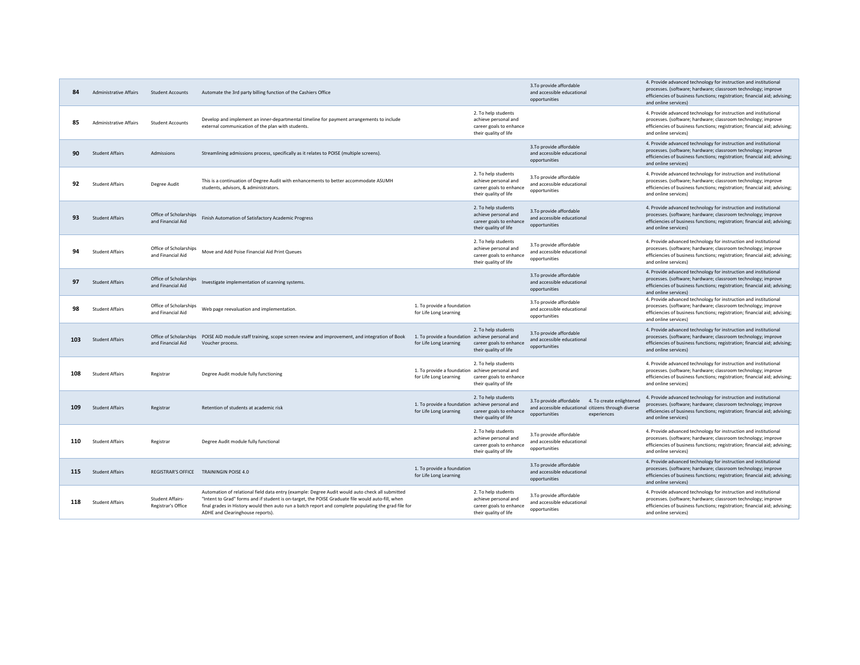| 84  | <b>Administrative Affairs</b> | <b>Student Accounts</b>                       | Automate the 3rd party billing function of the Cashiers Office                                                                                                                                                                                                                                                                                   |                                                                           |                                                                                                 | 3. To provide affordable<br>and accessible educational<br>opportunities                                                                     | 4. Provide advanced technology for instruction and institutional<br>processes. (software; hardware; classroom technology; improve<br>efficiencies of business functions; registration; financial aid; advising;<br>and online services) |
|-----|-------------------------------|-----------------------------------------------|--------------------------------------------------------------------------------------------------------------------------------------------------------------------------------------------------------------------------------------------------------------------------------------------------------------------------------------------------|---------------------------------------------------------------------------|-------------------------------------------------------------------------------------------------|---------------------------------------------------------------------------------------------------------------------------------------------|-----------------------------------------------------------------------------------------------------------------------------------------------------------------------------------------------------------------------------------------|
| 85  | <b>Administrative Affairs</b> | <b>Student Accounts</b>                       | Develop and implement an inner-departmental timeline for payment arrangements to include<br>external communication of the plan with students.                                                                                                                                                                                                    |                                                                           | 2. To help students<br>achieve personal and<br>career goals to enhance<br>their quality of life |                                                                                                                                             | 4. Provide advanced technology for instruction and institutional<br>processes. (software; hardware; classroom technology; improve<br>efficiencies of business functions; registration; financial aid; advising;<br>and online services) |
| 90  | <b>Student Affairs</b>        | Admissions                                    | Streamlining admissions process, specifically as it relates to POISE (multiple screens).                                                                                                                                                                                                                                                         |                                                                           |                                                                                                 | 3. To provide affordable<br>and accessible educational<br>opportunities                                                                     | 4. Provide advanced technology for instruction and institutional<br>processes. (software; hardware; classroom technology; improve<br>efficiencies of business functions; registration; financial aid; advising;<br>and online services) |
| 92  | <b>Student Affairs</b>        | Degree Audit                                  | This is a continuation of Degree Audit with enhancements to better accommodate ASUMH<br>students, advisors, & administrators.                                                                                                                                                                                                                    |                                                                           | 2. To help students<br>achieve personal and<br>career goals to enhance<br>their quality of life | 3.To provide affordable<br>and accessible educational<br>opportunities                                                                      | 4. Provide advanced technology for instruction and institutional<br>processes. (software; hardware; classroom technology; improve<br>efficiencies of business functions; registration; financial aid; advising;<br>and online services) |
| 93  | <b>Student Affairs</b>        | Office of Scholarships<br>and Financial Aid   | Finish Automation of Satisfactory Academic Progress                                                                                                                                                                                                                                                                                              |                                                                           | 2. To help students<br>achieve personal and<br>career goals to enhance<br>their quality of life | 3. To provide affordable<br>and accessible educational<br>opportunities                                                                     | 4. Provide advanced technology for instruction and institutional<br>processes. (software; hardware; classroom technology; improve<br>efficiencies of business functions; registration; financial aid; advising;<br>and online services) |
| 94  | <b>Student Affairs</b>        | Office of Scholarships<br>and Financial Aid   | Move and Add Poise Financial Aid Print Queues                                                                                                                                                                                                                                                                                                    |                                                                           | 2. To help students<br>achieve personal and<br>career goals to enhance<br>their quality of life | 3.To provide affordable<br>and accessible educational<br>opportunities                                                                      | 4. Provide advanced technology for instruction and institutional<br>processes. (software; hardware; classroom technology; improve<br>efficiencies of business functions; registration; financial aid; advising;<br>and online services) |
| 97  | <b>Student Affairs</b>        | Office of Scholarships<br>and Financial Aid   | Investigate implementation of scanning systems.                                                                                                                                                                                                                                                                                                  |                                                                           |                                                                                                 | 3. To provide affordable<br>and accessible educational<br>opportunities                                                                     | 4. Provide advanced technology for instruction and institutional<br>processes. (software; hardware; classroom technology; improve<br>efficiencies of business functions; registration; financial aid; advising;<br>and online services) |
| 98  | <b>Student Affairs</b>        | Office of Scholarships<br>and Financial Aid   | Web page reevaluation and implementation.                                                                                                                                                                                                                                                                                                        | 1. To provide a foundation<br>for Life Long Learning                      |                                                                                                 | 3.To provide affordable<br>and accessible educational<br>opportunities                                                                      | 4. Provide advanced technology for instruction and institutional<br>processes. (software; hardware; classroom technology; improve<br>efficiencies of business functions; registration; financial aid; advising;<br>and online services) |
| 103 | <b>Student Affairs</b>        | and Financial Aid                             | Office of Scholarships POISE AID module staff training, scope screen review and improvement, and integration of Book<br>Voucher process.                                                                                                                                                                                                         | 1. To provide a foundation achieve personal and<br>for Life Long Learning | 2. To help students<br>career goals to enhance<br>their quality of life                         | 3.To provide affordable<br>and accessible educational<br>opportunities                                                                      | 4. Provide advanced technology for instruction and institutional<br>processes. (software; hardware; classroom technology; improve<br>efficiencies of business functions; registration; financial aid; advising;<br>and online services) |
| 108 | <b>Student Affairs</b>        | Registrar                                     | Degree Audit module fully functioning                                                                                                                                                                                                                                                                                                            | 1. To provide a foundation achieve personal and<br>for Life Long Learning | 2. To help students<br>career goals to enhance<br>their quality of life                         |                                                                                                                                             | 4. Provide advanced technology for instruction and institutional<br>processes. (software; hardware; classroom technology; improve<br>efficiencies of business functions; registration; financial aid; advising;<br>and online services) |
| 109 | <b>Student Affairs</b>        | Registrar                                     | Retention of students at academic risk                                                                                                                                                                                                                                                                                                           | 1. To provide a foundation achieve personal and<br>for Life Long Learning | 2. To help students<br>career goals to enhance<br>their quality of life                         | 3. To provide affordable<br>4. To create enlightened<br>and accessible educational citizens through diverse<br>experiences<br>opportunities | 4. Provide advanced technology for instruction and institutional<br>processes. (software; hardware; classroom technology; improve<br>efficiencies of business functions; registration; financial aid; advising;<br>and online services) |
| 110 | <b>Student Affairs</b>        | Registrar                                     | Degree Audit module fully functional                                                                                                                                                                                                                                                                                                             |                                                                           | 2. To help students<br>achieve personal and<br>career goals to enhance<br>their quality of life | 3.To provide affordable<br>and accessible educational<br>opportunities                                                                      | 4. Provide advanced technology for instruction and institutional<br>processes. (software; hardware; classroom technology; improve<br>efficiencies of business functions; registration; financial aid; advising;<br>and online services) |
| 115 | <b>Student Affairs</b>        |                                               | REGISTRAR'S OFFICE TRAININGIN POISE 4.0                                                                                                                                                                                                                                                                                                          | 1. To provide a foundation<br>for Life Long Learning                      |                                                                                                 | 3. To provide affordable<br>and accessible educational<br>opportunities                                                                     | 4. Provide advanced technology for instruction and institutional<br>processes. (software; hardware; classroom technology; improve<br>efficiencies of business functions; registration; financial aid; advising;<br>and online services) |
| 118 | <b>Student Affairs</b>        | <b>Student Affairs-</b><br>Registrar's Office | Automation of relational field data entry (example: Degree Audit would auto check all submitted<br>"Intent to Grad" forms and if student is on-target, the POISE Graduate file would auto-fill, when<br>final grades in History would then auto run a batch report and complete populating the grad file for<br>ADHE and Clearinghouse reports). |                                                                           | 2. To help students<br>achieve personal and<br>career goals to enhance<br>their quality of life | 3.To provide affordable<br>and accessible educational<br>opportunities                                                                      | 4. Provide advanced technology for instruction and institutional<br>processes. (software; hardware; classroom technology; improve<br>efficiencies of business functions; registration; financial aid; advising;<br>and online services) |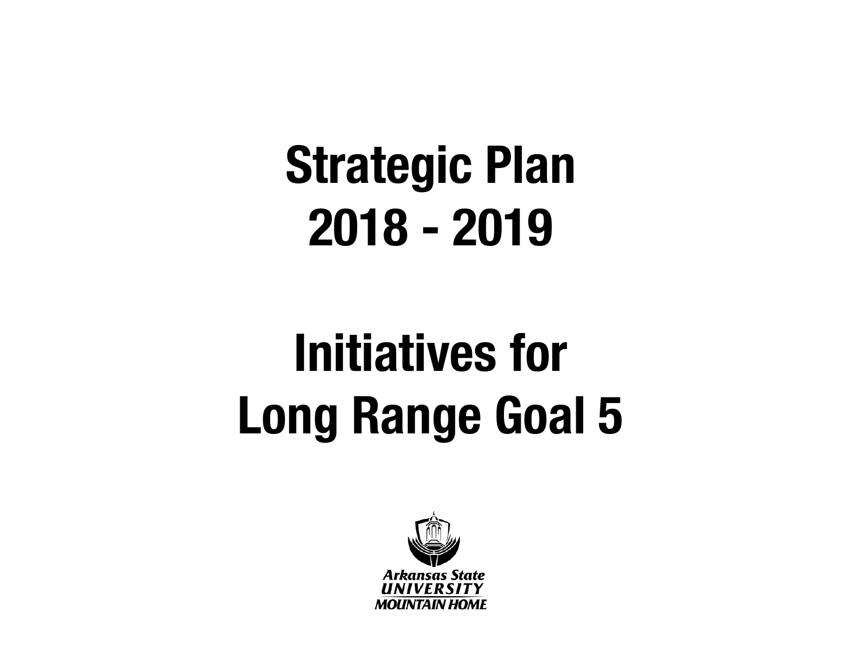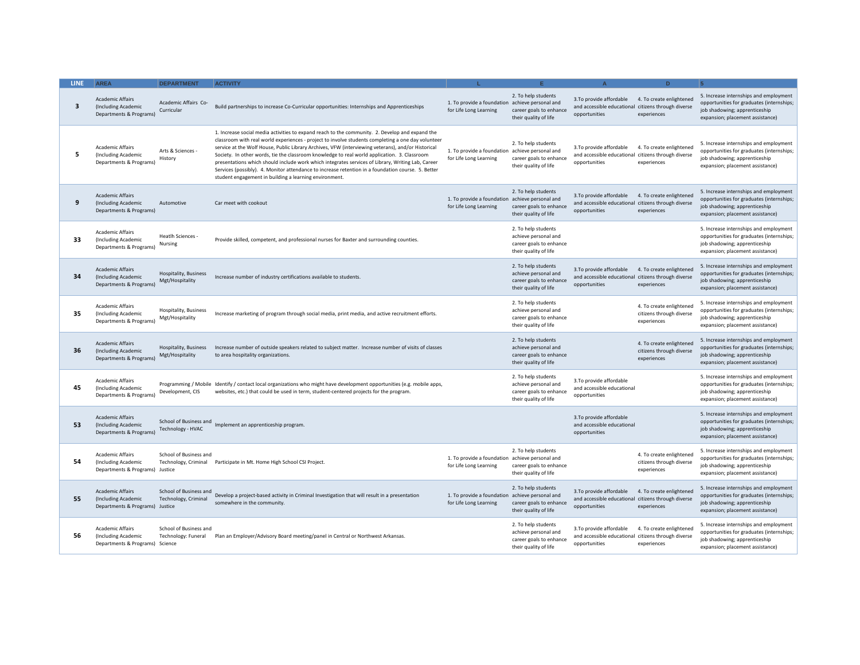| LINE: | <b>AREA</b>                                                                       | <b>DEPARTMENT</b>                               | <b>ACTIVITY</b>                                                                                                                                                                                                                                                                                                                                                                                                                                                                                                                                                                                                                                                                  |                                                                           |                                                                                                 |                                                                                                  | D.                                                                  | 5                                                                                                                                                        |
|-------|-----------------------------------------------------------------------------------|-------------------------------------------------|----------------------------------------------------------------------------------------------------------------------------------------------------------------------------------------------------------------------------------------------------------------------------------------------------------------------------------------------------------------------------------------------------------------------------------------------------------------------------------------------------------------------------------------------------------------------------------------------------------------------------------------------------------------------------------|---------------------------------------------------------------------------|-------------------------------------------------------------------------------------------------|--------------------------------------------------------------------------------------------------|---------------------------------------------------------------------|----------------------------------------------------------------------------------------------------------------------------------------------------------|
| 3     | <b>Academic Affairs</b><br>(Including Academic<br>Departments & Programs)         | Academic Affairs Co-<br>Curricular              | Build partnerships to increase Co-Curricular opportunities: Internships and Apprenticeships                                                                                                                                                                                                                                                                                                                                                                                                                                                                                                                                                                                      | 1. To provide a foundation achieve personal and<br>for Life Long Learning | 2. To help students<br>career goals to enhance<br>their quality of life                         | 3. To provide affordable<br>and accessible educational<br>opportunities                          | 4. To create enlightened<br>citizens through diverse<br>experiences | 5. Increase internships and employment<br>opportunities for graduates (internships;<br>job shadowing; apprenticeship<br>expansion; placement assistance) |
| 5     | <b>Academic Affairs</b><br>(Including Academic<br>Departments & Programs)         | Arts & Sciences -<br>History                    | 1. Increase social media activities to expand reach to the community. 2. Develop and expand the<br>classroom with real world experiences - project to involve students completing a one day volunteer<br>service at the Wolf House, Public Library Archives, VFW (interviewing veterans), and/or Historical<br>Society. In other words, tie the classroom knowledge to real world application. 3. Classroom<br>presentations which should include work which integrates services of Library, Writing Lab, Career<br>Services (possibly). 4. Monitor attendance to increase retention in a foundation course. 5. Better<br>student engagement in building a learning environment. | 1. To provide a foundation achieve personal and<br>for Life Long Learning | 2. To help students<br>career goals to enhance<br>their quality of life                         | 3.To provide affordable<br>and accessible educational<br>opportunities                           | 4. To create enlightened<br>citizens through diverse<br>experiences | 5. Increase internships and employment<br>opportunities for graduates (internships;<br>job shadowing; apprenticeship<br>expansion; placement assistance) |
| 9     | <b>Academic Affairs</b><br>(Including Academic<br>Departments & Programs)         | Automotive                                      | Car meet with cookout                                                                                                                                                                                                                                                                                                                                                                                                                                                                                                                                                                                                                                                            | 1. To provide a foundation<br>for Life Long Learning                      | 2. To help students<br>achieve personal and<br>career goals to enhance<br>their quality of life | 3. To provide affordable<br>and accessible educational<br>opportunities                          | 4. To create enlightened<br>citizens through diverse<br>experiences | 5. Increase internships and employment<br>opportunities for graduates (internships;<br>job shadowing; apprenticeship<br>expansion; placement assistance) |
| 33    | <b>Academic Affairs</b><br>(Including Academic<br>Departments & Programs)         | Heatlh Sciences -<br>Nursing                    | Provide skilled, competent, and professional nurses for Baxter and surrounding counties.                                                                                                                                                                                                                                                                                                                                                                                                                                                                                                                                                                                         |                                                                           | 2. To help students<br>achieve personal and<br>career goals to enhance<br>their quality of life |                                                                                                  |                                                                     | 5. Increase internships and employment<br>opportunities for graduates (internships;<br>job shadowing; apprenticeship<br>expansion; placement assistance) |
| 34    | <b>Academic Affairs</b><br>(Including Academic<br>Departments & Programs)         | Hospitality, Business<br>Mgt/Hospitality        | Increase number of industry certifications available to students.                                                                                                                                                                                                                                                                                                                                                                                                                                                                                                                                                                                                                |                                                                           | 2. To help students<br>achieve personal and<br>career goals to enhance<br>their quality of life | 3. To provide affordable<br>and accessible educational citizens through diverse<br>opportunities | 4. To create enlightened<br>experiences                             | 5. Increase internships and employment<br>opportunities for graduates (internships;<br>job shadowing; apprenticeship<br>expansion; placement assistance) |
| 35    | <b>Academic Affairs</b><br>(Including Academic<br>Departments & Programs)         | Hospitality, Business<br>Mgt/Hospitality        | Increase marketing of program through social media, print media, and active recruitment efforts.                                                                                                                                                                                                                                                                                                                                                                                                                                                                                                                                                                                 |                                                                           | 2. To help students<br>achieve personal and<br>career goals to enhance<br>their quality of life |                                                                                                  | 4. To create enlightened<br>citizens through diverse<br>experiences | 5. Increase internships and employment<br>opportunities for graduates (internships;<br>job shadowing; apprenticeship<br>expansion; placement assistance) |
| 36    | <b>Academic Affairs</b><br>(Including Academic<br>Departments & Programs)         | <b>Hospitality, Business</b><br>Mgt/Hospitality | Increase number of outside speakers related to subject matter. Increase number of visits of classes<br>to area hospitality organizations.                                                                                                                                                                                                                                                                                                                                                                                                                                                                                                                                        |                                                                           | 2. To help students<br>achieve personal and<br>career goals to enhance<br>their quality of life |                                                                                                  | 4. To create enlightened<br>citizens through diverse<br>experiences | 5. Increase internships and employment<br>opportunities for graduates (internships;<br>job shadowing; apprenticeship<br>expansion; placement assistance) |
| 45    | <b>Academic Affairs</b><br>(Including Academic<br>Departments & Programs)         | Development, CIS                                | Programming / Mobile Identify / contact local organizations who might have development opportunities (e.g. mobile apps,<br>websites, etc.) that could be used in term, student-centered projects for the program.                                                                                                                                                                                                                                                                                                                                                                                                                                                                |                                                                           | 2. To help students<br>achieve personal and<br>career goals to enhance<br>their quality of life | 3.To provide affordable<br>and accessible educational<br>opportunities                           |                                                                     | 5. Increase internships and employment<br>opportunities for graduates (internships;<br>job shadowing; apprenticeship<br>expansion; placement assistance) |
| 53    | <b>Academic Affairs</b><br>(Including Academic<br>Departments & Programs)         | School of Business and<br>Technology - HVAC     | Implement an apprenticeship program.                                                                                                                                                                                                                                                                                                                                                                                                                                                                                                                                                                                                                                             |                                                                           |                                                                                                 | 3. To provide affordable<br>and accessible educational<br>opportunities                          |                                                                     | 5. Increase internships and employment<br>opportunities for graduates (internships;<br>iob shadowing: apprenticeship<br>expansion; placement assistance) |
| 54    | <b>Academic Affairs</b><br>(Including Academic<br>Departments & Programs) Justice | School of Business and                          | Technology, Criminal Participate in Mt. Home High School CSI Project.                                                                                                                                                                                                                                                                                                                                                                                                                                                                                                                                                                                                            | 1. To provide a foundation achieve personal and<br>for Life Long Learning | 2. To help students<br>career goals to enhance<br>their quality of life                         |                                                                                                  | 4. To create enlightened<br>citizens through diverse<br>experiences | 5. Increase internships and employment<br>opportunities for graduates (internships;<br>job shadowing; apprenticeship<br>expansion; placement assistance) |
| 55    | <b>Academic Affairs</b><br>(Including Academic<br>Departments & Programs) Justice | School of Business and<br>Technology, Criminal  | Develop a project-based activity in Criminal Investigation that will result in a presentation<br>somewhere in the community.                                                                                                                                                                                                                                                                                                                                                                                                                                                                                                                                                     | 1. To provide a foundation achieve personal and<br>for Life Long Learning | 2. To help students<br>career goals to enhance<br>their quality of life                         | 3. To provide affordable<br>and accessible educational citizens through diverse<br>opportunities | 4. To create enlightened<br>experiences                             | 5. Increase internships and employment<br>opportunities for graduates (internships;<br>job shadowing; apprenticeship<br>expansion; placement assistance) |
| 56    | <b>Academic Affairs</b><br>(Including Academic<br>Departments & Programs) Science | School of Business and<br>Technology: Funeral   | Plan an Employer/Advisory Board meeting/panel in Central or Northwest Arkansas.                                                                                                                                                                                                                                                                                                                                                                                                                                                                                                                                                                                                  |                                                                           | 2. To help students<br>achieve personal and<br>career goals to enhance<br>their quality of life | 3. To provide affordable<br>and accessible educational<br>opportunities                          | 4. To create enlightened<br>citizens through diverse<br>experiences | 5. Increase internships and employment<br>opportunities for graduates (internships;<br>job shadowing; apprenticeship<br>expansion; placement assistance) |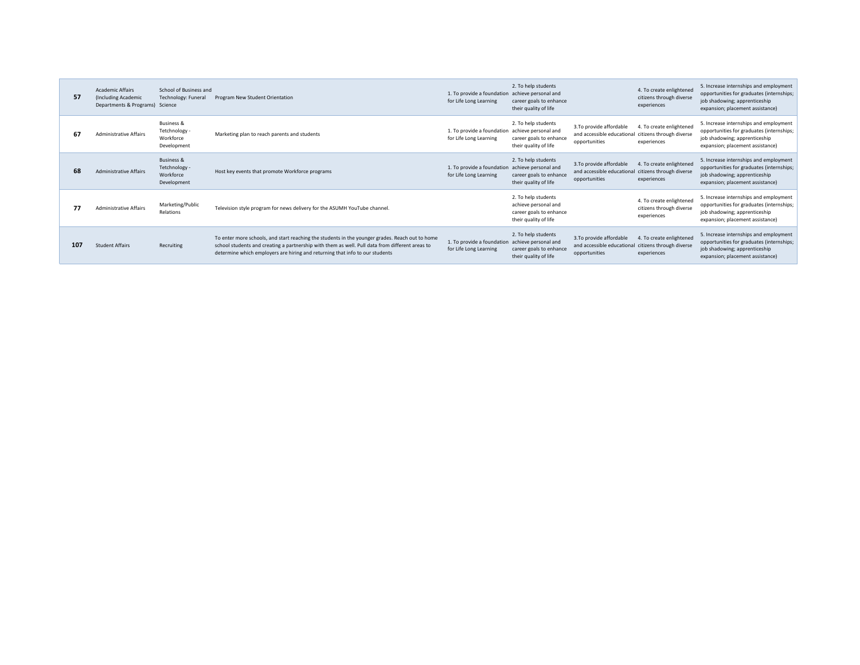| 57  | <b>Academic Affairs</b><br>(Including Academic<br>Departments & Programs) Science | School of Business and<br>Technology: Funeral                      | Program New Student Orientation                                                                                                                                                                                                                                                    | 1. To provide a foundation achieve personal and<br>for Life Long Learning | 2. To help students<br>career goals to enhance<br>their quality of life                         |                                                                         | 4. To create enlightened<br>citizens through diverse<br>experiences | 5. Increase internships and employment<br>opportunities for graduates (internships;<br>job shadowing; apprenticeship<br>expansion; placement assistance) |
|-----|-----------------------------------------------------------------------------------|--------------------------------------------------------------------|------------------------------------------------------------------------------------------------------------------------------------------------------------------------------------------------------------------------------------------------------------------------------------|---------------------------------------------------------------------------|-------------------------------------------------------------------------------------------------|-------------------------------------------------------------------------|---------------------------------------------------------------------|----------------------------------------------------------------------------------------------------------------------------------------------------------|
| 67  | <b>Administrative Affairs</b>                                                     | <b>Business &amp;</b><br>Tetchnology -<br>Workforce<br>Development | Marketing plan to reach parents and students                                                                                                                                                                                                                                       | 1. To provide a foundation achieve personal and<br>for Life Long Learning | 2. To help students<br>career goals to enhance<br>their quality of life                         | 3. To provide affordable<br>and accessible educational<br>opportunities | 4. To create enlightened<br>citizens through diverse<br>experiences | 5. Increase internships and employment<br>opportunities for graduates (internships;<br>job shadowing; apprenticeship<br>expansion; placement assistance) |
| 68  | <b>Administrative Affairs</b>                                                     | Business &<br>Tetchnology -<br>Workforce<br>Development            | Host key events that promote Workforce programs                                                                                                                                                                                                                                    | 1. To provide a foundation achieve personal and<br>for Life Long Learning | 2. To help students<br>career goals to enhance<br>their quality of life                         | 3. To provide affordable<br>and accessible educational<br>opportunities | 4. To create enlightened<br>citizens through diverse<br>experiences | 5. Increase internships and employment<br>opportunities for graduates (internships;<br>job shadowing; apprenticeship<br>expansion; placement assistance) |
|     | <b>Administrative Affairs</b>                                                     | Marketing/Public<br>Relations                                      | Television style program for news delivery for the ASUMH YouTube channel.                                                                                                                                                                                                          |                                                                           | 2. To help students<br>achieve personal and<br>career goals to enhance<br>their quality of life |                                                                         | 4. To create enlightened<br>citizens through diverse<br>experiences | 5. Increase internships and employment<br>opportunities for graduates (internships;<br>job shadowing; apprenticeship<br>expansion; placement assistance) |
| 107 | <b>Student Affairs</b>                                                            | Recruiting                                                         | To enter more schools, and start reaching the students in the younger grades. Reach out to home<br>school students and creating a partnership with them as well. Pull data from different areas to<br>determine which employers are hiring and returning that info to our students | 1. To provide a foundation achieve personal and<br>for Life Long Learning | 2. To help students<br>career goals to enhance<br>their quality of life                         | 3. To provide affordable<br>and accessible educational<br>opportunities | 4. To create enlightened<br>citizens through diverse<br>experiences | 5. Increase internships and employment<br>opportunities for graduates (internships;<br>job shadowing; apprenticeship<br>expansion; placement assistance) |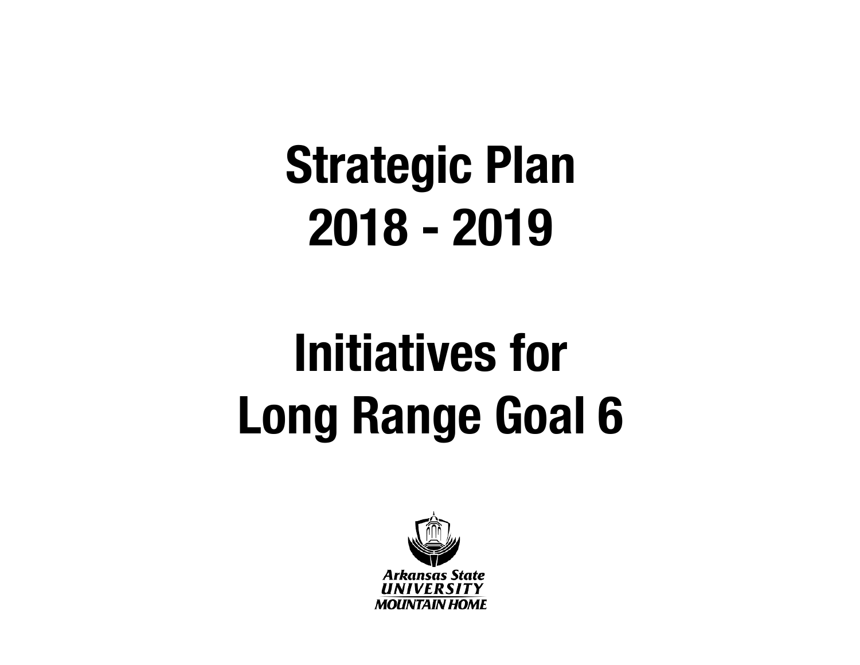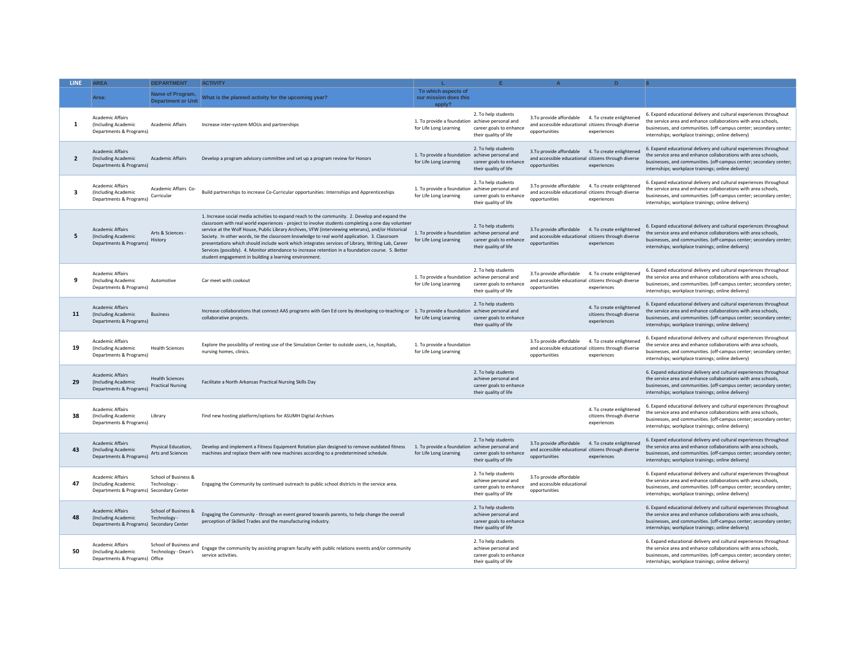| <b>LINE</b>    | <b>AREA</b>                                                                                | <b>DEPARTMENT</b>                                  | <b>ACTIVITY</b>                                                                                                                                                                                                                                                                                                                                                                                                                                                                                                                                                                                                                                                                  |                                                                           |                                                                                                 |                                                                                                  |                                                                     |                                                                                                                                                                                                                                                                  |
|----------------|--------------------------------------------------------------------------------------------|----------------------------------------------------|----------------------------------------------------------------------------------------------------------------------------------------------------------------------------------------------------------------------------------------------------------------------------------------------------------------------------------------------------------------------------------------------------------------------------------------------------------------------------------------------------------------------------------------------------------------------------------------------------------------------------------------------------------------------------------|---------------------------------------------------------------------------|-------------------------------------------------------------------------------------------------|--------------------------------------------------------------------------------------------------|---------------------------------------------------------------------|------------------------------------------------------------------------------------------------------------------------------------------------------------------------------------------------------------------------------------------------------------------|
|                | Area:                                                                                      | Name of Program,<br><b>Department or Unit</b>      | What is the planned activity for the upcoming year?                                                                                                                                                                                                                                                                                                                                                                                                                                                                                                                                                                                                                              | To which aspects of<br>our mission does this<br>apply?                    |                                                                                                 |                                                                                                  |                                                                     |                                                                                                                                                                                                                                                                  |
| 1              | <b>Academic Affairs</b><br>(Including Academic<br>Departments & Programs)                  | <b>Academic Affairs</b>                            | Increase inter-system MOUs and partnerships                                                                                                                                                                                                                                                                                                                                                                                                                                                                                                                                                                                                                                      | 1. To provide a foundation achieve personal and<br>for Life Long Learning | 2. To help students<br>career goals to enhance<br>their quality of life                         | 3.To provide affordable<br>and accessible educational citizens through diverse<br>opportunities  | 4. To create enlightened<br>experiences                             | 6. Expand educational delivery and cultural experiences throughout<br>the service area and enhance collaborations with area schools,<br>businesses, and communities. (off-campus center; secondary center;<br>internships; workplace trainings; online delivery) |
| $\overline{2}$ | <b>Academic Affairs</b><br>(Including Academic<br>Departments & Programs)                  | <b>Academic Affairs</b>                            | Develop a program advisory committee and set up a program review for Honors                                                                                                                                                                                                                                                                                                                                                                                                                                                                                                                                                                                                      | 1. To provide a foundation achieve personal and<br>for Life Long Learning | 2. To help students<br>career goals to enhance<br>their quality of life                         | 3. To provide affordable<br>and accessible educational citizens through diverse<br>opportunities | 4. To create enlightened<br>experiences                             | 6. Expand educational delivery and cultural experiences throughout<br>the service area and enhance collaborations with area schools,<br>businesses, and communities. (off-campus center; secondary center;<br>internships; workplace trainings; online delivery) |
| 3              | <b>Academic Affairs</b><br>(Including Academic<br>Departments & Programs)                  | Academic Affairs Co-<br>Curricular                 | Build partnerships to increase Co-Curricular opportunities: Internships and Apprenticeships                                                                                                                                                                                                                                                                                                                                                                                                                                                                                                                                                                                      | 1. To provide a foundation achieve personal and<br>for Life Long Learning | 2. To help students<br>career goals to enhance<br>their quality of life                         | 3. To provide affordable<br>and accessible educational citizens through diverse<br>opportunities | 4. To create enlightened<br>experiences                             | 6. Expand educational delivery and cultural experiences throughout<br>the service area and enhance collaborations with area schools,<br>businesses, and communities. (off-campus center; secondary center;<br>internships; workplace trainings; online delivery) |
| 5              | <b>Academic Affairs</b><br>(Including Academic<br>Departments & Programs)                  | Arts & Sciences -<br>History                       | 1. Increase social media activities to expand reach to the community. 2. Develop and expand the<br>classroom with real world experiences - project to involve students completing a one day volunteer<br>service at the Wolf House, Public Library Archives, VFW (interviewing veterans), and/or Historical<br>Society. In other words, tie the classroom knowledge to real world application. 3. Classroom<br>presentations which should include work which integrates services of Library, Writing Lab, Career<br>Services (possibly). 4. Monitor attendance to increase retention in a foundation course. 5. Better<br>student engagement in building a learning environment. | 1. To provide a foundation achieve personal and<br>for Life Long Learning | 2. To help students<br>career goals to enhance<br>their quality of life                         | 3. To provide affordable<br>and accessible educational citizens through diverse<br>opportunities | 4. To create enlightened<br>experiences                             | 6. Expand educational delivery and cultural experiences throughout<br>the service area and enhance collaborations with area schools,<br>businesses, and communities. (off-campus center; secondary center;<br>internships; workplace trainings; online delivery) |
| 9              | <b>Academic Affairs</b><br>(Including Academic<br>Departments & Programs)                  | Automotive                                         | Car meet with cookout                                                                                                                                                                                                                                                                                                                                                                                                                                                                                                                                                                                                                                                            | 1. To provide a foundation achieve personal and<br>for Life Long Learning | 2. To help students<br>career goals to enhance<br>their quality of life                         | 3.To provide affordable<br>and accessible educational citizens through diverse<br>opportunities  | 4. To create enlightened<br>experiences                             | 6. Expand educational delivery and cultural experiences throughout<br>the service area and enhance collaborations with area schools,<br>businesses, and communities. (off-campus center; secondary center;<br>internships; workplace trainings; online delivery) |
| 11             | <b>Academic Affairs</b><br>(Including Academic<br>Departments & Programs)                  | <b>Business</b>                                    | Increase collaborations that connect AAS programs with Gen Ed core by developing co-teaching or 1. To provide a foundation achieve personal and<br>collaborative projects.                                                                                                                                                                                                                                                                                                                                                                                                                                                                                                       | for Life Long Learning                                                    | 2. To help students<br>career goals to enhance<br>their quality of life                         |                                                                                                  | 4. To create enlightened<br>citizens through diverse<br>experiences | 6. Expand educational delivery and cultural experiences throughout<br>the service area and enhance collaborations with area schools,<br>businesses, and communities. (off-campus center; secondary center;<br>internships; workplace trainings; online delivery) |
| 19             | <b>Academic Affairs</b><br>(Including Academic<br>Departments & Programs)                  | <b>Health Sciences</b>                             | Explore the possibility of renting use of the Simulation Center to outside users, i.e, hospitals,<br>nursing homes, clinics.                                                                                                                                                                                                                                                                                                                                                                                                                                                                                                                                                     | 1. To provide a foundation<br>for Life Long Learning                      |                                                                                                 | 3. To provide affordable<br>and accessible educational citizens through diverse<br>opportunities | 4. To create enlightened<br>experiences                             | 6. Expand educational delivery and cultural experiences throughout<br>the service area and enhance collaborations with area schools,<br>businesses, and communities. (off-campus center; secondary center;<br>internships; workplace trainings; online delivery) |
| 29             | <b>Academic Affairs</b><br>(Including Academic<br>Departments & Programs)                  | <b>Health Sciences</b><br><b>Practical Nursing</b> | Facilitate a North Arkansas Practical Nursing Skills Day                                                                                                                                                                                                                                                                                                                                                                                                                                                                                                                                                                                                                         |                                                                           | 2. To help students<br>achieve personal and<br>career goals to enhance<br>their quality of life |                                                                                                  |                                                                     | 6. Expand educational delivery and cultural experiences throughout<br>the service area and enhance collaborations with area schools,<br>businesses, and communities. (off-campus center; secondary center;<br>internships; workplace trainings; online delivery) |
| 38             | <b>Academic Affairs</b><br>(Including Academic<br>Departments & Programs)                  | Library                                            | Find new hosting platform/options for ASUMH Digital Archives                                                                                                                                                                                                                                                                                                                                                                                                                                                                                                                                                                                                                     |                                                                           |                                                                                                 |                                                                                                  | 4. To create enlightened<br>citizens through diverse<br>experiences | 6. Expand educational delivery and cultural experiences throughout<br>the service area and enhance collaborations with area schools,<br>businesses, and communities. (off-campus center; secondary center;<br>internships; workplace trainings; online delivery) |
| 43             | <b>Academic Affairs</b><br>(Including Academic<br>Departments & Programs)                  | Physical Education,<br>Arts and Sciences           | Develop and implement a Fitness Equipment Rotation plan designed to remove outdated fitness<br>machines and replace them with new machines according to a predetermined schedule.                                                                                                                                                                                                                                                                                                                                                                                                                                                                                                | 1. To provide a foundation achieve personal and<br>for Life Long Learning | 2. To help students<br>career goals to enhance<br>their quality of life                         | 3. To provide affordable<br>and accessible educational citizens through diverse<br>opportunities | 4. To create enlightened<br>experiences                             | 6. Expand educational delivery and cultural experiences throughout<br>the service area and enhance collaborations with area schools,<br>businesses, and communities, (off-campus center; secondary center;<br>internships; workplace trainings; online delivery) |
| 47             | <b>Academic Affairs</b><br>(Including Academic<br>Departments & Programs) Secondary Center | School of Business &<br>Technology -               | Engaging the Community by continued outreach to public school districts in the service area.                                                                                                                                                                                                                                                                                                                                                                                                                                                                                                                                                                                     |                                                                           | 2. To help students<br>achieve personal and<br>career goals to enhance<br>their quality of life | 3.To provide affordable<br>and accessible educational<br>opportunities                           |                                                                     | 6. Expand educational delivery and cultural experiences throughout<br>the service area and enhance collaborations with area schools,<br>businesses, and communities. (off-campus center; secondary center;<br>internships; workplace trainings; online delivery) |
| 48             | <b>Academic Affairs</b><br>(Including Academic<br>Departments & Programs) Secondary Center | School of Business &<br>Technology -               | Engaging the Community - through an event geared towards parents, to help change the overall<br>perception of Skilled Trades and the manufacturing industry.                                                                                                                                                                                                                                                                                                                                                                                                                                                                                                                     |                                                                           | 2. To help students<br>achieve personal and<br>career goals to enhance<br>their quality of life |                                                                                                  |                                                                     | 6. Expand educational delivery and cultural experiences throughout<br>the service area and enhance collaborations with area schools.<br>businesses, and communities. (off-campus center; secondary center;<br>internships; workplace trainings; online delivery) |
| 50             | <b>Academic Affairs</b><br>(Including Academic<br>Departments & Programs) Office           | School of Business and<br>Technology - Dean's      | Engage the community by assisting program faculty with public relations events and/or community<br>service activities.                                                                                                                                                                                                                                                                                                                                                                                                                                                                                                                                                           |                                                                           | 2. To help students<br>achieve personal and<br>career goals to enhance<br>their quality of life |                                                                                                  |                                                                     | 6. Expand educational delivery and cultural experiences throughout<br>the service area and enhance collaborations with area schools,<br>businesses, and communities. (off-campus center; secondary center;<br>internships; workplace trainings; online delivery) |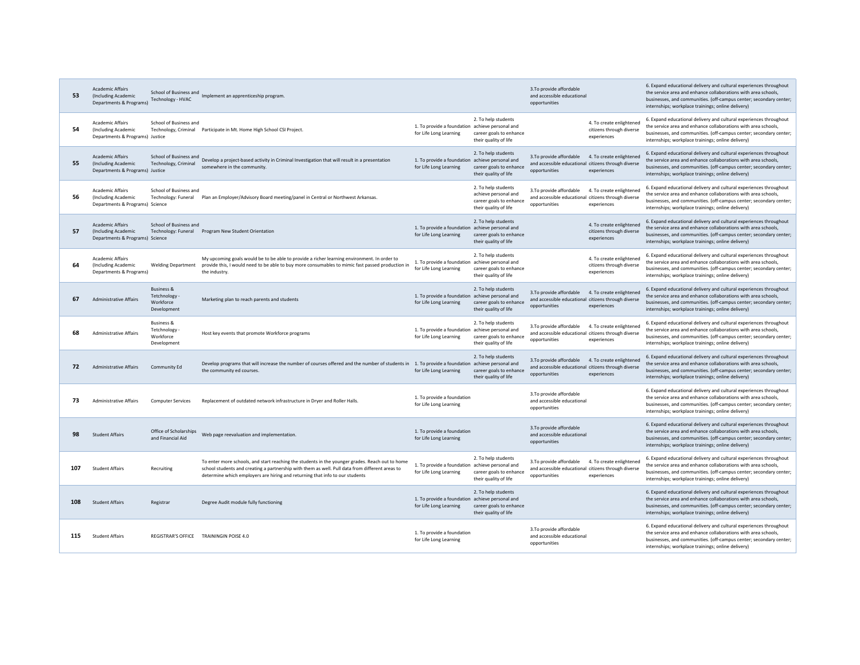| 53  | <b>Academic Affairs</b><br>(Including Academic<br>Departments & Programs)         | School of Business and<br>Technology - HVAC                        | Implement an apprenticeship program.                                                                                                                                                                                                                                               |                                                                           |                                                                                                 | 3. To provide affordable<br>and accessible educational<br>opportunities                                                                     | 6. Expand educational delivery and cultural experiences throughout<br>the service area and enhance collaborations with area schools,<br>businesses, and communities. (off-campus center; secondary center;<br>internships; workplace trainings; online delivery) |
|-----|-----------------------------------------------------------------------------------|--------------------------------------------------------------------|------------------------------------------------------------------------------------------------------------------------------------------------------------------------------------------------------------------------------------------------------------------------------------|---------------------------------------------------------------------------|-------------------------------------------------------------------------------------------------|---------------------------------------------------------------------------------------------------------------------------------------------|------------------------------------------------------------------------------------------------------------------------------------------------------------------------------------------------------------------------------------------------------------------|
| 54  | <b>Academic Affairs</b><br>(Including Academic<br>Departments & Programs) Justice | School of Business and                                             | Technology, Criminal Participate in Mt. Home High School CSI Project.                                                                                                                                                                                                              | 1. To provide a foundation achieve personal and<br>for Life Long Learning | 2. To help students<br>career goals to enhance<br>their quality of life                         | 4. To create enlightened<br>citizens through diverse<br>experiences                                                                         | 6. Expand educational delivery and cultural experiences throughout<br>the service area and enhance collaborations with area schools,<br>businesses, and communities. (off-campus center; secondary center;<br>internships; workplace trainings; online delivery) |
| 55  | <b>Academic Affairs</b><br>(Including Academic<br>Departments & Programs) Justice | School of Business and<br>Technology, Criminal                     | Develop a project-based activity in Criminal Investigation that will result in a presentation<br>somewhere in the community.                                                                                                                                                       | 1. To provide a foundation achieve personal and<br>for Life Long Learning | 2. To help students<br>career goals to enhance<br>their quality of life                         | 3. To provide affordable<br>4. To create enlightened<br>and accessible educational citizens through diverse<br>opportunities<br>experiences | 6. Expand educational delivery and cultural experiences throughout<br>the service area and enhance collaborations with area schools,<br>businesses, and communities. (off-campus center; secondary center;<br>internships; workplace trainings; online delivery) |
| 56  | Academic Affairs<br>(Including Academic<br>Departments & Programs) Science        | School of Business and<br>Technology: Funeral                      | Plan an Employer/Advisory Board meeting/panel in Central or Northwest Arkansas.                                                                                                                                                                                                    |                                                                           | 2. To help students<br>achieve personal and<br>career goals to enhance<br>their quality of life | 3. To provide affordable<br>4. To create enlightened<br>and accessible educational citizens through diverse<br>experiences<br>opportunities | 6. Expand educational delivery and cultural experiences throughout<br>the service area and enhance collaborations with area schools,<br>businesses, and communities. (off-campus center; secondary center;<br>internships; workplace trainings; online delivery) |
| 57  | Academic Affairs<br>(Including Academic<br>Departments & Programs) Science        | School of Business and<br>Technology: Funeral                      | Program New Student Orientation                                                                                                                                                                                                                                                    | 1. To provide a foundation achieve personal and<br>for Life Long Learning | 2. To help students<br>career goals to enhance<br>their quality of life                         | 4. To create enlightened<br>citizens through diverse<br>experiences                                                                         | 6. Expand educational delivery and cultural experiences throughout<br>the service area and enhance collaborations with area schools,<br>businesses, and communities. (off-campus center; secondary center;<br>internships; workplace trainings; online delivery) |
| 64  | <b>Academic Affairs</b><br>(Including Academic<br>Departments & Programs)         | <b>Welding Department</b>                                          | My upcoming goals would be to be able to provide a richer learning environment. In order to<br>provide this, I would need to be able to buy more consumables to mimic fast passed production in<br>the industry.                                                                   | 1. To provide a foundation achieve personal and<br>for Life Long Learning | 2. To help students<br>career goals to enhance<br>their quality of life                         | 4. To create enlightened<br>citizens through diverse<br>experiences                                                                         | 6. Expand educational delivery and cultural experiences throughout<br>the service area and enhance collaborations with area schools,<br>businesses, and communities. (off-campus center; secondary center;<br>internships; workplace trainings; online delivery) |
| 67  | <b>Administrative Affairs</b>                                                     | <b>Business &amp;</b><br>Tetchnology -<br>Workforce<br>Development | Marketing plan to reach parents and students                                                                                                                                                                                                                                       | 1. To provide a foundation achieve personal and<br>for Life Long Learning | 2. To help students<br>career goals to enhance<br>their quality of life                         | 3. To provide affordable<br>4. To create enlightened<br>and accessible educational citizens through diverse<br>opportunities<br>experiences | 6. Expand educational delivery and cultural experiences throughout<br>the service area and enhance collaborations with area schools.<br>businesses, and communities. (off-campus center; secondary center;<br>internships; workplace trainings; online delivery) |
| 68  | Administrative Affairs                                                            | <b>Business &amp;</b><br>Tetchnology<br>Workforce<br>Development   | Host key events that promote Workforce programs                                                                                                                                                                                                                                    | 1. To provide a foundation achieve personal and<br>for Life Long Learning | 2. To help students<br>career goals to enhance<br>their quality of life                         | 3.To provide affordable<br>4. To create enlightened<br>and accessible educational citizens through diverse<br>opportunities<br>experiences  | 6. Expand educational delivery and cultural experiences throughout<br>the service area and enhance collaborations with area schools,<br>businesses, and communities. (off-campus center; secondary center;<br>internships; workplace trainings; online delivery) |
| 72  | <b>Administrative Affairs</b>                                                     | Community Ed                                                       | Develop programs that will increase the number of courses offered and the number of students in<br>the community ed courses.                                                                                                                                                       | 1. To provide a foundation achieve personal and<br>for Life Long Learning | 2. To help students<br>career goals to enhance<br>their quality of life                         | 3. To provide affordable<br>4. To create enlightened<br>and accessible educational citizens through diverse<br>opportunities<br>experiences | 6. Expand educational delivery and cultural experiences throughout<br>the service area and enhance collaborations with area schools,<br>businesses, and communities. (off-campus center; secondary center;<br>internships; workplace trainings; online delivery) |
| 73  | <b>Administrative Affairs</b>                                                     | <b>Computer Services</b>                                           | Replacement of outdated network infrastructure in Dryer and Roller Halls.                                                                                                                                                                                                          | 1. To provide a foundation<br>for Life Long Learning                      |                                                                                                 | 3.To provide affordable<br>and accessible educational<br>opportunities                                                                      | 6. Expand educational delivery and cultural experiences throughout<br>the service area and enhance collaborations with area schools,<br>businesses, and communities. (off-campus center; secondary center;<br>internships; workplace trainings; online delivery) |
| 98  | <b>Student Affairs</b>                                                            | Office of Scholarships<br>and Financial Aid                        | Web page reevaluation and implementation.                                                                                                                                                                                                                                          | 1. To provide a foundation<br>for Life Long Learning                      |                                                                                                 | 3. To provide affordable<br>and accessible educational<br>opportunities                                                                     | 6. Expand educational delivery and cultural experiences throughout<br>the service area and enhance collaborations with area schools,<br>businesses, and communities. (off-campus center; secondary center;<br>internships; workplace trainings; online delivery) |
| 107 | <b>Student Affairs</b>                                                            | Recruiting                                                         | To enter more schools, and start reaching the students in the younger grades. Reach out to home<br>school students and creating a partnership with them as well. Pull data from different areas to<br>determine which employers are hiring and returning that info to our students | 1. To provide a foundation achieve personal and<br>for Life Long Learning | 2. To help students<br>career goals to enhance<br>their quality of life                         | 4. To create enlightened<br>3. To provide affordable<br>and accessible educational citizens through diverse<br>opportunities<br>experiences | 6. Expand educational delivery and cultural experiences throughout<br>the service area and enhance collaborations with area schools,<br>businesses, and communities. (off-campus center; secondary center;<br>internships; workplace trainings; online delivery) |
| 108 | <b>Student Affairs</b>                                                            | Registrar                                                          | Degree Audit module fully functioning                                                                                                                                                                                                                                              | 1. To provide a foundation achieve personal and<br>for Life Long Learning | 2. To help students<br>career goals to enhance<br>their quality of life                         |                                                                                                                                             | 6. Expand educational delivery and cultural experiences throughout<br>the service area and enhance collaborations with area schools,<br>businesses, and communities. (off-campus center; secondary center;<br>internships; workplace trainings; online delivery) |
| 115 | <b>Student Affairs</b>                                                            |                                                                    | REGISTRAR'S OFFICE TRAININGIN POISE 4.0                                                                                                                                                                                                                                            | 1. To provide a foundation<br>for Life Long Learning                      |                                                                                                 | 3.To provide affordable<br>and accessible educational<br>opportunities                                                                      | 6. Expand educational delivery and cultural experiences throughout<br>the service area and enhance collaborations with area schools,<br>businesses, and communities. (off-campus center; secondary center;<br>internships; workplace trainings; online delivery) |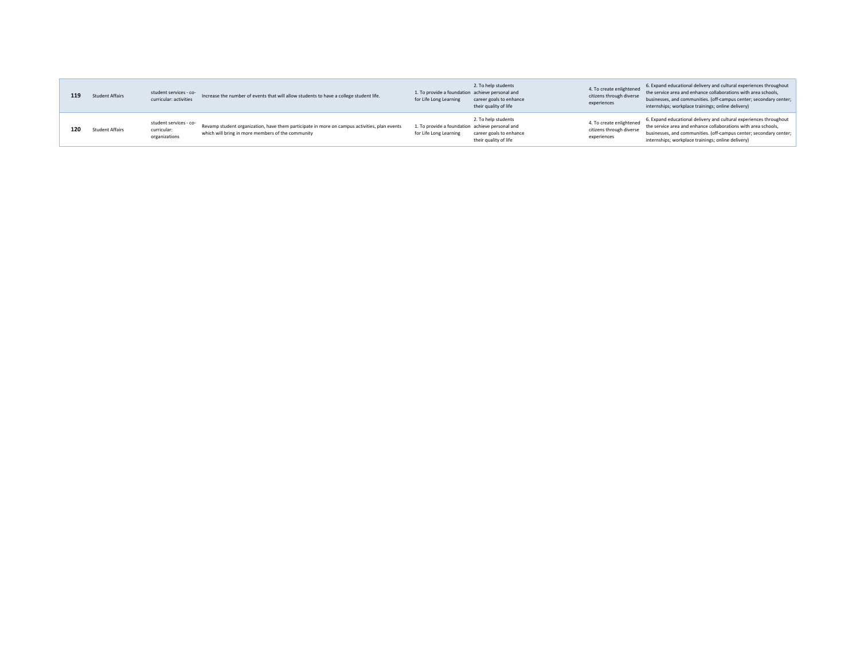| 119 | <b>Student Affairs</b> | student services - co-<br>curricular: activities       | Increase the number of events that will allow students to have a college student life.                                                            | 1. To provide a foundation achieve personal and<br>for Life Long Learning | 2. To help students<br>career goals to enhance<br>their quality of life | 4. To create enlightened<br>citizens through diverse<br>experiences | 6. Expand educational delivery and cultural experiences throughout<br>the service area and enhance collaborations with area schools,<br>businesses, and communities. (off-campus center; secondary center;<br>internships; workplace trainings; online delivery) |
|-----|------------------------|--------------------------------------------------------|---------------------------------------------------------------------------------------------------------------------------------------------------|---------------------------------------------------------------------------|-------------------------------------------------------------------------|---------------------------------------------------------------------|------------------------------------------------------------------------------------------------------------------------------------------------------------------------------------------------------------------------------------------------------------------|
| 120 | Student Affairs        | student services - co-<br>curricular:<br>organizations | Revamp student organization, have them participate in more on campus activities, plan events<br>which will bring in more members of the community | 1. To provide a foundation achieve personal and<br>for Life Long Learning | 2. To help students<br>career goals to enhance<br>their quality of life | 4. To create enlightened<br>citizens through diverse<br>experiences | 6. Expand educational delivery and cultural experiences throughout<br>the service area and enhance collaborations with area schools,<br>businesses, and communities. (off-campus center; secondary center;<br>internships; workplace trainings; online delivery) |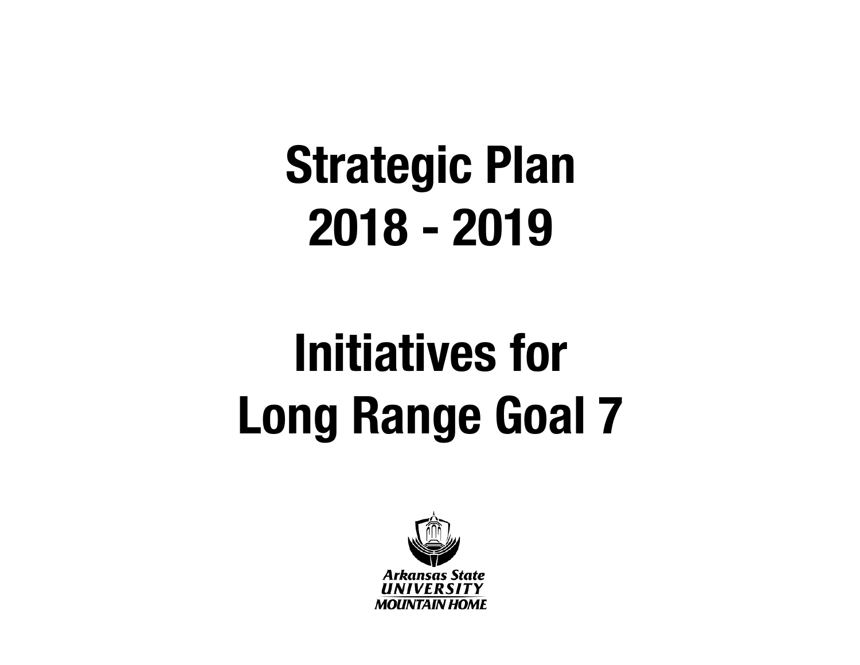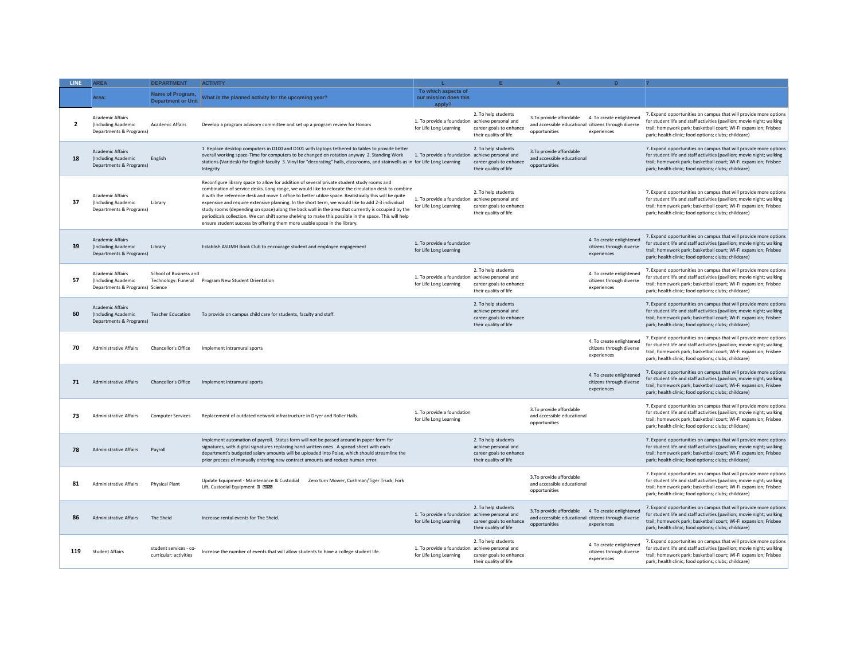| LINE           | <b>AREA</b>                                                                | <b>DEPARTMENT</b>                                | <b>ACTIVITY</b>                                                                                                                                                                                                                                                                                                                                                                                                                                                                                                                                                                                                                                                                                             |                                                                           |                                                                                                 |                                                                                                  | D.                                                                  |                                                                                                                                                                                                                                                                       |
|----------------|----------------------------------------------------------------------------|--------------------------------------------------|-------------------------------------------------------------------------------------------------------------------------------------------------------------------------------------------------------------------------------------------------------------------------------------------------------------------------------------------------------------------------------------------------------------------------------------------------------------------------------------------------------------------------------------------------------------------------------------------------------------------------------------------------------------------------------------------------------------|---------------------------------------------------------------------------|-------------------------------------------------------------------------------------------------|--------------------------------------------------------------------------------------------------|---------------------------------------------------------------------|-----------------------------------------------------------------------------------------------------------------------------------------------------------------------------------------------------------------------------------------------------------------------|
|                | Area:                                                                      | Name of Program,<br><b>Department or Unit</b>    | What is the planned activity for the upcoming year?                                                                                                                                                                                                                                                                                                                                                                                                                                                                                                                                                                                                                                                         | To which aspects of<br>our mission does this<br>apply?                    |                                                                                                 |                                                                                                  |                                                                     |                                                                                                                                                                                                                                                                       |
| $\overline{2}$ | Academic Affairs<br>(Including Academic<br>Departments & Programs)         | <b>Academic Affairs</b>                          | Develop a program advisory committee and set up a program review for Honors                                                                                                                                                                                                                                                                                                                                                                                                                                                                                                                                                                                                                                 | 1. To provide a foundation achieve personal and<br>for Life Long Learning | 2. To help students<br>career goals to enhance<br>their quality of life                         | 3. To provide affordable<br>and accessible educational citizens through diverse<br>opportunities | 4. To create enlightened<br>experiences                             | 7. Expand opportunities on campus that will provide more options<br>for student life and staff activities (pavilion; movie night; walking<br>trail; homework park; basketball court; Wi-Fi expansion; Frisbee<br>park; health clinic; food options; clubs; childcare) |
| 18             | Academic Affairs<br>(Including Academic<br>Departments & Programs)         | English                                          | 1. Replace desktop computers in D100 and D101 with laptops tethered to tables to provide better<br>overall working space-Time for computers to be changed on rotation anyway 2. Standing Work<br>stations (Varidesk) for English faculty 3. Vinyl for "decorating" halls, classrooms, and stairwells as in for Life Long Learning<br>Integrity                                                                                                                                                                                                                                                                                                                                                              | 1. To provide a foundation achieve personal and                           | 2. To help students<br>career goals to enhance<br>their quality of life                         | 3. To provide affordable<br>and accessible educational<br>opportunities                          |                                                                     | 7. Expand opportunities on campus that will provide more options<br>for student life and staff activities (pavilion; movie night; walking<br>trail; homework park; basketball court; Wi-Fi expansion; Frisbee<br>park; health clinic; food options; clubs; childcare) |
| 37             | Academic Affairs<br>(Including Academic<br>Departments & Programs)         | Library                                          | Reconfigure library space to allow for addition of several private student study rooms and<br>combination of service desks. Long range, we would like to relocate the circulation desk to combine<br>it with the reference desk and move 1 office to better utilize space. Realistically this will be quite<br>expensive and require extensive planning. In the short term, we would like to add 2-3 individual<br>study rooms (depending on space) along the back wall in the area that currently is occupied by the<br>periodicals collection. We can shift some shelving to make this possible in the space. This will help<br>ensure student success by offering them more usable space in the library. | 1. To provide a foundation achieve personal and<br>for Life Long Learning | 2. To help students<br>career goals to enhance<br>their quality of life                         |                                                                                                  |                                                                     | 7. Expand opportunities on campus that will provide more options<br>for student life and staff activities (pavilion; movie night; walking<br>trail; homework park; basketball court; Wi-Fi expansion; Frisbee<br>park; health clinic; food options; clubs; childcare) |
| 39             | <b>Academic Affairs</b><br>(Including Academic<br>Departments & Programs)  | Library                                          | Establish ASUMH Book Club to encourage student and employee engagement                                                                                                                                                                                                                                                                                                                                                                                                                                                                                                                                                                                                                                      | 1. To provide a foundation<br>for Life Long Learning                      |                                                                                                 |                                                                                                  | 4. To create enlightened<br>citizens through diverse<br>experiences | 7. Expand opportunities on campus that will provide more options<br>for student life and staff activities (pavilion; movie night; walking<br>trail; homework park; basketball court; Wi-Fi expansion; Frisbee<br>park; health clinic; food options; clubs; childcare) |
| 57             | Academic Affairs<br>(Including Academic<br>Departments & Programs) Science | School of Business and<br>Technology: Funeral    | Program New Student Orientation                                                                                                                                                                                                                                                                                                                                                                                                                                                                                                                                                                                                                                                                             | 1. To provide a foundation achieve personal and<br>for Life Long Learning | 2. To help students<br>career goals to enhance<br>their quality of life                         |                                                                                                  | 4. To create enlightened<br>citizens through diverse<br>experiences | 7. Expand opportunities on campus that will provide more options<br>for student life and staff activities (pavilion; movie night; walking<br>trail; homework park; basketball court; Wi-Fi expansion; Frisbee<br>park; health clinic; food options; clubs; childcare) |
| 60             | Academic Affairs<br>(Including Academic<br>Departments & Programs)         | <b>Teacher Education</b>                         | To provide on campus child care for students, faculty and staff.                                                                                                                                                                                                                                                                                                                                                                                                                                                                                                                                                                                                                                            |                                                                           | 2. To help students<br>achieve personal and<br>career goals to enhance<br>their quality of life |                                                                                                  |                                                                     | 7. Expand opportunities on campus that will provide more options<br>for student life and staff activities (pavilion; movie night; walking<br>trail; homework park; basketball court; Wi-Fi expansion; Frisbee<br>park; health clinic; food options; clubs; childcare) |
| 70             | <b>Administrative Affairs</b>                                              | Chancellor's Office                              | Implement intramural sports                                                                                                                                                                                                                                                                                                                                                                                                                                                                                                                                                                                                                                                                                 |                                                                           |                                                                                                 |                                                                                                  | 4. To create enlightened<br>citizens through diverse<br>experiences | 7. Expand opportunities on campus that will provide more options<br>for student life and staff activities (pavilion; movie night; walking<br>trail; homework park; basketball court; Wi-Fi expansion; Frisbee<br>park; health clinic; food options; clubs; childcare) |
| 71             | <b>Administrative Affairs</b>                                              | Chancellor's Office                              | Implement intramural sports                                                                                                                                                                                                                                                                                                                                                                                                                                                                                                                                                                                                                                                                                 |                                                                           |                                                                                                 |                                                                                                  | 4. To create enlightened<br>citizens through diverse<br>experiences | 7. Expand opportunities on campus that will provide more options<br>for student life and staff activities (pavilion; movie night; walking<br>trail; homework park; basketball court; Wi-Fi expansion; Frisbee<br>park; health clinic; food options; clubs; childcare) |
| 73             | <b>Administrative Affairs</b>                                              | <b>Computer Services</b>                         | Replacement of outdated network infrastructure in Dryer and Roller Halls.                                                                                                                                                                                                                                                                                                                                                                                                                                                                                                                                                                                                                                   | 1. To provide a foundation<br>for Life Long Learning                      |                                                                                                 | 3. To provide affordable<br>and accessible educational<br>opportunities                          |                                                                     | 7. Expand opportunities on campus that will provide more options<br>for student life and staff activities (pavilion; movie night; walking<br>trail; homework park; basketball court; Wi-Fi expansion; Frisbee<br>park; health clinic; food options; clubs; childcare) |
| 78             | <b>Administrative Affairs</b>                                              | Pavroll                                          | Implement automation of payroll. Status form will not be passed around in paper form for<br>signatures, with digital signatures replacing hand written ones. A spread sheet with each<br>department's budgeted salary amounts will be uploaded into Poise, which should streamline the<br>prior process of manually entering new contract amounts and reduce human error.                                                                                                                                                                                                                                                                                                                                   |                                                                           | 2. To help students<br>achieve personal and<br>career goals to enhance<br>their quality of life |                                                                                                  |                                                                     | 7. Expand opportunities on campus that will provide more options<br>for student life and staff activities (pavilion; movie night; walking<br>trail; homework park; basketball court; Wi-Fi expansion; Frisbee<br>park; health clinic; food options; clubs; childcare) |
| 81             | <b>Administrative Affairs</b>                                              | <b>Physical Plant</b>                            | Update Equipment - Maintenance & Custodial<br>Zero turn Mower, Cushman/Tiger Truck, Fork<br>Lift, Custodial Equipment E PERE                                                                                                                                                                                                                                                                                                                                                                                                                                                                                                                                                                                |                                                                           |                                                                                                 | 3. To provide affordable<br>and accessible educational<br>opportunities                          |                                                                     | 7. Expand opportunities on campus that will provide more options<br>for student life and staff activities (pavilion; movie night; walking<br>trail; homework park; basketball court; Wi-Fi expansion; Frisbee<br>park; health clinic; food options; clubs; childcare) |
| 86             | <b>Administrative Affairs</b>                                              | The Sheid                                        | Increase rental events for The Sheid.                                                                                                                                                                                                                                                                                                                                                                                                                                                                                                                                                                                                                                                                       | 1. To provide a foundation achieve personal and<br>for Life Long Learning | 2. To help students<br>career goals to enhance<br>their quality of life                         | 3. To provide affordable<br>and accessible educational citizens through diverse<br>opportunities | 4. To create enlightened<br>experiences                             | 7. Expand opportunities on campus that will provide more options<br>for student life and staff activities (pavilion; movie night; walking<br>trail; homework park; basketball court; Wi-Fi expansion; Frisbee<br>park; health clinic; food options; clubs; childcare) |
| 119            | <b>Student Affairs</b>                                                     | student services - co-<br>curricular: activities | Increase the number of events that will allow students to have a college student life.                                                                                                                                                                                                                                                                                                                                                                                                                                                                                                                                                                                                                      | 1. To provide a foundation achieve personal and<br>for Life Long Learning | 2. To help students<br>career goals to enhance<br>their quality of life                         |                                                                                                  | 4. To create enlightened<br>citizens through diverse<br>experiences | 7. Expand opportunities on campus that will provide more options<br>for student life and staff activities (pavilion; movie night; walking<br>trail; homework park; basketball court; Wi-Fi expansion; Frisbee<br>park; health clinic; food options; clubs; childcare) |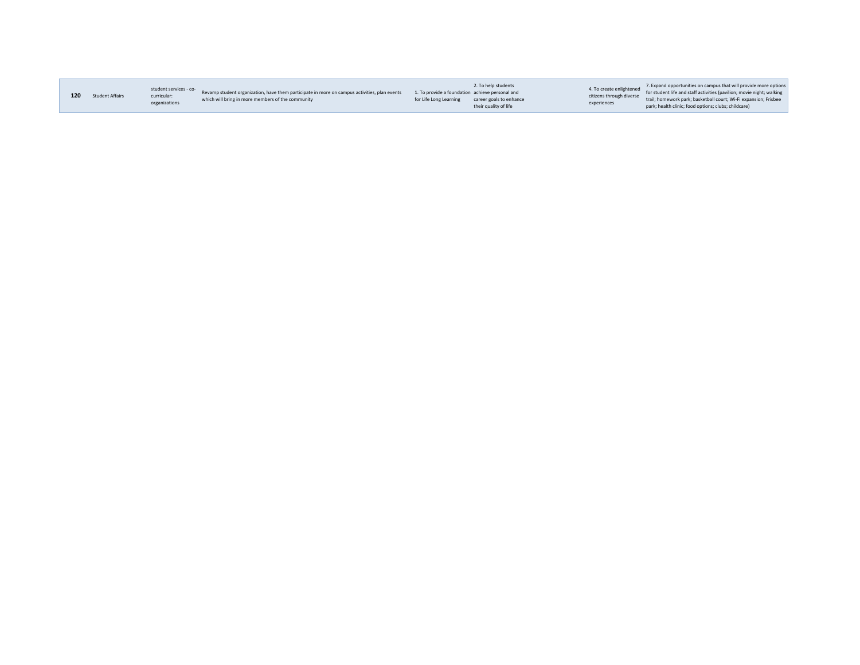| 120 | <b>Student Affairs</b> | student services - co-<br>curricular:<br>organizations | Revamp student organization, have them participate in more on campus activities, plan events<br>which will bring in more members of the community | 1. To provide a foundation achieve personal and<br>for Life Long Learning | 2. To help students<br>career goals to enhance<br>their quality of life | 4. To create enlightened<br>citizens through diverse<br>experiences | 7. Expand opportunities on campus that will provide more options<br>for student life and staff activities (pavilion; movie night; walking<br>trail; homework park; basketball court; Wi-Fi expansion; Frisbee<br>park; health clinic; food options; clubs; childcare) |
|-----|------------------------|--------------------------------------------------------|---------------------------------------------------------------------------------------------------------------------------------------------------|---------------------------------------------------------------------------|-------------------------------------------------------------------------|---------------------------------------------------------------------|-----------------------------------------------------------------------------------------------------------------------------------------------------------------------------------------------------------------------------------------------------------------------|
|     |                        |                                                        |                                                                                                                                                   |                                                                           |                                                                         |                                                                     |                                                                                                                                                                                                                                                                       |

**Contract**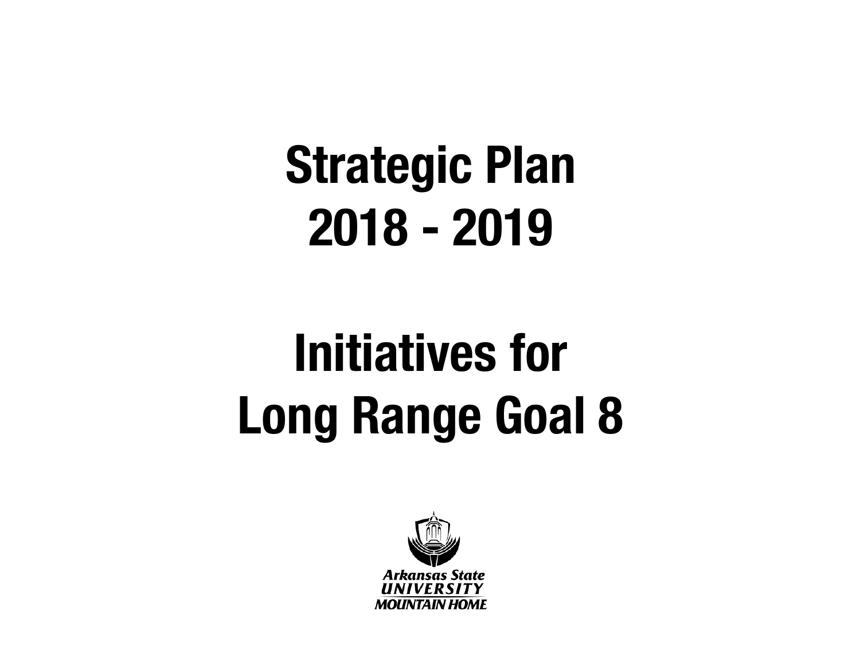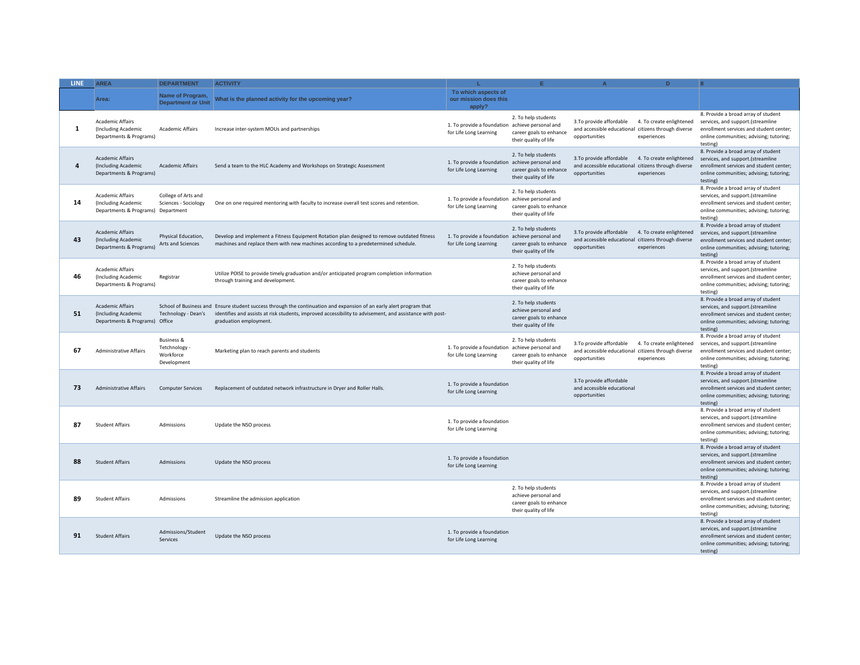| <b>LINE</b> | <b>AREA</b>                                                                      | <b>DEPARTMENT</b>                                                | <b>ACTIVITY</b>                                                                                                                                                                                                                                           |                                                                           | F                                                                                               | $\Delta$                                                                                         | D.                                      |                                                                                                                                                                            |
|-------------|----------------------------------------------------------------------------------|------------------------------------------------------------------|-----------------------------------------------------------------------------------------------------------------------------------------------------------------------------------------------------------------------------------------------------------|---------------------------------------------------------------------------|-------------------------------------------------------------------------------------------------|--------------------------------------------------------------------------------------------------|-----------------------------------------|----------------------------------------------------------------------------------------------------------------------------------------------------------------------------|
|             | Area:                                                                            | Name of Program,<br><b>Department or Unit</b>                    | What is the planned activity for the upcoming year?                                                                                                                                                                                                       | To which aspects of<br>our mission does this<br>apply?                    |                                                                                                 |                                                                                                  |                                         |                                                                                                                                                                            |
| 1           | <b>Academic Affairs</b><br>(Including Academic<br>Departments & Programs)        | <b>Academic Affairs</b>                                          | Increase inter-system MOUs and partnerships                                                                                                                                                                                                               | 1. To provide a foundation achieve personal and<br>for Life Long Learning | 2. To help students<br>career goals to enhance<br>their quality of life                         | 3.To provide affordable<br>and accessible educational citizens through diverse<br>opportunities  | 4. To create enlightened<br>experiences | 8. Provide a broad array of student<br>services, and support.(streamline<br>enrollment services and student center;<br>online communities; advising; tutoring;<br>testing) |
| 4           | <b>Academic Affairs</b><br>(Including Academic<br>Departments & Programs)        | <b>Academic Affairs</b>                                          | Send a team to the HLC Academy and Workshops on Strategic Assessment                                                                                                                                                                                      | 1. To provide a foundation<br>for Life Long Learning                      | 2. To help students<br>achieve personal and<br>career goals to enhance<br>their quality of life | 3. To provide affordable<br>and accessible educational citizens through diverse<br>opportunities | 4. To create enlightened<br>experiences | 8. Provide a broad array of student<br>services, and support.(streamline<br>enrollment services and student center;<br>online communities; advising; tutoring;<br>testing) |
| 14          | <b>Academic Affairs</b><br>(Including Academic<br>Departments & Programs)        | College of Arts and<br>Sciences - Sociology<br>Department        | One on one required mentoring with faculty to increase overall test scores and retention.                                                                                                                                                                 | 1. To provide a foundation<br>for Life Long Learning                      | 2. To help students<br>achieve personal and<br>career goals to enhance<br>their quality of life |                                                                                                  |                                         | 8. Provide a broad array of student<br>services, and support.(streamline<br>enrollment services and student center;<br>online communities; advising; tutoring;<br>testing) |
| 43          | <b>Academic Affairs</b><br>(Including Academic<br>Departments & Programs)        | Physical Education,<br>Arts and Sciences                         | Develop and implement a Fitness Equipment Rotation plan designed to remove outdated fitness<br>machines and replace them with new machines according to a predetermined schedule.                                                                         | 1. To provide a foundation<br>for Life Long Learning                      | 2. To help students<br>achieve personal and<br>career goals to enhance<br>their quality of life | 3. To provide affordable<br>and accessible educational citizens through diverse<br>opportunities | 4. To create enlightened<br>experiences | 8. Provide a broad array of student<br>services, and support.(streamline<br>enrollment services and student center;<br>online communities; advising; tutoring;<br>testing  |
| 46          | Academic Affairs<br>(Including Academic<br>Departments & Programs)               | Registrar                                                        | Utilize POISE to provide timely graduation and/or anticipated program completion information<br>through training and development.                                                                                                                         |                                                                           | 2. To help students<br>achieve personal and<br>career goals to enhance<br>their quality of life |                                                                                                  |                                         | 8. Provide a broad array of student<br>services, and support.(streamline<br>enrollment services and student center;<br>online communities; advising; tutoring;<br>testing) |
| 51          | <b>Academic Affairs</b><br>(Including Academic<br>Departments & Programs) Office | Technology - Dean's                                              | School of Business and Ensure student success through the continuation and expansion of an early alert program that<br>identifies and assists at risk students, improved accessibility to advisement, and assistance with post-<br>graduation employment. |                                                                           | 2. To help students<br>achieve personal and<br>career goals to enhance<br>their quality of life |                                                                                                  |                                         | 8. Provide a broad array of student<br>services, and support.(streamline<br>enrollment services and student center;<br>online communities; advising; tutoring;<br>testing) |
| 67          | <b>Administrative Affairs</b>                                                    | <b>Business &amp;</b><br>Tetchnology<br>Workforce<br>Development | Marketing plan to reach parents and students                                                                                                                                                                                                              | 1. To provide a foundation<br>for Life Long Learning                      | 2. To help students<br>achieve personal and<br>career goals to enhance<br>their quality of life | 3.To provide affordable<br>and accessible educational citizens through diverse<br>opportunities  | 4. To create enlightened<br>experiences | 8. Provide a broad array of student<br>services, and support.(streamline<br>enrollment services and student center;<br>online communities; advising; tutoring;<br>testing) |
| 73          | <b>Administrative Affairs</b>                                                    | <b>Computer Services</b>                                         | Replacement of outdated network infrastructure in Dryer and Roller Halls.                                                                                                                                                                                 | 1. To provide a foundation<br>for Life Long Learning                      |                                                                                                 | 3. To provide affordable<br>and accessible educational<br>opportunities                          |                                         | 8. Provide a broad array of student<br>services, and support.(streamline<br>enrollment services and student center;<br>online communities; advising; tutoring;<br>testing) |
| 87          | <b>Student Affairs</b>                                                           | Admissions                                                       | Update the NSO process                                                                                                                                                                                                                                    | 1. To provide a foundation<br>for Life Long Learning                      |                                                                                                 |                                                                                                  |                                         | 8. Provide a broad array of student<br>services, and support.(streamline<br>enrollment services and student center;<br>online communities; advising; tutoring;<br>testing) |
| 88          | <b>Student Affairs</b>                                                           | Admissions                                                       | Update the NSO process                                                                                                                                                                                                                                    | 1. To provide a foundation<br>for Life Long Learning                      |                                                                                                 |                                                                                                  |                                         | 8. Provide a broad array of student<br>services, and support.(streamline<br>enrollment services and student center;<br>online communities; advising; tutoring;<br>testing) |
| 89          | <b>Student Affairs</b>                                                           | Admissions                                                       | Streamline the admission application                                                                                                                                                                                                                      |                                                                           | 2. To help students<br>achieve personal and<br>career goals to enhance<br>their quality of life |                                                                                                  |                                         | 8. Provide a broad array of student<br>services, and support.(streamline<br>enrollment services and student center;<br>online communities; advising; tutoring;<br>testing) |
| 91          | <b>Student Affairs</b>                                                           | Admissions/Student<br>Services                                   | Update the NSO process                                                                                                                                                                                                                                    | 1. To provide a foundation<br>for Life Long Learning                      |                                                                                                 |                                                                                                  |                                         | 8. Provide a broad array of student<br>services, and support.(streamline<br>enrollment services and student center;<br>online communities; advising; tutoring;<br>testing) |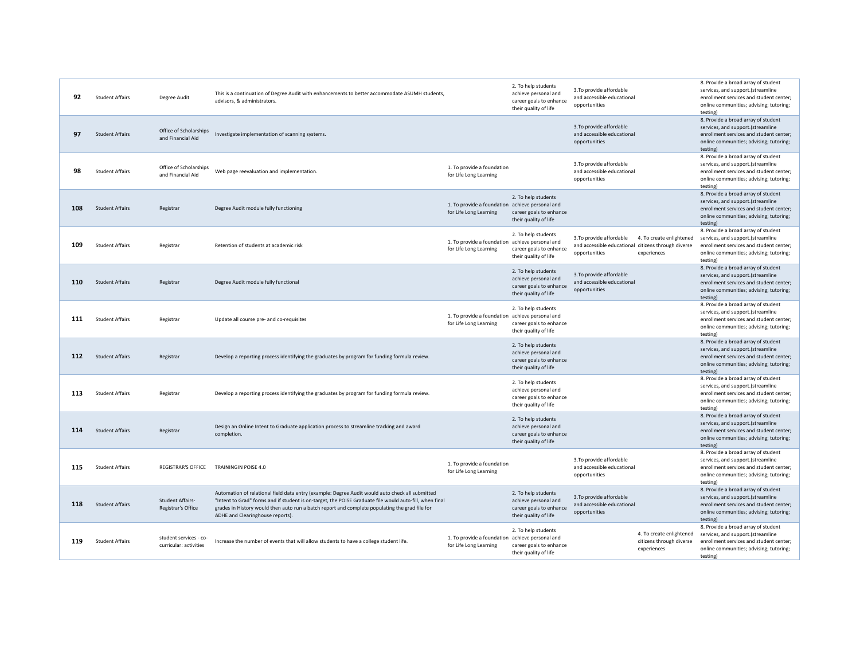| 92  | <b>Student Affairs</b> | Degree Audit                                     | This is a continuation of Degree Audit with enhancements to better accommodate ASUMH students,<br>advisors, & administrators.                                                                                                                                                                                                                    |                                                                           | 2. To help students<br>achieve personal and<br>career goals to enhance<br>their quality of life | 3. To provide affordable<br>and accessible educational<br>opportunities                                                                     | 8. Provide a broad array of student<br>services, and support.(streamline<br>enrollment services and student center;<br>online communities; advising; tutoring;<br>testing) |
|-----|------------------------|--------------------------------------------------|--------------------------------------------------------------------------------------------------------------------------------------------------------------------------------------------------------------------------------------------------------------------------------------------------------------------------------------------------|---------------------------------------------------------------------------|-------------------------------------------------------------------------------------------------|---------------------------------------------------------------------------------------------------------------------------------------------|----------------------------------------------------------------------------------------------------------------------------------------------------------------------------|
| 97  | <b>Student Affairs</b> | Office of Scholarships<br>and Financial Aid      | Investigate implementation of scanning systems.                                                                                                                                                                                                                                                                                                  |                                                                           |                                                                                                 | 3. To provide affordable<br>and accessible educational<br>opportunities                                                                     | 8. Provide a broad array of student<br>services, and support.(streamline<br>enrollment services and student center;<br>online communities; advising; tutoring;<br>testing) |
| 98  | <b>Student Affairs</b> | Office of Scholarships<br>and Financial Aid      | Web page reevaluation and implementation.                                                                                                                                                                                                                                                                                                        | 1. To provide a foundation<br>for Life Long Learning                      |                                                                                                 | 3. To provide affordable<br>and accessible educational<br>opportunities                                                                     | 8. Provide a broad array of student<br>services, and support.(streamline<br>enrollment services and student center;<br>online communities; advising; tutoring;<br>testing) |
| 108 | <b>Student Affairs</b> | Registrar                                        | Degree Audit module fully functioning                                                                                                                                                                                                                                                                                                            | 1. To provide a foundation achieve personal and<br>for Life Long Learning | 2. To help students<br>career goals to enhance<br>their quality of life                         |                                                                                                                                             | 8. Provide a broad array of student<br>services, and support.(streamline<br>enrollment services and student center;<br>online communities; advising; tutoring;<br>testing) |
| 109 | <b>Student Affairs</b> | Registrar                                        | Retention of students at academic risk                                                                                                                                                                                                                                                                                                           | 1. To provide a foundation achieve personal and<br>for Life Long Learning | 2. To help students<br>career goals to enhance<br>their quality of life                         | 3. To provide affordable<br>4. To create enlightened<br>and accessible educational citizens through diverse<br>opportunities<br>experiences | 8. Provide a broad array of student<br>services, and support.(streamline<br>enrollment services and student center:<br>online communities; advising; tutoring;<br>testing) |
| 110 | <b>Student Affairs</b> | Registrar                                        | Degree Audit module fully functional                                                                                                                                                                                                                                                                                                             |                                                                           | 2. To help students<br>achieve personal and<br>career goals to enhance<br>their quality of life | 3. To provide affordable<br>and accessible educational<br>opportunities                                                                     | 8. Provide a broad array of student<br>services, and support.(streamline<br>enrollment services and student center;<br>online communities; advising; tutoring;<br>testing) |
| 111 | <b>Student Affairs</b> | Registrar                                        | Update all course pre- and co-requisites                                                                                                                                                                                                                                                                                                         | 1. To provide a foundation achieve personal and<br>for Life Long Learning | 2. To help students<br>career goals to enhance<br>their quality of life                         |                                                                                                                                             | 8. Provide a broad array of student<br>services, and support.(streamline<br>enrollment services and student center;<br>online communities; advising; tutoring;<br>testing) |
| 112 | <b>Student Affairs</b> | Registrar                                        | Develop a reporting process identifying the graduates by program for funding formula review.                                                                                                                                                                                                                                                     |                                                                           | 2. To help students<br>achieve personal and<br>career goals to enhance<br>their quality of life |                                                                                                                                             | 8. Provide a broad array of student<br>services, and support.(streamline<br>enrollment services and student center;<br>online communities; advising; tutoring;<br>testing) |
| 113 | <b>Student Affairs</b> | Registrar                                        | Develop a reporting process identifying the graduates by program for funding formula review.                                                                                                                                                                                                                                                     |                                                                           | 2. To help students<br>achieve personal and<br>career goals to enhance<br>their quality of life |                                                                                                                                             | 8. Provide a broad array of student<br>services, and support.(streamline<br>enrollment services and student center;<br>online communities; advising; tutoring;<br>testing) |
| 114 | <b>Student Affairs</b> | Registrar                                        | Design an Online Intent to Graduate application process to streamline tracking and award<br>completion.                                                                                                                                                                                                                                          |                                                                           | 2. To help students<br>achieve personal and<br>career goals to enhance<br>their quality of life |                                                                                                                                             | 8. Provide a broad array of student<br>services, and support.(streamline<br>enrollment services and student center;<br>online communities; advising; tutoring;<br>testing) |
| 115 | <b>Student Affairs</b> |                                                  | REGISTRAR'S OFFICE TRAININGIN POISE 4.0                                                                                                                                                                                                                                                                                                          | 1. To provide a foundation<br>for Life Long Learning                      |                                                                                                 | 3. To provide affordable<br>and accessible educational<br>opportunities                                                                     | 8. Provide a broad array of student<br>services, and support.(streamline<br>enrollment services and student center;<br>online communities; advising; tutoring;<br>testing) |
| 118 | <b>Student Affairs</b> | <b>Student Affairs-</b><br>Registrar's Office    | Automation of relational field data entry (example: Degree Audit would auto check all submitted<br>"Intent to Grad" forms and if student is on-target, the POISE Graduate file would auto-fill, when final<br>grades in History would then auto run a batch report and complete populating the grad file for<br>ADHE and Clearinghouse reports). |                                                                           | 2. To help students<br>achieve personal and<br>career goals to enhance<br>their quality of life | 3. To provide affordable<br>and accessible educational<br>opportunities                                                                     | 8. Provide a broad array of student<br>services, and support.(streamline<br>enrollment services and student center;<br>online communities; advising; tutoring;<br>testing) |
| 119 | <b>Student Affairs</b> | student services - co-<br>curricular: activities | Increase the number of events that will allow students to have a college student life.                                                                                                                                                                                                                                                           | 1. To provide a foundation achieve personal and<br>for Life Long Learning | 2. To help students<br>career goals to enhance<br>their quality of life                         | 4. To create enlightened<br>citizens through diverse<br>experiences                                                                         | 8. Provide a broad array of student<br>services, and support.(streamline<br>enrollment services and student center;<br>online communities; advising; tutoring;<br>testing) |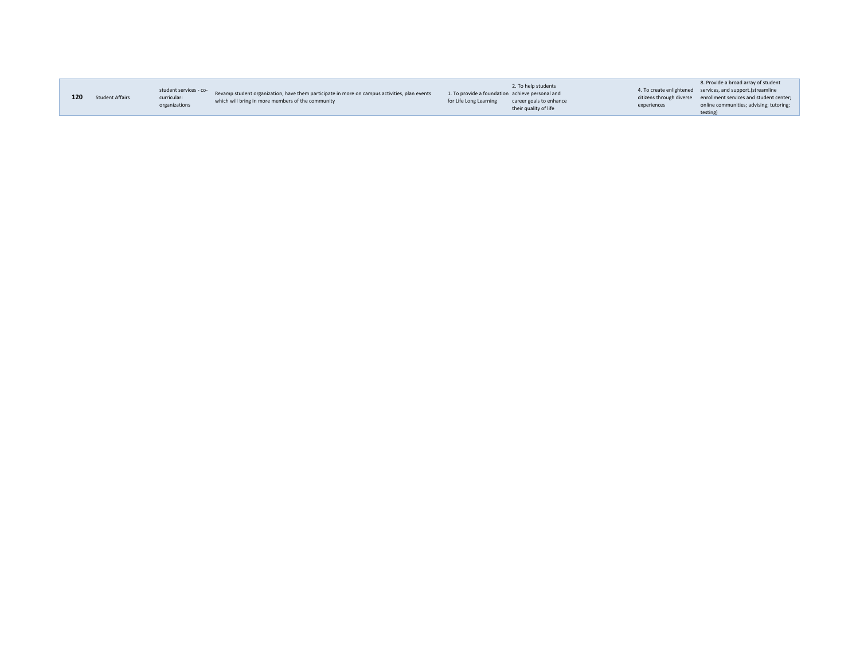|     |                        |                                       |                                                                                              |                                                 | 2. To help students     |             | 8. Provide a broad array of student                              |
|-----|------------------------|---------------------------------------|----------------------------------------------------------------------------------------------|-------------------------------------------------|-------------------------|-------------|------------------------------------------------------------------|
|     |                        | student services - co-<br>curricular: | Revamp student organization, have them participate in more on campus activities, plan events | 1. To provide a foundation achieve personal and |                         |             | 4. To create enlightened services, and support. (streamline      |
| 120 | <b>Student Affairs</b> |                                       |                                                                                              |                                                 |                         |             | citizens through diverse enrollment services and student center; |
|     |                        | organizations                         | which will bring in more members of the community                                            | for Life Long Learning                          | career goals to enhance | experiences | online communities; advising; tutoring;                          |
|     |                        |                                       |                                                                                              |                                                 | their quality of life   |             | testing)                                                         |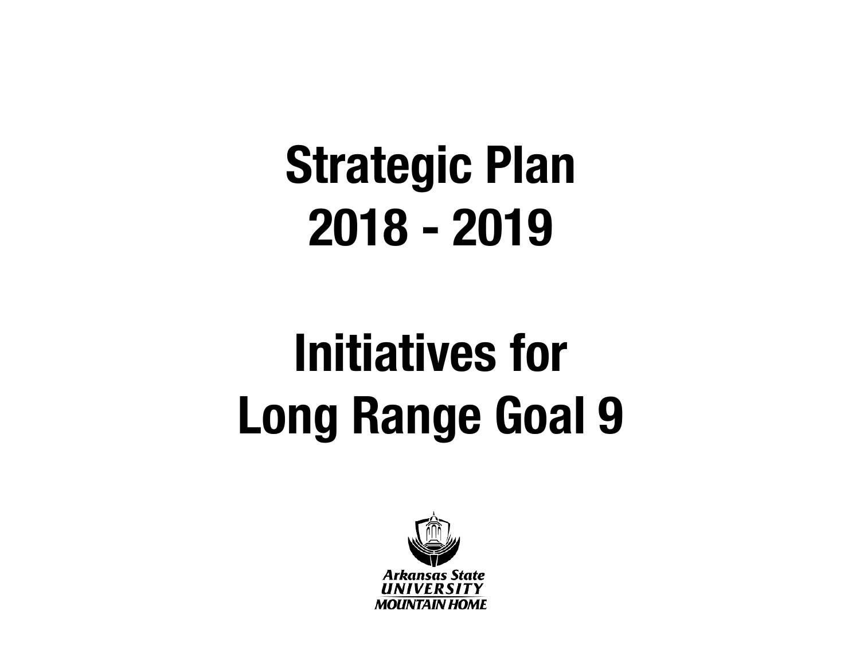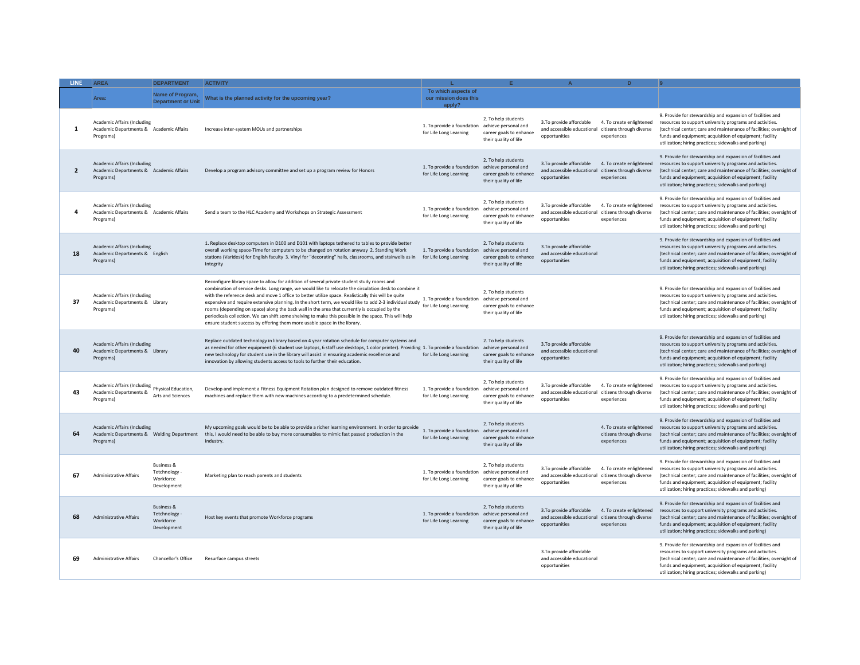| <b>LINE</b>    | <b>AREA</b>                                                                                  | <b>DEPARTMENT</b>                                                | <b>ACTIVITY</b>                                                                                                                                                                                                                                                                                                                                                                                                                                                                                                                                                                                                                                                                                             |                                                                           |                                                                                                 |                                                                        | D.                                                                  |                                                                                                                                                                                                                                                                                                                   |
|----------------|----------------------------------------------------------------------------------------------|------------------------------------------------------------------|-------------------------------------------------------------------------------------------------------------------------------------------------------------------------------------------------------------------------------------------------------------------------------------------------------------------------------------------------------------------------------------------------------------------------------------------------------------------------------------------------------------------------------------------------------------------------------------------------------------------------------------------------------------------------------------------------------------|---------------------------------------------------------------------------|-------------------------------------------------------------------------------------------------|------------------------------------------------------------------------|---------------------------------------------------------------------|-------------------------------------------------------------------------------------------------------------------------------------------------------------------------------------------------------------------------------------------------------------------------------------------------------------------|
|                | Area:                                                                                        | Name of Program,<br><b>Department or Unit</b>                    | What is the planned activity for the upcoming year?                                                                                                                                                                                                                                                                                                                                                                                                                                                                                                                                                                                                                                                         | To which aspects of<br>our mission does this<br>apply?                    |                                                                                                 |                                                                        |                                                                     |                                                                                                                                                                                                                                                                                                                   |
| 1              | <b>Academic Affairs (Including</b><br>Academic Departments & Academic Affairs<br>Programs)   |                                                                  | Increase inter-system MOUs and partnerships                                                                                                                                                                                                                                                                                                                                                                                                                                                                                                                                                                                                                                                                 | 1. To provide a foundation<br>for Life Long Learning                      | 2. To help students<br>achieve personal and<br>career goals to enhance<br>their quality of life | 3.To provide affordable<br>and accessible educational<br>opportunities | 4. To create enlightened<br>citizens through diverse<br>experiences | 9. Provide for stewardship and expansion of facilities and<br>resources to support university programs and activities.<br>(technical center; care and maintenance of facilities; oversight of<br>funds and equipment; acquisition of equipment; facility<br>utilization; hiring practices; sidewalks and parking) |
| $\overline{2}$ | <b>Academic Affairs (Including</b><br>Academic Departments & Academic Affairs<br>Programs)   |                                                                  | Develop a program advisory committee and set up a program review for Honors                                                                                                                                                                                                                                                                                                                                                                                                                                                                                                                                                                                                                                 | 1. To provide a foundation achieve personal and<br>for Life Long Learning | 2. To help students<br>career goals to enhance<br>their quality of life                         | 3.To provide affordable<br>and accessible educational<br>opportunities | 4. To create enlightened<br>citizens through diverse<br>experiences | 9. Provide for stewardship and expansion of facilities and<br>resources to support university programs and activities.<br>(technical center; care and maintenance of facilities; oversight of<br>funds and equipment; acquisition of equipment; facility<br>utilization; hiring practices; sidewalks and parking) |
| 4              | <b>Academic Affairs (Including</b><br>Academic Departments & Academic Affairs<br>Programs)   |                                                                  | Send a team to the HLC Academy and Workshops on Strategic Assessment                                                                                                                                                                                                                                                                                                                                                                                                                                                                                                                                                                                                                                        | 1. To provide a foundation<br>for Life Long Learning                      | 2. To help students<br>achieve personal and<br>career goals to enhance<br>their quality of life | 3.To provide affordable<br>and accessible educational<br>opportunities | 4. To create enlightened<br>citizens through diverse<br>experiences | 9. Provide for stewardship and expansion of facilities and<br>resources to support university programs and activities.<br>(technical center; care and maintenance of facilities; oversight of<br>funds and equipment: acquisition of equipment: facility<br>utilization; hiring practices; sidewalks and parking) |
| 18             | <b>Academic Affairs (Including</b><br>Academic Departments & English<br>Programs)            |                                                                  | 1. Replace desktop computers in D100 and D101 with laptops tethered to tables to provide better<br>overall working space-Time for computers to be changed on rotation anyway 2. Standing Work<br>stations (Varidesk) for English faculty 3. Vinyl for "decorating" halls, classrooms, and stairwells as in<br>Integrity                                                                                                                                                                                                                                                                                                                                                                                     | 1. To provide a foundation<br>for Life Long Learning                      | 2. To help students<br>achieve personal and<br>career goals to enhance<br>their quality of life | 3.To provide affordable<br>and accessible educational<br>opportunities |                                                                     | 9. Provide for stewardship and expansion of facilities and<br>resources to support university programs and activities.<br>(technical center; care and maintenance of facilities; oversight of<br>funds and equipment; acquisition of equipment; facility<br>utilization; hiring practices; sidewalks and parking) |
| 37             | Academic Affairs (Including<br>Academic Departments & Library<br>Programs)                   |                                                                  | Reconfigure library space to allow for addition of several private student study rooms and<br>combination of service desks. Long range, we would like to relocate the circulation desk to combine it<br>with the reference desk and move 1 office to better utilize space. Realistically this will be quite<br>expensive and require extensive planning. In the short term, we would like to add 2-3 individual study<br>rooms (depending on space) along the back wall in the area that currently is occupied by the<br>periodicals collection. We can shift some shelving to make this possible in the space. This will help<br>ensure student success by offering them more usable space in the library. | 1. To provide a foundation achieve personal and<br>for Life Long Learning | 2. To help students<br>career goals to enhance<br>their quality of life                         |                                                                        |                                                                     | 9. Provide for stewardship and expansion of facilities and<br>resources to support university programs and activities.<br>(technical center; care and maintenance of facilities; oversight of<br>funds and equipment; acquisition of equipment; facility<br>utilization; hiring practices; sidewalks and parking) |
| 40             | <b>Academic Affairs (Including</b><br>Academic Departments & Library<br>Programs)            |                                                                  | Replace outdated technology in library based on 4 year rotation schedule for computer systems and<br>as needed for other equipment (6 student use laptops, 6 staff use desktops, 1 color printer). Providing 1. To provide a foundation<br>new technology for student use in the library will assist in ensuring academic excellence and<br>innovation by allowing students access to tools to further their education.                                                                                                                                                                                                                                                                                     | for Life Long Learning                                                    | 2. To help students<br>achieve personal and<br>career goals to enhance<br>their quality of life | 3.To provide affordable<br>and accessible educational<br>opportunities |                                                                     | 9. Provide for stewardship and expansion of facilities and<br>resources to support university programs and activities.<br>(technical center; care and maintenance of facilities; oversight of<br>funds and equipment; acquisition of equipment; facility<br>utilization; hiring practices; sidewalks and parking) |
| 43             | Academic Affairs (Including<br>Physical Education,<br>Academic Departments &<br>Programs)    | Arts and Sciences                                                | Develop and implement a Fitness Equipment Rotation plan designed to remove outdated fitness<br>machines and replace them with new machines according to a predetermined schedule.                                                                                                                                                                                                                                                                                                                                                                                                                                                                                                                           | 1. To provide a foundation<br>for Life Long Learning                      | 2. To help students<br>achieve personal and<br>career goals to enhance<br>their quality of life | 3.To provide affordable<br>and accessible educational<br>opportunities | 4. To create enlightened<br>citizens through diverse<br>experiences | 9. Provide for stewardship and expansion of facilities and<br>resources to support university programs and activities.<br>(technical center; care and maintenance of facilities; oversight of<br>funds and equipment; acquisition of equipment; facility<br>utilization; hiring practices; sidewalks and parking) |
| 64             | <b>Academic Affairs (Including</b><br>Academic Departments & Welding Department<br>Programs) |                                                                  | My upcoming goals would be to be able to provide a richer learning environment. In order to provide<br>this, I would need to be able to buy more consumables to mimic fast passed production in the<br>industry.                                                                                                                                                                                                                                                                                                                                                                                                                                                                                            | 1. To provide a foundation achieve personal and<br>for Life Long Learning | 2. To help students<br>career goals to enhance<br>their quality of life                         |                                                                        | 4. To create enlightened<br>citizens through diverse<br>experiences | 9. Provide for stewardship and expansion of facilities and<br>resources to support university programs and activities.<br>(technical center; care and maintenance of facilities; oversight of<br>funds and equipment; acquisition of equipment; facility<br>utilization; hiring practices; sidewalks and parking) |
| 67             | <b>Administrative Affairs</b>                                                                | <b>Business &amp;</b><br>Tetchnology<br>Workforce<br>Development | Marketing plan to reach parents and students                                                                                                                                                                                                                                                                                                                                                                                                                                                                                                                                                                                                                                                                | 1. To provide a foundation achieve personal and<br>for Life Long Learning | 2. To help students<br>career goals to enhance<br>their quality of life                         | 3.To provide affordable<br>and accessible educational<br>opportunities | 4. To create enlightened<br>citizens through diverse<br>experiences | 9. Provide for stewardship and expansion of facilities and<br>resources to support university programs and activities.<br>(technical center; care and maintenance of facilities; oversight of<br>funds and equipment; acquisition of equipment; facility<br>utilization; hiring practices; sidewalks and parking) |
| 68             | <b>Administrative Affairs</b>                                                                | <b>Business &amp;</b><br>Tetchnology<br>Workforce<br>Development | Host key events that promote Workforce programs                                                                                                                                                                                                                                                                                                                                                                                                                                                                                                                                                                                                                                                             | 1. To provide a foundation achieve personal and<br>for Life Long Learning | 2. To help students<br>career goals to enhance<br>their quality of life                         | 3.To provide affordable<br>and accessible educational<br>opportunities | 4. To create enlightened<br>citizens through diverse<br>experiences | 9. Provide for stewardship and expansion of facilities and<br>resources to support university programs and activities.<br>(technical center; care and maintenance of facilities; oversight of<br>funds and equipment; acquisition of equipment; facility<br>utilization; hiring practices; sidewalks and parking) |
| 69             | Administrative Affairs                                                                       | Chancellor's Office                                              | Resurface campus streets                                                                                                                                                                                                                                                                                                                                                                                                                                                                                                                                                                                                                                                                                    |                                                                           |                                                                                                 | 3.To provide affordable<br>and accessible educational<br>onnortunities |                                                                     | 9. Provide for stewardship and expansion of facilities and<br>resources to support university programs and activities.<br>(technical center; care and maintenance of facilities; oversight of<br>funds and equipment; acquisition of equipment; facility<br>utilization; hiring practices; sidewalks and parking) |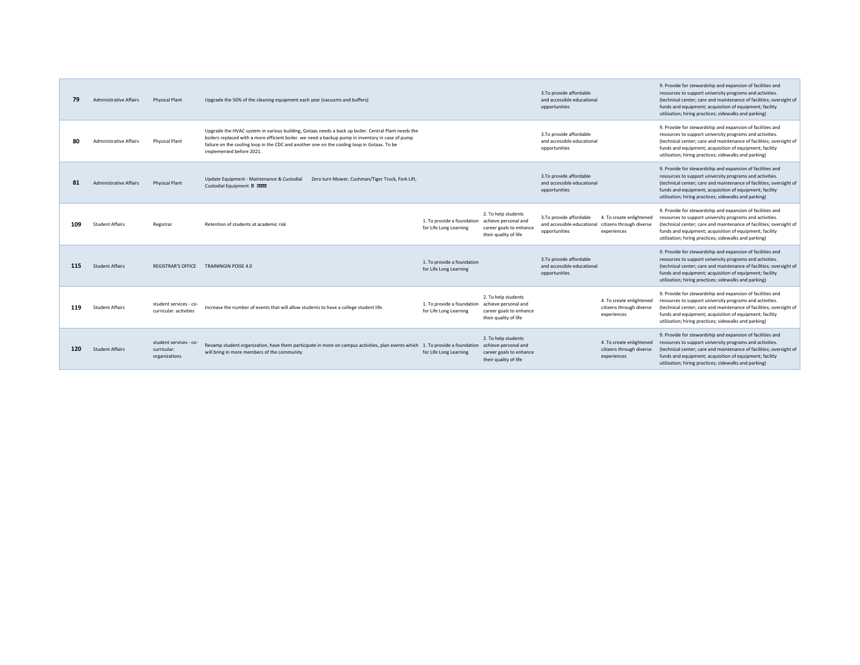| 79  | <b>Administrative Affairs</b> | <b>Physical Plant</b>                                  | Upgrade the 50% of the cleaning equipment each year (vacuums and buffers)                                                                                                                                                                                                                                                           |                                                      |                                                                                                 | 3.To provide affordable<br>and accessible educational<br>opportunities |                                                                     | 9. Provide for stewardship and expansion of facilities and<br>resources to support university programs and activities.<br>(technical center: care and maintenance of facilities: oversight of<br>funds and equipment; acquisition of equipment; facility<br>utilization; hiring practices; sidewalks and parking) |
|-----|-------------------------------|--------------------------------------------------------|-------------------------------------------------------------------------------------------------------------------------------------------------------------------------------------------------------------------------------------------------------------------------------------------------------------------------------------|------------------------------------------------------|-------------------------------------------------------------------------------------------------|------------------------------------------------------------------------|---------------------------------------------------------------------|-------------------------------------------------------------------------------------------------------------------------------------------------------------------------------------------------------------------------------------------------------------------------------------------------------------------|
| 80  | <b>Administrative Affairs</b> | <b>Physical Plant</b>                                  | Upgrade the HVAC system in various building, Gotaas needs a back up boiler. Central Plant needs the<br>boilers replaced with a more efficient boiler. we need a backup pump in inventory in case of pump<br>failure on the cooling loop in the CDC and another one on the cooling loop in Gotaas. To be<br>implemented before 2021. |                                                      |                                                                                                 | 3.To provide affordable<br>and accessible educational<br>opportunities |                                                                     | 9. Provide for stewardship and expansion of facilities and<br>resources to support university programs and activities.<br>(technical center; care and maintenance of facilities; oversight of<br>funds and equipment; acquisition of equipment; facility<br>utilization; hiring practices; sidewalks and parking) |
| 81  | <b>Administrative Affairs</b> | <b>Physical Plant</b>                                  | Update Equipment - Maintenance & Custodial<br>Zero turn Mower, Cushman/Tiger Truck, Fork Lift.<br>Custodial Equipment D DONN                                                                                                                                                                                                        |                                                      |                                                                                                 | 3.To provide affordable<br>and accessible educational<br>opportunities |                                                                     | 9. Provide for stewardship and expansion of facilities and<br>resources to support university programs and activities.<br>(technical center; care and maintenance of facilities; oversight of<br>funds and equipment; acquisition of equipment; facility<br>utilization; hiring practices; sidewalks and parking) |
| 109 | <b>Student Affairs</b>        | Registrar                                              | Retention of students at academic risk                                                                                                                                                                                                                                                                                              | 1. To provide a foundation<br>for Life Long Learning | 2. To help students<br>achieve personal and<br>career goals to enhance<br>their quality of life | 3.To provide affordable<br>and accessible educational<br>opportunities | 4. To create enlightened<br>citizens through diverse<br>experiences | 9. Provide for stewardship and expansion of facilities and<br>resources to support university programs and activities.<br>(technical center; care and maintenance of facilities; oversight of<br>funds and equipment; acquisition of equipment; facility<br>utilization; hiring practices; sidewalks and parking) |
| 115 | <b>Student Affairs</b>        | <b>REGISTRAR'S OFFICE</b>                              | <b>TRAININGIN POISE 4.0</b>                                                                                                                                                                                                                                                                                                         | 1. To provide a foundation<br>for Life Long Learning |                                                                                                 | 3.To provide affordable<br>and accessible educational<br>opportunities |                                                                     | 9. Provide for stewardship and expansion of facilities and<br>resources to support university programs and activities.<br>(technical center; care and maintenance of facilities; oversight of<br>funds and equipment; acquisition of equipment; facility<br>utilization; hiring practices; sidewalks and parking) |
| 119 | <b>Student Affairs</b>        | student services - co-<br>curricular: activities       | Increase the number of events that will allow students to have a college student life.                                                                                                                                                                                                                                              | 1. To provide a foundation<br>for Life Long Learning | 2. To help students<br>achieve personal and<br>career goals to enhance<br>their quality of life |                                                                        | 4. To create enlightened<br>citizens through diverse<br>experiences | 9. Provide for stewardship and expansion of facilities and<br>resources to support university programs and activities.<br>(technical center; care and maintenance of facilities; oversight of<br>funds and equipment; acquisition of equipment; facility<br>utilization; hiring practices; sidewalks and parking) |
| 120 | <b>Student Affairs</b>        | student services - co-<br>curricular:<br>organizations | Revamp student organization, have them participate in more on campus activities, plan events which<br>will bring in more members of the community                                                                                                                                                                                   | 1. To provide a foundation<br>for Life Long Learning | 2. To help students<br>achieve personal and<br>career goals to enhance<br>their quality of life |                                                                        | 4. To create enlightened<br>citizens through diverse<br>experiences | 9. Provide for stewardship and expansion of facilities and<br>resources to support university programs and activities.<br>(technical center; care and maintenance of facilities; oversight of<br>funds and equipment; acquisition of equipment; facility<br>utilization; hiring practices; sidewalks and parking) |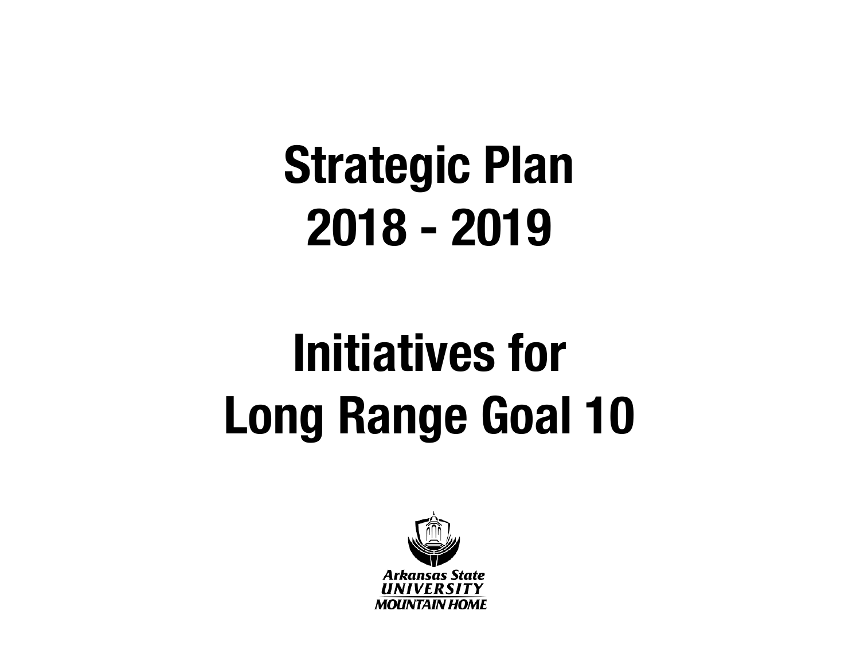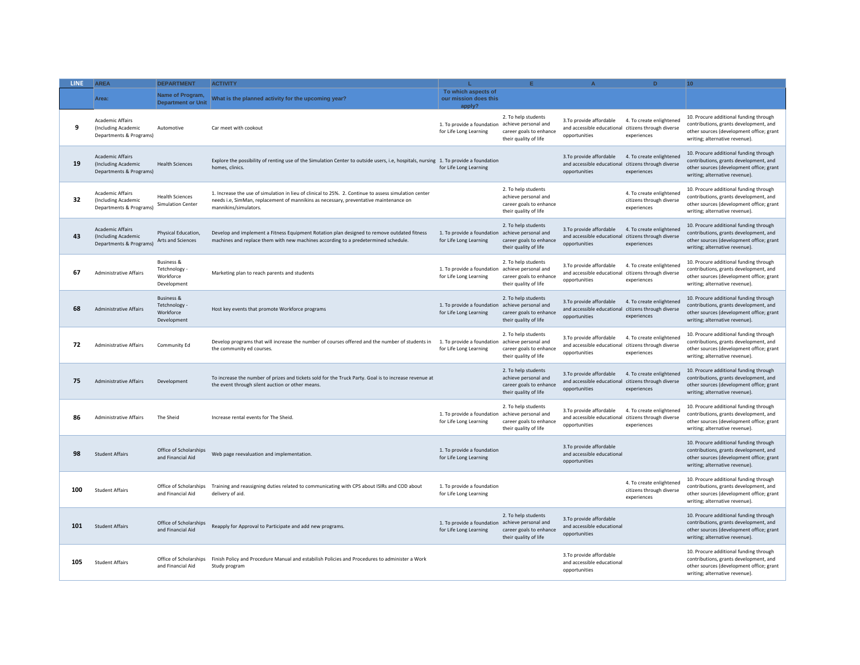| LINE: | <b>AREA</b>                                                               | <b>DEPARTMENT</b>                                                | <b>ACTIVITY</b>                                                                                                                                                                                                         | т.                                                     |                                                                                                 | $\Delta$                                                                | D                                                                   | 10 <sup>10</sup>                                                                                                                                               |
|-------|---------------------------------------------------------------------------|------------------------------------------------------------------|-------------------------------------------------------------------------------------------------------------------------------------------------------------------------------------------------------------------------|--------------------------------------------------------|-------------------------------------------------------------------------------------------------|-------------------------------------------------------------------------|---------------------------------------------------------------------|----------------------------------------------------------------------------------------------------------------------------------------------------------------|
|       | Area:                                                                     | Name of Program,<br><b>Department or Unit</b>                    | What is the planned activity for the upcoming year?                                                                                                                                                                     | To which aspects of<br>our mission does this<br>apply? |                                                                                                 |                                                                         |                                                                     |                                                                                                                                                                |
| 9     | <b>Academic Affairs</b><br>(Including Academic<br>Departments & Programs) | Automotive                                                       | Car meet with cookout                                                                                                                                                                                                   | 1. To provide a foundation<br>for Life Long Learning   | 2. To help students<br>achieve personal and<br>career goals to enhance<br>their quality of life | 3.To provide affordable<br>and accessible educational<br>opportunities  | 4. To create enlightened<br>citizens through diverse<br>experiences | 10. Procure additional funding through<br>contributions, grants development, and<br>other sources (development office; grant<br>writing; alternative revenue). |
| 19    | <b>Academic Affairs</b><br>(Including Academic<br>Departments & Programs) | <b>Health Sciences</b>                                           | Explore the possibility of renting use of the Simulation Center to outside users, i.e, hospitals, nursing 1. To provide a foundation<br>homes, clinics.                                                                 | for Life Long Learning                                 |                                                                                                 | 3.To provide affordable<br>and accessible educational<br>opportunities  | 4. To create enlightened<br>citizens through diverse<br>experiences | 10. Procure additional funding through<br>contributions, grants development, and<br>other sources (development office; grant<br>writing; alternative revenue). |
| 32    | <b>Academic Affairs</b><br>(Including Academic<br>Departments & Programs) | <b>Health Sciences</b><br><b>Simulation Center</b>               | 1. Increase the use of simulation in lieu of clinical to 25%. 2. Continue to assess simulation center<br>needs i.e, SimMan, replacement of mannikins as necessary, preventative maintenance on<br>mannikins/simulators. |                                                        | 2. To help students<br>achieve personal and<br>career goals to enhance<br>their quality of life |                                                                         | 4. To create enlightened<br>citizens through diverse<br>experiences | 10. Procure additional funding through<br>contributions, grants development, and<br>other sources (development office; grant<br>writing; alternative revenue). |
| 43    | <b>Academic Affairs</b><br>(Including Academic<br>Departments & Programs) | Physical Education,<br>Arts and Sciences                         | Develop and implement a Fitness Equipment Rotation plan designed to remove outdated fitness<br>machines and replace them with new machines according to a predetermined schedule.                                       | 1. To provide a foundation<br>for Life Long Learning   | 2. To help students<br>achieve personal and<br>career goals to enhance<br>their quality of life | 3.To provide affordable<br>and accessible educational<br>opportunities  | 4. To create enlightened<br>citizens through diverse<br>experiences | 10. Procure additional funding through<br>contributions, grants development, and<br>other sources (development office; grant<br>writing; alternative revenue). |
| 67    | <b>Administrative Affairs</b>                                             | <b>Business &amp;</b><br>Tetchnology<br>Workforce<br>Development | Marketing plan to reach parents and students                                                                                                                                                                            | 1. To provide a foundation<br>for Life Long Learning   | 2. To help students<br>achieve personal and<br>career goals to enhance<br>their quality of life | 3.To provide affordable<br>and accessible educationa<br>opportunities   | 4. To create enlightened<br>citizens through diverse<br>experiences | 10. Procure additional funding through<br>contributions, grants development, and<br>other sources (development office; grant<br>writing; alternative revenue). |
| 68    | <b>Administrative Affairs</b>                                             | <b>Business &amp;</b><br>Tetchnology<br>Workforce<br>Development | Host key events that promote Workforce programs                                                                                                                                                                         | 1. To provide a foundation<br>for Life Long Learning   | 2. To help students<br>achieve personal and<br>career goals to enhance<br>their quality of life | 3. To provide affordable<br>and accessible educational<br>opportunities | 4. To create enlightened<br>citizens through diverse<br>experiences | 10. Procure additional funding through<br>contributions, grants development, and<br>other sources (development office; grant<br>writing; alternative revenue). |
| 72    | <b>Administrative Affairs</b>                                             | Community Ed                                                     | Develop programs that will increase the number of courses offered and the number of students in<br>the community ed courses.                                                                                            | 1. To provide a foundation<br>for Life Long Learning   | 2. To help students<br>achieve personal and<br>career goals to enhance<br>their quality of life | 3.To provide affordable<br>and accessible educational<br>opportunities  | 4. To create enlightened<br>citizens through diverse<br>experiences | 10. Procure additional funding through<br>contributions, grants development, and<br>other sources (development office; grant<br>writing; alternative revenue). |
| 75    | <b>Administrative Affairs</b>                                             | Development                                                      | To increase the number of prizes and tickets sold for the Truck Party. Goal is to increase revenue at<br>the event through silent auction or other means.                                                               |                                                        | 2. To help students<br>achieve personal and<br>career goals to enhance<br>their quality of life | 3.To provide affordable<br>and accessible educational<br>opportunities  | 4. To create enlightened<br>citizens through diverse<br>experiences | 10. Procure additional funding through<br>contributions, grants development, and<br>other sources (development office; grant<br>writing; alternative revenue). |
| 86    | <b>Administrative Affairs</b>                                             | The Sheid                                                        | Increase rental events for The Sheid                                                                                                                                                                                    | 1. To provide a foundation<br>for Life Long Learning   | 2. To help students<br>achieve personal and<br>career goals to enhance<br>their quality of life | 3.To provide affordable<br>and accessible educationa<br>opportunities   | 4. To create enlightened<br>citizens through diverse<br>experiences | 10. Procure additional funding through<br>contributions, grants development, and<br>other sources (development office; grant<br>writing; alternative revenue). |
| 98    | <b>Student Affairs</b>                                                    | Office of Scholarships<br>and Financial Aid                      | Web page reevaluation and implementation.                                                                                                                                                                               | 1. To provide a foundation<br>for Life Long Learning   |                                                                                                 | 3.To provide affordable<br>and accessible educational<br>opportunities  |                                                                     | 10. Procure additional funding through<br>contributions, grants development, and<br>other sources (development office; grant<br>writing; alternative revenue). |
| 100   | <b>Student Affairs</b>                                                    | Office of Scholarships<br>and Financial Aid                      | Training and reassigning duties related to communicating with CPS about ISIRs and COD about<br>delivery of aid.                                                                                                         | 1. To provide a foundation<br>for Life Long Learning   |                                                                                                 |                                                                         | 4. To create enlightened<br>citizens through diverse<br>experiences | 10. Procure additional funding through<br>contributions, grants development, and<br>other sources (development office; grant<br>writing; alternative revenue). |
| 101   | <b>Student Affairs</b>                                                    | Office of Scholarships<br>and Financial Aid                      | Reapply for Approval to Participate and add new programs.                                                                                                                                                               | 1. To provide a foundation<br>for Life Long Learning   | 2. To help students<br>achieve personal and<br>career goals to enhance<br>their quality of life | 3.To provide affordable<br>and accessible educational<br>opportunities  |                                                                     | 10. Procure additional funding through<br>contributions, grants development, and<br>other sources (development office; grant<br>writing; alternative revenue). |
| 105   | <b>Student Affairs</b>                                                    | Office of Scholarships<br>and Financial Aid                      | Finish Policy and Procedure Manual and estabilish Policies and Procedures to administer a Work<br>Study program                                                                                                         |                                                        |                                                                                                 | 3.To provide affordable<br>and accessible educational<br>opportunities  |                                                                     | 10. Procure additional funding through<br>contributions, grants development, and<br>other sources (development office; grant<br>writing; alternative revenue). |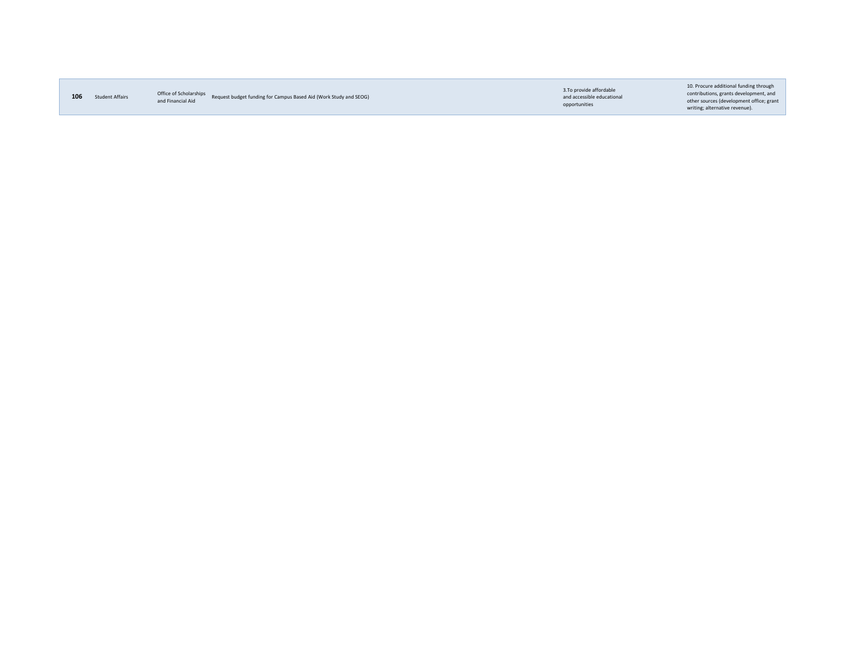| 106<br><b>Student Affairs</b> |  |
|-------------------------------|--|
|-------------------------------|--|

**106** Student Affairs **Subset Colonarships Based Aid (Work Study and SEOG)**<br>and Financial Aid Request budget funding for Campus Based Aid (Work Study and SEOG)

3.To provide affordable and accessible educational opportunities

10. Procure additional funding through contributions, grants development, and other sources (development office; grant writing; alternative revenue).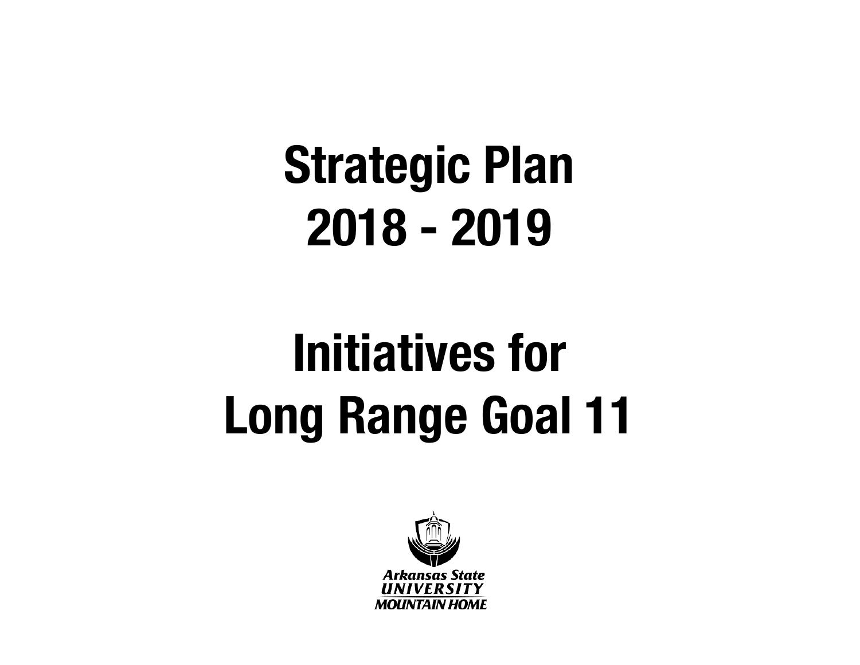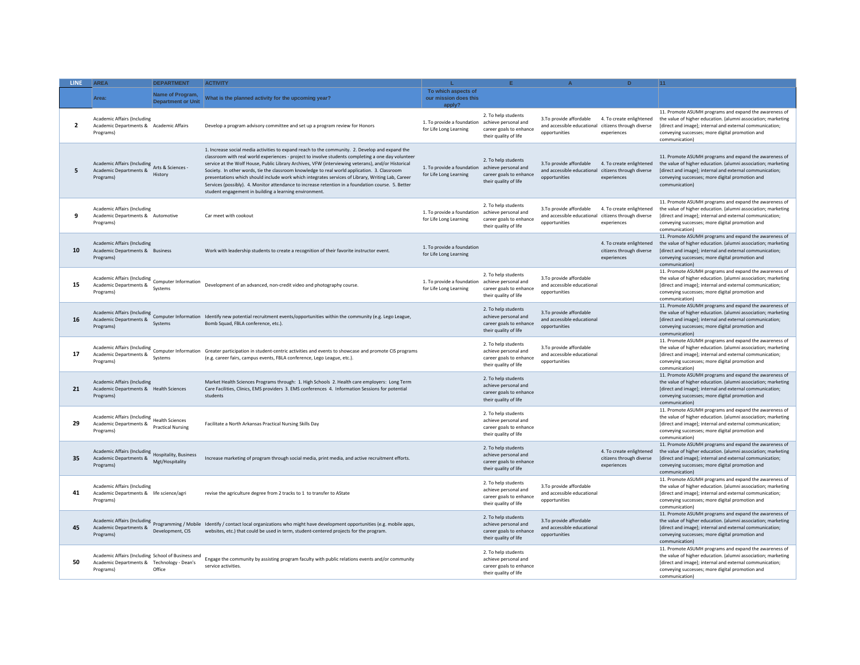| <b>LINE</b>    | <b>AREA</b>                                                                                                   | <b>DEPARTMENT</b>                                  | <b>ACTIVITY</b>                                                                                                                                                                                                                                                                                                                                                                                                                                                                                                                                                                                                                                                                  |                                                                           |                                                                                                 |                                                                                                 | D.                                                                  | 11                                                                                                                                                                                                                                                       |
|----------------|---------------------------------------------------------------------------------------------------------------|----------------------------------------------------|----------------------------------------------------------------------------------------------------------------------------------------------------------------------------------------------------------------------------------------------------------------------------------------------------------------------------------------------------------------------------------------------------------------------------------------------------------------------------------------------------------------------------------------------------------------------------------------------------------------------------------------------------------------------------------|---------------------------------------------------------------------------|-------------------------------------------------------------------------------------------------|-------------------------------------------------------------------------------------------------|---------------------------------------------------------------------|----------------------------------------------------------------------------------------------------------------------------------------------------------------------------------------------------------------------------------------------------------|
|                | Area:                                                                                                         | Name of Program,<br><b>Department or Unit</b>      | What is the planned activity for the upcoming year?                                                                                                                                                                                                                                                                                                                                                                                                                                                                                                                                                                                                                              | To which aspects of<br>our mission does this<br>apply?                    |                                                                                                 |                                                                                                 |                                                                     |                                                                                                                                                                                                                                                          |
| $\overline{2}$ | <b>Academic Affairs (Including</b><br>Academic Departments & Academic Affairs<br>Programs)                    |                                                    | Develop a program advisory committee and set up a program review for Honors                                                                                                                                                                                                                                                                                                                                                                                                                                                                                                                                                                                                      | 1. To provide a foundation achieve personal and<br>for Life Long Learning | 2. To help students<br>career goals to enhance<br>their quality of life                         | 3.To provide affordable<br>and accessible educational citizens through diverse<br>opportunities | 4. To create enlightened<br>experiences                             | 11. Promote ASUMH programs and expand the awareness of<br>the value of higher education. (alumni association; marketing<br>[direct and image]; internal and external communication;<br>conveying successes; more digital promotion and<br>communication) |
| 5              | Academic Affairs (Including Arts & Sciences -<br>Academic Departments & History<br>Programs)                  |                                                    | 1. Increase social media activities to expand reach to the community. 2. Develop and expand the<br>classroom with real world experiences - project to involve students completing a one day volunteer<br>service at the Wolf House, Public Library Archives, VFW (interviewing veterans), and/or Historical<br>Society. In other words, tie the classroom knowledge to real world application. 3. Classroom<br>presentations which should include work which integrates services of Library, Writing Lab, Career<br>Services (possibly). 4. Monitor attendance to increase retention in a foundation course. 5. Better<br>student engagement in building a learning environment. | 1. To provide a foundation achieve personal and<br>for Life Long Learning | 2. To help students<br>career goals to enhance<br>their quality of life                         | 3.To provide affordable<br>and accessible educational citizens through diverse<br>opportunities | 4. To create enlightened<br>experiences                             | 11. Promote ASUMH programs and expand the awareness of<br>the value of higher education. (alumni association; marketing<br>[direct and image]; internal and external communication;<br>conveying successes; more digital promotion and<br>communication) |
| 9              | <b>Academic Affairs (Including</b><br>Academic Departments & Automotive<br>Programs)                          |                                                    | Car meet with cookout                                                                                                                                                                                                                                                                                                                                                                                                                                                                                                                                                                                                                                                            | 1. To provide a foundation achieve personal and<br>for Life Long Learning | 2. To help students<br>career goals to enhance<br>their quality of life                         | 3.To provide affordable<br>and accessible educational citizens through diverse<br>opportunities | 4. To create enlightened<br>experiences                             | 11. Promote ASUMH programs and expand the awareness of<br>the value of higher education. (alumni association; marketing<br>Idirect and image]: internal and external communication:<br>conveying successes; more digital promotion and<br>communication) |
| 10             | <b>Academic Affairs (Including</b><br>Academic Departments & Business<br>Programs)                            |                                                    | Work with leadership students to create a recognition of their favorite instructor event.                                                                                                                                                                                                                                                                                                                                                                                                                                                                                                                                                                                        | 1. To provide a foundation<br>for Life Long Learning                      |                                                                                                 |                                                                                                 | 4. To create enlightened<br>citizens through diverse<br>experiences | 11. Promote ASUMH programs and expand the awareness of<br>the value of higher education. (alumni association; marketing<br>[direct and image]; internal and external communication;<br>conveying successes; more digital promotion and<br>communication) |
| 15             | Academic Affairs (Including Computer Information<br>Academic Departments & Systems<br>Programs)               |                                                    | Development of an advanced, non-credit video and photography course.                                                                                                                                                                                                                                                                                                                                                                                                                                                                                                                                                                                                             | 1. To provide a foundation achieve personal and<br>for Life Long Learning | 2. To help students<br>career goals to enhance<br>their quality of life                         | 3.To provide affordable<br>and accessible educational<br>opportunities                          |                                                                     | 11. Promote ASUMH programs and expand the awareness of<br>the value of higher education. (alumni association; marketing<br>[direct and image]; internal and external communication;<br>conveying successes; more digital promotion and<br>communication) |
| 16             | Academic Departments & Systems<br>Programs)                                                                   |                                                    | Academic Affairs (Including<br>computer Information Identify new potential recruitment events/opportunities within the community (e.g. Lego League,<br>Bomb Squad, FBLA conference, etc.).                                                                                                                                                                                                                                                                                                                                                                                                                                                                                       |                                                                           | 2. To help students<br>achieve personal and<br>career goals to enhance<br>their quality of life | 3.To provide affordable<br>and accessible educational<br>opportunities                          |                                                                     | 11. Promote ASUMH programs and expand the awareness of<br>the value of higher education. (alumni association; marketing<br>[direct and image]; internal and external communication;<br>conveying successes; more digital promotion and<br>communication) |
| 17             | Academic Departments & Compact<br>Programs)                                                                   |                                                    | Academic Affairs (Including<br>Computer Information Greater participation in student-centric activities and events to showcase and promote CIS programs<br>(e.g. career fairs, campus events, FBLA conference, Lego League, etc.).                                                                                                                                                                                                                                                                                                                                                                                                                                               |                                                                           | 2. To help students<br>achieve personal and<br>career goals to enhance<br>their quality of life | 3.To provide affordable<br>and accessible educational<br>opportunities                          |                                                                     | 11. Promote ASUMH programs and expand the awareness of<br>the value of higher education. (alumni association; marketing<br>[direct and image]; internal and external communication;<br>conveying successes; more digital promotion and<br>communication  |
| 21             | Academic Affairs (Including<br>Academic Departments & Health Sciences<br>Programs)                            |                                                    | Market Health Sciences Programs through: 1. High Schools 2. Health care employers: Long Term<br>Care Facilities, Clinics, EMS providers 3. EMS conferences 4. Information Sessions for potential<br>students                                                                                                                                                                                                                                                                                                                                                                                                                                                                     |                                                                           | 2. To help students<br>achieve personal and<br>career goals to enhance<br>their quality of life |                                                                                                 |                                                                     | 11. Promote ASUMH programs and expand the awareness of<br>the value of higher education. (alumni association; marketing<br>[direct and image]; internal and external communication;<br>conveying successes; more digital promotion and<br>communication) |
| 29             | <b>Academic Affairs (Including</b><br>Academic Departments &<br>Programs)                                     | <b>Health Sciences</b><br><b>Practical Nursing</b> | Facilitate a North Arkansas Practical Nursing Skills Day                                                                                                                                                                                                                                                                                                                                                                                                                                                                                                                                                                                                                         |                                                                           | 2. To help students<br>achieve personal and<br>career goals to enhance<br>their quality of life |                                                                                                 |                                                                     | 11. Promote ASUMH programs and expand the awareness of<br>the value of higher education. (alumni association; marketing<br>[direct and image]; internal and external communication;<br>conveying successes; more digital promotion and<br>communication) |
| 35             | Academic Affairs (Including Hospitality, Business<br>Academic Departments &<br>Programs)                      | Mgt/Hospitality                                    | Increase marketing of program through social media, print media, and active recruitment efforts.                                                                                                                                                                                                                                                                                                                                                                                                                                                                                                                                                                                 |                                                                           | 2. To help students<br>achieve personal and<br>career goals to enhance<br>their quality of life |                                                                                                 | 4. To create enlightened<br>citizens through diverse<br>experiences | 11. Promote ASUMH programs and expand the awareness of<br>the value of higher education. (alumni association; marketing<br>[direct and image]; internal and external communication;<br>conveying successes; more digital promotion and<br>communication) |
| 41             | <b>Academic Affairs (Including</b><br>Academic Departments & life science/agri<br>Programs)                   |                                                    | revise the agriculture degree from 2 tracks to 1 to transfer to AState                                                                                                                                                                                                                                                                                                                                                                                                                                                                                                                                                                                                           |                                                                           | 2. To help students<br>achieve personal and<br>career goals to enhance<br>their quality of life | 3.To provide affordable<br>and accessible educational<br>opportunities                          |                                                                     | 11. Promote ASUMH programs and expand the awareness of<br>the value of higher education. (alumni association; marketing<br>[direct and image]; internal and external communication;<br>conveying successes; more digital promotion and<br>communication) |
| 45             | Academic Departments &<br>Programs)                                                                           | Development, CIS                                   | Academic Affairs (Including<br>Programming / Mobile Identify / contact local organizations who might have development opportunities (e.g. mobile apps,<br>websites, etc.) that could be used in term, student-centered projects for the program.                                                                                                                                                                                                                                                                                                                                                                                                                                 |                                                                           | 2. To help students<br>achieve personal and<br>career goals to enhance<br>their quality of life | 3.To provide affordable<br>and accessible educational<br>opportunities                          |                                                                     | 11. Promote ASUMH programs and expand the awareness of<br>the value of higher education. (alumni association; marketing<br>[direct and image]; internal and external communication;<br>conveying successes; more digital promotion and<br>communication) |
| 50             | Academic Affairs (Including School of Business and<br>Academic Departments & Technology - Dean's<br>Programs) | Office                                             | Engage the community by assisting program faculty with public relations events and/or community<br>service activities.                                                                                                                                                                                                                                                                                                                                                                                                                                                                                                                                                           |                                                                           | 2. To help students<br>achieve personal and<br>career goals to enhance<br>their quality of life |                                                                                                 |                                                                     | 11. Promote ASUMH programs and expand the awareness of<br>the value of higher education. (alumni association; marketing<br>[direct and image]; internal and external communication;<br>conveying successes; more digital promotion and<br>communication) |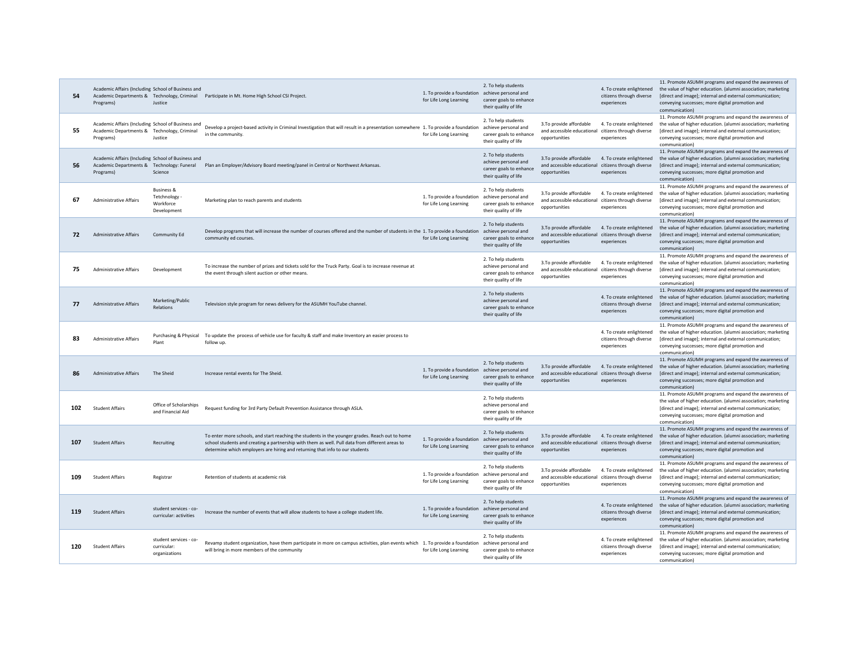| 54  | Academic Affairs (Including School of Business and<br>Programs)                                                | Justice                                                          | Academic Departments & Technology, Criminal Participate in Mt. Home High School CSI Project.                                                                                                                                                                                       | 1. To provide a foundation achieve personal and<br>for Life Long Learning | 2. To help students<br>career goals to enhance<br>their quality of life                         |                                                                                                 | 4. To create enlightened<br>citizens through diverse<br>experiences | 11. Promote ASUMH programs and expand the awareness of<br>the value of higher education. (alumni association; marketing<br>[direct and image]; internal and external communication;<br>conveying successes; more digital promotion and<br>communication) |
|-----|----------------------------------------------------------------------------------------------------------------|------------------------------------------------------------------|------------------------------------------------------------------------------------------------------------------------------------------------------------------------------------------------------------------------------------------------------------------------------------|---------------------------------------------------------------------------|-------------------------------------------------------------------------------------------------|-------------------------------------------------------------------------------------------------|---------------------------------------------------------------------|----------------------------------------------------------------------------------------------------------------------------------------------------------------------------------------------------------------------------------------------------------|
| 55  | Academic Affairs (Including School of Business and<br>Academic Departments & Technology, Criminal<br>Programs) | lustice                                                          | Develop a project-based activity in Criminal Investigation that will result in a presentation somewhere 1. To provide a foundation achieve personal and<br>in the community.                                                                                                       | for Life Long Learning                                                    | 2. To help students<br>career goals to enhance<br>their quality of life                         | 3.To provide affordable<br>and accessible educational citizens through diverse<br>opportunities | 4. To create enlightened<br>experiences                             | 11. Promote ASUMH programs and expand the awareness of<br>the value of higher education. (alumni association; marketing<br>[direct and image]; internal and external communication;<br>conveying successes; more digital promotion and<br>communication) |
| 56  | Academic Affairs (Including School of Business and<br>Academic Departments & Technology: Funeral<br>Programs)  | Science                                                          | Plan an Employer/Advisory Board meeting/panel in Central or Northwest Arkansas.                                                                                                                                                                                                    |                                                                           | 2. To help students<br>achieve personal and<br>career goals to enhance<br>their quality of life | 3.To provide affordable<br>and accessible educational<br>opportunities                          | 4. To create enlightened<br>citizens through diverse<br>experiences | 11. Promote ASUMH programs and expand the awareness of<br>the value of higher education. (alumni association; marketing<br>[direct and image]; internal and external communication;<br>conveying successes; more digital promotion and<br>communication) |
| 67  | <b>Administrative Affairs</b>                                                                                  | <b>Business &amp;</b><br>Tetchnology<br>Workforce<br>Development | Marketing plan to reach parents and students                                                                                                                                                                                                                                       | 1. To provide a foundation achieve personal and<br>for Life Long Learning | 2. To help students<br>career goals to enhance<br>their quality of life                         | 3.To provide affordable<br>and accessible educational<br>opportunities                          | 4. To create enlightened<br>citizens through diverse<br>experiences | 11. Promote ASUMH programs and expand the awareness of<br>the value of higher education. (alumni association; marketing<br>[direct and image]; internal and external communication;<br>conveying successes; more digital promotion and<br>communication) |
| 72  | <b>Administrative Affairs</b>                                                                                  | Community Ed                                                     | Develop programs that will increase the number of courses offered and the number of students in the 1. To provide a foundation achieve personal and<br>community ed courses.                                                                                                       | for Life Long Learning                                                    | 2. To help students<br>career goals to enhance<br>their quality of life                         | 3.To provide affordable<br>and accessible educational citizens through diverse<br>opportunities | 4. To create enlightened<br>experiences                             | 11. Promote ASUMH programs and expand the awareness of<br>the value of higher education. (alumni association; marketing<br>[direct and image]; internal and external communication;<br>conveying successes; more digital promotion and<br>communication) |
| 75  | <b>Administrative Affairs</b>                                                                                  | Development                                                      | To increase the number of prizes and tickets sold for the Truck Party. Goal is to increase revenue at<br>the event through silent auction or other means.                                                                                                                          |                                                                           | 2. To help students<br>achieve personal and<br>career goals to enhance<br>their quality of life | 3.To provide affordable<br>and accessible educational<br>opportunities                          | 4. To create enlightened<br>citizens through diverse<br>experiences | 11. Promote ASUMH programs and expand the awareness of<br>the value of higher education. (alumni association; marketing<br>[direct and image]; internal and external communication;<br>conveying successes; more digital promotion and<br>communication) |
| 77  | <b>Administrative Affairs</b>                                                                                  | Marketing/Public<br><b>Relations</b>                             | Television style program for news delivery for the ASUMH YouTube channel.                                                                                                                                                                                                          |                                                                           | 2. To help students<br>achieve personal and<br>career goals to enhance<br>their quality of life |                                                                                                 | 4. To create enlightened<br>citizens through diverse<br>experiences | 11. Promote ASUMH programs and expand the awareness of<br>the value of higher education. (alumni association; marketing<br>[direct and image]; internal and external communication;<br>conveying successes; more digital promotion and<br>communication) |
| 83  | <b>Administrative Affairs</b>                                                                                  | Purchasing & Physical<br>Plant                                   | To update the process of vehicle use for faculty & staff and make Inventory an easier process to<br>follow up.                                                                                                                                                                     |                                                                           |                                                                                                 |                                                                                                 | 4. To create enlightened<br>citizens through diverse<br>experiences | 11. Promote ASUMH programs and expand the awareness of<br>the value of higher education. (alumni association; marketing<br>[direct and image]; internal and external communication;<br>conveying successes; more digital promotion and<br>communication) |
| 86  | <b>Administrative Affairs</b>                                                                                  | The Sheid                                                        | Increase rental events for The Sheid                                                                                                                                                                                                                                               | 1. To provide a foundation achieve personal and<br>for Life Long Learning | 2. To help students<br>career goals to enhance<br>their quality of life                         | 3.To provide affordable<br>and accessible educational citizens through diverse<br>opportunities | 4. To create enlightened<br>experiences                             | 11. Promote ASUMH programs and expand the awareness of<br>the value of higher education. (alumni association; marketing<br>[direct and image]; internal and external communication;<br>conveying successes; more digital promotion and<br>communication) |
| 102 | <b>Student Affairs</b>                                                                                         | Office of Scholarships<br>and Financial Aid                      | Request funding for 3rd Party Default Prevention Assistance through ASLA.                                                                                                                                                                                                          |                                                                           | 2. To help students<br>achieve personal and<br>career goals to enhance<br>their quality of life |                                                                                                 |                                                                     | 11. Promote ASUMH programs and expand the awareness of<br>the value of higher education. (alumni association; marketing<br>[direct and image]; internal and external communication;<br>conveying successes; more digital promotion and<br>communication) |
| 107 | <b>Student Affairs</b>                                                                                         | Recruiting                                                       | To enter more schools, and start reaching the students in the younger grades. Reach out to home<br>school students and creating a partnership with them as well. Pull data from different areas to<br>determine which employers are hiring and returning that info to our students | 1. To provide a foundation achieve personal and<br>for Life Long Learning | 2. To help students<br>career goals to enhance<br>their quality of life                         | 3.To provide affordable<br>and accessible educational citizens through diverse<br>opportunities | 4. To create enlightened<br>experiences                             | 11. Promote ASUMH programs and expand the awareness of<br>the value of higher education. (alumni association; marketing<br>[direct and image]; internal and external communication;<br>conveying successes; more digital promotion and<br>communication) |
| 109 | <b>Student Affairs</b>                                                                                         | Registrar                                                        | Retention of students at academic risk                                                                                                                                                                                                                                             | 1. To provide a foundation achieve personal and<br>for Life Long Learning | 2. To help students<br>career goals to enhance<br>their quality of life                         | 3.To provide affordable<br>and accessible educational citizens through diverse<br>opportunities | 4. To create enlightened<br>experiences                             | 11. Promote ASUMH programs and expand the awareness of<br>the value of higher education. (alumni association; marketing<br>[direct and image]; internal and external communication;<br>conveying successes; more digital promotion and<br>communication) |
| 119 | <b>Student Affairs</b>                                                                                         | student services - co-<br>curricular: activities                 | Increase the number of events that will allow students to have a college student life.                                                                                                                                                                                             | 1. To provide a foundation achieve personal and<br>for Life Long Learning | 2. To help students<br>career goals to enhance<br>their quality of life                         |                                                                                                 | 4. To create enlightened<br>citizens through diverse<br>experiences | 11. Promote ASUMH programs and expand the awareness of<br>the value of higher education. (alumni association; marketing<br>[direct and image]; internal and external communication;<br>conveying successes; more digital promotion and<br>communication) |
| 120 | <b>Student Affairs</b>                                                                                         | student services - co-<br>curricular:<br>organizations           | Revamp student organization, have them participate in more on campus activities, plan events which 1. To provide a foundation achieve personal and<br>will bring in more members of the community                                                                                  | for Life Long Learning                                                    | 2. To help students<br>career goals to enhance<br>their quality of life                         |                                                                                                 | 4. To create enlightened<br>citizens through diverse<br>experiences | 11. Promote ASUMH programs and expand the awareness of<br>the value of higher education. (alumni association; marketing<br>[direct and image]; internal and external communication;<br>conveying successes; more digital promotion and<br>communication) |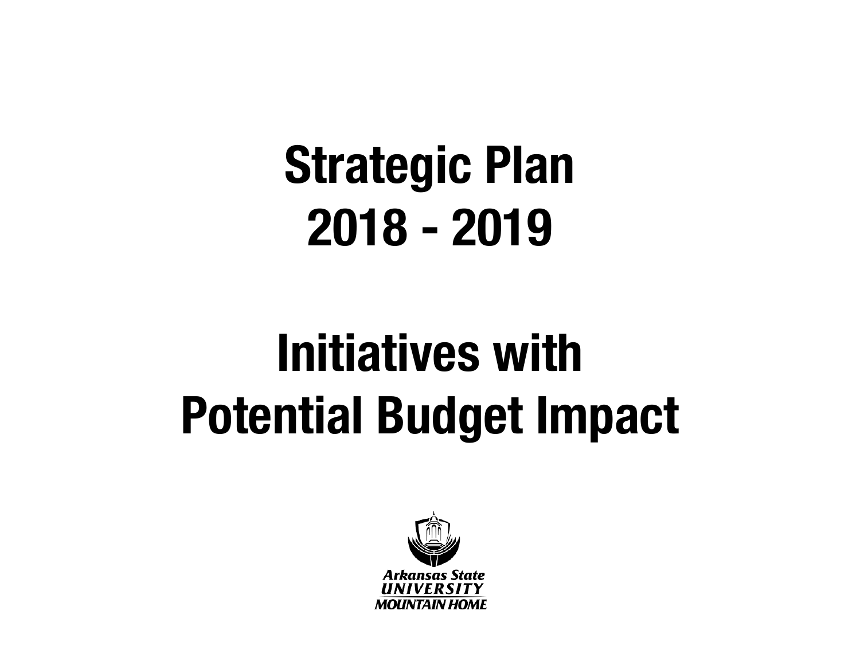### **Initiatives with Potential Budget Impact**

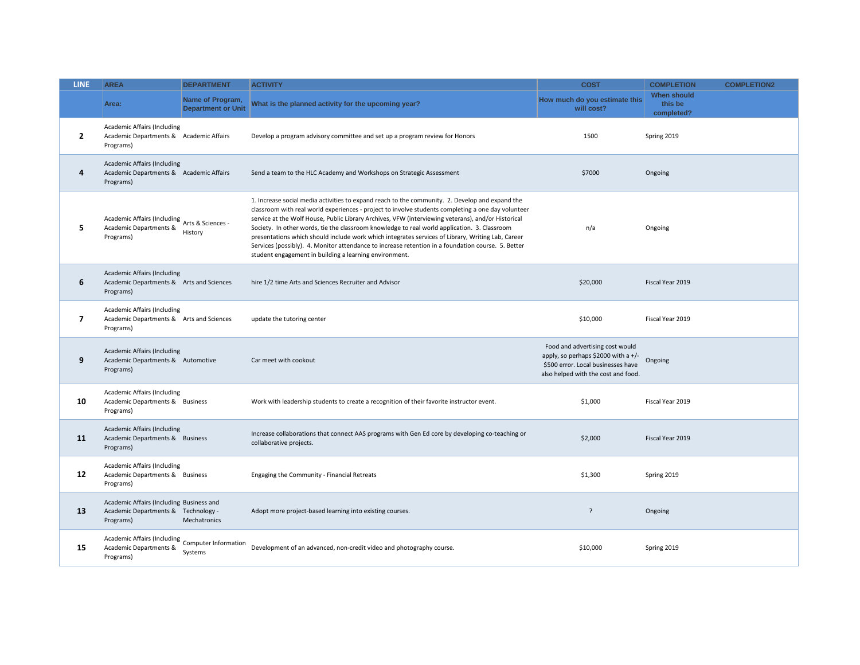| <b>LINE</b>    | <b>AREA</b>                                                                                  | <b>DEPARTMENT</b>                             | <b>ACTIVITY</b>                                                                                                                                                                                                                                                                                                                                                                                                                                                                                                                                                                                                                                                                  | <b>COST</b>                                                                                                                                         | <b>COMPLETION</b>                    | <b>COMPLETION2</b> |
|----------------|----------------------------------------------------------------------------------------------|-----------------------------------------------|----------------------------------------------------------------------------------------------------------------------------------------------------------------------------------------------------------------------------------------------------------------------------------------------------------------------------------------------------------------------------------------------------------------------------------------------------------------------------------------------------------------------------------------------------------------------------------------------------------------------------------------------------------------------------------|-----------------------------------------------------------------------------------------------------------------------------------------------------|--------------------------------------|--------------------|
|                | Area:                                                                                        | Name of Program,<br><b>Department or Unit</b> | What is the planned activity for the upcoming year?                                                                                                                                                                                                                                                                                                                                                                                                                                                                                                                                                                                                                              | How much do you estimate this<br>will cost?                                                                                                         | When should<br>this be<br>completed? |                    |
| $\overline{2}$ | <b>Academic Affairs (Including</b><br>Academic Departments & Academic Affairs<br>Programs)   |                                               | Develop a program advisory committee and set up a program review for Honors                                                                                                                                                                                                                                                                                                                                                                                                                                                                                                                                                                                                      | 1500                                                                                                                                                | Spring 2019                          |                    |
| 4              | <b>Academic Affairs (Including</b><br>Academic Departments & Academic Affairs<br>Programs)   |                                               | Send a team to the HLC Academy and Workshops on Strategic Assessment                                                                                                                                                                                                                                                                                                                                                                                                                                                                                                                                                                                                             | \$7000                                                                                                                                              | Ongoing                              |                    |
| 5              | Academic Affairs (Including<br>Arts & Sciences -<br>Academic Departments &<br>Programs)      | History                                       | 1. Increase social media activities to expand reach to the community. 2. Develop and expand the<br>classroom with real world experiences - project to involve students completing a one day volunteer<br>service at the Wolf House, Public Library Archives, VFW (interviewing veterans), and/or Historical<br>Society. In other words, tie the classroom knowledge to real world application. 3. Classroom<br>presentations which should include work which integrates services of Library, Writing Lab, Career<br>Services (possibly). 4. Monitor attendance to increase retention in a foundation course. 5. Better<br>student engagement in building a learning environment. | n/a                                                                                                                                                 | Ongoing                              |                    |
| 6              | <b>Academic Affairs (Including</b><br>Academic Departments & Arts and Sciences<br>Programs)  |                                               | hire 1/2 time Arts and Sciences Recruiter and Advisor                                                                                                                                                                                                                                                                                                                                                                                                                                                                                                                                                                                                                            | \$20,000                                                                                                                                            | Fiscal Year 2019                     |                    |
| $\overline{7}$ | Academic Affairs (Including<br>Academic Departments & Arts and Sciences<br>Programs)         |                                               | update the tutoring center                                                                                                                                                                                                                                                                                                                                                                                                                                                                                                                                                                                                                                                       | \$10,000                                                                                                                                            | Fiscal Year 2019                     |                    |
| 9              | <b>Academic Affairs (Including</b><br>Academic Departments & Automotive<br>Programs)         |                                               | Car meet with cookout                                                                                                                                                                                                                                                                                                                                                                                                                                                                                                                                                                                                                                                            | Food and advertising cost would<br>apply, so perhaps \$2000 with a +/-<br>\$500 error. Local businesses have<br>also helped with the cost and food. | Ongoing                              |                    |
| 10             | <b>Academic Affairs (Including</b><br>Academic Departments & Business<br>Programs)           |                                               | Work with leadership students to create a recognition of their favorite instructor event.                                                                                                                                                                                                                                                                                                                                                                                                                                                                                                                                                                                        | \$1,000                                                                                                                                             | Fiscal Year 2019                     |                    |
| 11             | <b>Academic Affairs (Including</b><br>Academic Departments & Business<br>Programs)           |                                               | Increase collaborations that connect AAS programs with Gen Ed core by developing co-teaching or<br>collaborative projects.                                                                                                                                                                                                                                                                                                                                                                                                                                                                                                                                                       | \$2,000                                                                                                                                             | Fiscal Year 2019                     |                    |
| 12             | Academic Affairs (Including<br>Academic Departments & Business<br>Programs)                  |                                               | Engaging the Community - Financial Retreats                                                                                                                                                                                                                                                                                                                                                                                                                                                                                                                                                                                                                                      | \$1,300                                                                                                                                             | Spring 2019                          |                    |
| 13             | Academic Affairs (Including Business and<br>Academic Departments & Technology -<br>Programs) | Mechatronics                                  | Adopt more project-based learning into existing courses.                                                                                                                                                                                                                                                                                                                                                                                                                                                                                                                                                                                                                         | ?                                                                                                                                                   | Ongoing                              |                    |
| 15             | Academic Affairs (Including Computer Information<br>Academic Departments &<br>Programs)      | Systems                                       | Development of an advanced, non-credit video and photography course.                                                                                                                                                                                                                                                                                                                                                                                                                                                                                                                                                                                                             | \$10,000                                                                                                                                            | Spring 2019                          |                    |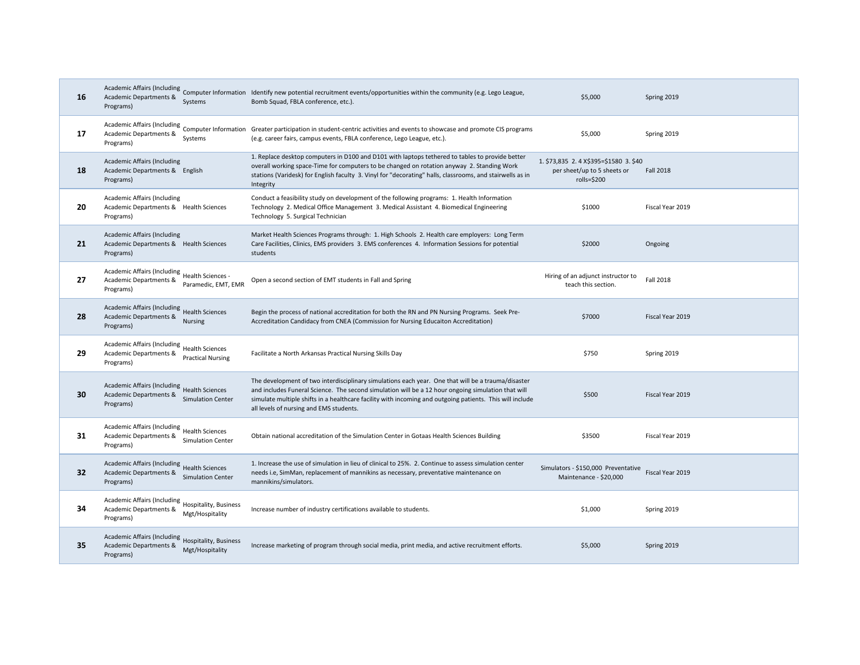| 16 | Systems<br>Programs)                                                                                           | Academic Affairs (Including<br>Computer Information Identify new potential recruitment events/opportunities within the community (e.g. Lego League,<br>Bomb Squad, FBLA conference, etc.).                                                                                                                                                                      | \$5,000                                                                             | Spring 2019      |
|----|----------------------------------------------------------------------------------------------------------------|-----------------------------------------------------------------------------------------------------------------------------------------------------------------------------------------------------------------------------------------------------------------------------------------------------------------------------------------------------------------|-------------------------------------------------------------------------------------|------------------|
| 17 | Academic Departments &<br>Systems<br>Programs)                                                                 | Academic Affairs (Including<br>Computer Information Greater participation in student-centric activities and events to showcase and promote CIS programs<br>(e.g. career fairs, campus events, FBLA conference, Lego League, etc.).                                                                                                                              | \$5,000                                                                             | Spring 2019      |
| 18 | <b>Academic Affairs (Including</b><br>Academic Departments & English<br>Programs)                              | 1. Replace desktop computers in D100 and D101 with laptops tethered to tables to provide better<br>overall working space-Time for computers to be changed on rotation anyway 2. Standing Work<br>stations (Varidesk) for English faculty 3. Vinyl for "decorating" halls, classrooms, and stairwells as in<br>Integrity                                         | 1. \$73,835 2.4 X\$395=\$1580 3. \$40<br>per sheet/up to 5 sheets or<br>rolls=\$200 | <b>Fall 2018</b> |
| 20 | Academic Affairs (Including<br>Academic Departments & Health Sciences<br>Programs)                             | Conduct a feasibility study on development of the following programs: 1. Health Information<br>Technology 2. Medical Office Management 3. Medical Assistant 4. Biomedical Engineering<br>Technology 5. Surgical Technician                                                                                                                                      | \$1000                                                                              | Fiscal Year 2019 |
| 21 | <b>Academic Affairs (Including</b><br>Academic Departments & Health Sciences<br>Programs)                      | Market Health Sciences Programs through: 1. High Schools 2. Health care employers: Long Term<br>Care Facilities, Clinics, EMS providers 3. EMS conferences 4. Information Sessions for potential<br>students                                                                                                                                                    | \$2000                                                                              | Ongoing          |
| 27 | Academic Affairs (Including Health Sciences -<br>Academic Departments &<br>Paramedic. EMT. EMR<br>Programs)    | Open a second section of EMT students in Fall and Spring                                                                                                                                                                                                                                                                                                        | Hiring of an adjunct instructor to<br>teach this section.                           | Fall 2018        |
| 28 | Academic Affairs (Including Health Sciences<br>Academic Departments &<br>Nursing<br>Programs)                  | Begin the process of national accreditation for both the RN and PN Nursing Programs. Seek Pre-<br>Accreditation Candidacy from CNEA (Commission for Nursing Educaiton Accreditation)                                                                                                                                                                            | \$7000                                                                              | Fiscal Year 2019 |
| 29 | Academic Affairs (Including Health Sciences<br>Academic Departments &<br><b>Practical Nursing</b><br>Programs) | Facilitate a North Arkansas Practical Nursing Skills Day                                                                                                                                                                                                                                                                                                        | \$750                                                                               | Spring 2019      |
| 30 | Academic Affairs (Including Health Sciences<br>Academic Departments &<br><b>Simulation Center</b><br>Programs) | The development of two interdisciplinary simulations each year. One that will be a trauma/disaster<br>and includes Funeral Science. The second simulation will be a 12 hour ongoing simulation that will<br>simulate multiple shifts in a healthcare facility with incoming and outgoing patients. This will include<br>all levels of nursing and EMS students. | \$500                                                                               | Fiscal Year 2019 |
| 31 | Academic Affairs (Including Health Sciences<br>Academic Departments &<br><b>Simulation Center</b><br>Programs) | Obtain national accreditation of the Simulation Center in Gotaas Health Sciences Building                                                                                                                                                                                                                                                                       | \$3500                                                                              | Fiscal Year 2019 |
| 32 | Academic Affairs (Including Health Sciences<br>Academic Departments &<br><b>Simulation Center</b><br>Programs) | 1. Increase the use of simulation in lieu of clinical to 25%. 2. Continue to assess simulation center<br>needs i.e, SimMan, replacement of mannikins as necessary, preventative maintenance on<br>mannikins/simulators.                                                                                                                                         | Simulators - \$150,000 Preventative<br>Maintenance - \$20,000                       | Fiscal Year 2019 |
| 34 | Academic Affairs (Including Hospitality, Business<br>Academic Departments &<br>Mgt/Hospitality<br>Programs)    | Increase number of industry certifications available to students.                                                                                                                                                                                                                                                                                               | \$1,000                                                                             | Spring 2019      |
| 35 | Academic Affairs (Including Hospitality, Business<br>Academic Departments &<br>Mgt/Hospitality<br>Programs)    | Increase marketing of program through social media, print media, and active recruitment efforts.                                                                                                                                                                                                                                                                | \$5,000                                                                             | Spring 2019      |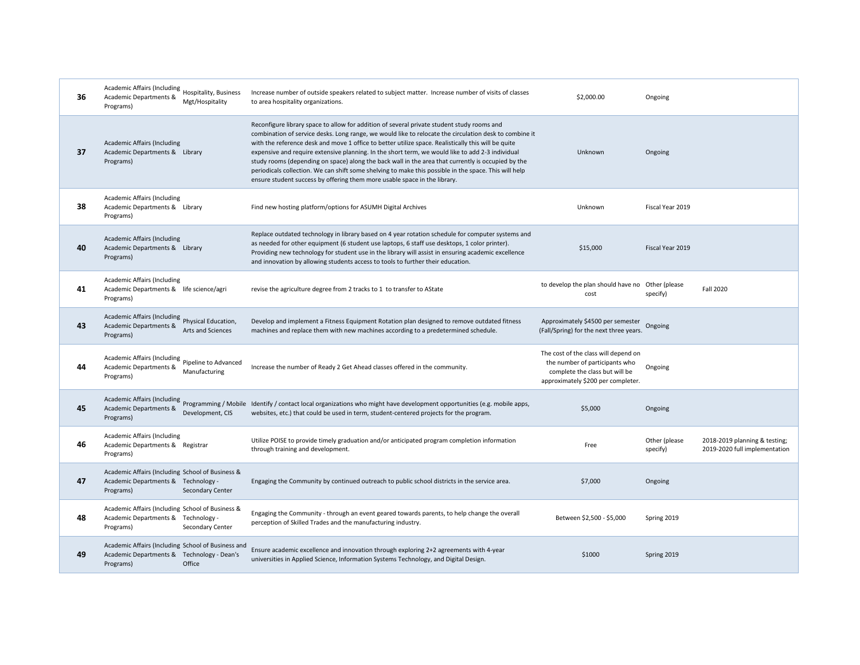| 36 | Academic Affairs (Including Hospitality, Business<br>Academic Departments &<br>Programs)                      | Mgt/Hospitality   | Increase number of outside speakers related to subject matter. Increase number of visits of classes<br>to area hospitality organizations.                                                                                                                                                                                                                                                                                                                                                                                                                                                                                                                                                                   | \$2,000.00                                                                                                                                     | Ongoing                   |                                                                |
|----|---------------------------------------------------------------------------------------------------------------|-------------------|-------------------------------------------------------------------------------------------------------------------------------------------------------------------------------------------------------------------------------------------------------------------------------------------------------------------------------------------------------------------------------------------------------------------------------------------------------------------------------------------------------------------------------------------------------------------------------------------------------------------------------------------------------------------------------------------------------------|------------------------------------------------------------------------------------------------------------------------------------------------|---------------------------|----------------------------------------------------------------|
| 37 | Academic Affairs (Including<br>Academic Departments & Library<br>Programs)                                    |                   | Reconfigure library space to allow for addition of several private student study rooms and<br>combination of service desks. Long range, we would like to relocate the circulation desk to combine it<br>with the reference desk and move 1 office to better utilize space. Realistically this will be quite<br>expensive and require extensive planning. In the short term, we would like to add 2-3 individual<br>study rooms (depending on space) along the back wall in the area that currently is occupied by the<br>periodicals collection. We can shift some shelving to make this possible in the space. This will help<br>ensure student success by offering them more usable space in the library. | Unknown                                                                                                                                        | Ongoing                   |                                                                |
| 38 | Academic Affairs (Including<br>Academic Departments & Library<br>Programs)                                    |                   | Find new hosting platform/options for ASUMH Digital Archives                                                                                                                                                                                                                                                                                                                                                                                                                                                                                                                                                                                                                                                | Unknown                                                                                                                                        | Fiscal Year 2019          |                                                                |
| 40 | Academic Affairs (Including<br>Academic Departments & Library<br>Programs)                                    |                   | Replace outdated technology in library based on 4 year rotation schedule for computer systems and<br>as needed for other equipment (6 student use laptops, 6 staff use desktops, 1 color printer).<br>Providing new technology for student use in the library will assist in ensuring academic excellence<br>and innovation by allowing students access to tools to further their education.                                                                                                                                                                                                                                                                                                                | \$15,000                                                                                                                                       | Fiscal Year 2019          |                                                                |
| 41 | Academic Affairs (Including<br>Academic Departments & life science/agri<br>Programs)                          |                   | revise the agriculture degree from 2 tracks to 1 to transfer to AState                                                                                                                                                                                                                                                                                                                                                                                                                                                                                                                                                                                                                                      | to develop the plan should have no Other (please<br>cost                                                                                       | specify)                  | <b>Fall 2020</b>                                               |
| 43 | Academic Affairs (Including Physical Education,<br>Academic Departments &<br>Programs)                        | Arts and Sciences | Develop and implement a Fitness Equipment Rotation plan designed to remove outdated fitness<br>machines and replace them with new machines according to a predetermined schedule.                                                                                                                                                                                                                                                                                                                                                                                                                                                                                                                           | Approximately \$4500 per semester<br>(Fall/Spring) for the next three years.                                                                   | Ongoing                   |                                                                |
| 44 | Academic Affairs (Including Pipeline to Advanced<br>Academic Departments &<br>Programs)                       | Manufacturing     | Increase the number of Ready 2 Get Ahead classes offered in the community.                                                                                                                                                                                                                                                                                                                                                                                                                                                                                                                                                                                                                                  | The cost of the class will depend on<br>the number of participants who<br>complete the class but will be<br>approximately \$200 per completer. | Ongoing                   |                                                                |
| 45 | Academic Departments &<br>Programs)                                                                           | Development, CIS  | Academic Affairs (Including<br>Programming / Mobile Identify / contact local organizations who might have development opportunities (e.g. mobile apps,<br>websites, etc.) that could be used in term, student-centered projects for the program.                                                                                                                                                                                                                                                                                                                                                                                                                                                            | \$5,000                                                                                                                                        | Ongoing                   |                                                                |
| 46 | <b>Academic Affairs (Including</b><br>Academic Departments & Registrar<br>Programs)                           |                   | Utilize POISE to provide timely graduation and/or anticipated program completion information<br>through training and development.                                                                                                                                                                                                                                                                                                                                                                                                                                                                                                                                                                           | Free                                                                                                                                           | Other (please<br>specify) | 2018-2019 planning & testing;<br>2019-2020 full implementation |
| 47 | Academic Affairs (Including School of Business &<br>Academic Departments & Technology -<br>Programs)          | Secondary Center  | Engaging the Community by continued outreach to public school districts in the service area.                                                                                                                                                                                                                                                                                                                                                                                                                                                                                                                                                                                                                | \$7,000                                                                                                                                        | Ongoing                   |                                                                |
| 48 | Academic Affairs (Including School of Business &<br>Academic Departments & Technology -<br>Programs)          | Secondary Center  | Engaging the Community - through an event geared towards parents, to help change the overall<br>perception of Skilled Trades and the manufacturing industry.                                                                                                                                                                                                                                                                                                                                                                                                                                                                                                                                                | Between \$2,500 - \$5,000                                                                                                                      | Spring 2019               |                                                                |
| 49 | Academic Affairs (Including School of Business and<br>Academic Departments & Technology - Dean's<br>Programs) | Office            | Ensure academic excellence and innovation through exploring 2+2 agreements with 4-year<br>universities in Applied Science, Information Systems Technology, and Digital Design.                                                                                                                                                                                                                                                                                                                                                                                                                                                                                                                              | \$1000                                                                                                                                         | Spring 2019               |                                                                |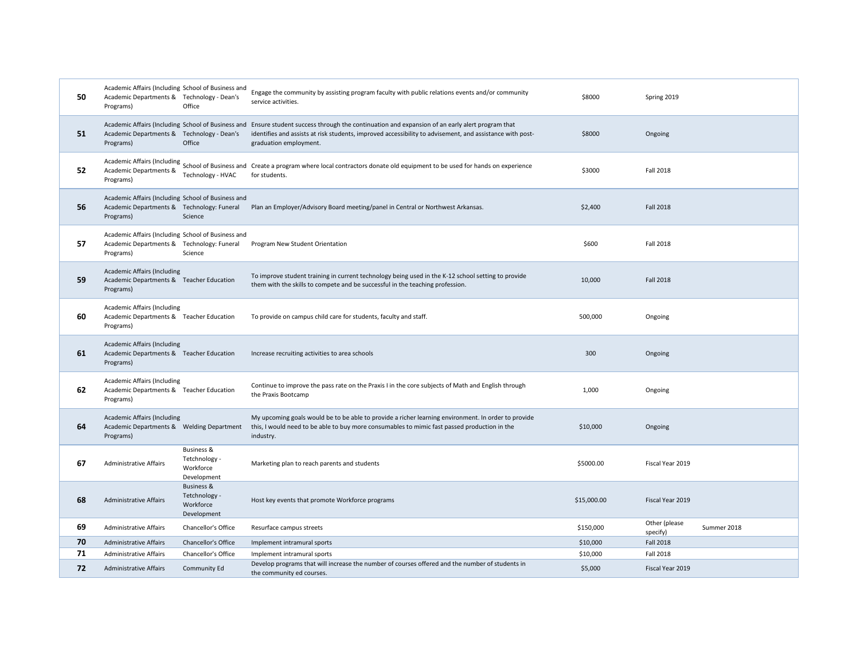| 50 | Academic Affairs (Including School of Business and<br>Academic Departments & Technology - Dean's<br>Programs) | Office                                                             | Engage the community by assisting program faculty with public relations events and/or community<br>service activities.                                                                                                             | \$8000      | Spring 2019               |             |
|----|---------------------------------------------------------------------------------------------------------------|--------------------------------------------------------------------|------------------------------------------------------------------------------------------------------------------------------------------------------------------------------------------------------------------------------------|-------------|---------------------------|-------------|
| 51 | Academic Affairs (Including School of Business and<br>Academic Departments & Technology - Dean's<br>Programs) | Office                                                             | Ensure student success through the continuation and expansion of an early alert program that<br>identifies and assists at risk students, improved accessibility to advisement, and assistance with post-<br>graduation employment. | \$8000      | Ongoing                   |             |
| 52 | Academic Departments &<br>Programs)                                                                           | Technology - HVAC                                                  | Academic Affairs (Including<br>School of Business and Create a program where local contractors donate old equipment to be used for hands on experience<br>for students.                                                            | \$3000      | <b>Fall 2018</b>          |             |
| 56 | Academic Affairs (Including School of Business and<br>Academic Departments & Technology: Funeral<br>Programs) | Science                                                            | Plan an Employer/Advisory Board meeting/panel in Central or Northwest Arkansas.                                                                                                                                                    | \$2,400     | <b>Fall 2018</b>          |             |
| 57 | Academic Affairs (Including School of Business and<br>Academic Departments & Technology: Funeral<br>Programs) | Science                                                            | Program New Student Orientation                                                                                                                                                                                                    | \$600       | <b>Fall 2018</b>          |             |
| 59 | <b>Academic Affairs (Including</b><br>Academic Departments & Teacher Education<br>Programs)                   |                                                                    | To improve student training in current technology being used in the K-12 school setting to provide<br>them with the skills to compete and be successful in the teaching profession.                                                | 10,000      | <b>Fall 2018</b>          |             |
| 60 | Academic Affairs (Including<br>Academic Departments & Teacher Education<br>Programs)                          |                                                                    | To provide on campus child care for students, faculty and staff.                                                                                                                                                                   | 500,000     | Ongoing                   |             |
| 61 | <b>Academic Affairs (Including</b><br>Academic Departments & Teacher Education<br>Programs)                   |                                                                    | Increase recruiting activities to area schools                                                                                                                                                                                     | 300         | Ongoing                   |             |
| 62 | Academic Affairs (Including<br>Academic Departments & Teacher Education<br>Programs)                          |                                                                    | Continue to improve the pass rate on the Praxis I in the core subjects of Math and English through<br>the Praxis Bootcamp                                                                                                          | 1,000       | Ongoing                   |             |
| 64 | <b>Academic Affairs (Including</b><br>Academic Departments & Welding Department<br>Programs)                  |                                                                    | My upcoming goals would be to be able to provide a richer learning environment. In order to provide<br>this, I would need to be able to buy more consumables to mimic fast passed production in the<br>industry.                   | \$10,000    | Ongoing                   |             |
| 67 | <b>Administrative Affairs</b>                                                                                 | <b>Business &amp;</b><br>Tetchnology -<br>Workforce<br>Development | Marketing plan to reach parents and students                                                                                                                                                                                       | \$5000.00   | Fiscal Year 2019          |             |
| 68 | <b>Administrative Affairs</b>                                                                                 | <b>Business &amp;</b><br>Tetchnology -<br>Workforce<br>Development | Host key events that promote Workforce programs                                                                                                                                                                                    | \$15,000.00 | Fiscal Year 2019          |             |
| 69 | <b>Administrative Affairs</b>                                                                                 | Chancellor's Office                                                | Resurface campus streets                                                                                                                                                                                                           | \$150,000   | Other (please<br>specify) | Summer 2018 |
| 70 | Administrative Affairs                                                                                        | Chancellor's Office                                                | Implement intramural sports                                                                                                                                                                                                        | \$10,000    | <b>Fall 2018</b>          |             |
| 71 | <b>Administrative Affairs</b>                                                                                 | Chancellor's Office                                                | Implement intramural sports                                                                                                                                                                                                        | \$10,000    | <b>Fall 2018</b>          |             |
| 72 | <b>Administrative Affairs</b>                                                                                 | Community Ed                                                       | Develop programs that will increase the number of courses offered and the number of students in<br>the community ed courses.                                                                                                       | \$5,000     | Fiscal Year 2019          |             |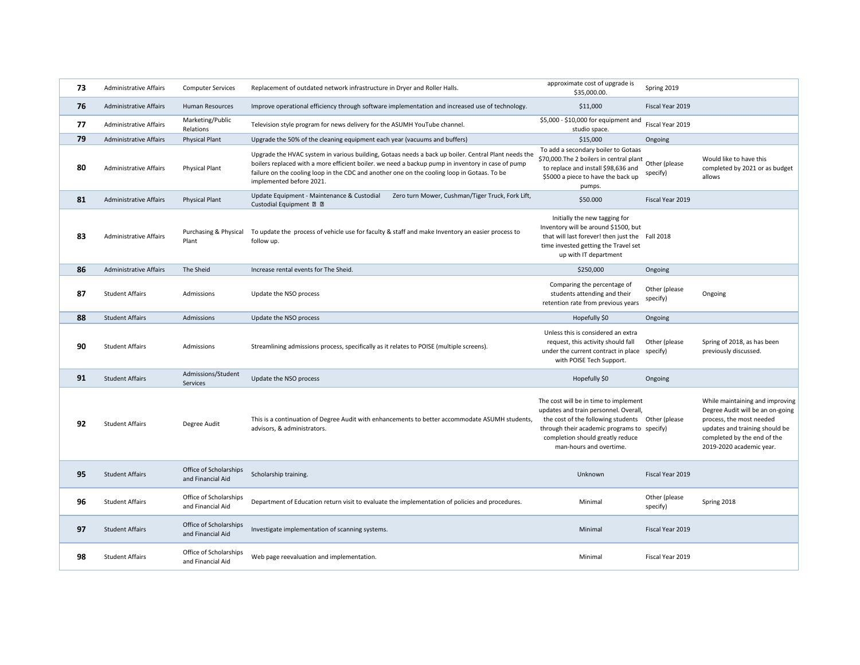| 73 | <b>Administrative Affairs</b> | <b>Computer Services</b>                    | Replacement of outdated network infrastructure in Dryer and Roller Halls.                                                                                                                                                                                                                                                           | approximate cost of upgrade is<br>\$35,000.00.                                                                                                                                                                                                   | Spring 2019               |                                                                                                                                                                                              |
|----|-------------------------------|---------------------------------------------|-------------------------------------------------------------------------------------------------------------------------------------------------------------------------------------------------------------------------------------------------------------------------------------------------------------------------------------|--------------------------------------------------------------------------------------------------------------------------------------------------------------------------------------------------------------------------------------------------|---------------------------|----------------------------------------------------------------------------------------------------------------------------------------------------------------------------------------------|
| 76 | <b>Administrative Affairs</b> | Human Resources                             | Improve operational efficiency through software implementation and increased use of technology.                                                                                                                                                                                                                                     | \$11,000                                                                                                                                                                                                                                         | Fiscal Year 2019          |                                                                                                                                                                                              |
| 77 | <b>Administrative Affairs</b> | Marketing/Public<br>Relations               | Television style program for news delivery for the ASUMH YouTube channel.                                                                                                                                                                                                                                                           | \$5,000 - \$10,000 for equipment and<br>studio space.                                                                                                                                                                                            | Fiscal Year 2019          |                                                                                                                                                                                              |
| 79 | <b>Administrative Affairs</b> | <b>Physical Plant</b>                       | Upgrade the 50% of the cleaning equipment each year (vacuums and buffers)                                                                                                                                                                                                                                                           | \$15,000                                                                                                                                                                                                                                         | Ongoing                   |                                                                                                                                                                                              |
| 80 | <b>Administrative Affairs</b> | <b>Physical Plant</b>                       | Upgrade the HVAC system in various building, Gotaas needs a back up boiler. Central Plant needs the<br>boilers replaced with a more efficient boiler. we need a backup pump in inventory in case of pump<br>failure on the cooling loop in the CDC and another one on the cooling loop in Gotaas. To be<br>implemented before 2021. | To add a secondary boiler to Gotaas<br>\$70,000. The 2 boilers in central plant<br>to replace and install \$98,636 and<br>\$5000 a piece to have the back up<br>pumps.                                                                           | Other (please<br>specify) | Would like to have this<br>completed by 2021 or as budget<br>allows                                                                                                                          |
| 81 | <b>Administrative Affairs</b> | <b>Physical Plant</b>                       | Update Equipment - Maintenance & Custodial<br>Zero turn Mower, Cushman/Tiger Truck, Fork Lift,<br>Custodial Equipment 2 2                                                                                                                                                                                                           | \$50.000                                                                                                                                                                                                                                         | Fiscal Year 2019          |                                                                                                                                                                                              |
| 83 | <b>Administrative Affairs</b> | Purchasing & Physical<br>Plant              | To update the process of vehicle use for faculty & staff and make Inventory an easier process to<br>follow up.                                                                                                                                                                                                                      | Initially the new tagging for<br>Inventory will be around \$1500, but<br>that will last forever! then just the Fall 2018<br>time invested getting the Travel set<br>up with IT department                                                        |                           |                                                                                                                                                                                              |
| 86 | <b>Administrative Affairs</b> | The Sheid                                   | Increase rental events for The Sheid.                                                                                                                                                                                                                                                                                               | \$250,000                                                                                                                                                                                                                                        | Ongoing                   |                                                                                                                                                                                              |
| 87 | <b>Student Affairs</b>        | Admissions                                  | Update the NSO process                                                                                                                                                                                                                                                                                                              | Comparing the percentage of<br>students attending and their<br>retention rate from previous years                                                                                                                                                | Other (please<br>specify) | Ongoing                                                                                                                                                                                      |
| 88 | <b>Student Affairs</b>        | Admissions                                  | Update the NSO process                                                                                                                                                                                                                                                                                                              | Hopefully \$0                                                                                                                                                                                                                                    | Ongoing                   |                                                                                                                                                                                              |
| 90 | <b>Student Affairs</b>        | Admissions                                  | Streamlining admissions process, specifically as it relates to POISE (multiple screens).                                                                                                                                                                                                                                            | Unless this is considered an extra<br>request, this activity should fall<br>under the current contract in place specify)<br>with POISE Tech Support.                                                                                             | Other (please             | Spring of 2018, as has been<br>previously discussed.                                                                                                                                         |
| 91 | <b>Student Affairs</b>        | Admissions/Student<br>Services              | Update the NSO process                                                                                                                                                                                                                                                                                                              | Hopefully \$0                                                                                                                                                                                                                                    | Ongoing                   |                                                                                                                                                                                              |
| 92 | <b>Student Affairs</b>        | Degree Audit                                | This is a continuation of Degree Audit with enhancements to better accommodate ASUMH students,<br>advisors, & administrators.                                                                                                                                                                                                       | The cost will be in time to implement<br>updates and train personnel. Overall,<br>the cost of the following students Other (please<br>through their academic programs to specify)<br>completion should greatly reduce<br>man-hours and overtime. |                           | While maintaining and improving<br>Degree Audit will be an on-going<br>process, the most needed<br>updates and training should be<br>completed by the end of the<br>2019-2020 academic year. |
|    |                               |                                             |                                                                                                                                                                                                                                                                                                                                     |                                                                                                                                                                                                                                                  |                           |                                                                                                                                                                                              |
| 95 | <b>Student Affairs</b>        | Office of Scholarships<br>and Financial Aid | Scholarship training.                                                                                                                                                                                                                                                                                                               | Unknown                                                                                                                                                                                                                                          | Fiscal Year 2019          |                                                                                                                                                                                              |
| 96 | <b>Student Affairs</b>        | Office of Scholarships<br>and Financial Aid | Department of Education return visit to evaluate the implementation of policies and procedures.                                                                                                                                                                                                                                     | Minimal                                                                                                                                                                                                                                          | Other (please<br>specify) | Spring 2018                                                                                                                                                                                  |
| 97 | <b>Student Affairs</b>        | Office of Scholarships<br>and Financial Aid | Investigate implementation of scanning systems.                                                                                                                                                                                                                                                                                     | Minimal                                                                                                                                                                                                                                          | Fiscal Year 2019          |                                                                                                                                                                                              |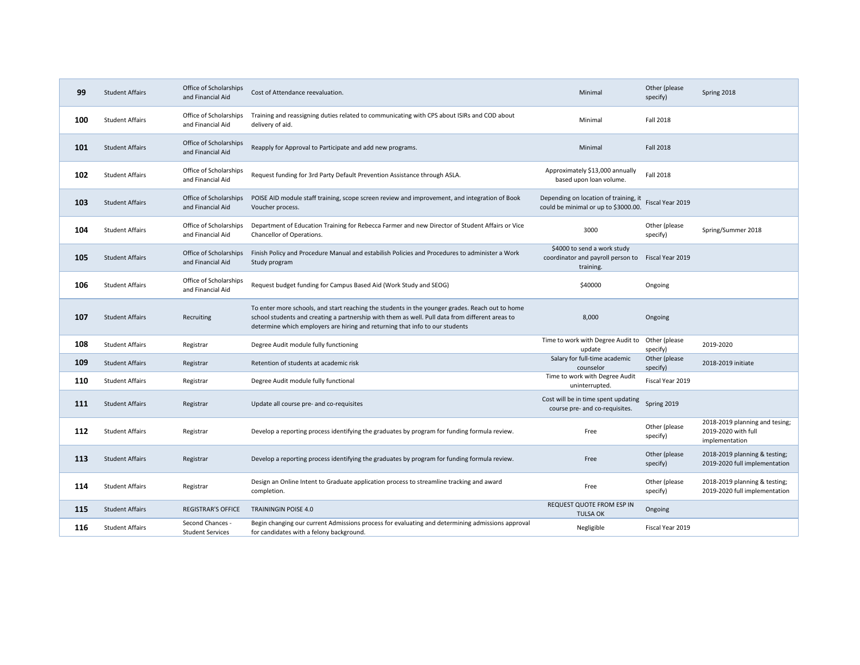| 99  | Office of Scholarships<br><b>Student Affairs</b><br>and Financial Aid |                                             | Cost of Attendance reevaluation.                                                                                                                                                                                                                                                   | Minimal                                                                                        | Other (please<br>specify) | Spring 2018                                                             |
|-----|-----------------------------------------------------------------------|---------------------------------------------|------------------------------------------------------------------------------------------------------------------------------------------------------------------------------------------------------------------------------------------------------------------------------------|------------------------------------------------------------------------------------------------|---------------------------|-------------------------------------------------------------------------|
| 100 | <b>Student Affairs</b>                                                | Office of Scholarships<br>and Financial Aid | Training and reassigning duties related to communicating with CPS about ISIRs and COD about<br>delivery of aid.                                                                                                                                                                    | Minimal                                                                                        | <b>Fall 2018</b>          |                                                                         |
| 101 | <b>Student Affairs</b>                                                | Office of Scholarships<br>and Financial Aid | Reapply for Approval to Participate and add new programs.                                                                                                                                                                                                                          | Minimal                                                                                        | <b>Fall 2018</b>          |                                                                         |
| 102 | <b>Student Affairs</b>                                                | Office of Scholarships<br>and Financial Aid | Request funding for 3rd Party Default Prevention Assistance through ASLA.                                                                                                                                                                                                          | Approximately \$13,000 annually<br>based upon loan volume.                                     | <b>Fall 2018</b>          |                                                                         |
| 103 | <b>Student Affairs</b>                                                | Office of Scholarships<br>and Financial Aid | POISE AID module staff training, scope screen review and improvement, and integration of Book<br>Voucher process.                                                                                                                                                                  | Depending on location of training, it<br>could be minimal or up to \$3000.00.                  | Fiscal Year 2019          |                                                                         |
| 104 | <b>Student Affairs</b>                                                | Office of Scholarships<br>and Financial Aid | Department of Education Training for Rebecca Farmer and new Director of Student Affairs or Vice<br>Chancellor of Operations.                                                                                                                                                       | 3000                                                                                           | Other (please<br>specify) | Spring/Summer 2018                                                      |
| 105 | <b>Student Affairs</b>                                                | Office of Scholarships<br>and Financial Aid | Finish Policy and Procedure Manual and estabilish Policies and Procedures to administer a Work<br>Study program                                                                                                                                                                    | \$4000 to send a work study<br>coordinator and payroll person to Fiscal Year 2019<br>training. |                           |                                                                         |
| 106 | <b>Student Affairs</b>                                                | Office of Scholarships<br>and Financial Aid | Request budget funding for Campus Based Aid (Work Study and SEOG)                                                                                                                                                                                                                  | \$40000                                                                                        | Ongoing                   |                                                                         |
| 107 | <b>Student Affairs</b>                                                | Recruiting                                  | To enter more schools, and start reaching the students in the younger grades. Reach out to home<br>school students and creating a partnership with them as well. Pull data from different areas to<br>determine which employers are hiring and returning that info to our students | 8,000                                                                                          | Ongoing                   |                                                                         |
| 108 | <b>Student Affairs</b>                                                | Registrar                                   | Degree Audit module fully functioning                                                                                                                                                                                                                                              | Time to work with Degree Audit to<br>update                                                    | Other (please<br>specify) | 2019-2020                                                               |
| 109 | <b>Student Affairs</b>                                                | Registrar                                   | Retention of students at academic risk                                                                                                                                                                                                                                             | Salary for full-time academic<br>counselor                                                     | Other (please<br>specify) | 2018-2019 initiate                                                      |
| 110 | <b>Student Affairs</b>                                                | Registrar                                   | Degree Audit module fully functional                                                                                                                                                                                                                                               | Time to work with Degree Audit<br>uninterrupted.                                               | Fiscal Year 2019          |                                                                         |
| 111 | <b>Student Affairs</b>                                                | Registrar                                   | Update all course pre- and co-requisites                                                                                                                                                                                                                                           | Cost will be in time spent updating<br>course pre- and co-requisites.                          | Spring 2019               |                                                                         |
| 112 | <b>Student Affairs</b>                                                | Registrar                                   | Develop a reporting process identifying the graduates by program for funding formula review.                                                                                                                                                                                       | Free                                                                                           | Other (please<br>specify) | 2018-2019 planning and tesing;<br>2019-2020 with full<br>implementation |
| 113 | <b>Student Affairs</b>                                                | Registrar                                   | Develop a reporting process identifying the graduates by program for funding formula review.                                                                                                                                                                                       | Free                                                                                           | Other (please<br>specify) | 2018-2019 planning & testing;<br>2019-2020 full implementation          |
| 114 | <b>Student Affairs</b>                                                | Registrar                                   | Design an Online Intent to Graduate application process to streamline tracking and award<br>completion.                                                                                                                                                                            | Free                                                                                           | Other (please<br>specify) | 2018-2019 planning & testing;<br>2019-2020 full implementation          |
| 115 | <b>Student Affairs</b>                                                | <b>REGISTRAR'S OFFICE</b>                   | <b>TRAININGIN POISE 4.0</b>                                                                                                                                                                                                                                                        | REQUEST QUOTE FROM ESP IN<br><b>TULSA OK</b>                                                   | Ongoing                   |                                                                         |
| 116 | <b>Student Affairs</b>                                                | Second Chances -<br><b>Student Services</b> | Begin changing our current Admissions process for evaluating and determining admissions approval<br>for candidates with a felony background.                                                                                                                                       | Negligible                                                                                     | Fiscal Year 2019          |                                                                         |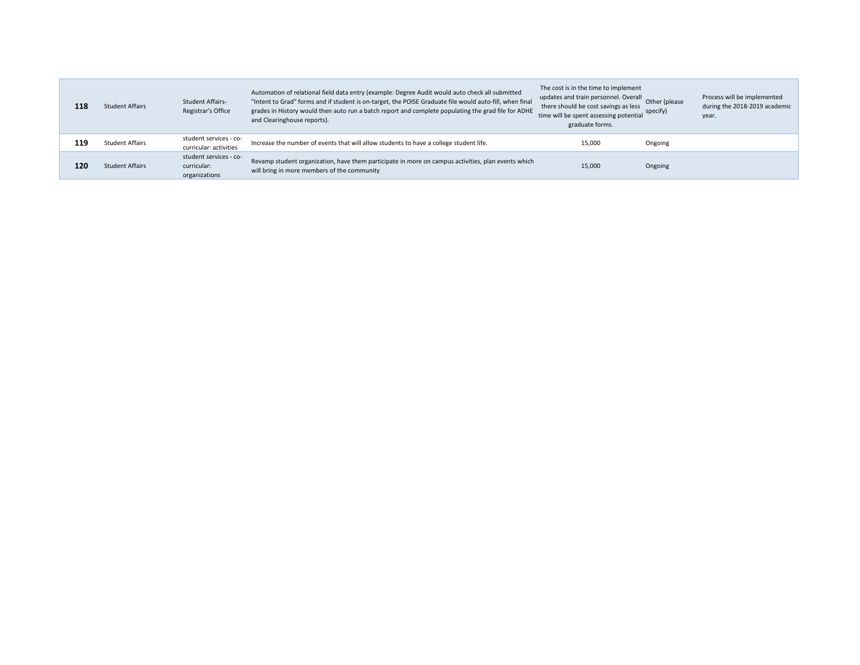| 118 | <b>Student Affairs</b> | <b>Student Affairs-</b><br>Registrar's Office          | Automation of relational field data entry (example: Degree Audit would auto check all submitted<br>"Intent to Grad" forms and if student is on-target, the POISE Graduate file would auto-fill, when final<br>grades in History would then auto run a batch report and complete populating the grad file for ADHE<br>and Clearinghouse reports). | The cost is in the time to implement<br>updates and train personnel. Overall<br>there should be cost savings as less<br>time will be spent assessing potential<br>graduate forms. | Other (please<br>specify) | Process will be implemented<br>during the 2018-2019 academic<br>year. |
|-----|------------------------|--------------------------------------------------------|--------------------------------------------------------------------------------------------------------------------------------------------------------------------------------------------------------------------------------------------------------------------------------------------------------------------------------------------------|-----------------------------------------------------------------------------------------------------------------------------------------------------------------------------------|---------------------------|-----------------------------------------------------------------------|
| 119 | <b>Student Affairs</b> | student services - co-<br>curricular: activities       | Increase the number of events that will allow students to have a college student life.                                                                                                                                                                                                                                                           | 15,000                                                                                                                                                                            | Ongoing                   |                                                                       |
| 120 | <b>Student Affairs</b> | student services - co-<br>curricular:<br>organizations | Revamp student organization, have them participate in more on campus activities, plan events which<br>will bring in more members of the community                                                                                                                                                                                                | 15,000                                                                                                                                                                            | Ongoing                   |                                                                       |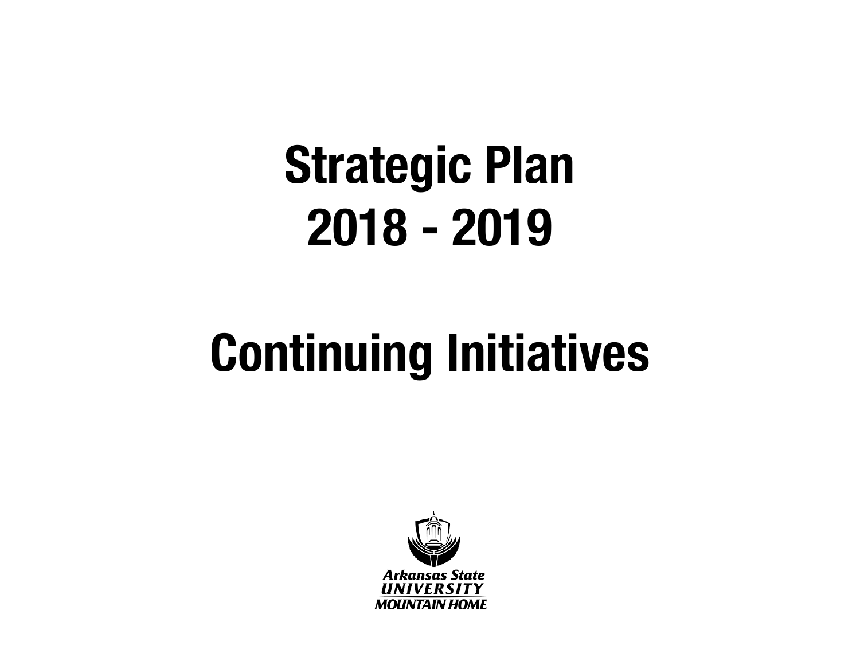### **Continuing Initiatives**

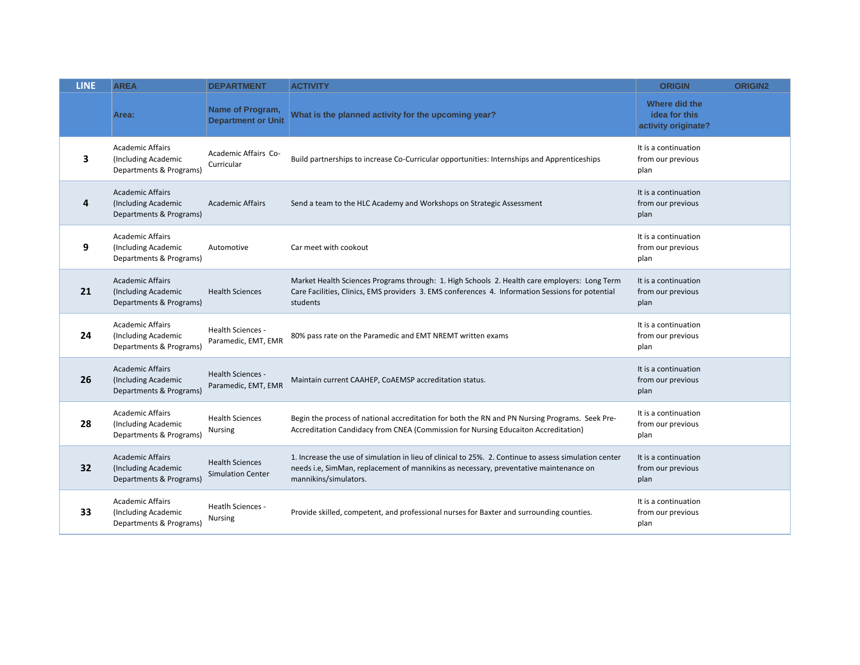| <b>LINE</b> | <b>AREA</b>                                                               | <b>DEPARTMENT</b>                                  | <b>ACTIVITY</b>                                                                                                                                                                                                         | <b>ORIGIN</b>                                         | <b>ORIGIN2</b> |
|-------------|---------------------------------------------------------------------------|----------------------------------------------------|-------------------------------------------------------------------------------------------------------------------------------------------------------------------------------------------------------------------------|-------------------------------------------------------|----------------|
|             | Area:                                                                     | Name of Program,<br><b>Department or Unit</b>      | What is the planned activity for the upcoming year?                                                                                                                                                                     | Where did the<br>idea for this<br>activity originate? |                |
| 3           | <b>Academic Affairs</b><br>(Including Academic<br>Departments & Programs) | Academic Affairs Co-<br>Curricular                 | Build partnerships to increase Co-Curricular opportunities: Internships and Apprenticeships                                                                                                                             | It is a continuation<br>from our previous<br>plan     |                |
| 4           | <b>Academic Affairs</b><br>(Including Academic<br>Departments & Programs) | <b>Academic Affairs</b>                            | Send a team to the HLC Academy and Workshops on Strategic Assessment                                                                                                                                                    | It is a continuation<br>from our previous<br>plan     |                |
| 9           | <b>Academic Affairs</b><br>(Including Academic<br>Departments & Programs) | Automotive                                         | Car meet with cookout                                                                                                                                                                                                   | It is a continuation<br>from our previous<br>plan     |                |
| 21          | <b>Academic Affairs</b><br>(Including Academic<br>Departments & Programs) | <b>Health Sciences</b>                             | Market Health Sciences Programs through: 1. High Schools 2. Health care employers: Long Term<br>Care Facilities, Clinics, EMS providers 3. EMS conferences 4. Information Sessions for potential<br>students            | It is a continuation<br>from our previous<br>plan     |                |
| 24          | <b>Academic Affairs</b><br>(Including Academic<br>Departments & Programs) | Health Sciences -<br>Paramedic, EMT, EMR           | 80% pass rate on the Paramedic and EMT NREMT written exams                                                                                                                                                              | It is a continuation<br>from our previous<br>plan     |                |
| 26          | <b>Academic Affairs</b><br>(Including Academic<br>Departments & Programs) | <b>Health Sciences -</b><br>Paramedic, EMT, EMR    | Maintain current CAAHEP, CoAEMSP accreditation status.                                                                                                                                                                  | It is a continuation<br>from our previous<br>plan     |                |
| 28          | <b>Academic Affairs</b><br>(Including Academic<br>Departments & Programs) | <b>Health Sciences</b><br><b>Nursing</b>           | Begin the process of national accreditation for both the RN and PN Nursing Programs. Seek Pre-<br>Accreditation Candidacy from CNEA (Commission for Nursing Educaiton Accreditation)                                    | It is a continuation<br>from our previous<br>plan     |                |
| 32          | <b>Academic Affairs</b><br>(Including Academic<br>Departments & Programs) | <b>Health Sciences</b><br><b>Simulation Center</b> | 1. Increase the use of simulation in lieu of clinical to 25%. 2. Continue to assess simulation center<br>needs i.e, SimMan, replacement of mannikins as necessary, preventative maintenance on<br>mannikins/simulators. | It is a continuation<br>from our previous<br>plan     |                |
| 33          | <b>Academic Affairs</b><br>(Including Academic<br>Departments & Programs) | <b>Heatlh Sciences -</b><br><b>Nursing</b>         | Provide skilled, competent, and professional nurses for Baxter and surrounding counties.                                                                                                                                | It is a continuation<br>from our previous<br>plan     |                |
|             |                                                                           |                                                    |                                                                                                                                                                                                                         |                                                       |                |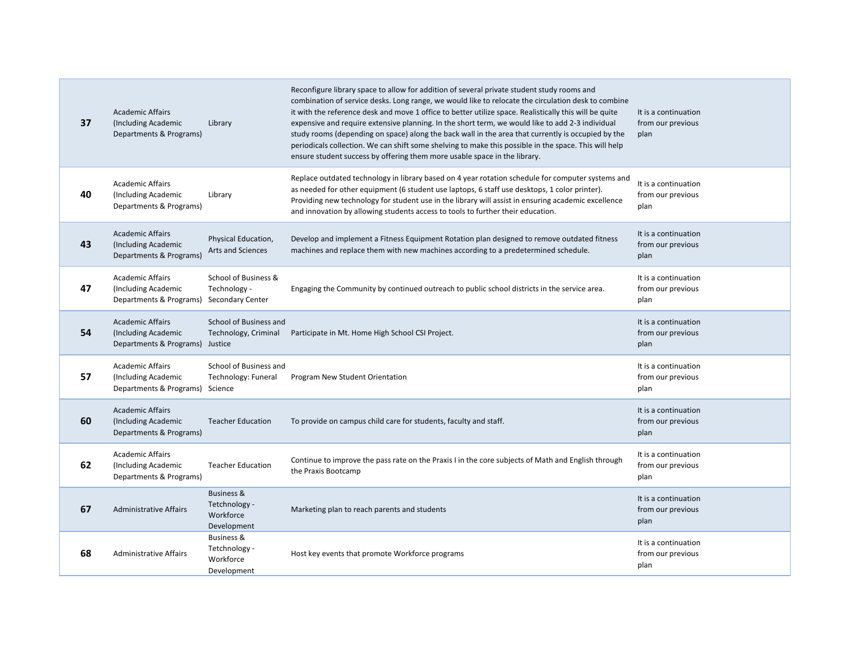| 37 | <b>Academic Affairs</b><br>(Including Academic<br>Departments & Programs)                  | Library                                                            | Reconfigure library space to allow for addition of several private student study rooms and<br>combination of service desks. Long range, we would like to relocate the circulation desk to combine<br>it with the reference desk and move 1 office to better utilize space. Realistically this will be quite<br>expensive and require extensive planning. In the short term, we would like to add 2-3 individual<br>study rooms (depending on space) along the back wall in the area that currently is occupied by the<br>periodicals collection. We can shift some shelving to make this possible in the space. This will help<br>ensure student success by offering them more usable space in the library. | It is a continuation<br>from our previous<br>plan |
|----|--------------------------------------------------------------------------------------------|--------------------------------------------------------------------|-------------------------------------------------------------------------------------------------------------------------------------------------------------------------------------------------------------------------------------------------------------------------------------------------------------------------------------------------------------------------------------------------------------------------------------------------------------------------------------------------------------------------------------------------------------------------------------------------------------------------------------------------------------------------------------------------------------|---------------------------------------------------|
| 40 | <b>Academic Affairs</b><br>(Including Academic<br>Departments & Programs)                  | Library                                                            | Replace outdated technology in library based on 4 year rotation schedule for computer systems and<br>as needed for other equipment (6 student use laptops, 6 staff use desktops, 1 color printer).<br>Providing new technology for student use in the library will assist in ensuring academic excellence<br>and innovation by allowing students access to tools to further their education.                                                                                                                                                                                                                                                                                                                | It is a continuation<br>from our previous<br>plan |
| 43 | <b>Academic Affairs</b><br>(Including Academic<br>Departments & Programs)                  | Physical Education,<br>Arts and Sciences                           | Develop and implement a Fitness Equipment Rotation plan designed to remove outdated fitness<br>machines and replace them with new machines according to a predetermined schedule.                                                                                                                                                                                                                                                                                                                                                                                                                                                                                                                           | It is a continuation<br>from our previous<br>plan |
| 47 | <b>Academic Affairs</b><br>(Including Academic<br>Departments & Programs) Secondary Center | School of Business &<br>Technology -                               | Engaging the Community by continued outreach to public school districts in the service area.                                                                                                                                                                                                                                                                                                                                                                                                                                                                                                                                                                                                                | It is a continuation<br>from our previous<br>plan |
| 54 | <b>Academic Affairs</b><br>(Including Academic<br>Departments & Programs) Justice          | School of Business and<br>Technology, Criminal                     | Participate in Mt. Home High School CSI Project.                                                                                                                                                                                                                                                                                                                                                                                                                                                                                                                                                                                                                                                            | It is a continuation<br>from our previous<br>plan |
| 57 | <b>Academic Affairs</b><br>(Including Academic<br>Departments & Programs) Science          | School of Business and<br>Technology: Funeral                      | Program New Student Orientation                                                                                                                                                                                                                                                                                                                                                                                                                                                                                                                                                                                                                                                                             | It is a continuation<br>from our previous<br>plan |
| 60 | <b>Academic Affairs</b><br>(Including Academic<br>Departments & Programs)                  | <b>Teacher Education</b>                                           | To provide on campus child care for students, faculty and staff.                                                                                                                                                                                                                                                                                                                                                                                                                                                                                                                                                                                                                                            | It is a continuation<br>from our previous<br>plan |
| 62 | <b>Academic Affairs</b><br>(Including Academic<br>Departments & Programs)                  | <b>Teacher Education</b>                                           | Continue to improve the pass rate on the Praxis I in the core subjects of Math and English through<br>the Praxis Bootcamp                                                                                                                                                                                                                                                                                                                                                                                                                                                                                                                                                                                   | It is a continuation<br>from our previous<br>plan |
| 67 | <b>Administrative Affairs</b>                                                              | Business &<br>Tetchnology -<br>Workforce<br>Development            | Marketing plan to reach parents and students                                                                                                                                                                                                                                                                                                                                                                                                                                                                                                                                                                                                                                                                | It is a continuation<br>from our previous<br>plan |
| 68 | <b>Administrative Affairs</b>                                                              | <b>Business &amp;</b><br>Tetchnology -<br>Workforce<br>Development | Host key events that promote Workforce programs                                                                                                                                                                                                                                                                                                                                                                                                                                                                                                                                                                                                                                                             | It is a continuation<br>from our previous<br>plan |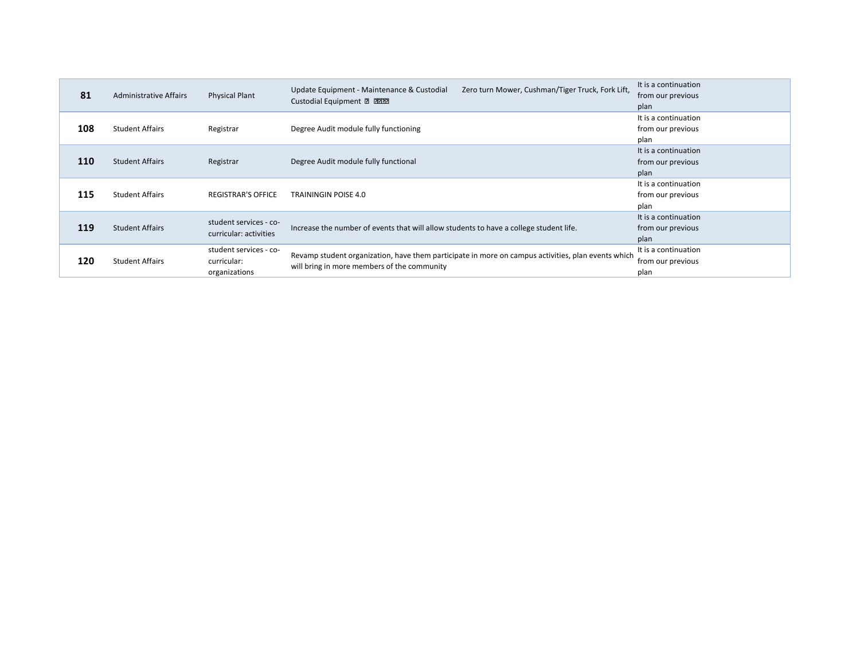|     |                               |                           | Zero turn Mower, Cushman/Tiger Truck, Fork Lift,<br>Update Equipment - Maintenance & Custodial     | It is a continuation |
|-----|-------------------------------|---------------------------|----------------------------------------------------------------------------------------------------|----------------------|
| 81  | <b>Administrative Affairs</b> | <b>Physical Plant</b>     | Custodial Equipment 2 2222                                                                         | from our previous    |
|     |                               |                           |                                                                                                    | plan                 |
|     |                               |                           |                                                                                                    | It is a continuation |
| 108 | <b>Student Affairs</b>        | Registrar                 | Degree Audit module fully functioning                                                              | from our previous    |
|     |                               |                           |                                                                                                    | plan                 |
|     |                               |                           |                                                                                                    | It is a continuation |
| 110 | <b>Student Affairs</b>        | Registrar                 | Degree Audit module fully functional                                                               | from our previous    |
|     |                               |                           |                                                                                                    | plan                 |
|     | <b>Student Affairs</b>        | <b>REGISTRAR'S OFFICE</b> |                                                                                                    | It is a continuation |
| 115 |                               |                           | <b>TRAININGIN POISE 4.0</b>                                                                        | from our previous    |
|     |                               |                           |                                                                                                    | plan                 |
|     |                               | student services - co-    |                                                                                                    | It is a continuation |
| 119 | <b>Student Affairs</b>        | curricular: activities    | Increase the number of events that will allow students to have a college student life.             | from our previous    |
|     |                               |                           |                                                                                                    | plan                 |
|     |                               | student services - co-    | Revamp student organization, have them participate in more on campus activities, plan events which | It is a continuation |
| 120 | <b>Student Affairs</b>        | curricular:               | will bring in more members of the community                                                        | from our previous    |
|     |                               | organizations             |                                                                                                    | plan                 |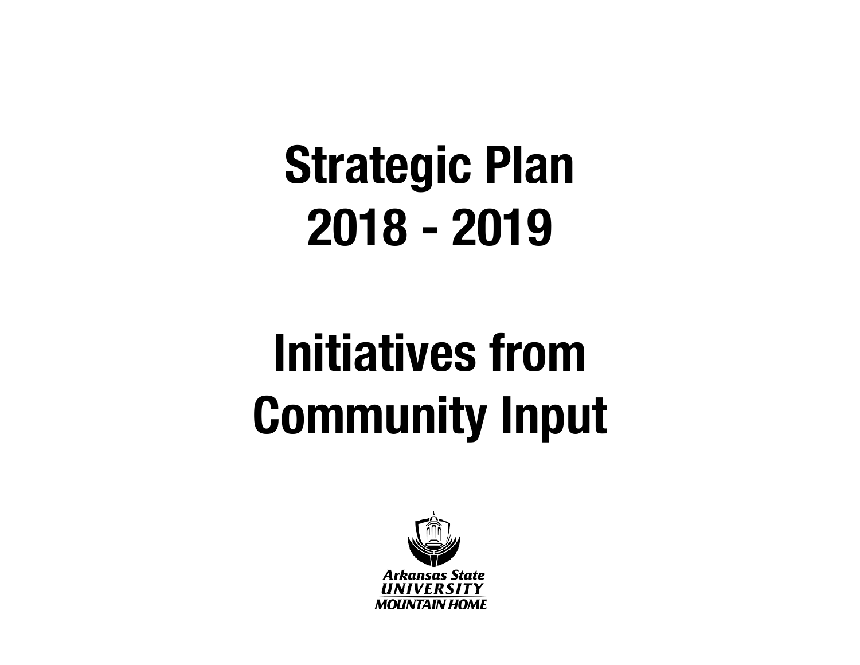# **Initiatives from Community Input**

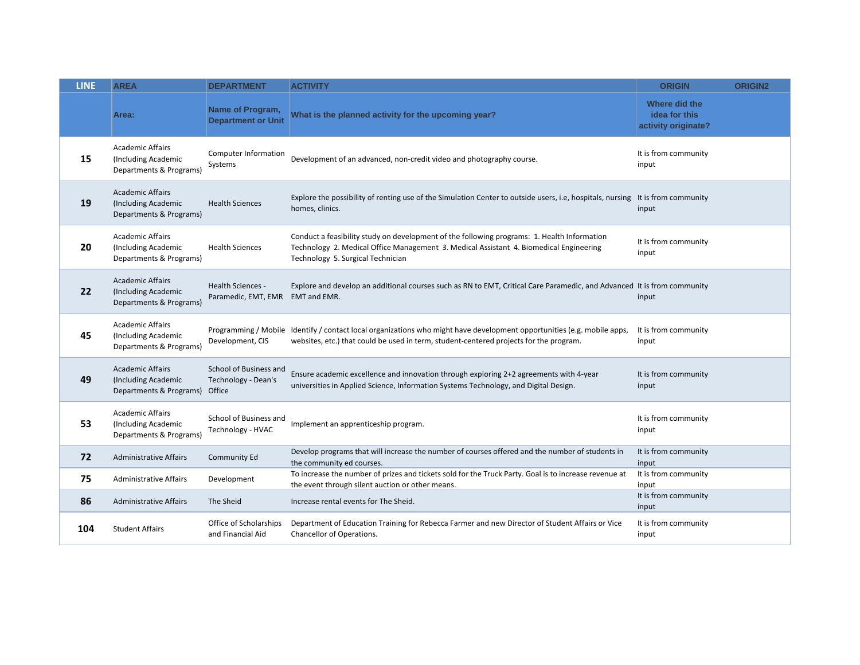| <b>LINE</b> | <b>AREA</b>                                                               | <b>DEPARTMENT</b>                                       | <b>ACTIVITY</b>                                                                                                                                                                                                            | <b>ORIGIN</b>                                         | <b>ORIGIN2</b> |
|-------------|---------------------------------------------------------------------------|---------------------------------------------------------|----------------------------------------------------------------------------------------------------------------------------------------------------------------------------------------------------------------------------|-------------------------------------------------------|----------------|
|             | Area:                                                                     | Name of Program,<br><b>Department or Unit</b>           | What is the planned activity for the upcoming year?                                                                                                                                                                        | Where did the<br>idea for this<br>activity originate? |                |
| 15          | <b>Academic Affairs</b><br>(Including Academic<br>Departments & Programs) | <b>Computer Information</b><br>Systems                  | Development of an advanced, non-credit video and photography course.                                                                                                                                                       | It is from community<br>input                         |                |
| 19          | <b>Academic Affairs</b><br>(Including Academic<br>Departments & Programs) | <b>Health Sciences</b>                                  | Explore the possibility of renting use of the Simulation Center to outside users, i.e, hospitals, nursing It is from community<br>homes, clinics.                                                                          | input                                                 |                |
| 20          | <b>Academic Affairs</b><br>(Including Academic<br>Departments & Programs) | <b>Health Sciences</b>                                  | Conduct a feasibility study on development of the following programs: 1. Health Information<br>Technology 2. Medical Office Management 3. Medical Assistant 4. Biomedical Engineering<br>Technology 5. Surgical Technician | It is from community<br>input                         |                |
| 22          | <b>Academic Affairs</b><br>(Including Academic<br>Departments & Programs) | Health Sciences -<br>Paramedic, EMT, EMR EMT and EMR.   | Explore and develop an additional courses such as RN to EMT, Critical Care Paramedic, and Advanced It is from community                                                                                                    | input                                                 |                |
| 45          | <b>Academic Affairs</b><br>(Including Academic<br>Departments & Programs) | Development, CIS                                        | Programming / Mobile Identify / contact local organizations who might have development opportunities (e.g. mobile apps,<br>websites, etc.) that could be used in term, student-centered projects for the program.          | It is from community<br>input                         |                |
| 49          | <b>Academic Affairs</b><br>(Including Academic<br>Departments & Programs) | School of Business and<br>Technology - Dean's<br>Office | Ensure academic excellence and innovation through exploring 2+2 agreements with 4-year<br>universities in Applied Science, Information Systems Technology, and Digital Design.                                             | It is from community<br>input                         |                |
| 53          | <b>Academic Affairs</b><br>(Including Academic<br>Departments & Programs) | School of Business and<br>Technology - HVAC             | Implement an apprenticeship program.                                                                                                                                                                                       | It is from community<br>input                         |                |
| 72          | <b>Administrative Affairs</b>                                             | Community Ed                                            | Develop programs that will increase the number of courses offered and the number of students in<br>the community ed courses.                                                                                               | It is from community<br>input                         |                |
| 75          | <b>Administrative Affairs</b>                                             | Development                                             | To increase the number of prizes and tickets sold for the Truck Party. Goal is to increase revenue at<br>the event through silent auction or other means.                                                                  | It is from community<br>input                         |                |
| 86          | <b>Administrative Affairs</b>                                             | The Sheid                                               | Increase rental events for The Sheid.                                                                                                                                                                                      | It is from community<br>input                         |                |
| 104         | <b>Student Affairs</b>                                                    | Office of Scholarships<br>and Financial Aid             | Department of Education Training for Rebecca Farmer and new Director of Student Affairs or Vice<br>Chancellor of Operations.                                                                                               | It is from community<br>input                         |                |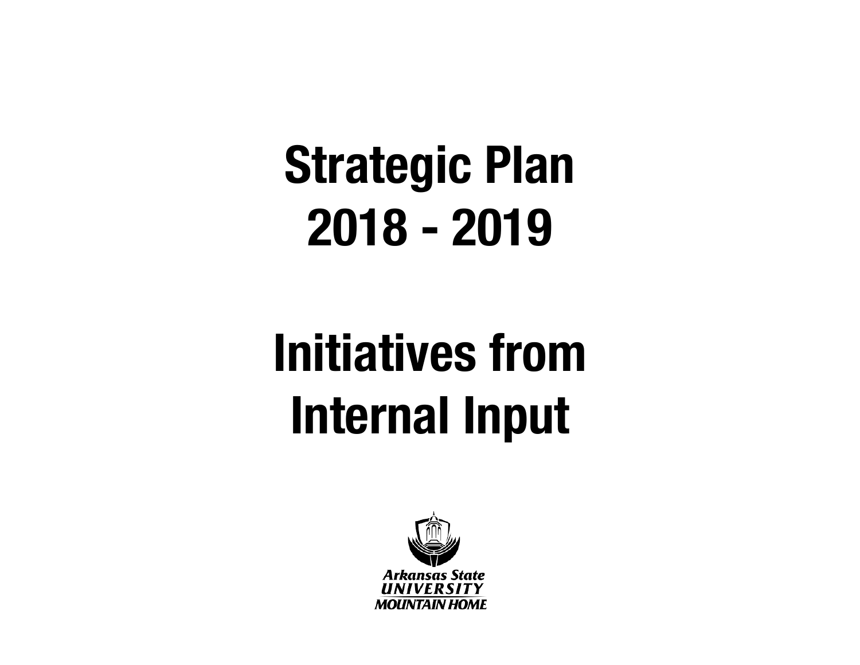# **Initiatives from Internal Input**

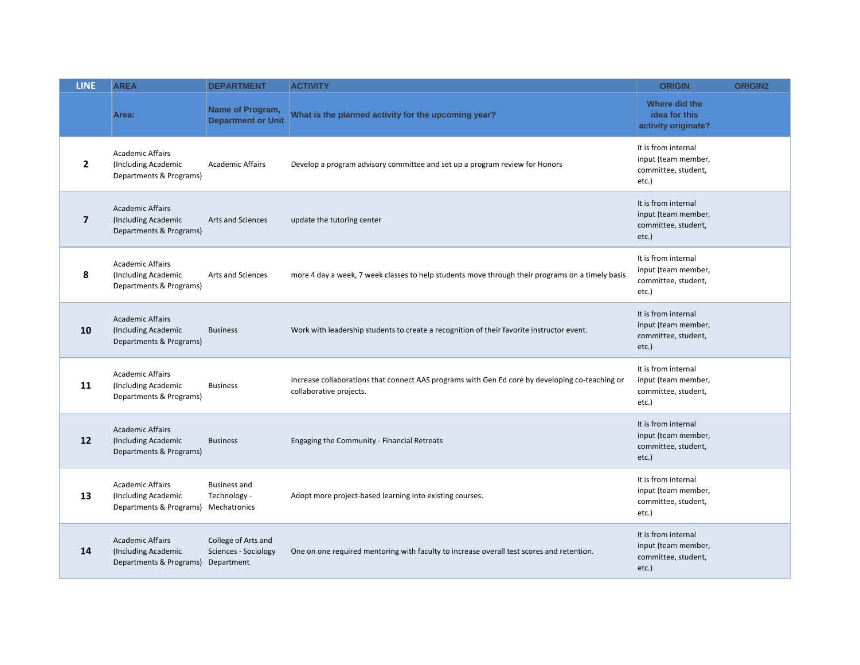| <b>LINE</b>    | <b>AREA</b>                                                                            | <b>DEPARTMENT</b>                             | <b>ACTIVITY</b>                                                                                                            | <b>ORIGIN</b>                                                              | <b>ORIGIN2</b> |
|----------------|----------------------------------------------------------------------------------------|-----------------------------------------------|----------------------------------------------------------------------------------------------------------------------------|----------------------------------------------------------------------------|----------------|
|                | Area:                                                                                  | Name of Program,<br><b>Department or Unit</b> | What is the planned activity for the upcoming year?                                                                        | Where did the<br>idea for this<br>activity originate?                      |                |
| $\overline{2}$ | <b>Academic Affairs</b><br>(Including Academic<br>Departments & Programs)              | <b>Academic Affairs</b>                       | Develop a program advisory committee and set up a program review for Honors                                                | It is from internal<br>input (team member,<br>committee, student,<br>etc.) |                |
| $\overline{7}$ | <b>Academic Affairs</b><br>(Including Academic<br>Departments & Programs)              | Arts and Sciences                             | update the tutoring center                                                                                                 | It is from internal<br>input (team member,<br>committee, student,<br>etc.) |                |
| 8              | <b>Academic Affairs</b><br>(Including Academic<br>Departments & Programs)              | Arts and Sciences                             | more 4 day a week, 7 week classes to help students move through their programs on a timely basis                           | It is from internal<br>input (team member,<br>committee, student,<br>etc.) |                |
| 10             | <b>Academic Affairs</b><br>(Including Academic<br>Departments & Programs)              | <b>Business</b>                               | Work with leadership students to create a recognition of their favorite instructor event.                                  | It is from internal<br>input (team member,<br>committee, student,<br>etc.) |                |
| 11             | <b>Academic Affairs</b><br>(Including Academic<br>Departments & Programs)              | <b>Business</b>                               | Increase collaborations that connect AAS programs with Gen Ed core by developing co-teaching or<br>collaborative projects. | It is from internal<br>input (team member,<br>committee, student,<br>etc.) |                |
| 12             | <b>Academic Affairs</b><br>(Including Academic<br>Departments & Programs)              | <b>Business</b>                               | Engaging the Community - Financial Retreats                                                                                | It is from internal<br>input (team member,<br>committee, student,<br>etc.) |                |
| 13             | <b>Academic Affairs</b><br>(Including Academic<br>Departments & Programs) Mechatronics | <b>Business and</b><br>Technology -           | Adopt more project-based learning into existing courses.                                                                   | It is from internal<br>input (team member,<br>committee, student,<br>etc.) |                |
| 14             | <b>Academic Affairs</b><br>(Including Academic<br>Departments & Programs) Department   | College of Arts and<br>Sciences - Sociology   | One on one required mentoring with faculty to increase overall test scores and retention.                                  | It is from internal<br>input (team member,<br>committee, student,<br>etc.) |                |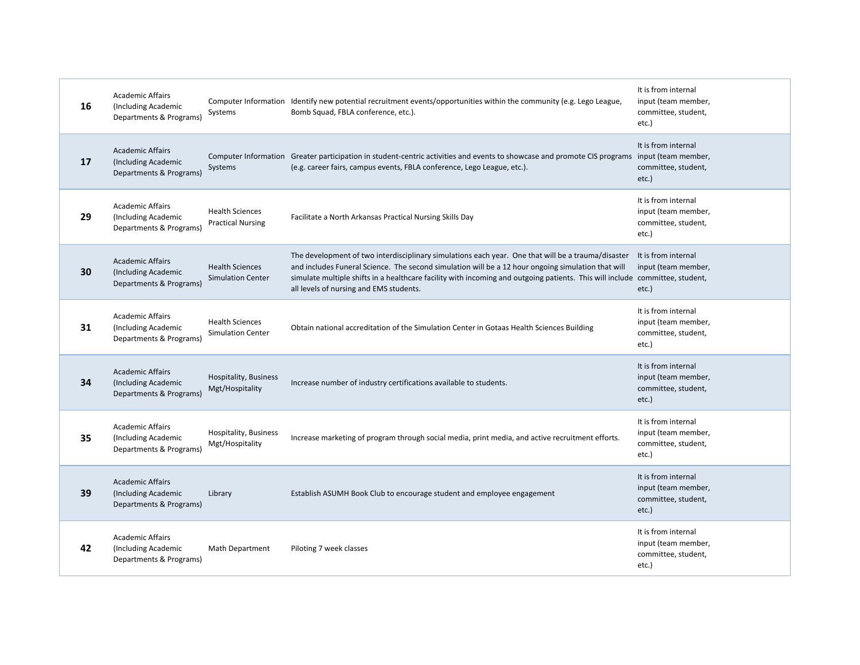| 16 | <b>Academic Affairs</b><br>(Including Academic<br>Departments & Programs) | Systems                                            | Computer Information Identify new potential recruitment events/opportunities within the community (e.g. Lego League,<br>Bomb Squad, FBLA conference, etc.).                                                                                                                                                                                                                         | It is from internal<br>input (team member,<br>committee, student,<br>etc.) |
|----|---------------------------------------------------------------------------|----------------------------------------------------|-------------------------------------------------------------------------------------------------------------------------------------------------------------------------------------------------------------------------------------------------------------------------------------------------------------------------------------------------------------------------------------|----------------------------------------------------------------------------|
| 17 | <b>Academic Affairs</b><br>(Including Academic<br>Departments & Programs) | Systems                                            | Computer Information Greater participation in student-centric activities and events to showcase and promote CIS programs input (team member,<br>(e.g. career fairs, campus events, FBLA conference, Lego League, etc.).                                                                                                                                                             | It is from internal<br>committee, student,<br>etc.)                        |
| 29 | <b>Academic Affairs</b><br>(Including Academic<br>Departments & Programs) | <b>Health Sciences</b><br><b>Practical Nursing</b> | Facilitate a North Arkansas Practical Nursing Skills Day                                                                                                                                                                                                                                                                                                                            | It is from internal<br>input (team member,<br>committee, student,<br>etc.) |
| 30 | <b>Academic Affairs</b><br>(Including Academic<br>Departments & Programs) | <b>Health Sciences</b><br><b>Simulation Center</b> | The development of two interdisciplinary simulations each year. One that will be a trauma/disaster<br>and includes Funeral Science. The second simulation will be a 12 hour ongoing simulation that will<br>simulate multiple shifts in a healthcare facility with incoming and outgoing patients. This will include committee, student,<br>all levels of nursing and EMS students. | It is from internal<br>input (team member,<br>etc.)                        |
| 31 | <b>Academic Affairs</b><br>(Including Academic<br>Departments & Programs) | <b>Health Sciences</b><br><b>Simulation Center</b> | Obtain national accreditation of the Simulation Center in Gotaas Health Sciences Building                                                                                                                                                                                                                                                                                           | It is from internal<br>input (team member,<br>committee, student,<br>etc.) |
| 34 | <b>Academic Affairs</b><br>(Including Academic<br>Departments & Programs) | Hospitality, Business<br>Mgt/Hospitality           | Increase number of industry certifications available to students.                                                                                                                                                                                                                                                                                                                   | It is from internal<br>input (team member,<br>committee, student,<br>etc.) |
| 35 | <b>Academic Affairs</b><br>(Including Academic<br>Departments & Programs) | Hospitality, Business<br>Mgt/Hospitality           | Increase marketing of program through social media, print media, and active recruitment efforts.                                                                                                                                                                                                                                                                                    | It is from internal<br>input (team member,<br>committee, student,<br>etc.) |
| 39 | <b>Academic Affairs</b><br>(Including Academic<br>Departments & Programs) | Library                                            | Establish ASUMH Book Club to encourage student and employee engagement                                                                                                                                                                                                                                                                                                              | It is from internal<br>input (team member,<br>committee, student,<br>etc.) |
| 42 | <b>Academic Affairs</b><br>(Including Academic<br>Departments & Programs) | Math Department                                    | Piloting 7 week classes                                                                                                                                                                                                                                                                                                                                                             | It is from internal<br>input (team member,<br>committee, student,<br>etc.) |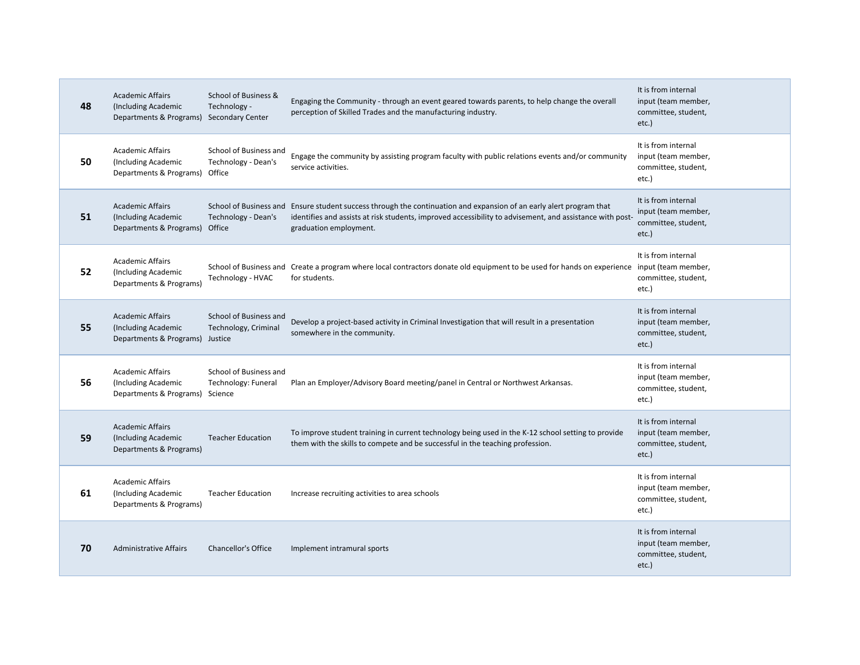| 48 | <b>Academic Affairs</b><br>(Including Academic<br>Departments & Programs)         | School of Business &<br>Technology -<br><b>Secondary Center</b> | Engaging the Community - through an event geared towards parents, to help change the overall<br>perception of Skilled Trades and the manufacturing industry.                                                                                              | It is from internal<br>input (team member,<br>committee, student,<br>etc.) |
|----|-----------------------------------------------------------------------------------|-----------------------------------------------------------------|-----------------------------------------------------------------------------------------------------------------------------------------------------------------------------------------------------------------------------------------------------------|----------------------------------------------------------------------------|
| 50 | <b>Academic Affairs</b><br>(Including Academic<br>Departments & Programs)         | School of Business and<br><b>Technology - Dean's</b><br>Office  | Engage the community by assisting program faculty with public relations events and/or community<br>service activities.                                                                                                                                    | It is from internal<br>input (team member,<br>committee, student,<br>etc.) |
| 51 | <b>Academic Affairs</b><br>(Including Academic<br>Departments & Programs)         | Technology - Dean's<br>Office                                   | School of Business and Ensure student success through the continuation and expansion of an early alert program that<br>identifies and assists at risk students, improved accessibility to advisement, and assistance with post-<br>graduation employment. | It is from internal<br>input (team member,<br>committee, student,<br>etc.) |
| 52 | <b>Academic Affairs</b><br>(Including Academic<br>Departments & Programs)         | Technology - HVAC                                               | School of Business and Create a program where local contractors donate old equipment to be used for hands on experience input (team member,<br>for students.                                                                                              | It is from internal<br>committee, student,<br>etc.)                        |
| 55 | <b>Academic Affairs</b><br>(Including Academic<br>Departments & Programs) Justice | School of Business and<br>Technology, Criminal                  | Develop a project-based activity in Criminal Investigation that will result in a presentation<br>somewhere in the community.                                                                                                                              | It is from internal<br>input (team member,<br>committee, student,<br>etc.) |
| 56 | <b>Academic Affairs</b><br>(Including Academic<br>Departments & Programs)         | School of Business and<br>Technology: Funeral<br>Science        | Plan an Employer/Advisory Board meeting/panel in Central or Northwest Arkansas.                                                                                                                                                                           | It is from internal<br>input (team member,<br>committee, student,<br>etc.) |
| 59 | <b>Academic Affairs</b><br>(Including Academic<br>Departments & Programs)         | <b>Teacher Education</b>                                        | To improve student training in current technology being used in the K-12 school setting to provide<br>them with the skills to compete and be successful in the teaching profession.                                                                       | It is from internal<br>input (team member,<br>committee, student,<br>etc.) |
| 61 | <b>Academic Affairs</b><br>(Including Academic<br>Departments & Programs)         | <b>Teacher Education</b>                                        | Increase recruiting activities to area schools                                                                                                                                                                                                            | It is from internal<br>input (team member,<br>committee, student,<br>etc.) |
| 70 | <b>Administrative Affairs</b>                                                     | <b>Chancellor's Office</b>                                      | Implement intramural sports                                                                                                                                                                                                                               | It is from internal<br>input (team member,<br>committee, student,<br>etc.) |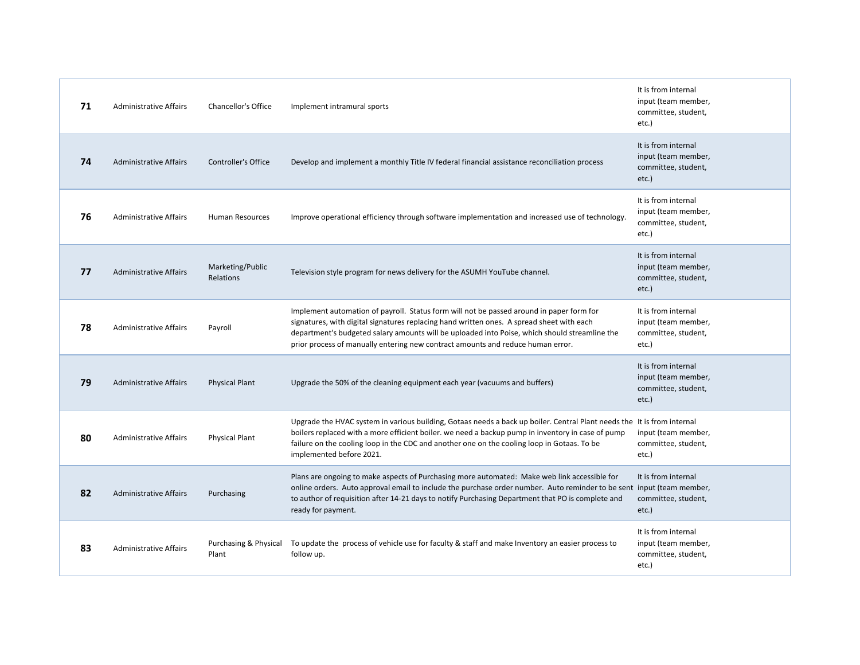| 71 | <b>Administrative Affairs</b> | <b>Chancellor's Office</b>     | Implement intramural sports                                                                                                                                                                                                                                                                                                                                               | It is from internal<br>input (team member,<br>committee, student,<br>etc.) |
|----|-------------------------------|--------------------------------|---------------------------------------------------------------------------------------------------------------------------------------------------------------------------------------------------------------------------------------------------------------------------------------------------------------------------------------------------------------------------|----------------------------------------------------------------------------|
| 74 | <b>Administrative Affairs</b> | Controller's Office            | Develop and implement a monthly Title IV federal financial assistance reconciliation process                                                                                                                                                                                                                                                                              | It is from internal<br>input (team member,<br>committee, student,<br>etc.) |
| 76 | <b>Administrative Affairs</b> | Human Resources                | Improve operational efficiency through software implementation and increased use of technology.                                                                                                                                                                                                                                                                           | It is from internal<br>input (team member,<br>committee, student,<br>etc.) |
| 77 | <b>Administrative Affairs</b> | Marketing/Public<br>Relations  | Television style program for news delivery for the ASUMH YouTube channel.                                                                                                                                                                                                                                                                                                 | It is from internal<br>input (team member,<br>committee, student,<br>etc.) |
| 78 | <b>Administrative Affairs</b> | Payroll                        | Implement automation of payroll. Status form will not be passed around in paper form for<br>signatures, with digital signatures replacing hand written ones. A spread sheet with each<br>department's budgeted salary amounts will be uploaded into Poise, which should streamline the<br>prior process of manually entering new contract amounts and reduce human error. | It is from internal<br>input (team member,<br>committee, student,<br>etc.) |
| 79 | <b>Administrative Affairs</b> | <b>Physical Plant</b>          | Upgrade the 50% of the cleaning equipment each year (vacuums and buffers)                                                                                                                                                                                                                                                                                                 | It is from internal<br>input (team member,<br>committee, student,<br>etc.) |
| 80 | <b>Administrative Affairs</b> | <b>Physical Plant</b>          | Upgrade the HVAC system in various building, Gotaas needs a back up boiler. Central Plant needs the It is from internal<br>boilers replaced with a more efficient boiler. we need a backup pump in inventory in case of pump<br>failure on the cooling loop in the CDC and another one on the cooling loop in Gotaas. To be<br>implemented before 2021.                   | input (team member,<br>committee, student,<br>etc.)                        |
| 82 | <b>Administrative Affairs</b> | Purchasing                     | Plans are ongoing to make aspects of Purchasing more automated: Make web link accessible for<br>online orders. Auto approval email to include the purchase order number. Auto reminder to be sent input (team member,<br>to author of requisition after 14-21 days to notify Purchasing Department that PO is complete and<br>ready for payment.                          | It is from internal<br>committee, student,<br>etc.)                        |
| 83 | <b>Administrative Affairs</b> | Purchasing & Physical<br>Plant | To update the process of vehicle use for faculty & staff and make Inventory an easier process to<br>follow up.                                                                                                                                                                                                                                                            | It is from internal<br>input (team member,<br>committee, student,<br>etc.) |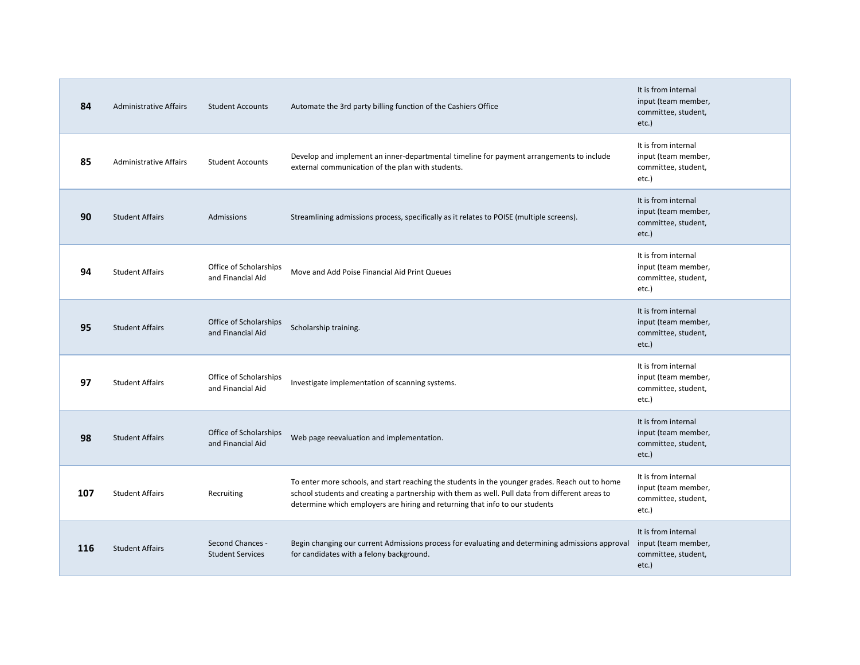| 84  | <b>Administrative Affairs</b> | <b>Student Accounts</b>                     | Automate the 3rd party billing function of the Cashiers Office                                                                                                                                                                                                                     | It is from internal<br>input (team member,<br>committee, student,<br>etc.) |
|-----|-------------------------------|---------------------------------------------|------------------------------------------------------------------------------------------------------------------------------------------------------------------------------------------------------------------------------------------------------------------------------------|----------------------------------------------------------------------------|
| 85  | <b>Administrative Affairs</b> | <b>Student Accounts</b>                     | Develop and implement an inner-departmental timeline for payment arrangements to include<br>external communication of the plan with students.                                                                                                                                      | It is from internal<br>input (team member,<br>committee, student,<br>etc.) |
| 90  | <b>Student Affairs</b>        | Admissions                                  | Streamlining admissions process, specifically as it relates to POISE (multiple screens).                                                                                                                                                                                           | It is from internal<br>input (team member,<br>committee, student,<br>etc.) |
| 94  | <b>Student Affairs</b>        | Office of Scholarships<br>and Financial Aid | Move and Add Poise Financial Aid Print Queues                                                                                                                                                                                                                                      | It is from internal<br>input (team member,<br>committee, student,<br>etc.) |
| 95  | <b>Student Affairs</b>        | Office of Scholarships<br>and Financial Aid | Scholarship training.                                                                                                                                                                                                                                                              | It is from internal<br>input (team member,<br>committee, student,<br>etc.) |
| 97  | <b>Student Affairs</b>        | Office of Scholarships<br>and Financial Aid | Investigate implementation of scanning systems.                                                                                                                                                                                                                                    | It is from internal<br>input (team member,<br>committee, student,<br>etc.) |
| 98  | <b>Student Affairs</b>        | Office of Scholarships<br>and Financial Aid | Web page reevaluation and implementation.                                                                                                                                                                                                                                          | It is from internal<br>input (team member,<br>committee, student,<br>etc.) |
| 107 | <b>Student Affairs</b>        | Recruiting                                  | To enter more schools, and start reaching the students in the younger grades. Reach out to home<br>school students and creating a partnership with them as well. Pull data from different areas to<br>determine which employers are hiring and returning that info to our students | It is from internal<br>input (team member,<br>committee, student,<br>etc.) |
| 116 | <b>Student Affairs</b>        | Second Chances -<br><b>Student Services</b> | Begin changing our current Admissions process for evaluating and determining admissions approval<br>for candidates with a felony background.                                                                                                                                       | It is from internal<br>input (team member,<br>committee, student,<br>etc.) |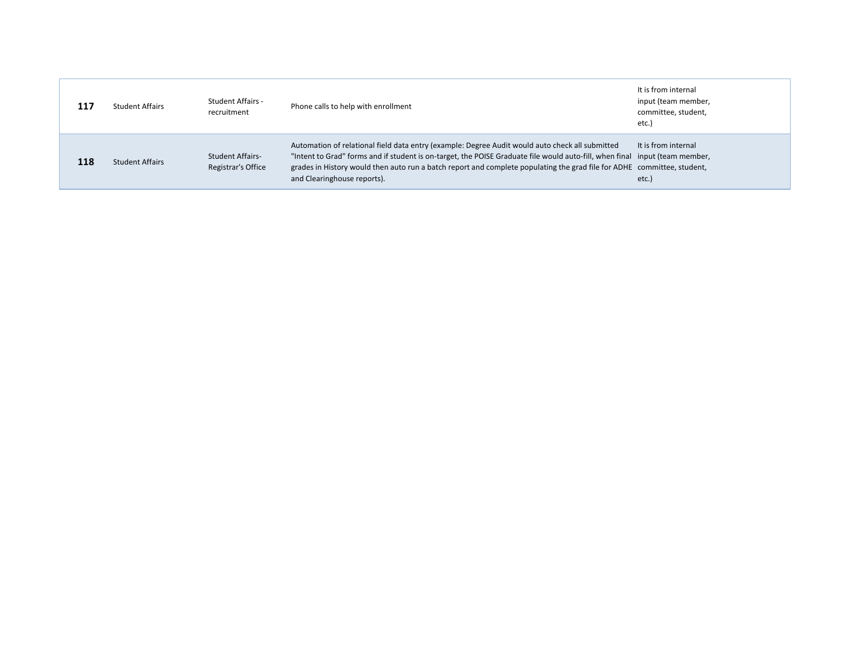| 117 | <b>Student Affairs</b> | Student Affairs -<br>recruitment              | Phone calls to help with enrollment                                                                                                                                                                                                                                                                                                                                                      | It is from internal<br>input (team member,<br>committee, student,<br>etc. |
|-----|------------------------|-----------------------------------------------|------------------------------------------------------------------------------------------------------------------------------------------------------------------------------------------------------------------------------------------------------------------------------------------------------------------------------------------------------------------------------------------|---------------------------------------------------------------------------|
| 118 | <b>Student Affairs</b> | <b>Student Affairs-</b><br>Registrar's Office | Automation of relational field data entry (example: Degree Audit would auto check all submitted<br>"Intent to Grad" forms and if student is on-target, the POISE Graduate file would auto-fill, when final input (team member,<br>grades in History would then auto run a batch report and complete populating the grad file for ADHE committee, student,<br>and Clearinghouse reports). | It is from internal<br>etc.)                                              |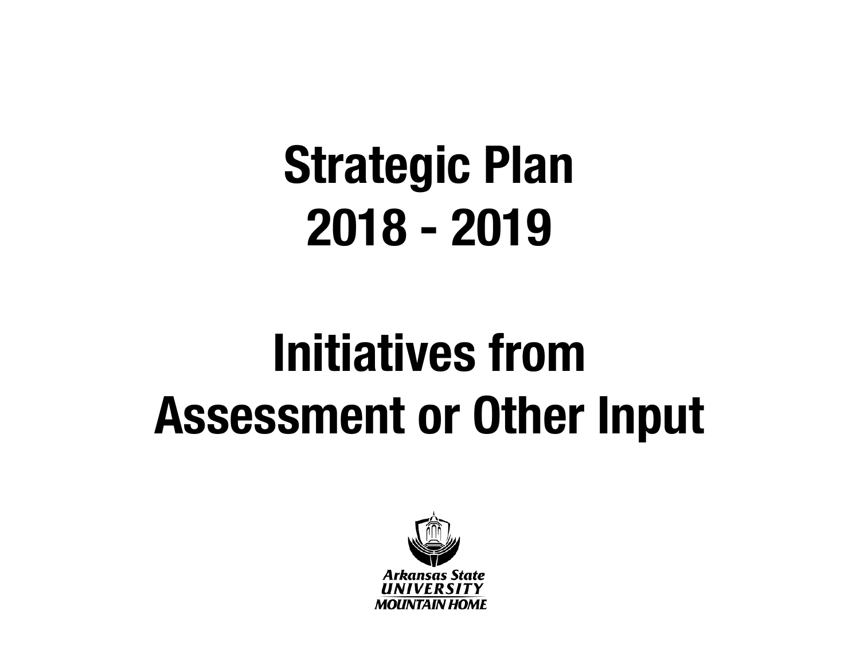## **Strategic Plan 2018 - 2019**

## **Initiatives from Assessment or Other Input**

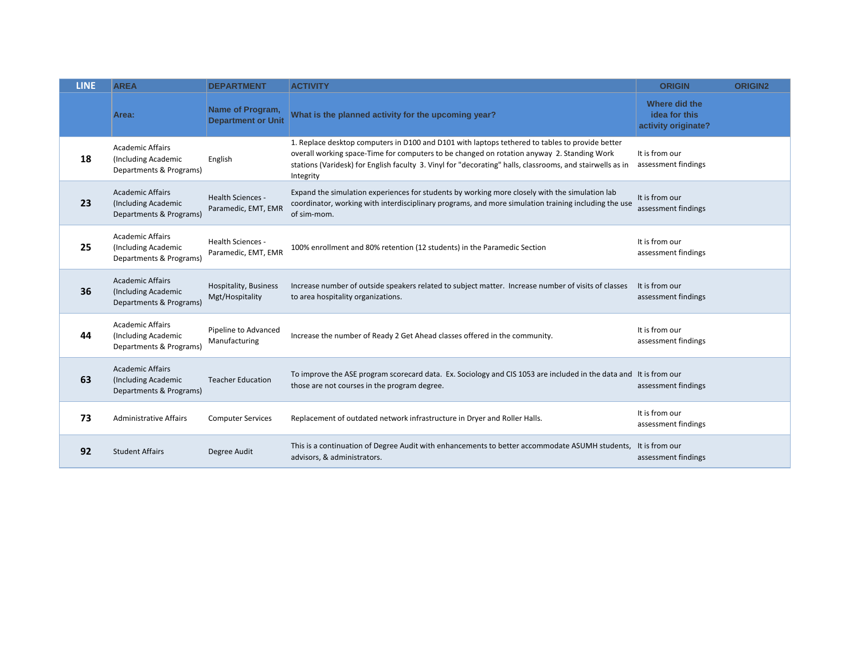| <b>LINE</b> | <b>AREA</b>                                                               | <b>DEPARTMENT</b>                               | <b>ACTIVITY</b>                                                                                                                                                                                                                                                                                                         | <b>ORIGIN</b>                                         | <b>ORIGIN2</b> |
|-------------|---------------------------------------------------------------------------|-------------------------------------------------|-------------------------------------------------------------------------------------------------------------------------------------------------------------------------------------------------------------------------------------------------------------------------------------------------------------------------|-------------------------------------------------------|----------------|
|             | Area:                                                                     | Name of Program,<br><b>Department or Unit</b>   | What is the planned activity for the upcoming year?                                                                                                                                                                                                                                                                     | Where did the<br>idea for this<br>activity originate? |                |
| 18          | <b>Academic Affairs</b><br>(Including Academic<br>Departments & Programs) | English                                         | 1. Replace desktop computers in D100 and D101 with laptops tethered to tables to provide better<br>overall working space-Time for computers to be changed on rotation anyway 2. Standing Work<br>stations (Varidesk) for English faculty 3. Vinyl for "decorating" halls, classrooms, and stairwells as in<br>Integrity | It is from our<br>assessment findings                 |                |
| 23          | <b>Academic Affairs</b><br>(Including Academic<br>Departments & Programs) | <b>Health Sciences -</b><br>Paramedic, EMT, EMR | Expand the simulation experiences for students by working more closely with the simulation lab<br>coordinator, working with interdisciplinary programs, and more simulation training including the use<br>of sim-mom.                                                                                                   | It is from our<br>assessment findings                 |                |
| 25          | <b>Academic Affairs</b><br>(Including Academic<br>Departments & Programs) | Health Sciences -<br>Paramedic, EMT, EMR        | 100% enrollment and 80% retention (12 students) in the Paramedic Section                                                                                                                                                                                                                                                | It is from our<br>assessment findings                 |                |
| 36          | <b>Academic Affairs</b><br>(Including Academic<br>Departments & Programs) | Hospitality, Business<br>Mgt/Hospitality        | Increase number of outside speakers related to subject matter. Increase number of visits of classes<br>to area hospitality organizations.                                                                                                                                                                               | It is from our<br>assessment findings                 |                |
| 44          | <b>Academic Affairs</b><br>(Including Academic<br>Departments & Programs) | Pipeline to Advanced<br>Manufacturing           | Increase the number of Ready 2 Get Ahead classes offered in the community.                                                                                                                                                                                                                                              | It is from our<br>assessment findings                 |                |
| 63          | <b>Academic Affairs</b><br>(Including Academic<br>Departments & Programs) | <b>Teacher Education</b>                        | To improve the ASE program scorecard data. Ex. Sociology and CIS 1053 are included in the data and It is from our<br>those are not courses in the program degree.                                                                                                                                                       | assessment findings                                   |                |
| 73          | <b>Administrative Affairs</b>                                             | <b>Computer Services</b>                        | Replacement of outdated network infrastructure in Dryer and Roller Halls.                                                                                                                                                                                                                                               | It is from our<br>assessment findings                 |                |
| 92          | <b>Student Affairs</b>                                                    | Degree Audit                                    | This is a continuation of Degree Audit with enhancements to better accommodate ASUMH students, It is from our<br>advisors, & administrators.                                                                                                                                                                            | assessment findings                                   |                |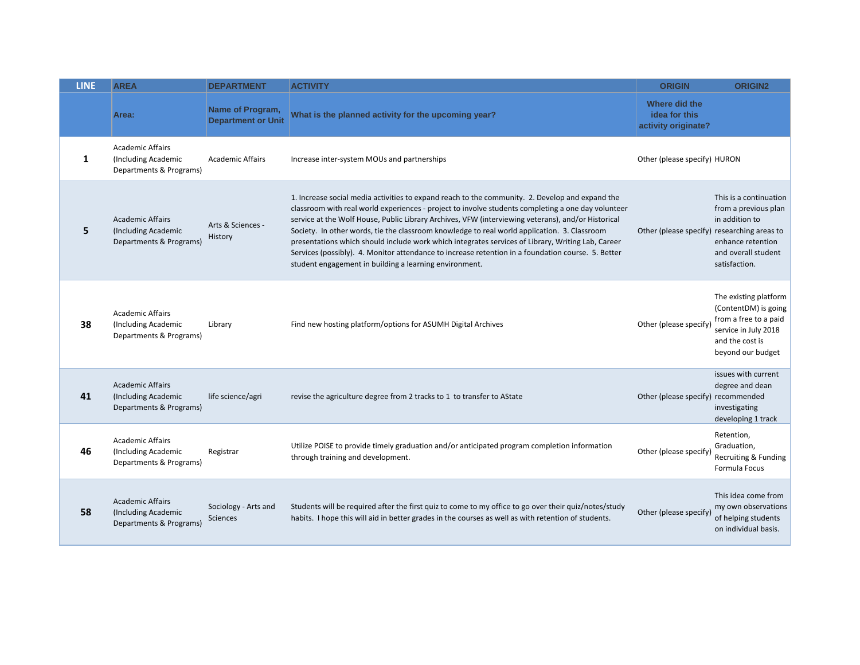| <b>LINE</b> | <b>AREA</b>                                                               | <b>DEPARTMENT</b>                             | <b>ACTIVITY</b>                                                                                                                                                                                                                                                                                                                                                                                                                                                                                                                                                                                                                                                                  | <b>ORIGIN</b>                                         | <b>ORIGIN2</b>                                                                                                                         |
|-------------|---------------------------------------------------------------------------|-----------------------------------------------|----------------------------------------------------------------------------------------------------------------------------------------------------------------------------------------------------------------------------------------------------------------------------------------------------------------------------------------------------------------------------------------------------------------------------------------------------------------------------------------------------------------------------------------------------------------------------------------------------------------------------------------------------------------------------------|-------------------------------------------------------|----------------------------------------------------------------------------------------------------------------------------------------|
|             | Area:                                                                     | Name of Program,<br><b>Department or Unit</b> | What is the planned activity for the upcoming year?                                                                                                                                                                                                                                                                                                                                                                                                                                                                                                                                                                                                                              | Where did the<br>idea for this<br>activity originate? |                                                                                                                                        |
| 1           | <b>Academic Affairs</b><br>(Including Academic<br>Departments & Programs) | <b>Academic Affairs</b>                       | Increase inter-system MOUs and partnerships                                                                                                                                                                                                                                                                                                                                                                                                                                                                                                                                                                                                                                      | Other (please specify) HURON                          |                                                                                                                                        |
| 5           | <b>Academic Affairs</b><br>(Including Academic<br>Departments & Programs) | Arts & Sciences -<br>History                  | 1. Increase social media activities to expand reach to the community. 2. Develop and expand the<br>classroom with real world experiences - project to involve students completing a one day volunteer<br>service at the Wolf House, Public Library Archives, VFW (interviewing veterans), and/or Historical<br>Society. In other words, tie the classroom knowledge to real world application. 3. Classroom<br>presentations which should include work which integrates services of Library, Writing Lab, Career<br>Services (possibly). 4. Monitor attendance to increase retention in a foundation course. 5. Better<br>student engagement in building a learning environment. | Other (please specify) researching areas to           | This is a continuation<br>from a previous plan<br>in addition to<br>enhance retention<br>and overall student<br>satisfaction.          |
| 38          | <b>Academic Affairs</b><br>(Including Academic<br>Departments & Programs) | Library                                       | Find new hosting platform/options for ASUMH Digital Archives                                                                                                                                                                                                                                                                                                                                                                                                                                                                                                                                                                                                                     | Other (please specify)                                | The existing platform<br>(ContentDM) is going<br>from a free to a paid<br>service in July 2018<br>and the cost is<br>beyond our budget |
| 41          | <b>Academic Affairs</b><br>(Including Academic<br>Departments & Programs) | life science/agri                             | revise the agriculture degree from 2 tracks to 1 to transfer to AState                                                                                                                                                                                                                                                                                                                                                                                                                                                                                                                                                                                                           | Other (please specify) recommended                    | issues with current<br>degree and dean<br>investigating<br>developing 1 track                                                          |
| 46          | <b>Academic Affairs</b><br>(Including Academic<br>Departments & Programs) | Registrar                                     | Utilize POISE to provide timely graduation and/or anticipated program completion information<br>through training and development.                                                                                                                                                                                                                                                                                                                                                                                                                                                                                                                                                | Other (please specify                                 | Retention,<br>Graduation,<br>Recruiting & Funding<br>Formula Focus                                                                     |
| 58          | <b>Academic Affairs</b><br>(Including Academic<br>Departments & Programs) | Sociology - Arts and<br>Sciences              | Students will be required after the first quiz to come to my office to go over their quiz/notes/study<br>habits. I hope this will aid in better grades in the courses as well as with retention of students.                                                                                                                                                                                                                                                                                                                                                                                                                                                                     | Other (please specify                                 | This idea come from<br>my own observations<br>of helping students<br>on individual basis.                                              |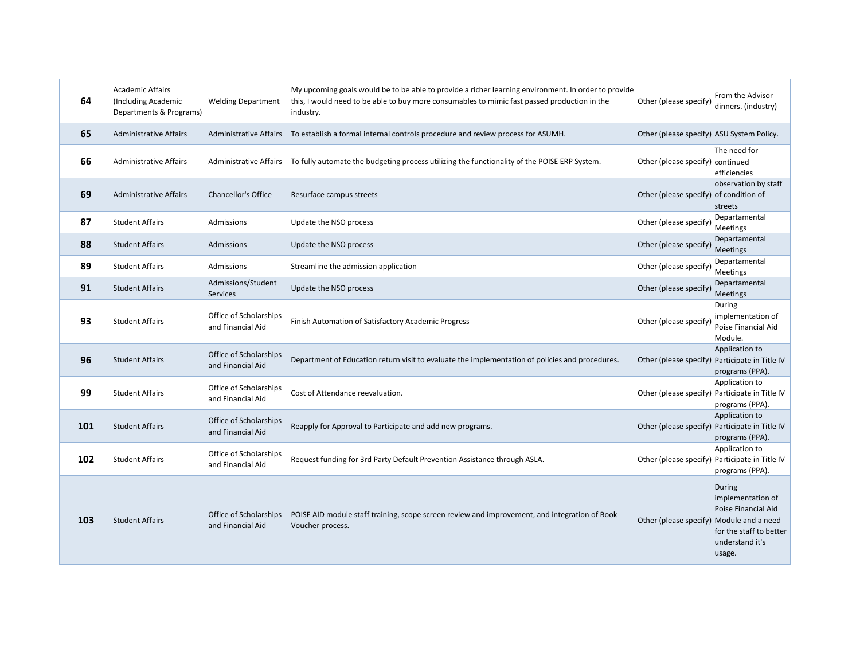| 64  | <b>Academic Affairs</b><br>(Including Academic<br>Departments & Programs) | <b>Welding Department</b>                   | My upcoming goals would be to be able to provide a richer learning environment. In order to provide<br>this, I would need to be able to buy more consumables to mimic fast passed production in the<br>industry. | Other (please specify)                         | From the Advisor<br>dinners. (industry)                                                                    |
|-----|---------------------------------------------------------------------------|---------------------------------------------|------------------------------------------------------------------------------------------------------------------------------------------------------------------------------------------------------------------|------------------------------------------------|------------------------------------------------------------------------------------------------------------|
| 65  | <b>Administrative Affairs</b>                                             |                                             | Administrative Affairs To establish a formal internal controls procedure and review process for ASUMH.                                                                                                           | Other (please specify) ASU System Policy.      |                                                                                                            |
| 66  | <b>Administrative Affairs</b>                                             |                                             | Administrative Affairs To fully automate the budgeting process utilizing the functionality of the POISE ERP System.                                                                                              | Other (please specify) continued               | The need for<br>efficiencies                                                                               |
| 69  | <b>Administrative Affairs</b>                                             | <b>Chancellor's Office</b>                  | Resurface campus streets                                                                                                                                                                                         | Other (please specify) of condition of         | observation by staff<br>streets                                                                            |
| 87  | <b>Student Affairs</b>                                                    | Admissions                                  | Update the NSO process                                                                                                                                                                                           | Other (please specify)                         | Departamental<br>Meetings                                                                                  |
| 88  | <b>Student Affairs</b>                                                    | Admissions                                  | Update the NSO process                                                                                                                                                                                           | Other (please specify)                         | Departamental<br>Meetings                                                                                  |
| 89  | <b>Student Affairs</b>                                                    | Admissions                                  | Streamline the admission application                                                                                                                                                                             | Other (please specify)                         | Departamental<br>Meetings                                                                                  |
| 91  | <b>Student Affairs</b>                                                    | Admissions/Student<br>Services              | Update the NSO process                                                                                                                                                                                           | Other (please specify)                         | Departamental<br>Meetings                                                                                  |
| 93  | <b>Student Affairs</b>                                                    | Office of Scholarships<br>and Financial Aid | Finish Automation of Satisfactory Academic Progress                                                                                                                                                              | Other (please specify)                         | During<br>implementation of<br>Poise Financial Aid<br>Module.                                              |
| 96  | <b>Student Affairs</b>                                                    | Office of Scholarships<br>and Financial Aid | Department of Education return visit to evaluate the implementation of policies and procedures.                                                                                                                  | Other (please specify) Participate in Title IV | Application to<br>programs (PPA).                                                                          |
| 99  | <b>Student Affairs</b>                                                    | Office of Scholarships<br>and Financial Aid | Cost of Attendance reevaluation.                                                                                                                                                                                 |                                                | Application to<br>Other (please specify) Participate in Title IV<br>programs (PPA).                        |
| 101 | <b>Student Affairs</b>                                                    | Office of Scholarships<br>and Financial Aid | Reapply for Approval to Participate and add new programs.                                                                                                                                                        |                                                | Application to<br>Other (please specify) Participate in Title IV<br>programs (PPA).                        |
| 102 | <b>Student Affairs</b>                                                    | Office of Scholarships<br>and Financial Aid | Request funding for 3rd Party Default Prevention Assistance through ASLA.                                                                                                                                        |                                                | Application to<br>Other (please specify) Participate in Title IV<br>programs (PPA).                        |
| 103 | <b>Student Affairs</b>                                                    | Office of Scholarships<br>and Financial Aid | POISE AID module staff training, scope screen review and improvement, and integration of Book<br>Voucher process.                                                                                                | Other (please specify) Module and a need       | During<br>implementation of<br>Poise Financial Aid<br>for the staff to better<br>understand it's<br>usage. |